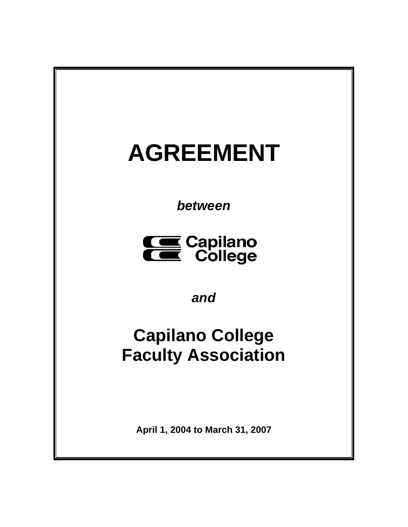# **AGREEMENT**

*between* 



*and* 

# **Capilano College Faculty Association**

**April 1, 2004 to March 31, 2007**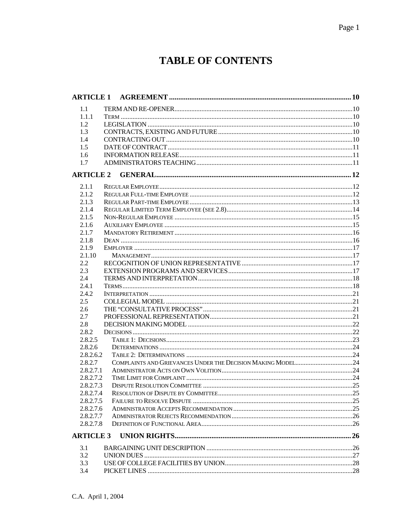# **TABLE OF CONTENTS**

| <b>ARTICLE 1</b> |  |
|------------------|--|
| 1.1              |  |
| 1.1.1            |  |
| 1.2              |  |
| 1.3              |  |
| 1.4              |  |
| 1.5              |  |
| 1.6              |  |
| 1.7              |  |
| <b>ARTICLE 2</b> |  |
|                  |  |
| 2.1.1            |  |
| 2.1.2            |  |
| 2.1.3            |  |
| 2.1.4            |  |
| 2.1.5            |  |
| 2.1.6            |  |
| 2.1.7            |  |
| 2.1.8            |  |
| 2.1.9            |  |
| 2.1.10           |  |
| 2.2              |  |
| 2.3              |  |
| 2.4              |  |
| 2.4.1            |  |
| 2.4.2            |  |
| 2.5              |  |
| 2.6              |  |
| 2.7              |  |
| 2.8              |  |
| 2.8.2            |  |
| 2.8.2.5          |  |
| 2.8.2.6          |  |
| 2.8.2.6.2        |  |
| 2.8.2.7          |  |
| 2.8.2.7.1        |  |
| 2.8.2.7.2        |  |
| 2.8.2.7.3        |  |
| 2.8.2.7.4        |  |
| 2.8.2.7.5        |  |
| 2.8.2.7.6        |  |
| 2.8.2.7.7        |  |
| 2.8.2.7.8        |  |
| <b>ARTICLE 3</b> |  |
| 3.1              |  |
| 3.2              |  |
| 3.3              |  |
| 3.4              |  |
|                  |  |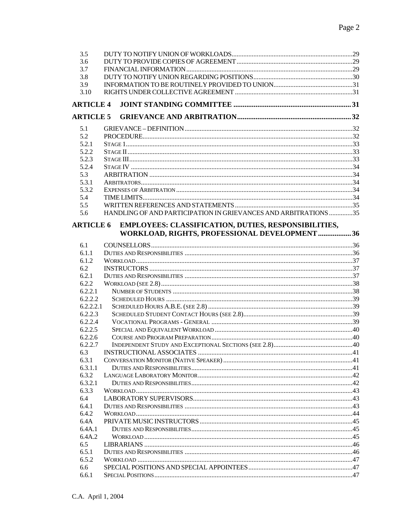| 3.5              |                                                                 |  |
|------------------|-----------------------------------------------------------------|--|
| 3.6              |                                                                 |  |
| 3.7              |                                                                 |  |
| 3.8              |                                                                 |  |
| 3.9              |                                                                 |  |
| 3.10             |                                                                 |  |
| <b>ARTICLE 4</b> |                                                                 |  |
| <b>ARTICLE 5</b> |                                                                 |  |
| 5.1              |                                                                 |  |
| 5.2              |                                                                 |  |
| 5.2.1            |                                                                 |  |
| 5.2.2            |                                                                 |  |
| 5.2.3            |                                                                 |  |
| 5.2.4            |                                                                 |  |
| 5.3              |                                                                 |  |
| 5.3.1            |                                                                 |  |
| 5.3.2            |                                                                 |  |
| 5.4              |                                                                 |  |
| 5.5              |                                                                 |  |
| 5.6              | HANDLING OF AND PARTICIPATION IN GRIEVANCES AND ARBITRATIONS 35 |  |
|                  |                                                                 |  |
| <b>ARTICLE 6</b> | EMPLOYEES: CLASSIFICATION, DUTIES, RESPONSIBILITIES,            |  |
|                  | WORKLOAD, RIGHTS, PROFESSIONAL DEVELOPMENT 36                   |  |
| 6.1              |                                                                 |  |
| 6.1.1            |                                                                 |  |
| 6.1.2            |                                                                 |  |
| 6.2              |                                                                 |  |
| 6.2.1            |                                                                 |  |
| 6.2.2            |                                                                 |  |
| 6.2.2.1          |                                                                 |  |
| 6.2.2.2          |                                                                 |  |
| 6.2.2.2.1        |                                                                 |  |
| 6.2.2.3          |                                                                 |  |
| 6.2.2.4          |                                                                 |  |
| 6.2.2.5          |                                                                 |  |
| 6.2.2.6          |                                                                 |  |
| 6.2.2.7          |                                                                 |  |
| 6.3              |                                                                 |  |
| 6.3.1            |                                                                 |  |
| 6.3.1.1<br>6.3.2 |                                                                 |  |
| 6.3.2.1          |                                                                 |  |
| 6.3.3            |                                                                 |  |
| 6.4              |                                                                 |  |
| 6.4.1            |                                                                 |  |
| 6.4.2            |                                                                 |  |
| 6.4A             |                                                                 |  |
| 6.4A.1           |                                                                 |  |
| 6.4A.2           |                                                                 |  |
| 6.5              |                                                                 |  |
| 6.5.1            |                                                                 |  |
| 6.5.2            |                                                                 |  |
| 6.6              |                                                                 |  |
| 6.6.1            |                                                                 |  |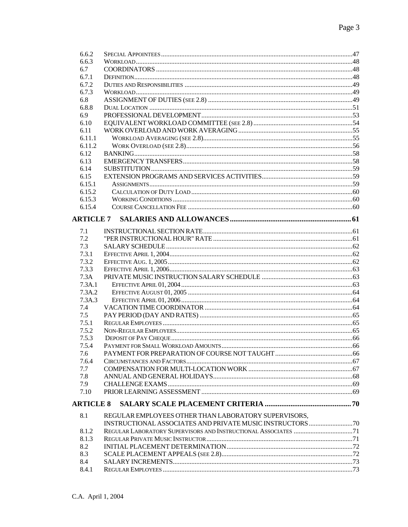| 6.6.2            |                                                      |  |
|------------------|------------------------------------------------------|--|
| 6.6.3            |                                                      |  |
| 6.7              |                                                      |  |
| 6.7.1            |                                                      |  |
| 6.7.2            |                                                      |  |
| 6.7.3            |                                                      |  |
| 6.8              |                                                      |  |
| 6.8.8            |                                                      |  |
| 6.9              |                                                      |  |
| 6.10             |                                                      |  |
| 6.11             |                                                      |  |
| 6.11.1           |                                                      |  |
| 6.11.2           |                                                      |  |
| 6.12             |                                                      |  |
| 6.13             |                                                      |  |
| 6.14             |                                                      |  |
| 6.15             |                                                      |  |
| 6.15.1           |                                                      |  |
| 6.15.2           |                                                      |  |
| 6.15.3           |                                                      |  |
| 6.15.4           |                                                      |  |
| <b>ARTICLE 7</b> |                                                      |  |
|                  |                                                      |  |
| 7.1              |                                                      |  |
| 7.2              |                                                      |  |
| 7.3              |                                                      |  |
| 7.3.1            |                                                      |  |
| 7.3.2            |                                                      |  |
| 7.3.3            |                                                      |  |
| 7.3A             |                                                      |  |
| 7.3A.1           |                                                      |  |
| 7.3A.2<br>7.3A.3 |                                                      |  |
|                  |                                                      |  |
| 7.4<br>7.5       |                                                      |  |
| 7.5.1            |                                                      |  |
| 7.5.2            |                                                      |  |
| 7.5.3            |                                                      |  |
| 7.5.4            |                                                      |  |
| 7.6              |                                                      |  |
| 7.6.4            |                                                      |  |
| 7.7              |                                                      |  |
| 7.8              |                                                      |  |
| 7.9              |                                                      |  |
| 7.10             |                                                      |  |
|                  |                                                      |  |
| <b>ARTICLE 8</b> |                                                      |  |
| 8.1              | REGULAR EMPLOYEES OTHER THAN LABORATORY SUPERVISORS, |  |
|                  |                                                      |  |
| 8.1.2            |                                                      |  |
| 8.1.3            |                                                      |  |
| 8.2              |                                                      |  |
| 8.3              |                                                      |  |
| 8.4              |                                                      |  |
| 8.4.1            |                                                      |  |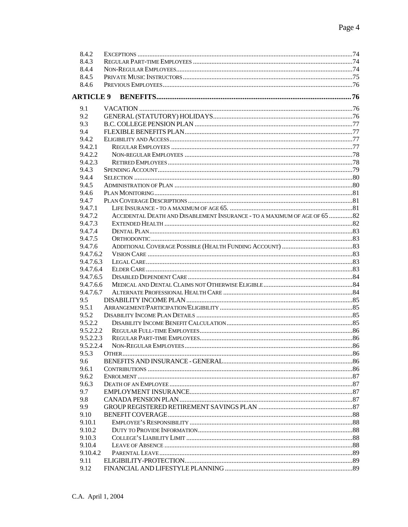| 8.4.2            |                                                                           |  |
|------------------|---------------------------------------------------------------------------|--|
| 8.4.3            |                                                                           |  |
| 8.4.4            |                                                                           |  |
| 8.4.5            |                                                                           |  |
| 8.4.6            |                                                                           |  |
| <b>ARTICLE 9</b> |                                                                           |  |
|                  |                                                                           |  |
| 9.1              |                                                                           |  |
| 9.2              |                                                                           |  |
| 9.3              |                                                                           |  |
| 9.4              |                                                                           |  |
| 9.4.2            |                                                                           |  |
| 9.4.2.1          |                                                                           |  |
| 9.4.2.2          |                                                                           |  |
| 9.4.2.3          |                                                                           |  |
| 9.4.3            |                                                                           |  |
| 9.4.4            |                                                                           |  |
| 9.4.5            |                                                                           |  |
| 9.4.6            |                                                                           |  |
| 9.4.7            |                                                                           |  |
| 9.4.7.1          |                                                                           |  |
| 9.4.7.2          | ACCIDENTAL DEATH AND DISABLEMENT INSURANCE - TO A MAXIMUM OF AGE OF 65 82 |  |
| 9.4.7.3          |                                                                           |  |
| 9.4.7.4          |                                                                           |  |
| 9.4.7.5          |                                                                           |  |
| 9.4.7.6          |                                                                           |  |
| 9.4.7.6.2        |                                                                           |  |
| 9.4.7.6.3        |                                                                           |  |
| 9.4.7.6.4        |                                                                           |  |
| 9.4.7.6.5        |                                                                           |  |
| 9.4.7.6.6        |                                                                           |  |
| 9.4.7.6.7        |                                                                           |  |
| 9.5              |                                                                           |  |
| 9.5.1            |                                                                           |  |
| 9.5.2            |                                                                           |  |
| 9.5.2.2          |                                                                           |  |
| 9.5.2.2.2        |                                                                           |  |
| 9.5.2.2.3        |                                                                           |  |
| 9.5.2.2.4        |                                                                           |  |
| 9.5.3            |                                                                           |  |
| 9.6              |                                                                           |  |
| 9.6.1            |                                                                           |  |
| 9.6.2            |                                                                           |  |
| 9.6.3            |                                                                           |  |
| 9.7              |                                                                           |  |
| 9.8              |                                                                           |  |
| 9.9              |                                                                           |  |
| 9.10             |                                                                           |  |
| 9.10.1           |                                                                           |  |
| 9.10.2           |                                                                           |  |
| 9.10.3           |                                                                           |  |
| 9.10.4           |                                                                           |  |
| 9.10.4.2         |                                                                           |  |
| 9.11             |                                                                           |  |
| 9.12             |                                                                           |  |
|                  |                                                                           |  |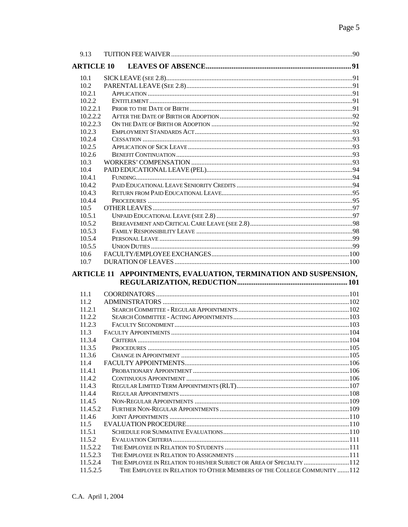| 9.13                 |                                                                      |  |
|----------------------|----------------------------------------------------------------------|--|
| <b>ARTICLE 10</b>    |                                                                      |  |
| 10.1                 |                                                                      |  |
| 10.2                 |                                                                      |  |
| 10.2.1               |                                                                      |  |
| 10.2.2               |                                                                      |  |
| 10.2.2.1             |                                                                      |  |
| 10.2.2.2             |                                                                      |  |
| 10.2.2.3             |                                                                      |  |
| 10.2.3               |                                                                      |  |
| 10.2.4               |                                                                      |  |
| 10.2.5               |                                                                      |  |
| 10.2.6<br>10.3       |                                                                      |  |
| 10.4                 |                                                                      |  |
| 10.4.1               |                                                                      |  |
| 10.4.2               |                                                                      |  |
| 10.4.3               |                                                                      |  |
| 10.4.4               |                                                                      |  |
| 10.5                 |                                                                      |  |
| 10.5.1               |                                                                      |  |
| 10.5.2               |                                                                      |  |
| 10.5.3               |                                                                      |  |
| 10.5.4               |                                                                      |  |
| 10.5.5               |                                                                      |  |
| 10.6                 |                                                                      |  |
|                      |                                                                      |  |
| 10.7                 |                                                                      |  |
|                      | ARTICLE 11 APPOINTMENTS, EVALUATION, TERMINATION AND SUSPENSION,     |  |
|                      |                                                                      |  |
| 11.1                 |                                                                      |  |
| 11.2                 |                                                                      |  |
| 11.2.1               |                                                                      |  |
| 11.2.2               |                                                                      |  |
| 11.2.3               |                                                                      |  |
| 11.3<br>11.3.4       |                                                                      |  |
|                      |                                                                      |  |
| 11.3.5<br>11.3.6     |                                                                      |  |
| 11.4                 |                                                                      |  |
| 11.4.1               |                                                                      |  |
| 11.4.2               |                                                                      |  |
| 11.4.3               |                                                                      |  |
| 11.4.4               |                                                                      |  |
| 11.4.5               |                                                                      |  |
| 11.4.5.2             |                                                                      |  |
| 11.4.6               |                                                                      |  |
| 11.5                 |                                                                      |  |
| 11.5.1               |                                                                      |  |
| 11.5.2               |                                                                      |  |
| 11.5.2.2             |                                                                      |  |
| 11.5.2.3<br>11.5.2.4 | THE EMPLOYEE IN RELATION TO HIS/HER SUBJECT OR AREA OF SPECIALTY 112 |  |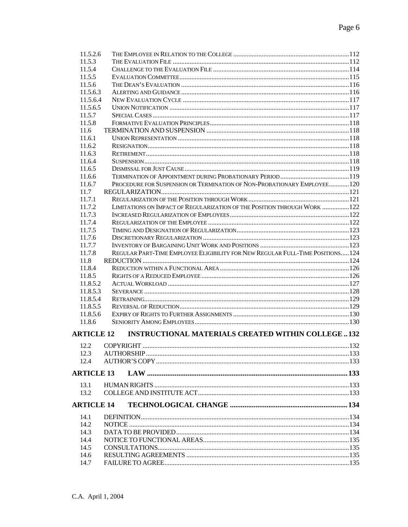| 11.5.2.6          |                                                                               |  |
|-------------------|-------------------------------------------------------------------------------|--|
| 11.5.3            |                                                                               |  |
| 11.5.4            |                                                                               |  |
| 11.5.5            |                                                                               |  |
| 11.5.6            |                                                                               |  |
| 11.5.6.3          |                                                                               |  |
| 11.5.6.4          |                                                                               |  |
| 11.5.6.5          |                                                                               |  |
| 11.5.7            |                                                                               |  |
| 11.5.8            |                                                                               |  |
| 11.6              |                                                                               |  |
| 11.6.1            |                                                                               |  |
| 11.6.2            |                                                                               |  |
| 11.6.3            |                                                                               |  |
| 11.6.4            |                                                                               |  |
| 11.6.5            |                                                                               |  |
| 11.6.6            |                                                                               |  |
| 11.6.7            | PROCEDURE FOR SUSPENSION OR TERMINATION OF NON-PROBATIONARY EMPLOYEE120       |  |
| 11.7              |                                                                               |  |
| 11.7.1            |                                                                               |  |
| 11.7.2            | LIMITATIONS ON IMPACT OF REGULARIZATION OF THE POSITION THROUGH WORK 122      |  |
| 11.7.3            |                                                                               |  |
|                   |                                                                               |  |
| 11.7.4            |                                                                               |  |
| 11.7.5            |                                                                               |  |
| 11.7.6            |                                                                               |  |
| 11.7.7            |                                                                               |  |
| 11.7.8            | REGULAR PART-TIME EMPLOYEE ELIGIBILITY FOR NEW REGULAR FULL-TIME POSITIONS124 |  |
| 11.8              |                                                                               |  |
| 11.8.4            |                                                                               |  |
| 11.8.5            |                                                                               |  |
| 11.8.5.2          |                                                                               |  |
| 11.8.5.3          |                                                                               |  |
| 11.8.5.4          |                                                                               |  |
| 11.8.5.5          |                                                                               |  |
| 11.8.5.6          |                                                                               |  |
| 11.8.6            |                                                                               |  |
| <b>ARTICLE 12</b> | <b>INSTRUCTIONAL MATERIALS CREATED WITHIN COLLEGE  132</b>                    |  |
| 12.2              |                                                                               |  |
| 12.3              |                                                                               |  |
| 12.4              |                                                                               |  |
|                   |                                                                               |  |
| <b>ARTICLE 13</b> |                                                                               |  |
| 13.1              |                                                                               |  |
| 13.2              |                                                                               |  |
| <b>ARTICLE 14</b> |                                                                               |  |
| 14.1              |                                                                               |  |
| 14.2              |                                                                               |  |
| 14.3              |                                                                               |  |
| 14.4              |                                                                               |  |
| 14.5              |                                                                               |  |
| 14.6              |                                                                               |  |
| 14.7              |                                                                               |  |
|                   |                                                                               |  |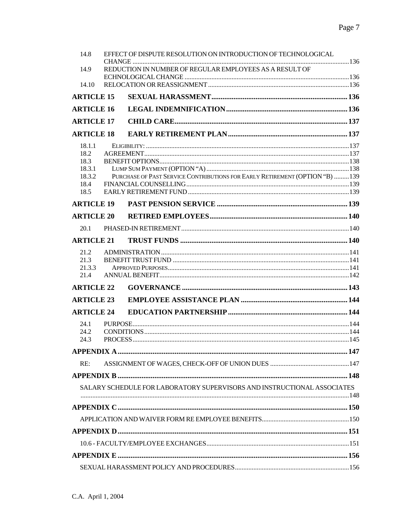| 14.8              | EFFECT OF DISPUTE RESOLUTION ON INTRODUCTION OF TECHNOLOGICAL           |  |
|-------------------|-------------------------------------------------------------------------|--|
| 14.9              | REDUCTION IN NUMBER OF REGULAR EMPLOYEES AS A RESULT OF                 |  |
|                   |                                                                         |  |
| 14.10             |                                                                         |  |
| <b>ARTICLE 15</b> |                                                                         |  |
| <b>ARTICLE 16</b> |                                                                         |  |
| <b>ARTICLE 17</b> |                                                                         |  |
| <b>ARTICLE 18</b> |                                                                         |  |
| 18.1.1            |                                                                         |  |
| 18.2              |                                                                         |  |
| 18.3              |                                                                         |  |
| 18.3.1            |                                                                         |  |
| 18.3.2            |                                                                         |  |
| 18.4<br>18.5      |                                                                         |  |
| <b>ARTICLE 19</b> |                                                                         |  |
| <b>ARTICLE 20</b> |                                                                         |  |
| 20.1              |                                                                         |  |
| <b>ARTICLE 21</b> |                                                                         |  |
|                   |                                                                         |  |
| 21.2<br>21.3      |                                                                         |  |
| 21.3.3            |                                                                         |  |
| 21.4              |                                                                         |  |
| <b>ARTICLE 22</b> |                                                                         |  |
| <b>ARTICLE 23</b> |                                                                         |  |
| <b>ARTICLE 24</b> |                                                                         |  |
| 24.1              |                                                                         |  |
| 24.2              |                                                                         |  |
| 24.3              |                                                                         |  |
|                   |                                                                         |  |
| RE:               |                                                                         |  |
|                   |                                                                         |  |
|                   | SALARY SCHEDULE FOR LABORATORY SUPERVISORS AND INSTRUCTIONAL ASSOCIATES |  |
|                   |                                                                         |  |
|                   |                                                                         |  |
|                   |                                                                         |  |
|                   |                                                                         |  |
|                   |                                                                         |  |
|                   |                                                                         |  |
|                   |                                                                         |  |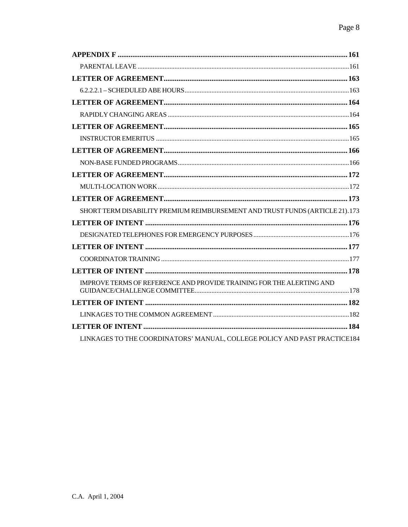| SHORT TERM DISABILITY PREMIUM REIMBURSEMENT AND TRUST FUNDS (ARTICLE 21).173 |
|------------------------------------------------------------------------------|
|                                                                              |
|                                                                              |
|                                                                              |
|                                                                              |
|                                                                              |
| IMPROVE TERMS OF REFERENCE AND PROVIDE TRAINING FOR THE ALERTING AND         |
|                                                                              |
|                                                                              |
|                                                                              |
| LINKAGES TO THE COORDINATORS' MANUAL, COLLEGE POLICY AND PAST PRACTICE184    |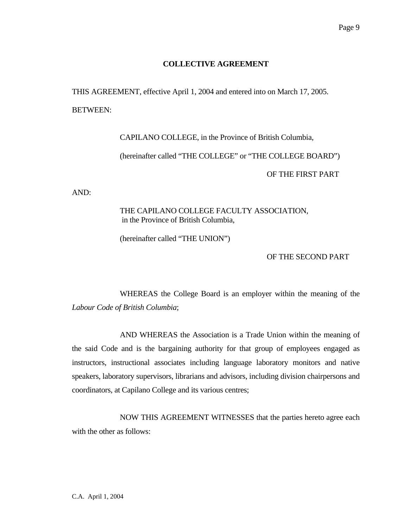#### **COLLECTIVE AGREEMENT**

 THIS AGREEMENT, effective April 1, 2004 and entered into on March 17, 2005. BETWEEN:

> CAPILANO COLLEGE, in the Province of British Columbia, (hereinafter called "THE COLLEGE" or "THE COLLEGE BOARD") OF THE FIRST PART

AND:

 THE CAPILANO COLLEGE FACULTY ASSOCIATION, in the Province of British Columbia,

(hereinafter called "THE UNION")

OF THE SECOND PART

 WHEREAS the College Board is an employer within the meaning of the *Labour Code of British Columbia*;

 AND WHEREAS the Association is a Trade Union within the meaning of the said Code and is the bargaining authority for that group of employees engaged as instructors, instructional associates including language laboratory monitors and native speakers, laboratory supervisors, librarians and advisors, including division chairpersons and coordinators, at Capilano College and its various centres;

 NOW THIS AGREEMENT WITNESSES that the parties hereto agree each with the other as follows: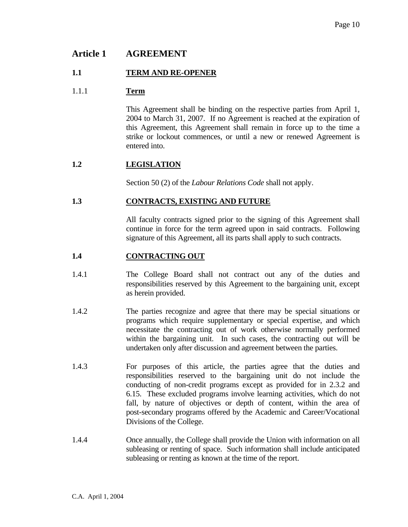# **Article 1 AGREEMENT**

#### **1.1 TERM AND RE-OPENER**

#### 1.1.1 **Term**

 This Agreement shall be binding on the respective parties from April 1, 2004 to March 31, 2007. If no Agreement is reached at the expiration of this Agreement, this Agreement shall remain in force up to the time a strike or lockout commences, or until a new or renewed Agreement is entered into.

#### **1.2 LEGISLATION**

Section 50 (2) of the *Labour Relations Code* shall not apply.

#### **1.3 CONTRACTS, EXISTING AND FUTURE**

 All faculty contracts signed prior to the signing of this Agreement shall continue in force for the term agreed upon in said contracts. Following signature of this Agreement, all its parts shall apply to such contracts.

#### **1.4 CONTRACTING OUT**

- 1.4.1 The College Board shall not contract out any of the duties and responsibilities reserved by this Agreement to the bargaining unit, except as herein provided.
- 1.4.2 The parties recognize and agree that there may be special situations or programs which require supplementary or special expertise, and which necessitate the contracting out of work otherwise normally performed within the bargaining unit. In such cases, the contracting out will be undertaken only after discussion and agreement between the parties.
- 1.4.3 For purposes of this article, the parties agree that the duties and responsibilities reserved to the bargaining unit do not include the conducting of non-credit programs except as provided for in 2.3.2 and 6.15. These excluded programs involve learning activities, which do not fall, by nature of objectives or depth of content, within the area of post-secondary programs offered by the Academic and Career/Vocational Divisions of the College.
- 1.4.4 Once annually, the College shall provide the Union with information on all subleasing or renting of space. Such information shall include anticipated subleasing or renting as known at the time of the report.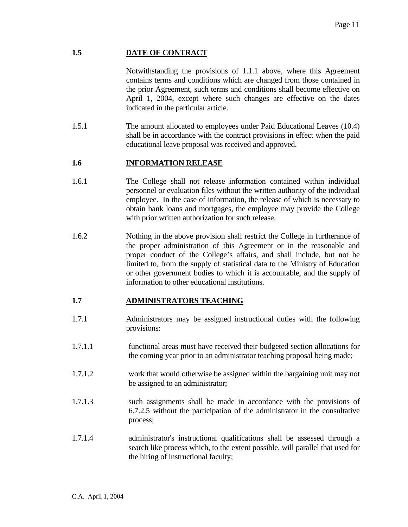# **1.5 DATE OF CONTRACT**

 Notwithstanding the provisions of 1.1.1 above, where this Agreement contains terms and conditions which are changed from those contained in the prior Agreement, such terms and conditions shall become effective on April 1, 2004, except where such changes are effective on the dates indicated in the particular article.

1.5.1 The amount allocated to employees under Paid Educational Leaves (10.4) shall be in accordance with the contract provisions in effect when the paid educational leave proposal was received and approved.

# **1.6 INFORMATION RELEASE**

- 1.6.1 The College shall not release information contained within individual personnel or evaluation files without the written authority of the individual employee. In the case of information, the release of which is necessary to obtain bank loans and mortgages, the employee may provide the College with prior written authorization for such release.
- 1.6.2 Nothing in the above provision shall restrict the College in furtherance of the proper administration of this Agreement or in the reasonable and proper conduct of the College's affairs, and shall include, but not be limited to, from the supply of statistical data to the Ministry of Education or other government bodies to which it is accountable, and the supply of information to other educational institutions.

#### **1.7 ADMINISTRATORS TEACHING**

- 1.7.1 Administrators may be assigned instructional duties with the following provisions:
- 1.7.1.1 functional areas must have received their budgeted section allocations for the coming year prior to an administrator teaching proposal being made;
- 1.7.1.2 work that would otherwise be assigned within the bargaining unit may not be assigned to an administrator;
- 1.7.1.3 such assignments shall be made in accordance with the provisions of 6.7.2.5 without the participation of the administrator in the consultative process;
- 1.7.1.4 administrator's instructional qualifications shall be assessed through a search like process which, to the extent possible, will parallel that used for the hiring of instructional faculty;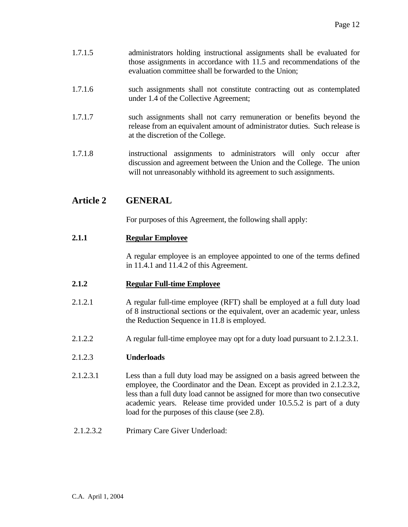- 1.7.1.5 administrators holding instructional assignments shall be evaluated for those assignments in accordance with 11.5 and recommendations of the evaluation committee shall be forwarded to the Union;
- 1.7.1.6 such assignments shall not constitute contracting out as contemplated under 1.4 of the Collective Agreement;
- 1.7.1.7 such assignments shall not carry remuneration or benefits beyond the release from an equivalent amount of administrator duties. Such release is at the discretion of the College.
- 1.7.1.8 instructional assignments to administrators will only occur after discussion and agreement between the Union and the College. The union will not unreasonably withhold its agreement to such assignments.

# **Article 2 GENERAL**

For purposes of this Agreement, the following shall apply:

# **2.1.1 Regular Employee**

 A regular employee is an employee appointed to one of the terms defined in 11.4.1 and 11.4.2 of this Agreement.

#### **2.1.2 Regular Full-time Employee**

- 2.1.2.1 A regular full-time employee (RFT) shall be employed at a full duty load of 8 instructional sections or the equivalent, over an academic year, unless the Reduction Sequence in 11.8 is employed.
- 2.1.2.2 A regular full-time employee may opt for a duty load pursuant to 2.1.2.3.1.

#### 2.1.2.3 **Underloads**

- 2.1.2.3.1 Less than a full duty load may be assigned on a basis agreed between the employee, the Coordinator and the Dean. Except as provided in 2.1.2.3.2, less than a full duty load cannot be assigned for more than two consecutive academic years. Release time provided under 10.5.5.2 is part of a duty load for the purposes of this clause (see 2.8).
- 2.1.2.3.2 Primary Care Giver Underload: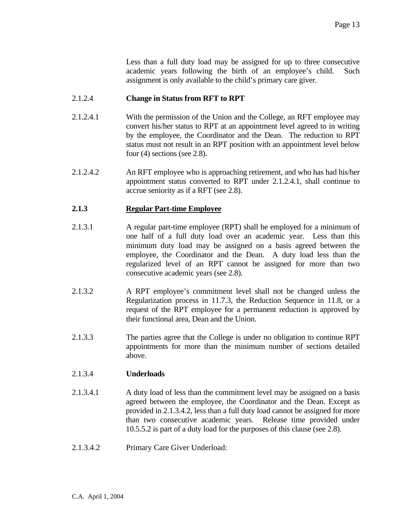Less than a full duty load may be assigned for up to three consecutive academic years following the birth of an employee's child. Such assignment is only available to the child's primary care giver.

#### 2.1.2.4 **Change in Status from RFT to RPT**

- 2.1.2.4.1 With the permission of the Union and the College, an RFT employee may convert his/her status to RPT at an appointment level agreed to in writing by the employee, the Coordinator and the Dean. The reduction to RPT status must not result in an RPT position with an appointment level below four (4) sections (see 2.8).
- 2.1.2.4.2 An RFT employee who is approaching retirement, and who has had his/her appointment status converted to RPT under 2.1.2.4.1, shall continue to accrue seniority as if a RFT (see 2.8).

#### **2.1.3 Regular Part-time Employee**

- 2.1.3.1 A regular part-time employee (RPT) shall be employed for a minimum of one half of a full duty load over an academic year. Less than this minimum duty load may be assigned on a basis agreed between the employee, the Coordinator and the Dean. A duty load less than the regularized level of an RPT cannot be assigned for more than two consecutive academic years (see 2.8).
- 2.1.3.2 A RPT employee's commitment level shall not be changed unless the Regularization process in 11.7.3, the Reduction Sequence in 11.8, or a request of the RPT employee for a permanent reduction is approved by their functional area, Dean and the Union.
- 2.1.3.3 The parties agree that the College is under no obligation to continue RPT appointments for more than the minimum number of sections detailed above.

#### 2.1.3.4 **Underloads**

- 2.1.3.4.1 A duty load of less than the commitment level may be assigned on a basis agreed between the employee, the Coordinator and the Dean. Except as provided in 2.1.3.4.2, less than a full duty load cannot be assigned for more than two consecutive academic years. Release time provided under 10.5.5.2 is part of a duty load for the purposes of this clause (see 2.8).
- 2.1.3.4.2 Primary Care Giver Underload: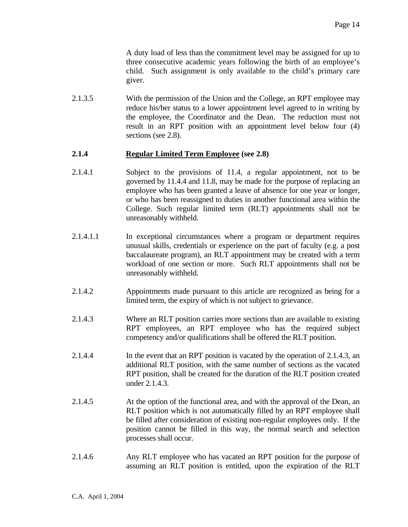A duty load of less than the commitment level may be assigned for up to three consecutive academic years following the birth of an employee's child. Such assignment is only available to the child's primary care giver.

2.1.3.5 With the permission of the Union and the College, an RPT employee may reduce his/her status to a lower appointment level agreed to in writing by the employee, the Coordinator and the Dean. The reduction must not result in an RPT position with an appointment level below four (4) sections (see 2.8).

#### **2.1.4 Regular Limited Term Employee (see 2.8)**

- 2.1.4.1 Subject to the provisions of 11.4, a regular appointment, not to be governed by 11.4.4 and 11.8, may be made for the purpose of replacing an employee who has been granted a leave of absence for one year or longer, or who has been reassigned to duties in another functional area within the College. Such regular limited term (RLT) appointments shall not be unreasonably withheld.
- 2.1.4.1.1 In exceptional circumstances where a program or department requires unusual skills, credentials or experience on the part of faculty (e.g. a post baccalaureate program), an RLT appointment may be created with a term workload of one section or more. Such RLT appointments shall not be unreasonably withheld.
- 2.1.4.2 Appointments made pursuant to this article are recognized as being for a limited term, the expiry of which is not subject to grievance.
- 2.1.4.3 Where an RLT position carries more sections than are available to existing RPT employees, an RPT employee who has the required subject competency and/or qualifications shall be offered the RLT position.
- 2.1.4.4 In the event that an RPT position is vacated by the operation of 2.1.4.3, an additional RLT position, with the same number of sections as the vacated RPT position, shall be created for the duration of the RLT position created under 2.1.4.3.
- 2.1.4.5 At the option of the functional area, and with the approval of the Dean, an RLT position which is not automatically filled by an RPT employee shall be filled after consideration of existing non-regular employees only. If the position cannot be filled in this way, the normal search and selection processes shall occur.
- 2.1.4.6 Any RLT employee who has vacated an RPT position for the purpose of assuming an RLT position is entitled, upon the expiration of the RLT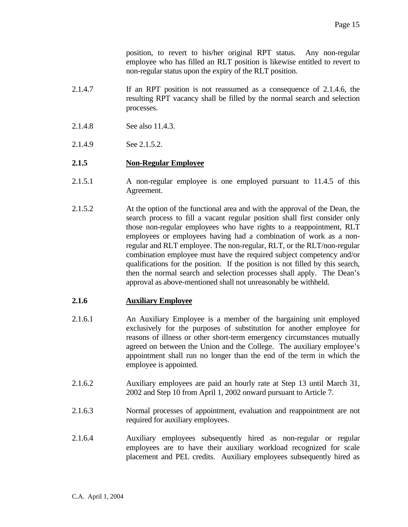position, to revert to his/her original RPT status. Any non-regular employee who has filled an RLT position is likewise entitled to revert to non-regular status upon the expiry of the RLT position.

- 2.1.4.7 If an RPT position is not reassumed as a consequence of 2.1.4.6, the resulting RPT vacancy shall be filled by the normal search and selection processes.
- 2.1.4.8 See also 11.4.3.
- 2.1.4.9 See 2.1.5.2.

#### **2.1.5 Non-Regular Employee**

- 2.1.5.1 A non-regular employee is one employed pursuant to 11.4.5 of this Agreement.
- 2.1.5.2 At the option of the functional area and with the approval of the Dean, the search process to fill a vacant regular position shall first consider only those non-regular employees who have rights to a reappointment, RLT employees or employees having had a combination of work as a nonregular and RLT employee. The non-regular, RLT, or the RLT/non-regular combination employee must have the required subject competency and/or qualifications for the position. If the position is not filled by this search, then the normal search and selection processes shall apply. The Dean's approval as above-mentioned shall not unreasonably be withheld.

#### **2.1.6 Auxiliary Employee**

- 2.1.6.1 An Auxiliary Employee is a member of the bargaining unit employed exclusively for the purposes of substitution for another employee for reasons of illness or other short-term emergency circumstances mutually agreed on between the Union and the College. The auxiliary employee's appointment shall run no longer than the end of the term in which the employee is appointed.
- 2.1.6.2 Auxiliary employees are paid an hourly rate at Step 13 until March 31, 2002 and Step 10 from April 1, 2002 onward pursuant to Article 7.
- 2.1.6.3 Normal processes of appointment, evaluation and reappointment are not required for auxiliary employees.
- 2.1.6.4 Auxiliary employees subsequently hired as non-regular or regular employees are to have their auxiliary workload recognized for scale placement and PEL credits. Auxiliary employees subsequently hired as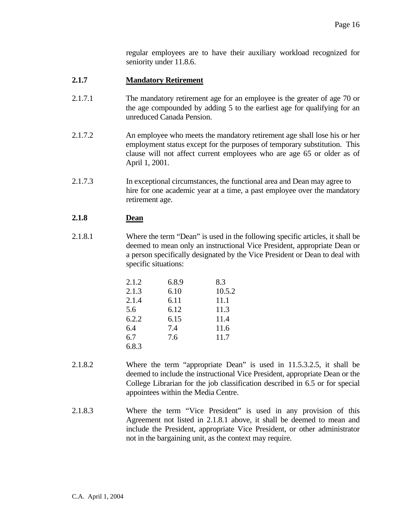regular employees are to have their auxiliary workload recognized for seniority under 11.8.6.

# **2.1.7 Mandatory Retirement**

- 2.1.7.1 The mandatory retirement age for an employee is the greater of age 70 or the age compounded by adding 5 to the earliest age for qualifying for an unreduced Canada Pension.
- 2.1.7.2 An employee who meets the mandatory retirement age shall lose his or her employment status except for the purposes of temporary substitution. This clause will not affect current employees who are age 65 or older as of April 1, 2001.
- 2.1.7.3 In exceptional circumstances, the functional area and Dean may agree to hire for one academic year at a time, a past employee over the mandatory retirement age.

# **2.1.8 Dean**

2.1.8.1 Where the term "Dean" is used in the following specific articles, it shall be deemed to mean only an instructional Vice President, appropriate Dean or a person specifically designated by the Vice President or Dean to deal with specific situations:

| 2.1.2 | 6.8.9 | 8.3    |
|-------|-------|--------|
| 2.1.3 | 6.10  | 10.5.2 |
| 2.1.4 | 6.11  | 11.1   |
| 5.6   | 6.12  | 11.3   |
| 6.2.2 | 6.15  | 11.4   |
| 6.4   | 7.4   | 11.6   |
| 6.7   | 7.6   | 11.7   |
| 6.8.3 |       |        |

- 2.1.8.2 Where the term "appropriate Dean" is used in 11.5.3.2.5, it shall be deemed to include the instructional Vice President, appropriate Dean or the College Librarian for the job classification described in 6.5 or for special appointees within the Media Centre.
- 2.1.8.3 Where the term "Vice President" is used in any provision of this Agreement not listed in 2.1.8.1 above, it shall be deemed to mean and include the President, appropriate Vice President, or other administrator not in the bargaining unit, as the context may require.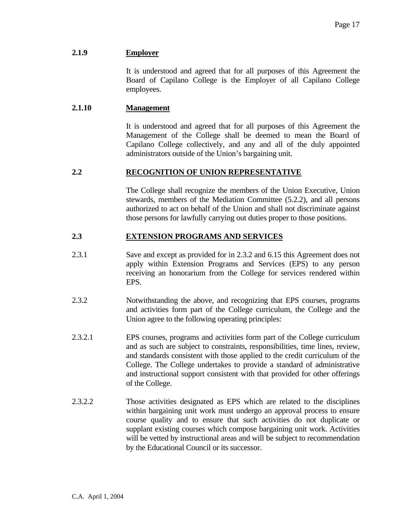#### **2.1.9 Employer**

 It is understood and agreed that for all purposes of this Agreement the Board of Capilano College is the Employer of all Capilano College employees.

#### **2.1.10 Management**

 It is understood and agreed that for all purposes of this Agreement the Management of the College shall be deemed to mean the Board of Capilano College collectively, and any and all of the duly appointed administrators outside of the Union's bargaining unit.

#### **2.2 RECOGNITION OF UNION REPRESENTATIVE**

 The College shall recognize the members of the Union Executive, Union stewards, members of the Mediation Committee (5.2.2), and all persons authorized to act on behalf of the Union and shall not discriminate against those persons for lawfully carrying out duties proper to those positions.

#### **2.3 EXTENSION PROGRAMS AND SERVICES**

- 2.3.1 Save and except as provided for in 2.3.2 and 6.15 this Agreement does not apply within Extension Programs and Services (EPS) to any person receiving an honorarium from the College for services rendered within EPS.
- 2.3.2 Notwithstanding the above, and recognizing that EPS courses, programs and activities form part of the College curriculum, the College and the Union agree to the following operating principles:
- 2.3.2.1 EPS courses, programs and activities form part of the College curriculum and as such are subject to constraints, responsibilities, time lines, review, and standards consistent with those applied to the credit curriculum of the College. The College undertakes to provide a standard of administrative and instructional support consistent with that provided for other offerings of the College.
- 2.3.2.2 Those activities designated as EPS which are related to the disciplines within bargaining unit work must undergo an approval process to ensure course quality and to ensure that such activities do not duplicate or supplant existing courses which compose bargaining unit work. Activities will be vetted by instructional areas and will be subject to recommendation by the Educational Council or its successor.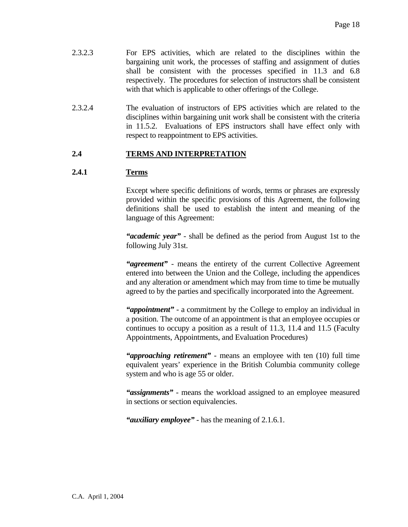- 2.3.2.3 For EPS activities, which are related to the disciplines within the bargaining unit work, the processes of staffing and assignment of duties shall be consistent with the processes specified in 11.3 and 6.8 respectively. The procedures for selection of instructors shall be consistent with that which is applicable to other offerings of the College.
- 2.3.2.4 The evaluation of instructors of EPS activities which are related to the disciplines within bargaining unit work shall be consistent with the criteria in 11.5.2. Evaluations of EPS instructors shall have effect only with respect to reappointment to EPS activities.

# **2.4 TERMS AND INTERPRETATION**

#### **2.4.1 Terms**

 Except where specific definitions of words, terms or phrases are expressly provided within the specific provisions of this Agreement, the following definitions shall be used to establish the intent and meaning of the language of this Agreement:

 *"academic year"* - shall be defined as the period from August 1st to the following July 31st.

 *"agreement"* - means the entirety of the current Collective Agreement entered into between the Union and the College, including the appendices and any alteration or amendment which may from time to time be mutually agreed to by the parties and specifically incorporated into the Agreement.

 *"appointment"* - a commitment by the College to employ an individual in a position. The outcome of an appointment is that an employee occupies or continues to occupy a position as a result of 11.3, 11.4 and 11.5 (Faculty Appointments, Appointments, and Evaluation Procedures)

 *"approaching retirement"* - means an employee with ten (10) full time equivalent years' experience in the British Columbia community college system and who is age 55 or older.

 *"assignments"* - means the workload assigned to an employee measured in sections or section equivalencies.

 *"auxiliary employee"* - has the meaning of 2.1.6.1.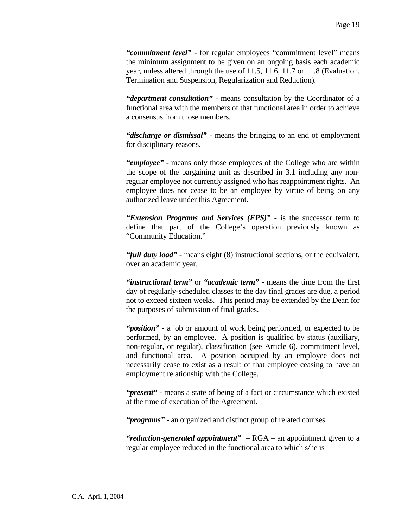*"commitment level"* - for regular employees "commitment level" means the minimum assignment to be given on an ongoing basis each academic year, unless altered through the use of 11.5, 11.6, 11.7 or 11.8 (Evaluation, Termination and Suspension, Regularization and Reduction).

 *"department consultation"* - means consultation by the Coordinator of a functional area with the members of that functional area in order to achieve a consensus from those members.

 *"discharge or dismissal"* - means the bringing to an end of employment for disciplinary reasons.

 *"employee"* - means only those employees of the College who are within the scope of the bargaining unit as described in 3.1 including any nonregular employee not currently assigned who has reappointment rights. An employee does not cease to be an employee by virtue of being on any authorized leave under this Agreement.

 *"Extension Programs and Services (EPS)"* - is the successor term to define that part of the College's operation previously known as "Community Education."

 *"full duty load"* - means eight (8) instructional sections, or the equivalent, over an academic year.

 *"instructional term"* or *"academic term"* - means the time from the first day of regularly-scheduled classes to the day final grades are due, a period not to exceed sixteen weeks. This period may be extended by the Dean for the purposes of submission of final grades.

 *"position"* - a job or amount of work being performed, or expected to be performed, by an employee. A position is qualified by status (auxiliary, non-regular, or regular), classification (see Article 6), commitment level, and functional area. A position occupied by an employee does not necessarily cease to exist as a result of that employee ceasing to have an employment relationship with the College.

 *"present"* - means a state of being of a fact or circumstance which existed at the time of execution of the Agreement.

 *"programs"* - an organized and distinct group of related courses.

*"reduction-generated appointment" –* RGA – an appointment given to a regular employee reduced in the functional area to which s/he is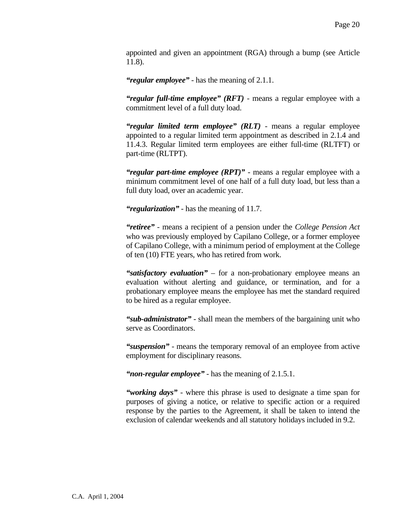appointed and given an appointment (RGA) through a bump (see Article 11.8).

 *"regular employee"* - has the meaning of 2.1.1.

 *"regular full-time employee" (RFT)* - means a regular employee with a commitment level of a full duty load.

 *"regular limited term employee" (RLT)* - means a regular employee appointed to a regular limited term appointment as described in 2.1.4 and 11.4.3. Regular limited term employees are either full-time (RLTFT) or part-time (RLTPT).

 *"regular part-time employee (RPT)"* - means a regular employee with a minimum commitment level of one half of a full duty load, but less than a full duty load, over an academic year.

 *"regularization"* - has the meaning of 11.7.

 *"retiree"* - means a recipient of a pension under the *College Pension Act* who was previously employed by Capilano College, or a former employee of Capilano College, with a minimum period of employment at the College of ten (10) FTE years, who has retired from work.

 *"satisfactory evaluation"* – for a non-probationary employee means an evaluation without alerting and guidance, or termination, and for a probationary employee means the employee has met the standard required to be hired as a regular employee.

 *"sub-administrator"* - shall mean the members of the bargaining unit who serve as Coordinators.

 *"suspension"* - means the temporary removal of an employee from active employment for disciplinary reasons.

 *"non-regular employee"* - has the meaning of 2.1.5.1.

 *"working days"* - where this phrase is used to designate a time span for purposes of giving a notice, or relative to specific action or a required response by the parties to the Agreement, it shall be taken to intend the exclusion of calendar weekends and all statutory holidays included in 9.2.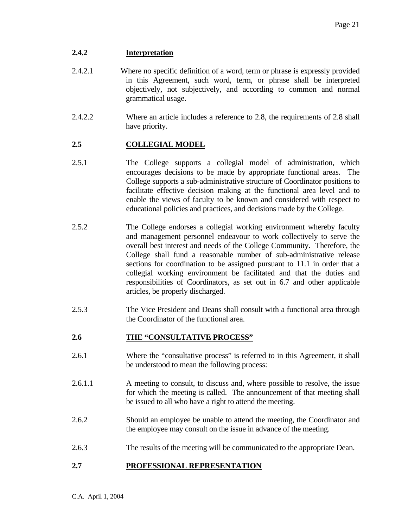# **2.4.2 Interpretation**

- 2.4.2.1 Where no specific definition of a word, term or phrase is expressly provided in this Agreement, such word, term, or phrase shall be interpreted objectively, not subjectively, and according to common and normal grammatical usage.
- 2.4.2.2 Where an article includes a reference to 2.8, the requirements of 2.8 shall have priority.

# **2.5 COLLEGIAL MODEL**

- 2.5.1 The College supports a collegial model of administration, which encourages decisions to be made by appropriate functional areas. The College supports a sub-administrative structure of Coordinator positions to facilitate effective decision making at the functional area level and to enable the views of faculty to be known and considered with respect to educational policies and practices, and decisions made by the College.
- 2.5.2 The College endorses a collegial working environment whereby faculty and management personnel endeavour to work collectively to serve the overall best interest and needs of the College Community. Therefore, the College shall fund a reasonable number of sub-administrative release sections for coordination to be assigned pursuant to 11.1 in order that a collegial working environment be facilitated and that the duties and responsibilities of Coordinators, as set out in 6.7 and other applicable articles, be properly discharged.
- 2.5.3 The Vice President and Deans shall consult with a functional area through the Coordinator of the functional area.

# **2.6 THE "CONSULTATIVE PROCESS"**

- 2.6.1 Where the "consultative process" is referred to in this Agreement, it shall be understood to mean the following process:
- 2.6.1.1 A meeting to consult, to discuss and, where possible to resolve, the issue for which the meeting is called. The announcement of that meeting shall be issued to all who have a right to attend the meeting.
- 2.6.2 Should an employee be unable to attend the meeting, the Coordinator and the employee may consult on the issue in advance of the meeting.
- 2.6.3 The results of the meeting will be communicated to the appropriate Dean.

# **2.7 PROFESSIONAL REPRESENTATION**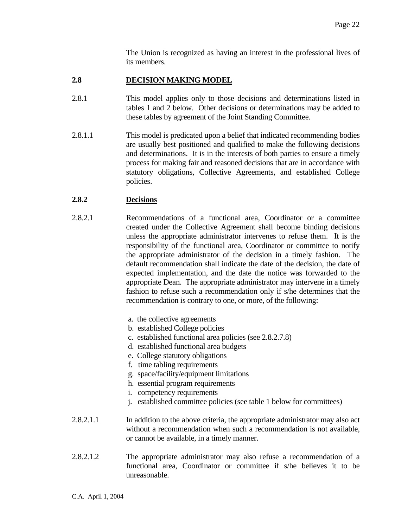The Union is recognized as having an interest in the professional lives of its members.

#### **2.8 DECISION MAKING MODEL**

- 2.8.1 This model applies only to those decisions and determinations listed in tables 1 and 2 below. Other decisions or determinations may be added to these tables by agreement of the Joint Standing Committee.
- 2.8.1.1 This model is predicated upon a belief that indicated recommending bodies are usually best positioned and qualified to make the following decisions and determinations. It is in the interests of both parties to ensure a timely process for making fair and reasoned decisions that are in accordance with statutory obligations, Collective Agreements, and established College policies.

#### **2.8.2 Decisions**

- 2.8.2.1 Recommendations of a functional area, Coordinator or a committee created under the Collective Agreement shall become binding decisions unless the appropriate administrator intervenes to refuse them. It is the responsibility of the functional area, Coordinator or committee to notify the appropriate administrator of the decision in a timely fashion. The default recommendation shall indicate the date of the decision, the date of expected implementation, and the date the notice was forwarded to the appropriate Dean. The appropriate administrator may intervene in a timely fashion to refuse such a recommendation only if s/he determines that the recommendation is contrary to one, or more, of the following:
	- a. the collective agreements
	- b. established College policies
	- c. established functional area policies (see 2.8.2.7.8)
	- d. established functional area budgets
	- e. College statutory obligations
	- f. time tabling requirements
	- g. space/facility/equipment limitations
	- h. essential program requirements
	- i. competency requirements
	- j. established committee policies (see table 1 below for committees)
- 2.8.2.1.1 In addition to the above criteria, the appropriate administrator may also act without a recommendation when such a recommendation is not available, or cannot be available, in a timely manner.
- 2.8.2.1.2 The appropriate administrator may also refuse a recommendation of a functional area, Coordinator or committee if s/he believes it to be unreasonable.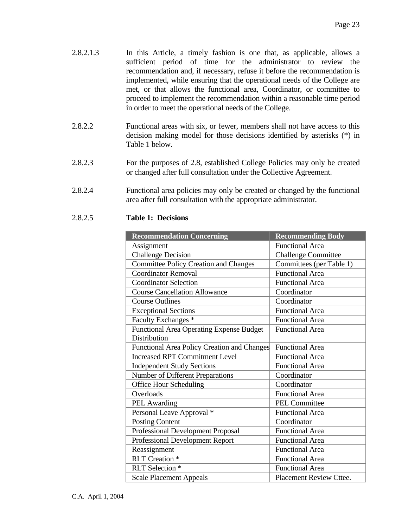- 2.8.2.1.3 In this Article, a timely fashion is one that, as applicable, allows a sufficient period of time for the administrator to review the recommendation and, if necessary, refuse it before the recommendation is implemented, while ensuring that the operational needs of the College are met, or that allows the functional area, Coordinator, or committee to proceed to implement the recommendation within a reasonable time period in order to meet the operational needs of the College.
- 2.8.2.2 Functional areas with six, or fewer, members shall not have access to this decision making model for those decisions identified by asterisks (\*) in Table 1 below.
- 2.8.2.3 For the purposes of 2.8, established College Policies may only be created or changed after full consultation under the Collective Agreement.
- 2.8.2.4 Functional area policies may only be created or changed by the functional area after full consultation with the appropriate administrator.

#### 2.8.2.5 **Table 1: Decisions**

| <b>Recommendation Concerning</b>                | <b>Recommending Body</b>       |
|-------------------------------------------------|--------------------------------|
| Assignment                                      | <b>Functional Area</b>         |
| <b>Challenge Decision</b>                       | <b>Challenge Committee</b>     |
| <b>Committee Policy Creation and Changes</b>    | Committees (per Table 1)       |
| <b>Coordinator Removal</b>                      | <b>Functional Area</b>         |
| <b>Coordinator Selection</b>                    | <b>Functional Area</b>         |
| <b>Course Cancellation Allowance</b>            | Coordinator                    |
| <b>Course Outlines</b>                          | Coordinator                    |
| <b>Exceptional Sections</b>                     | <b>Functional Area</b>         |
| Faculty Exchanges *                             | <b>Functional Area</b>         |
| <b>Functional Area Operating Expense Budget</b> | <b>Functional Area</b>         |
| <b>Distribution</b>                             |                                |
| Functional Area Policy Creation and Changes     | <b>Functional Area</b>         |
| <b>Increased RPT Commitment Level</b>           | <b>Functional Area</b>         |
| <b>Independent Study Sections</b>               | <b>Functional Area</b>         |
| Number of Different Preparations                | Coordinator                    |
| <b>Office Hour Scheduling</b>                   | Coordinator                    |
| Overloads                                       | <b>Functional Area</b>         |
| PEL Awarding                                    | <b>PEL Committee</b>           |
| Personal Leave Approval *                       | <b>Functional Area</b>         |
| <b>Posting Content</b>                          | Coordinator                    |
| Professional Development Proposal               | <b>Functional Area</b>         |
| Professional Development Report                 | <b>Functional Area</b>         |
| Reassignment                                    | <b>Functional Area</b>         |
| <b>RLT</b> Creation *                           | <b>Functional Area</b>         |
| RLT Selection *                                 | <b>Functional Area</b>         |
| <b>Scale Placement Appeals</b>                  | <b>Placement Review Cttee.</b> |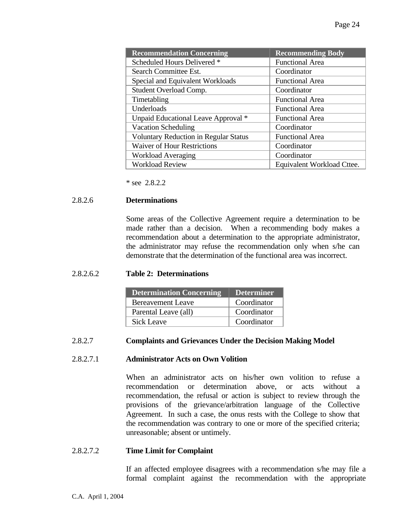| <b>Recommendation Concerning</b>             | <b>Recommending Body</b>   |
|----------------------------------------------|----------------------------|
| Scheduled Hours Delivered *                  | <b>Functional Area</b>     |
| Search Committee Est.                        | Coordinator                |
| Special and Equivalent Workloads             | <b>Functional Area</b>     |
| Student Overload Comp.                       | Coordinator                |
| Timetabling                                  | <b>Functional Area</b>     |
| Underloads                                   | <b>Functional Area</b>     |
| Unpaid Educational Leave Approval *          | <b>Functional Area</b>     |
| <b>Vacation Scheduling</b>                   | Coordinator                |
| <b>Voluntary Reduction in Regular Status</b> | <b>Functional Area</b>     |
| <b>Waiver of Hour Restrictions</b>           | Coordinator                |
| <b>Workload Averaging</b>                    | Coordinator                |
| <b>Workload Review</b>                       | Equivalent Workload Cttee. |

\* see 2.8.2.2

#### 2.8.2.6 **Determinations**

 Some areas of the Collective Agreement require a determination to be made rather than a decision. When a recommending body makes a recommendation about a determination to the appropriate administrator, the administrator may refuse the recommendation only when s/he can demonstrate that the determination of the functional area was incorrect.

#### 2.8.2.6.2 **Table 2: Determinations**

| <b>Determination Concerning</b> | <b>Determiner</b> |
|---------------------------------|-------------------|
| <b>Bereavement Leave</b>        | Coordinator       |
| Parental Leave (all)            | Coordinator       |
| Sick Leave                      | Coordinator       |

#### 2.8.2.7 **Complaints and Grievances Under the Decision Making Model**

#### 2.8.2.7.1 **Administrator Acts on Own Volition**

 When an administrator acts on his/her own volition to refuse a recommendation or determination above, or acts without a recommendation, the refusal or action is subject to review through the provisions of the grievance/arbitration language of the Collective Agreement. In such a case, the onus rests with the College to show that the recommendation was contrary to one or more of the specified criteria; unreasonable; absent or untimely.

#### 2.8.2.7.2 **Time Limit for Complaint**

 If an affected employee disagrees with a recommendation s/he may file a formal complaint against the recommendation with the appropriate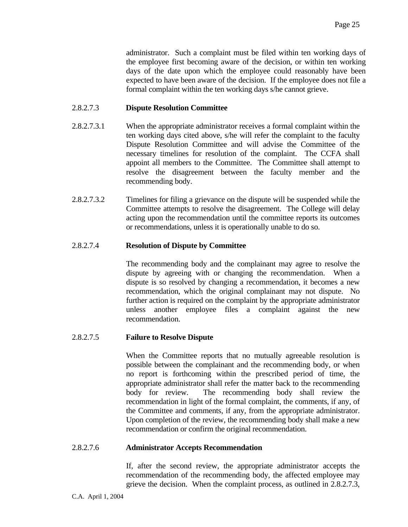administrator. Such a complaint must be filed within ten working days of the employee first becoming aware of the decision, or within ten working days of the date upon which the employee could reasonably have been expected to have been aware of the decision. If the employee does not file a formal complaint within the ten working days s/he cannot grieve.

#### 2.8.2.7.3 **Dispute Resolution Committee**

- 2.8.2.7.3.1 When the appropriate administrator receives a formal complaint within the ten working days cited above, s/he will refer the complaint to the faculty Dispute Resolution Committee and will advise the Committee of the necessary timelines for resolution of the complaint. The CCFA shall appoint all members to the Committee. The Committee shall attempt to resolve the disagreement between the faculty member and the recommending body.
- 2.8.2.7.3.2 Timelines for filing a grievance on the dispute will be suspended while the Committee attempts to resolve the disagreement. The College will delay acting upon the recommendation until the committee reports its outcomes or recommendations, unless it is operationally unable to do so.

#### 2.8.2.7.4 **Resolution of Dispute by Committee**

 The recommending body and the complainant may agree to resolve the dispute by agreeing with or changing the recommendation. When a dispute is so resolved by changing a recommendation, it becomes a new recommendation, which the original complainant may not dispute. No further action is required on the complaint by the appropriate administrator unless another employee files a complaint against the new recommendation.

#### 2.8.2.7.5 **Failure to Resolve Dispute**

 When the Committee reports that no mutually agreeable resolution is possible between the complainant and the recommending body, or when no report is forthcoming within the prescribed period of time, the appropriate administrator shall refer the matter back to the recommending body for review. The recommending body shall review the recommendation in light of the formal complaint, the comments, if any, of the Committee and comments, if any, from the appropriate administrator. Upon completion of the review, the recommending body shall make a new recommendation or confirm the original recommendation.

#### 2.8.2.7.6 **Administrator Accepts Recommendation**

 If, after the second review, the appropriate administrator accepts the recommendation of the recommending body, the affected employee may grieve the decision. When the complaint process, as outlined in 2.8.2.7.3,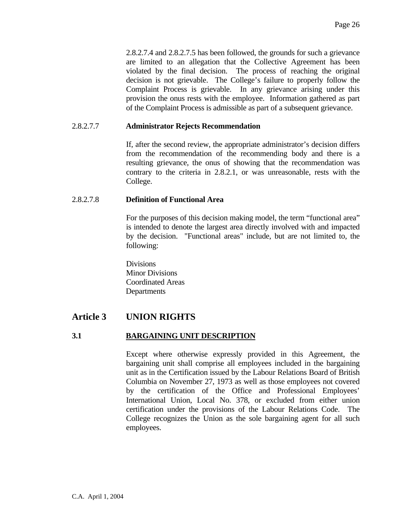2.8.2.7.4 and 2.8.2.7.5 has been followed, the grounds for such a grievance are limited to an allegation that the Collective Agreement has been violated by the final decision. The process of reaching the original decision is not grievable. The College's failure to properly follow the Complaint Process is grievable. In any grievance arising under this provision the onus rests with the employee. Information gathered as part of the Complaint Process is admissible as part of a subsequent grievance.

#### 2.8.2.7.7 **Administrator Rejects Recommendation**

 If, after the second review, the appropriate administrator's decision differs from the recommendation of the recommending body and there is a resulting grievance, the onus of showing that the recommendation was contrary to the criteria in 2.8.2.1, or was unreasonable, rests with the College.

#### 2.8.2.7.8 **Definition of Functional Area**

 For the purposes of this decision making model, the term "functional area" is intended to denote the largest area directly involved with and impacted by the decision. "Functional areas" include, but are not limited to, the following:

**Divisions**  Minor Divisions Coordinated Areas **Departments** 

# **Article 3 UNION RIGHTS**

# **3.1 BARGAINING UNIT DESCRIPTION**

 Except where otherwise expressly provided in this Agreement, the bargaining unit shall comprise all employees included in the bargaining unit as in the Certification issued by the Labour Relations Board of British Columbia on November 27, 1973 as well as those employees not covered by the certification of the Office and Professional Employees' International Union, Local No. 378, or excluded from either union certification under the provisions of the Labour Relations Code. The College recognizes the Union as the sole bargaining agent for all such employees.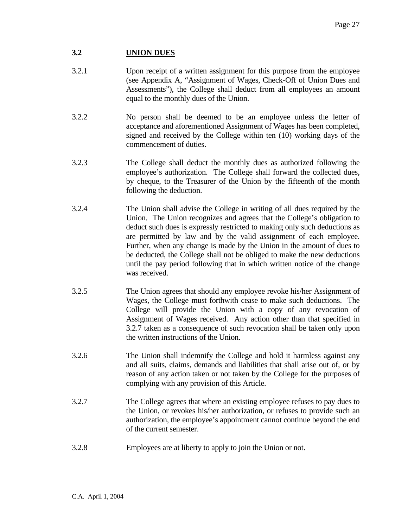# **3.2 UNION DUES**

- 3.2.1 Upon receipt of a written assignment for this purpose from the employee (see Appendix A, "Assignment of Wages, Check-Off of Union Dues and Assessments"), the College shall deduct from all employees an amount equal to the monthly dues of the Union.
- 3.2.2 No person shall be deemed to be an employee unless the letter of acceptance and aforementioned Assignment of Wages has been completed, signed and received by the College within ten (10) working days of the commencement of duties.
- 3.2.3 The College shall deduct the monthly dues as authorized following the employee's authorization. The College shall forward the collected dues, by cheque, to the Treasurer of the Union by the fifteenth of the month following the deduction.
- 3.2.4 The Union shall advise the College in writing of all dues required by the Union. The Union recognizes and agrees that the College's obligation to deduct such dues is expressly restricted to making only such deductions as are permitted by law and by the valid assignment of each employee. Further, when any change is made by the Union in the amount of dues to be deducted, the College shall not be obliged to make the new deductions until the pay period following that in which written notice of the change was received.
- 3.2.5 The Union agrees that should any employee revoke his/her Assignment of Wages, the College must forthwith cease to make such deductions. The College will provide the Union with a copy of any revocation of Assignment of Wages received. Any action other than that specified in 3.2.7 taken as a consequence of such revocation shall be taken only upon the written instructions of the Union.
- 3.2.6 The Union shall indemnify the College and hold it harmless against any and all suits, claims, demands and liabilities that shall arise out of, or by reason of any action taken or not taken by the College for the purposes of complying with any provision of this Article.
- 3.2.7 The College agrees that where an existing employee refuses to pay dues to the Union, or revokes his/her authorization, or refuses to provide such an authorization, the employee's appointment cannot continue beyond the end of the current semester.
- 3.2.8 Employees are at liberty to apply to join the Union or not.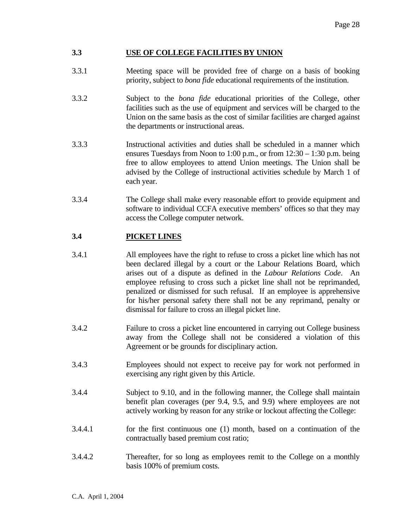#### **3.3 USE OF COLLEGE FACILITIES BY UNION**

- 3.3.1 Meeting space will be provided free of charge on a basis of booking priority, subject to *bona fide* educational requirements of the institution.
- 3.3.2 Subject to the *bona fide* educational priorities of the College, other facilities such as the use of equipment and services will be charged to the Union on the same basis as the cost of similar facilities are charged against the departments or instructional areas.
- 3.3.3 Instructional activities and duties shall be scheduled in a manner which ensures Tuesdays from Noon to 1:00 p.m., or from 12:30 – 1:30 p.m. being free to allow employees to attend Union meetings. The Union shall be advised by the College of instructional activities schedule by March 1 of each year.
- 3.3.4 The College shall make every reasonable effort to provide equipment and software to individual CCFA executive members' offices so that they may access the College computer network.

# **3.4 PICKET LINES**

- 3.4.1 All employees have the right to refuse to cross a picket line which has not been declared illegal by a court or the Labour Relations Board, which arises out of a dispute as defined in the *Labour Relations Code*. An employee refusing to cross such a picket line shall not be reprimanded, penalized or dismissed for such refusal. If an employee is apprehensive for his/her personal safety there shall not be any reprimand, penalty or dismissal for failure to cross an illegal picket line.
- 3.4.2 Failure to cross a picket line encountered in carrying out College business away from the College shall not be considered a violation of this Agreement or be grounds for disciplinary action.
- 3.4.3 Employees should not expect to receive pay for work not performed in exercising any right given by this Article.
- 3.4.4 Subject to 9.10, and in the following manner, the College shall maintain benefit plan coverages (per 9.4, 9.5, and 9.9) where employees are not actively working by reason for any strike or lockout affecting the College:
- 3.4.4.1 for the first continuous one (1) month, based on a continuation of the contractually based premium cost ratio;
- 3.4.4.2 Thereafter, for so long as employees remit to the College on a monthly basis 100% of premium costs.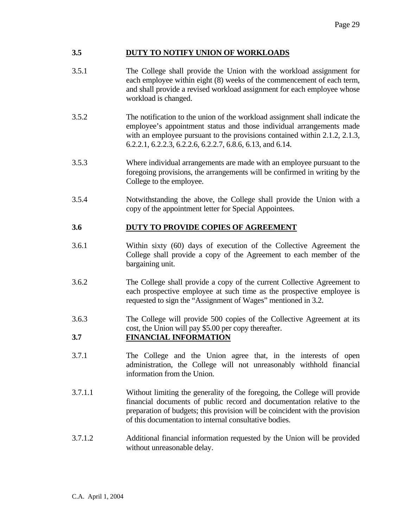#### **3.5 DUTY TO NOTIFY UNION OF WORKLOADS**

- 3.5.1 The College shall provide the Union with the workload assignment for each employee within eight (8) weeks of the commencement of each term, and shall provide a revised workload assignment for each employee whose workload is changed.
- 3.5.2 The notification to the union of the workload assignment shall indicate the employee's appointment status and those individual arrangements made with an employee pursuant to the provisions contained within 2.1.2, 2.1.3, 6.2.2.1, 6.2.2.3, 6.2.2.6, 6.2.2.7, 6.8.6, 6.13, and 6.14.
- 3.5.3 Where individual arrangements are made with an employee pursuant to the foregoing provisions, the arrangements will be confirmed in writing by the College to the employee.
- 3.5.4 Notwithstanding the above, the College shall provide the Union with a copy of the appointment letter for Special Appointees.

# **3.6 DUTY TO PROVIDE COPIES OF AGREEMENT**

- 3.6.1 Within sixty (60) days of execution of the Collective Agreement the College shall provide a copy of the Agreement to each member of the bargaining unit.
- 3.6.2 The College shall provide a copy of the current Collective Agreement to each prospective employee at such time as the prospective employee is requested to sign the "Assignment of Wages" mentioned in 3.2.
- 3.6.3 The College will provide 500 copies of the Collective Agreement at its cost, the Union will pay \$5.00 per copy thereafter.

# **3.7 FINANCIAL INFORMATION**

- 3.7.1 The College and the Union agree that, in the interests of open administration, the College will not unreasonably withhold financial information from the Union.
- 3.7.1.1 Without limiting the generality of the foregoing, the College will provide financial documents of public record and documentation relative to the preparation of budgets; this provision will be coincident with the provision of this documentation to internal consultative bodies.
- 3.7.1.2 Additional financial information requested by the Union will be provided without unreasonable delay.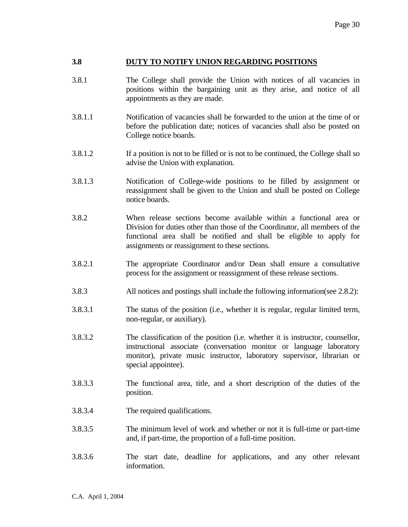#### **3.8 DUTY TO NOTIFY UNION REGARDING POSITIONS**

- 3.8.1 The College shall provide the Union with notices of all vacancies in positions within the bargaining unit as they arise, and notice of all appointments as they are made.
- 3.8.1.1 Notification of vacancies shall be forwarded to the union at the time of or before the publication date; notices of vacancies shall also be posted on College notice boards.
- 3.8.1.2 If a position is not to be filled or is not to be continued, the College shall so advise the Union with explanation.
- 3.8.1.3 Notification of College-wide positions to be filled by assignment or reassignment shall be given to the Union and shall be posted on College notice boards.
- 3.8.2 When release sections become available within a functional area or Division for duties other than those of the Coordinator, all members of the functional area shall be notified and shall be eligible to apply for assignments or reassignment to these sections.
- 3.8.2.1 The appropriate Coordinator and/or Dean shall ensure a consultative process for the assignment or reassignment of these release sections.
- 3.8.3 All notices and postings shall include the following information(see 2.8.2):
- 3.8.3.1 The status of the position (i.e., whether it is regular, regular limited term, non-regular, or auxiliary).
- 3.8.3.2 The classification of the position (i.e. whether it is instructor, counsellor, instructional associate (conversation monitor or language laboratory monitor), private music instructor, laboratory supervisor, librarian or special appointee).
- 3.8.3.3 The functional area, title, and a short description of the duties of the position.
- 3.8.3.4 The required qualifications.
- 3.8.3.5 The minimum level of work and whether or not it is full-time or part-time and, if part-time, the proportion of a full-time position.
- 3.8.3.6 The start date, deadline for applications, and any other relevant information.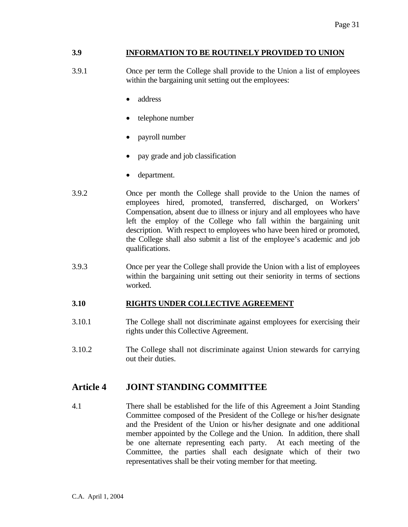# **3.9 INFORMATION TO BE ROUTINELY PROVIDED TO UNION**

- 3.9.1 Once per term the College shall provide to the Union a list of employees within the bargaining unit setting out the employees:
	- address
	- telephone number
	- payroll number
	- pay grade and job classification
	- department.
- 3.9.2 Once per month the College shall provide to the Union the names of employees hired, promoted, transferred, discharged, on Workers' Compensation, absent due to illness or injury and all employees who have left the employ of the College who fall within the bargaining unit description. With respect to employees who have been hired or promoted, the College shall also submit a list of the employee's academic and job qualifications.
- 3.9.3 Once per year the College shall provide the Union with a list of employees within the bargaining unit setting out their seniority in terms of sections worked.

# **3.10 RIGHTS UNDER COLLECTIVE AGREEMENT**

- 3.10.1 The College shall not discriminate against employees for exercising their rights under this Collective Agreement.
- 3.10.2 The College shall not discriminate against Union stewards for carrying out their duties.

# **Article 4 JOINT STANDING COMMITTEE**

4.1 There shall be established for the life of this Agreement a Joint Standing Committee composed of the President of the College or his/her designate and the President of the Union or his/her designate and one additional member appointed by the College and the Union. In addition, there shall be one alternate representing each party. At each meeting of the Committee, the parties shall each designate which of their two representatives shall be their voting member for that meeting.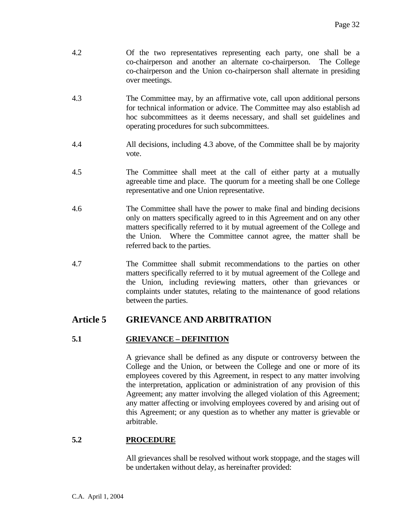- 4.2 Of the two representatives representing each party, one shall be a co-chairperson and another an alternate co-chairperson. The College co-chairperson and the Union co-chairperson shall alternate in presiding over meetings.
- 4.3 The Committee may, by an affirmative vote, call upon additional persons for technical information or advice. The Committee may also establish ad hoc subcommittees as it deems necessary, and shall set guidelines and operating procedures for such subcommittees.
- 4.4 All decisions, including 4.3 above, of the Committee shall be by majority vote.
- 4.5 The Committee shall meet at the call of either party at a mutually agreeable time and place. The quorum for a meeting shall be one College representative and one Union representative.
- 4.6 The Committee shall have the power to make final and binding decisions only on matters specifically agreed to in this Agreement and on any other matters specifically referred to it by mutual agreement of the College and the Union. Where the Committee cannot agree, the matter shall be referred back to the parties.
- 4.7 The Committee shall submit recommendations to the parties on other matters specifically referred to it by mutual agreement of the College and the Union, including reviewing matters, other than grievances or complaints under statutes, relating to the maintenance of good relations between the parties.

# **Article 5 GRIEVANCE AND ARBITRATION**

# **5.1 GRIEVANCE – DEFINITION**

 A grievance shall be defined as any dispute or controversy between the College and the Union, or between the College and one or more of its employees covered by this Agreement, in respect to any matter involving the interpretation, application or administration of any provision of this Agreement; any matter involving the alleged violation of this Agreement; any matter affecting or involving employees covered by and arising out of this Agreement; or any question as to whether any matter is grievable or arbitrable.

# **5.2 PROCEDURE**

 All grievances shall be resolved without work stoppage, and the stages will be undertaken without delay, as hereinafter provided: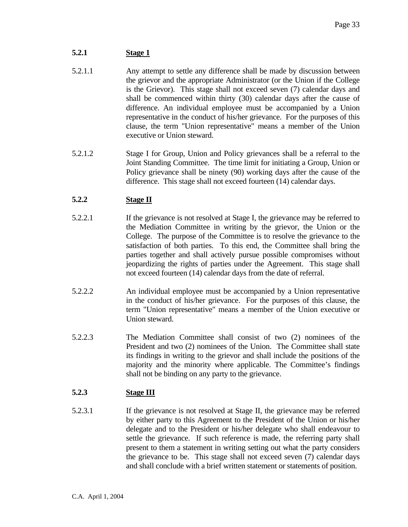# **5.2.1 Stage 1**

- 5.2.1.1 Any attempt to settle any difference shall be made by discussion between the grievor and the appropriate Administrator (or the Union if the College is the Grievor). This stage shall not exceed seven (7) calendar days and shall be commenced within thirty (30) calendar days after the cause of difference. An individual employee must be accompanied by a Union representative in the conduct of his/her grievance. For the purposes of this clause, the term "Union representative" means a member of the Union executive or Union steward.
- 5.2.1.2 Stage I for Group, Union and Policy grievances shall be a referral to the Joint Standing Committee. The time limit for initiating a Group, Union or Policy grievance shall be ninety (90) working days after the cause of the difference. This stage shall not exceed fourteen (14) calendar days.

# **5.2.2 Stage II**

- 5.2.2.1 If the grievance is not resolved at Stage I, the grievance may be referred to the Mediation Committee in writing by the grievor, the Union or the College. The purpose of the Committee is to resolve the grievance to the satisfaction of both parties. To this end, the Committee shall bring the parties together and shall actively pursue possible compromises without jeopardizing the rights of parties under the Agreement. This stage shall not exceed fourteen (14) calendar days from the date of referral.
- 5.2.2.2 An individual employee must be accompanied by a Union representative in the conduct of his/her grievance. For the purposes of this clause, the term "Union representative" means a member of the Union executive or Union steward.
- 5.2.2.3 The Mediation Committee shall consist of two (2) nominees of the President and two (2) nominees of the Union. The Committee shall state its findings in writing to the grievor and shall include the positions of the majority and the minority where applicable. The Committee's findings shall not be binding on any party to the grievance.

# **5.2.3 Stage III**

5.2.3.1 If the grievance is not resolved at Stage II, the grievance may be referred by either party to this Agreement to the President of the Union or his/her delegate and to the President or his/her delegate who shall endeavour to settle the grievance. If such reference is made, the referring party shall present to them a statement in writing setting out what the party considers the grievance to be. This stage shall not exceed seven (7) calendar days and shall conclude with a brief written statement or statements of position.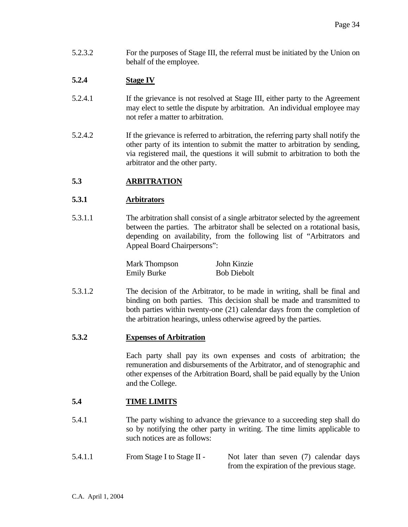5.2.3.2 For the purposes of Stage III, the referral must be initiated by the Union on behalf of the employee.

# **5.2.4 Stage IV**

- 5.2.4.1 If the grievance is not resolved at Stage III, either party to the Agreement may elect to settle the dispute by arbitration. An individual employee may not refer a matter to arbitration.
- 5.2.4.2 If the grievance is referred to arbitration, the referring party shall notify the other party of its intention to submit the matter to arbitration by sending, via registered mail, the questions it will submit to arbitration to both the arbitrator and the other party.

# **5.3 ARBITRATION**

# **5.3.1 Arbitrators**

5.3.1.1 The arbitration shall consist of a single arbitrator selected by the agreement between the parties. The arbitrator shall be selected on a rotational basis, depending on availability, from the following list of "Arbitrators and Appeal Board Chairpersons":

| Mark Thompson      | John Kinzie        |
|--------------------|--------------------|
| <b>Emily Burke</b> | <b>Bob Diebolt</b> |

5.3.1.2 The decision of the Arbitrator, to be made in writing, shall be final and binding on both parties. This decision shall be made and transmitted to both parties within twenty-one (21) calendar days from the completion of the arbitration hearings, unless otherwise agreed by the parties.

# **5.3.2 Expenses of Arbitration**

 Each party shall pay its own expenses and costs of arbitration; the remuneration and disbursements of the Arbitrator, and of stenographic and other expenses of the Arbitration Board, shall be paid equally by the Union and the College.

# **5.4 TIME LIMITS**

- 5.4.1 The party wishing to advance the grievance to a succeeding step shall do so by notifying the other party in writing. The time limits applicable to such notices are as follows:
- 5.4.1.1 From Stage I to Stage II Not later than seven (7) calendar days from the expiration of the previous stage.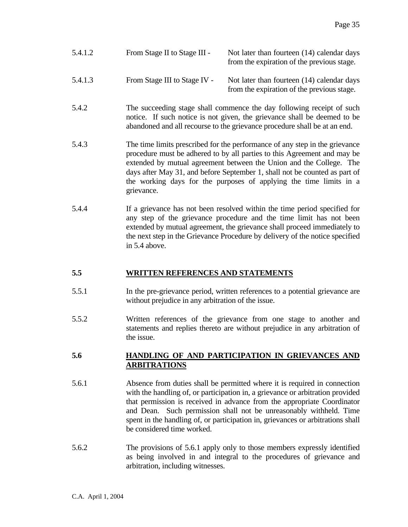- 5.4.1.2 From Stage II to Stage III Not later than fourteen (14) calendar days from the expiration of the previous stage.
- 5.4.1.3 From Stage III to Stage IV Not later than fourteen (14) calendar days from the expiration of the previous stage.
- 5.4.2 The succeeding stage shall commence the day following receipt of such notice. If such notice is not given, the grievance shall be deemed to be abandoned and all recourse to the grievance procedure shall be at an end.
- 5.4.3 The time limits prescribed for the performance of any step in the grievance procedure must be adhered to by all parties to this Agreement and may be extended by mutual agreement between the Union and the College. The days after May 31, and before September 1, shall not be counted as part of the working days for the purposes of applying the time limits in a grievance.
- 5.4.4 If a grievance has not been resolved within the time period specified for any step of the grievance procedure and the time limit has not been extended by mutual agreement, the grievance shall proceed immediately to the next step in the Grievance Procedure by delivery of the notice specified in 5.4 above.

# **5.5 WRITTEN REFERENCES AND STATEMENTS**

- 5.5.1 In the pre-grievance period, written references to a potential grievance are without prejudice in any arbitration of the issue.
- 5.5.2 Written references of the grievance from one stage to another and statements and replies thereto are without prejudice in any arbitration of the issue.

#### **5.6 HANDLING OF AND PARTICIPATION IN GRIEVANCES AND ARBITRATIONS**

- 5.6.1 Absence from duties shall be permitted where it is required in connection with the handling of, or participation in, a grievance or arbitration provided that permission is received in advance from the appropriate Coordinator and Dean. Such permission shall not be unreasonably withheld. Time spent in the handling of, or participation in, grievances or arbitrations shall be considered time worked.
- 5.6.2 The provisions of 5.6.1 apply only to those members expressly identified as being involved in and integral to the procedures of grievance and arbitration, including witnesses.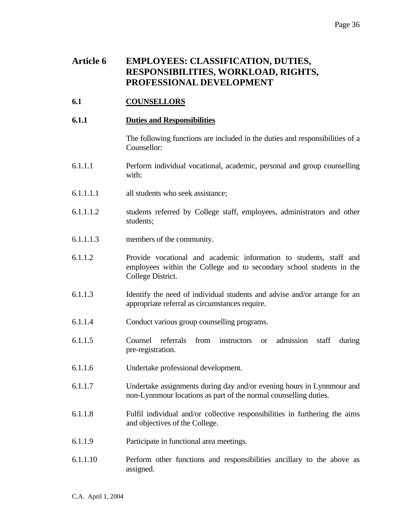# **Article 6 EMPLOYEES: CLASSIFICATION, DUTIES, RESPONSIBILITIES, WORKLOAD, RIGHTS, PROFESSIONAL DEVELOPMENT**

# **6.1 COUNSELLORS**

## **6.1.1 Duties and Responsibilities**

 The following functions are included in the duties and responsibilities of a Counsellor:

- 6.1.1.1 Perform individual vocational, academic, personal and group counselling with:
- 6.1.1.1.1 all students who seek assistance;
- 6.1.1.1.2 students referred by College staff, employees, administrators and other students;
- 6.1.1.1.3 members of the community.
- 6.1.1.2 Provide vocational and academic information to students, staff and employees within the College and to secondary school students in the College District.
- 6.1.1.3 Identify the need of individual students and advise and/or arrange for an appropriate referral as circumstances require.
- 6.1.1.4 Conduct various group counselling programs.
- 6.1.1.5 Counsel referrals from instructors or admission staff during pre-registration.
- 6.1.1.6 Undertake professional development.
- 6.1.1.7 Undertake assignments during day and/or evening hours in Lynnmour and non-Lynnmour locations as part of the normal counselling duties.
- 6.1.1.8 Fulfil individual and/or collective responsibilities in furthering the aims and objectives of the College.
- 6.1.1.9 Participate in functional area meetings.
- 6.1.1.10 Perform other functions and responsibilities ancillary to the above as assigned.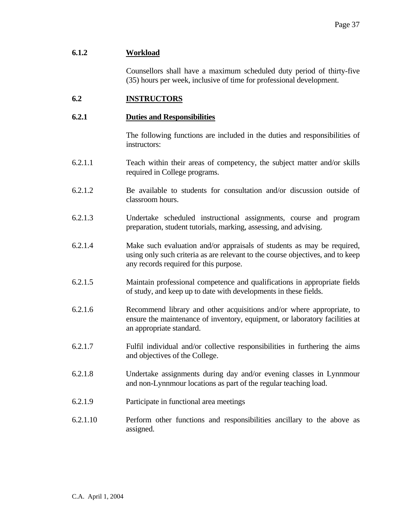#### **6.1.2 Workload**

 Counsellors shall have a maximum scheduled duty period of thirty-five (35) hours per week, inclusive of time for professional development.

# **6.2 INSTRUCTORS**

#### **6.2.1 Duties and Responsibilities**

 The following functions are included in the duties and responsibilities of instructors:

- 6.2.1.1 Teach within their areas of competency, the subject matter and/or skills required in College programs.
- 6.2.1.2 Be available to students for consultation and/or discussion outside of classroom hours.
- 6.2.1.3 Undertake scheduled instructional assignments, course and program preparation, student tutorials, marking, assessing, and advising.
- 6.2.1.4 Make such evaluation and/or appraisals of students as may be required, using only such criteria as are relevant to the course objectives, and to keep any records required for this purpose.
- 6.2.1.5 Maintain professional competence and qualifications in appropriate fields of study, and keep up to date with developments in these fields.
- 6.2.1.6 Recommend library and other acquisitions and/or where appropriate, to ensure the maintenance of inventory, equipment, or laboratory facilities at an appropriate standard.
- 6.2.1.7 Fulfil individual and/or collective responsibilities in furthering the aims and objectives of the College.
- 6.2.1.8 Undertake assignments during day and/or evening classes in Lynnmour and non-Lynnmour locations as part of the regular teaching load.
- 6.2.1.9 Participate in functional area meetings
- 6.2.1.10 Perform other functions and responsibilities ancillary to the above as assigned.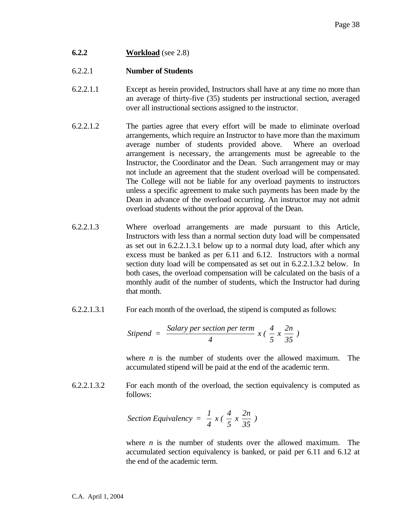**6.2.2 Workload** (see 2.8)

# 6.2.2.1 **Number of Students**

- 6.2.2.1.1 Except as herein provided, Instructors shall have at any time no more than an average of thirty-five (35) students per instructional section, averaged over all instructional sections assigned to the instructor.
- 6.2.2.1.2 The parties agree that every effort will be made to eliminate overload arrangements, which require an Instructor to have more than the maximum average number of students provided above. Where an overload arrangement is necessary, the arrangements must be agreeable to the Instructor, the Coordinator and the Dean. Such arrangement may or may not include an agreement that the student overload will be compensated. The College will not be liable for any overload payments to instructors unless a specific agreement to make such payments has been made by the Dean in advance of the overload occurring. An instructor may not admit overload students without the prior approval of the Dean.
- 6.2.2.1.3 Where overload arrangements are made pursuant to this Article, Instructors with less than a normal section duty load will be compensated as set out in 6.2.2.1.3.1 below up to a normal duty load, after which any excess must be banked as per 6.11 and 6.12. Instructors with a normal section duty load will be compensated as set out in 6.2.2.1.3.2 below. In both cases, the overload compensation will be calculated on the basis of a monthly audit of the number of students, which the Instructor had during that month.
- 6.2.2.1.3.1 For each month of the overload, the stipend is computed as follows:

$$
Stipend = \frac{Salary \, per \, section \, per \, term}{4} \, x \, \left(\frac{4}{5} \, x \, \frac{2n}{35}\right)
$$

 where *n* is the number of students over the allowed maximum. The accumulated stipend will be paid at the end of the academic term.

6.2.2.1.3.2 For each month of the overload, the section equivalency is computed as follows:

Section Equivalency = 
$$
\frac{1}{4}x(\frac{4}{5}x\frac{2n}{35})
$$

 where *n* is the number of students over the allowed maximum. The accumulated section equivalency is banked, or paid per 6.11 and 6.12 at the end of the academic term.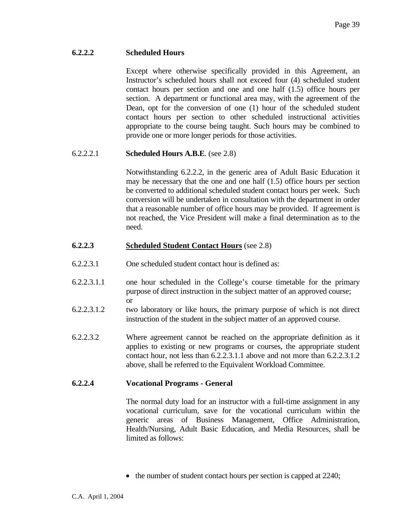## **6.2.2.2 Scheduled Hours**

 Except where otherwise specifically provided in this Agreement, an Instructor's scheduled hours shall not exceed four (4) scheduled student contact hours per section and one and one half (1.5) office hours per section. A department or functional area may, with the agreement of the Dean, opt for the conversion of one (1) hour of the scheduled student contact hours per section to other scheduled instructional activities appropriate to the course being taught. Such hours may be combined to provide one or more longer periods for those activities.

# 6.2.2.2.1 **Scheduled Hours A.B.E**. (see 2.8)

 Notwithstanding 6.2.2.2, in the generic area of Adult Basic Education it may be necessary that the one and one half (1.5) office hours per section be converted to additional scheduled student contact hours per week. Such conversion will be undertaken in consultation with the department in order that a reasonable number of office hours may be provided. If agreement is not reached, the Vice President will make a final determination as to the need.

#### **6.2.2.3 Scheduled Student Contact Hours** (see 2.8)

- 6.2.2.3.1 One scheduled student contact hour is defined as:
- 6.2.2.3.1.1 one hour scheduled in the College's course timetable for the primary purpose of direct instruction in the subject matter of an approved course; or
- 6.2.2.3.1.2 two laboratory or like hours, the primary purpose of which is not direct instruction of the student in the subject matter of an approved course.
- 6.2.2.3.2 Where agreement cannot be reached on the appropriate definition as it applies to existing or new programs or courses, the appropriate student contact hour, not less than 6.2.2.3.1.1 above and not more than 6.2.2.3.1.2 above, shall be referred to the Equivalent Workload Committee.

#### **6.2.2.4 Vocational Programs - General**

 The normal duty load for an instructor with a full-time assignment in any vocational curriculum, save for the vocational curriculum within the generic areas of Business Management, Office Administration, Health/Nursing, Adult Basic Education, and Media Resources, shall be limited as follows:

• the number of student contact hours per section is capped at 2240;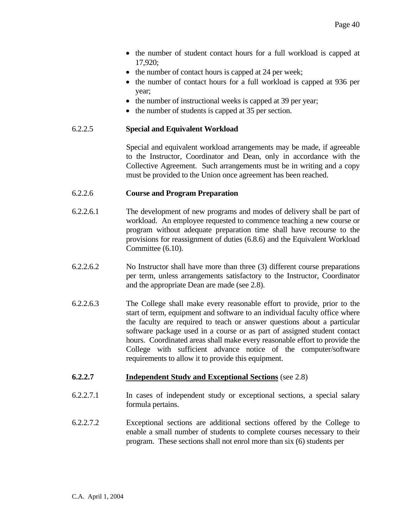- the number of student contact hours for a full workload is capped at 17,920;
- the number of contact hours is capped at 24 per week;
- the number of contact hours for a full workload is capped at 936 per year;
- the number of instructional weeks is capped at 39 per year;
- the number of students is capped at 35 per section.

#### 6.2.2.5 **Special and Equivalent Workload**

 Special and equivalent workload arrangements may be made, if agreeable to the Instructor, Coordinator and Dean, only in accordance with the Collective Agreement. Such arrangements must be in writing and a copy must be provided to the Union once agreement has been reached.

#### 6.2.2.6 **Course and Program Preparation**

- 6.2.2.6.1 The development of new programs and modes of delivery shall be part of workload. An employee requested to commence teaching a new course or program without adequate preparation time shall have recourse to the provisions for reassignment of duties (6.8.6) and the Equivalent Workload Committee (6.10).
- 6.2.2.6.2 No Instructor shall have more than three (3) different course preparations per term, unless arrangements satisfactory to the Instructor, Coordinator and the appropriate Dean are made (see 2.8).
- 6.2.2.6.3 The College shall make every reasonable effort to provide, prior to the start of term, equipment and software to an individual faculty office where the faculty are required to teach or answer questions about a particular software package used in a course or as part of assigned student contact hours. Coordinated areas shall make every reasonable effort to provide the College with sufficient advance notice of the computer/software requirements to allow it to provide this equipment.

#### **6.2.2.7 Independent Study and Exceptional Sections** (see 2.8)

- 6.2.2.7.1 In cases of independent study or exceptional sections, a special salary formula pertains.
- 6.2.2.7.2 Exceptional sections are additional sections offered by the College to enable a small number of students to complete courses necessary to their program. These sections shall not enrol more than six (6) students per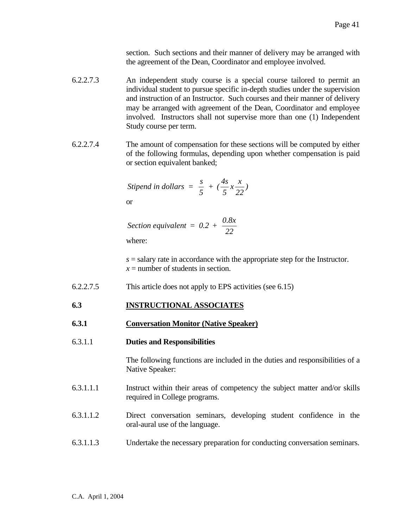section. Such sections and their manner of delivery may be arranged with the agreement of the Dean, Coordinator and employee involved.

- 6.2.2.7.3 An independent study course is a special course tailored to permit an individual student to pursue specific in-depth studies under the supervision and instruction of an Instructor. Such courses and their manner of delivery may be arranged with agreement of the Dean, Coordinator and employee involved. Instructors shall not supervise more than one (1) Independent Study course per term.
- 6.2.2.7.4 The amount of compensation for these sections will be computed by either of the following formulas, depending upon whether compensation is paid or section equivalent banked;

$$
Stipend in dollars = \frac{s}{5} + (\frac{4s}{5}x\frac{x}{22})
$$

or

*Section equivalent =*  $0.2 + \frac{0.8x}{2}$ *22*

where:

 $s =$  salary rate in accordance with the appropriate step for the Instructor.  $x =$  number of students in section.

6.2.2.7.5 This article does not apply to EPS activities (see 6.15)

# **6.3 INSTRUCTIONAL ASSOCIATES**

- **6.3.1 Conversation Monitor (Native Speaker)**
- 6.3.1.1 **Duties and Responsibilities**

 The following functions are included in the duties and responsibilities of a Native Speaker:

- 6.3.1.1.1 Instruct within their areas of competency the subject matter and/or skills required in College programs.
- 6.3.1.1.2 Direct conversation seminars, developing student confidence in the oral-aural use of the language.
- 6.3.1.1.3 Undertake the necessary preparation for conducting conversation seminars.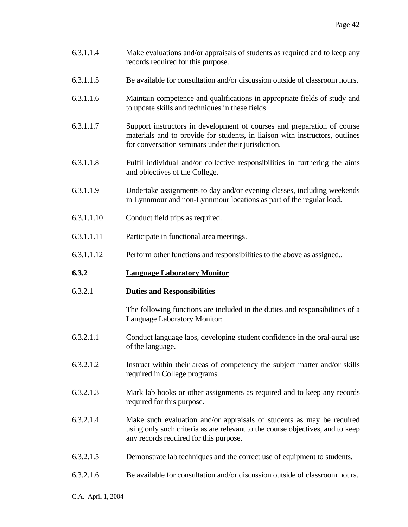- 6.3.1.1.4 Make evaluations and/or appraisals of students as required and to keep any records required for this purpose.
- 6.3.1.1.5 Be available for consultation and/or discussion outside of classroom hours.
- 6.3.1.1.6 Maintain competence and qualifications in appropriate fields of study and to update skills and techniques in these fields.
- 6.3.1.1.7 Support instructors in development of courses and preparation of course materials and to provide for students, in liaison with instructors, outlines for conversation seminars under their jurisdiction.
- 6.3.1.1.8 Fulfil individual and/or collective responsibilities in furthering the aims and objectives of the College.
- 6.3.1.1.9 Undertake assignments to day and/or evening classes, including weekends in Lynnmour and non-Lynnmour locations as part of the regular load.
- 6.3.1.1.10 Conduct field trips as required.
- 6.3.1.1.11 Participate in functional area meetings.
- 6.3.1.1.12 Perform other functions and responsibilities to the above as assigned..

# **6.3.2 Language Laboratory Monitor**

# 6.3.2.1 **Duties and Responsibilities**

 The following functions are included in the duties and responsibilities of a Language Laboratory Monitor:

- 6.3.2.1.1 Conduct language labs, developing student confidence in the oral-aural use of the language.
- 6.3.2.1.2 Instruct within their areas of competency the subject matter and/or skills required in College programs.
- 6.3.2.1.3 Mark lab books or other assignments as required and to keep any records required for this purpose.
- 6.3.2.1.4 Make such evaluation and/or appraisals of students as may be required using only such criteria as are relevant to the course objectives, and to keep any records required for this purpose.
- 6.3.2.1.5 Demonstrate lab techniques and the correct use of equipment to students.
- 6.3.2.1.6 Be available for consultation and/or discussion outside of classroom hours.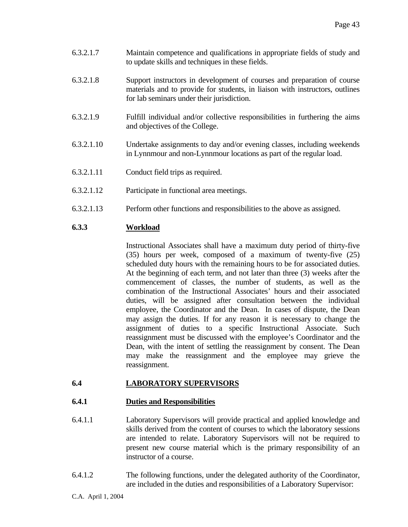- 6.3.2.1.7 Maintain competence and qualifications in appropriate fields of study and to update skills and techniques in these fields.
- 6.3.2.1.8 Support instructors in development of courses and preparation of course materials and to provide for students, in liaison with instructors, outlines for lab seminars under their jurisdiction.
- 6.3.2.1.9 Fulfill individual and/or collective responsibilities in furthering the aims and objectives of the College.
- 6.3.2.1.10 Undertake assignments to day and/or evening classes, including weekends in Lynnmour and non-Lynnmour locations as part of the regular load.
- 6.3.2.1.11 Conduct field trips as required.
- 6.3.2.1.12 Participate in functional area meetings.
- 6.3.2.1.13 Perform other functions and responsibilities to the above as assigned.

# **6.3.3 Workload**

 Instructional Associates shall have a maximum duty period of thirty-five (35) hours per week, composed of a maximum of twenty-five (25) scheduled duty hours with the remaining hours to be for associated duties. At the beginning of each term, and not later than three (3) weeks after the commencement of classes, the number of students, as well as the combination of the Instructional Associates' hours and their associated duties, will be assigned after consultation between the individual employee, the Coordinator and the Dean. In cases of dispute, the Dean may assign the duties. If for any reason it is necessary to change the assignment of duties to a specific Instructional Associate. Such reassignment must be discussed with the employee's Coordinator and the Dean, with the intent of settling the reassignment by consent. The Dean may make the reassignment and the employee may grieve the reassignment.

# **6.4 LABORATORY SUPERVISORS**

# **6.4.1 Duties and Responsibilities**

- 6.4.1.1 Laboratory Supervisors will provide practical and applied knowledge and skills derived from the content of courses to which the laboratory sessions are intended to relate. Laboratory Supervisors will not be required to present new course material which is the primary responsibility of an instructor of a course.
- 6.4.1.2 The following functions, under the delegated authority of the Coordinator, are included in the duties and responsibilities of a Laboratory Supervisor: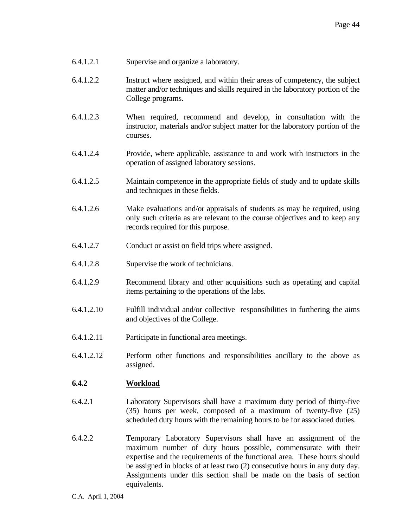- 6.4.1.2.1 Supervise and organize a laboratory.
- 6.4.1.2.2 Instruct where assigned, and within their areas of competency, the subject matter and/or techniques and skills required in the laboratory portion of the College programs.
- 6.4.1.2.3 When required, recommend and develop, in consultation with the instructor, materials and/or subject matter for the laboratory portion of the courses.
- 6.4.1.2.4 Provide, where applicable, assistance to and work with instructors in the operation of assigned laboratory sessions.
- 6.4.1.2.5 Maintain competence in the appropriate fields of study and to update skills and techniques in these fields.
- 6.4.1.2.6 Make evaluations and/or appraisals of students as may be required, using only such criteria as are relevant to the course objectives and to keep any records required for this purpose.
- 6.4.1.2.7 Conduct or assist on field trips where assigned.
- 6.4.1.2.8 Supervise the work of technicians.
- 6.4.1.2.9 Recommend library and other acquisitions such as operating and capital items pertaining to the operations of the labs.
- 6.4.1.2.10 Fulfill individual and/or collective responsibilities in furthering the aims and objectives of the College.
- 6.4.1.2.11 Participate in functional area meetings.
- 6.4.1.2.12 Perform other functions and responsibilities ancillary to the above as assigned.

#### **6.4.2 Workload**

- 6.4.2.1 Laboratory Supervisors shall have a maximum duty period of thirty-five (35) hours per week, composed of a maximum of twenty-five (25) scheduled duty hours with the remaining hours to be for associated duties.
- 6.4.2.2 Temporary Laboratory Supervisors shall have an assignment of the maximum number of duty hours possible, commensurate with their expertise and the requirements of the functional area. These hours should be assigned in blocks of at least two (2) consecutive hours in any duty day. Assignments under this section shall be made on the basis of section equivalents.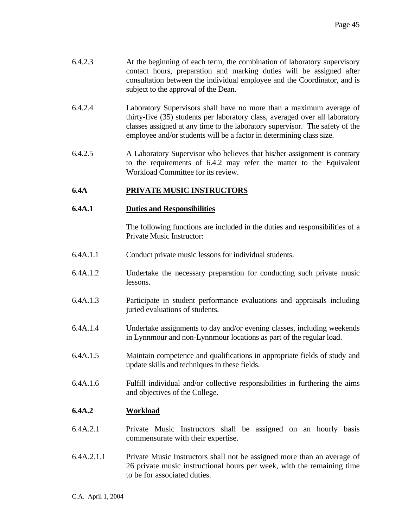- 6.4.2.3 At the beginning of each term, the combination of laboratory supervisory contact hours, preparation and marking duties will be assigned after consultation between the individual employee and the Coordinator, and is subject to the approval of the Dean.
- 6.4.2.4 Laboratory Supervisors shall have no more than a maximum average of thirty-five (35) students per laboratory class, averaged over all laboratory classes assigned at any time to the laboratory supervisor. The safety of the employee and/or students will be a factor in determining class size.
- 6.4.2.5 A Laboratory Supervisor who believes that his/her assignment is contrary to the requirements of 6.4.2 may refer the matter to the Equivalent Workload Committee for its review.

# **6.4A PRIVATE MUSIC INSTRUCTORS**

#### **6.4A.1 Duties and Responsibilities**

The following functions are included in the duties and responsibilities of a Private Music Instructor:

- 6.4A.1.1 Conduct private music lessons for individual students.
- 6.4A.1.2 Undertake the necessary preparation for conducting such private music lessons.
- 6.4A.1.3 Participate in student performance evaluations and appraisals including juried evaluations of students.
- 6.4A.1.4 Undertake assignments to day and/or evening classes, including weekends in Lynnmour and non-Lynnmour locations as part of the regular load.
- 6.4A.1.5 Maintain competence and qualifications in appropriate fields of study and update skills and techniques in these fields.
- 6.4A.1.6 Fulfill individual and/or collective responsibilities in furthering the aims and objectives of the College.

# **6.4A.2 Workload**

- 6.4A.2.1 Private Music Instructors shall be assigned on an hourly basis commensurate with their expertise.
- 6.4A.2.1.1 Private Music Instructors shall not be assigned more than an average of 26 private music instructional hours per week, with the remaining time to be for associated duties.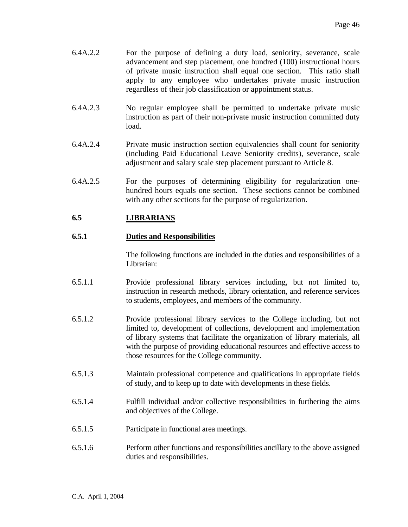- 6.4A.2.2 For the purpose of defining a duty load, seniority, severance, scale advancement and step placement, one hundred (100) instructional hours of private music instruction shall equal one section. This ratio shall apply to any employee who undertakes private music instruction regardless of their job classification or appointment status.
- 6.4A.2.3 No regular employee shall be permitted to undertake private music instruction as part of their non-private music instruction committed duty load.
- 6.4A.2.4 Private music instruction section equivalencies shall count for seniority (including Paid Educational Leave Seniority credits), severance, scale adjustment and salary scale step placement pursuant to Article 8.
- 6.4A.2.5 For the purposes of determining eligibility for regularization onehundred hours equals one section. These sections cannot be combined with any other sections for the purpose of regularization.

# **6.5 LIBRARIANS**

# **6.5.1 Duties and Responsibilities**

 The following functions are included in the duties and responsibilities of a Librarian:

- 6.5.1.1 Provide professional library services including, but not limited to, instruction in research methods, library orientation, and reference services to students, employees, and members of the community.
- 6.5.1.2 Provide professional library services to the College including, but not limited to, development of collections, development and implementation of library systems that facilitate the organization of library materials, all with the purpose of providing educational resources and effective access to those resources for the College community.
- 6.5.1.3 Maintain professional competence and qualifications in appropriate fields of study, and to keep up to date with developments in these fields.
- 6.5.1.4 Fulfill individual and/or collective responsibilities in furthering the aims and objectives of the College.
- 6.5.1.5 Participate in functional area meetings.
- 6.5.1.6 Perform other functions and responsibilities ancillary to the above assigned duties and responsibilities.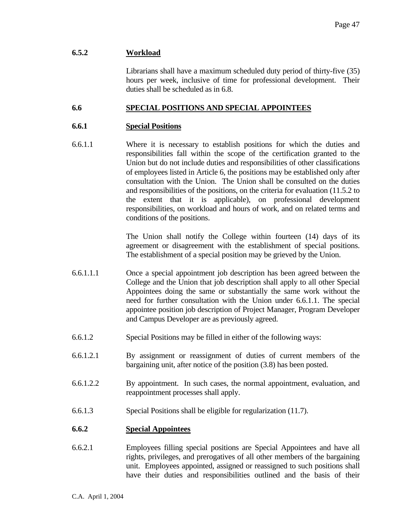#### **6.5.2 Workload**

 Librarians shall have a maximum scheduled duty period of thirty-five (35) hours per week, inclusive of time for professional development. Their duties shall be scheduled as in 6.8.

# **6.6 SPECIAL POSITIONS AND SPECIAL APPOINTEES**

#### **6.6.1 Special Positions**

6.6.1.1 Where it is necessary to establish positions for which the duties and responsibilities fall within the scope of the certification granted to the Union but do not include duties and responsibilities of other classifications of employees listed in Article 6, the positions may be established only after consultation with the Union. The Union shall be consulted on the duties and responsibilities of the positions, on the criteria for evaluation (11.5.2 to the extent that it is applicable), on professional development responsibilities, on workload and hours of work, and on related terms and conditions of the positions.

> The Union shall notify the College within fourteen (14) days of its agreement or disagreement with the establishment of special positions. The establishment of a special position may be grieved by the Union.

- 6.6.1.1.1 Once a special appointment job description has been agreed between the College and the Union that job description shall apply to all other Special Appointees doing the same or substantially the same work without the need for further consultation with the Union under 6.6.1.1. The special appointee position job description of Project Manager, Program Developer and Campus Developer are as previously agreed.
- 6.6.1.2 Special Positions may be filled in either of the following ways:
- 6.6.1.2.1 By assignment or reassignment of duties of current members of the bargaining unit, after notice of the position (3.8) has been posted.
- 6.6.1.2.2 By appointment. In such cases, the normal appointment, evaluation, and reappointment processes shall apply.
- 6.6.1.3 Special Positions shall be eligible for regularization (11.7).

#### **6.6.2 Special Appointees**

6.6.2.1 Employees filling special positions are Special Appointees and have all rights, privileges, and prerogatives of all other members of the bargaining unit. Employees appointed, assigned or reassigned to such positions shall have their duties and responsibilities outlined and the basis of their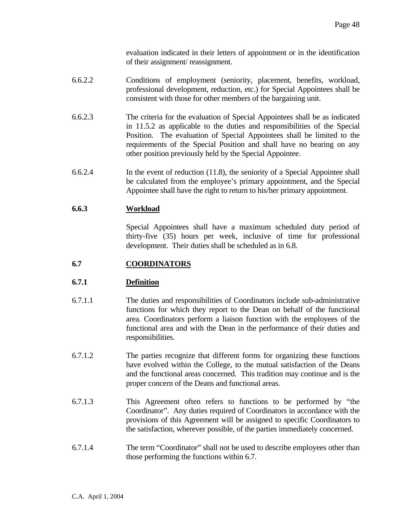evaluation indicated in their letters of appointment or in the identification of their assignment/ reassignment.

- 6.6.2.2 Conditions of employment (seniority, placement, benefits, workload, professional development, reduction, etc.) for Special Appointees shall be consistent with those for other members of the bargaining unit.
- 6.6.2.3 The criteria for the evaluation of Special Appointees shall be as indicated in 11.5.2 as applicable to the duties and responsibilities of the Special Position. The evaluation of Special Appointees shall be limited to the requirements of the Special Position and shall have no bearing on any other position previously held by the Special Appointee.
- 6.6.2.4 In the event of reduction (11.8), the seniority of a Special Appointee shall be calculated from the employee's primary appointment, and the Special Appointee shall have the right to return to his/her primary appointment.

# **6.6.3 Workload**

 Special Appointees shall have a maximum scheduled duty period of thirty-five (35) hours per week, inclusive of time for professional development. Their duties shall be scheduled as in 6.8.

# **6.7 COORDINATORS**

# **6.7.1 Definition**

- 6.7.1.1 The duties and responsibilities of Coordinators include sub-administrative functions for which they report to the Dean on behalf of the functional area. Coordinators perform a liaison function with the employees of the functional area and with the Dean in the performance of their duties and responsibilities.
- 6.7.1.2 The parties recognize that different forms for organizing these functions have evolved within the College, to the mutual satisfaction of the Deans and the functional areas concerned. This tradition may continue and is the proper concern of the Deans and functional areas.
- 6.7.1.3 This Agreement often refers to functions to be performed by "the Coordinator". Any duties required of Coordinators in accordance with the provisions of this Agreement will be assigned to specific Coordinators to the satisfaction, wherever possible, of the parties immediately concerned.
- 6.7.1.4 The term "Coordinator" shall not be used to describe employees other than those performing the functions within 6.7.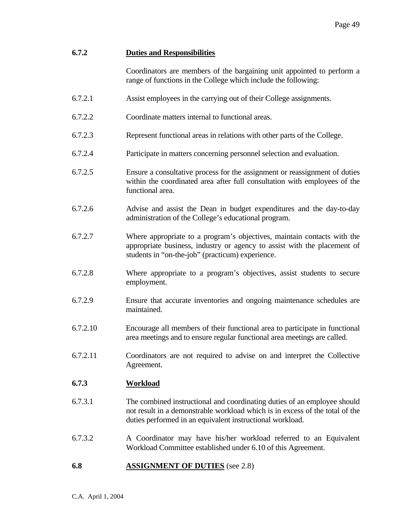# **6.7.2 Duties and Responsibilities**

 Coordinators are members of the bargaining unit appointed to perform a range of functions in the College which include the following:

- 6.7.2.1 Assist employees in the carrying out of their College assignments.
- 6.7.2.2 Coordinate matters internal to functional areas.
- 6.7.2.3 Represent functional areas in relations with other parts of the College.
- 6.7.2.4 Participate in matters concerning personnel selection and evaluation.
- 6.7.2.5 Ensure a consultative process for the assignment or reassignment of duties within the coordinated area after full consultation with employees of the functional area.
- 6.7.2.6 Advise and assist the Dean in budget expenditures and the day-to-day administration of the College's educational program.
- 6.7.2.7 Where appropriate to a program's objectives, maintain contacts with the appropriate business, industry or agency to assist with the placement of students in "on-the-job" (practicum) experience.
- 6.7.2.8 Where appropriate to a program's objectives, assist students to secure employment.
- 6.7.2.9 Ensure that accurate inventories and ongoing maintenance schedules are maintained.
- 6.7.2.10 Encourage all members of their functional area to participate in functional area meetings and to ensure regular functional area meetings are called.
- 6.7.2.11 Coordinators are not required to advise on and interpret the Collective Agreement.

#### **6.7.3 Workload**

- 6.7.3.1 The combined instructional and coordinating duties of an employee should not result in a demonstrable workload which is in excess of the total of the duties performed in an equivalent instructional workload.
- 6.7.3.2 A Coordinator may have his/her workload referred to an Equivalent Workload Committee established under 6.10 of this Agreement.
- **6.8 ASSIGNMENT OF DUTIES** (see 2.8)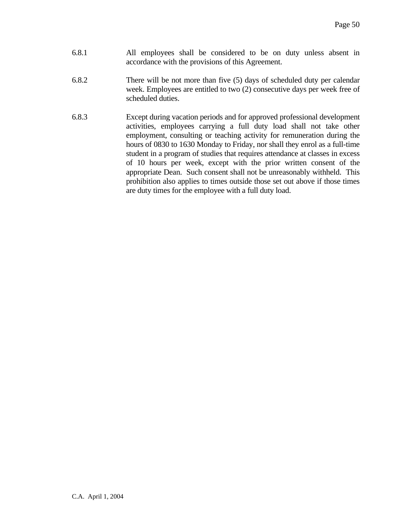- 6.8.1 All employees shall be considered to be on duty unless absent in accordance with the provisions of this Agreement.
- 6.8.2 There will be not more than five (5) days of scheduled duty per calendar week. Employees are entitled to two (2) consecutive days per week free of scheduled duties.
- 6.8.3 Except during vacation periods and for approved professional development activities, employees carrying a full duty load shall not take other employment, consulting or teaching activity for remuneration during the hours of 0830 to 1630 Monday to Friday, nor shall they enrol as a full-time student in a program of studies that requires attendance at classes in excess of 10 hours per week, except with the prior written consent of the appropriate Dean. Such consent shall not be unreasonably withheld. This prohibition also applies to times outside those set out above if those times are duty times for the employee with a full duty load.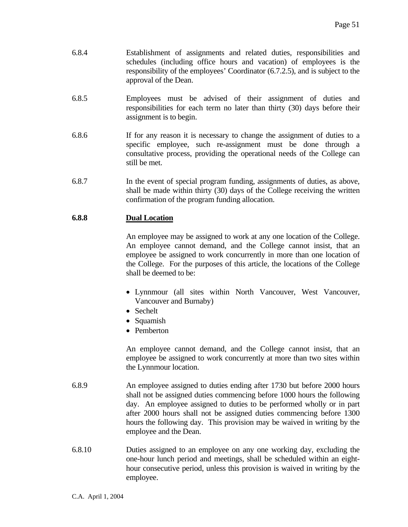- 6.8.4 Establishment of assignments and related duties, responsibilities and schedules (including office hours and vacation) of employees is the responsibility of the employees' Coordinator (6.7.2.5), and is subject to the approval of the Dean.
- 6.8.5 Employees must be advised of their assignment of duties and responsibilities for each term no later than thirty (30) days before their assignment is to begin.
- 6.8.6 If for any reason it is necessary to change the assignment of duties to a specific employee, such re-assignment must be done through a consultative process, providing the operational needs of the College can still be met.
- 6.8.7 In the event of special program funding, assignments of duties, as above, shall be made within thirty (30) days of the College receiving the written confirmation of the program funding allocation.

# **6.8.8 Dual Location**

 An employee may be assigned to work at any one location of the College. An employee cannot demand, and the College cannot insist, that an employee be assigned to work concurrently in more than one location of the College. For the purposes of this article, the locations of the College shall be deemed to be:

- Lynnmour (all sites within North Vancouver, West Vancouver, Vancouver and Burnaby)
- Sechelt
- Squamish
- Pemberton

 An employee cannot demand, and the College cannot insist, that an employee be assigned to work concurrently at more than two sites within the Lynnmour location.

- 6.8.9 An employee assigned to duties ending after 1730 but before 2000 hours shall not be assigned duties commencing before 1000 hours the following day. An employee assigned to duties to be performed wholly or in part after 2000 hours shall not be assigned duties commencing before 1300 hours the following day. This provision may be waived in writing by the employee and the Dean.
- 6.8.10 Duties assigned to an employee on any one working day, excluding the one-hour lunch period and meetings, shall be scheduled within an eighthour consecutive period, unless this provision is waived in writing by the employee.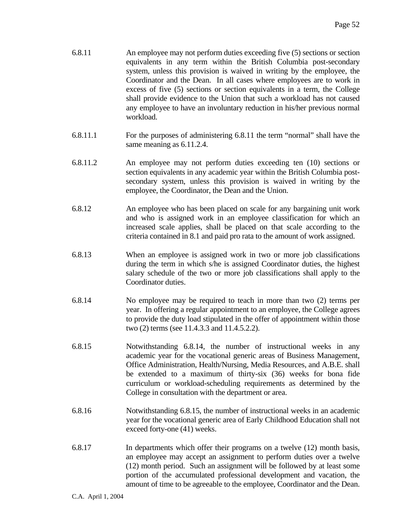- 6.8.11 An employee may not perform duties exceeding five (5) sections or section equivalents in any term within the British Columbia post-secondary system, unless this provision is waived in writing by the employee, the Coordinator and the Dean. In all cases where employees are to work in excess of five (5) sections or section equivalents in a term, the College shall provide evidence to the Union that such a workload has not caused any employee to have an involuntary reduction in his/her previous normal workload.
- 6.8.11.1 For the purposes of administering 6.8.11 the term "normal" shall have the same meaning as 6.11.2.4.
- 6.8.11.2 An employee may not perform duties exceeding ten (10) sections or section equivalents in any academic year within the British Columbia postsecondary system, unless this provision is waived in writing by the employee, the Coordinator, the Dean and the Union.
- 6.8.12 An employee who has been placed on scale for any bargaining unit work and who is assigned work in an employee classification for which an increased scale applies, shall be placed on that scale according to the criteria contained in 8.1 and paid pro rata to the amount of work assigned.
- 6.8.13 When an employee is assigned work in two or more job classifications during the term in which s/he is assigned Coordinator duties, the highest salary schedule of the two or more job classifications shall apply to the Coordinator duties.
- 6.8.14 No employee may be required to teach in more than two (2) terms per year. In offering a regular appointment to an employee, the College agrees to provide the duty load stipulated in the offer of appointment within those two (2) terms (see 11.4.3.3 and 11.4.5.2.2).
- 6.8.15 Notwithstanding 6.8.14, the number of instructional weeks in any academic year for the vocational generic areas of Business Management, Office Administration, Health/Nursing, Media Resources, and A.B.E. shall be extended to a maximum of thirty-six (36) weeks for bona fide curriculum or workload-scheduling requirements as determined by the College in consultation with the department or area.
- 6.8.16 Notwithstanding 6.8.15, the number of instructional weeks in an academic year for the vocational generic area of Early Childhood Education shall not exceed forty-one (41) weeks.
- 6.8.17 In departments which offer their programs on a twelve (12) month basis, an employee may accept an assignment to perform duties over a twelve (12) month period. Such an assignment will be followed by at least some portion of the accumulated professional development and vacation, the amount of time to be agreeable to the employee, Coordinator and the Dean.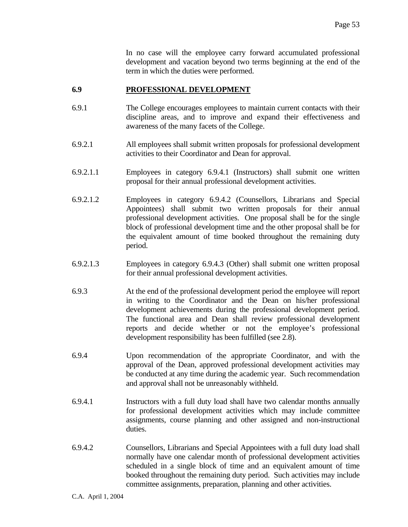In no case will the employee carry forward accumulated professional development and vacation beyond two terms beginning at the end of the term in which the duties were performed.

#### **6.9 PROFESSIONAL DEVELOPMENT**

- 6.9.1 The College encourages employees to maintain current contacts with their discipline areas, and to improve and expand their effectiveness and awareness of the many facets of the College.
- 6.9.2.1 All employees shall submit written proposals for professional development activities to their Coordinator and Dean for approval.
- 6.9.2.1.1 Employees in category 6.9.4.1 (Instructors) shall submit one written proposal for their annual professional development activities.
- 6.9.2.1.2 Employees in category 6.9.4.2 (Counsellors, Librarians and Special Appointees) shall submit two written proposals for their annual professional development activities. One proposal shall be for the single block of professional development time and the other proposal shall be for the equivalent amount of time booked throughout the remaining duty period.
- 6.9.2.1.3 Employees in category 6.9.4.3 (Other) shall submit one written proposal for their annual professional development activities.
- 6.9.3 At the end of the professional development period the employee will report in writing to the Coordinator and the Dean on his/her professional development achievements during the professional development period. The functional area and Dean shall review professional development reports and decide whether or not the employee's professional development responsibility has been fulfilled (see 2.8).
- 6.9.4 Upon recommendation of the appropriate Coordinator, and with the approval of the Dean, approved professional development activities may be conducted at any time during the academic year. Such recommendation and approval shall not be unreasonably withheld.
- 6.9.4.1 Instructors with a full duty load shall have two calendar months annually for professional development activities which may include committee assignments, course planning and other assigned and non-instructional duties.
- 6.9.4.2 Counsellors, Librarians and Special Appointees with a full duty load shall normally have one calendar month of professional development activities scheduled in a single block of time and an equivalent amount of time booked throughout the remaining duty period. Such activities may include committee assignments, preparation, planning and other activities.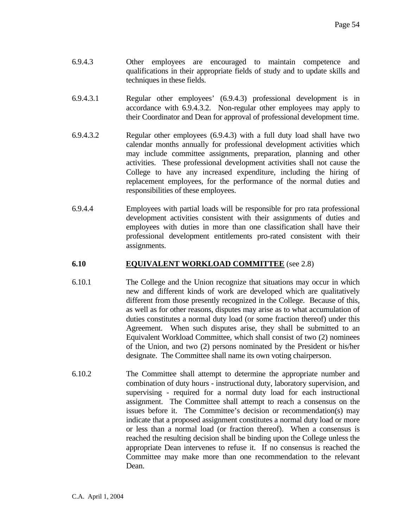- 6.9.4.3 Other employees are encouraged to maintain competence and qualifications in their appropriate fields of study and to update skills and techniques in these fields.
- 6.9.4.3.1 Regular other employees' (6.9.4.3) professional development is in accordance with 6.9.4.3.2. Non-regular other employees may apply to their Coordinator and Dean for approval of professional development time.
- 6.9.4.3.2 Regular other employees (6.9.4.3) with a full duty load shall have two calendar months annually for professional development activities which may include committee assignments, preparation, planning and other activities. These professional development activities shall not cause the College to have any increased expenditure, including the hiring of replacement employees, for the performance of the normal duties and responsibilities of these employees.
- 6.9.4.4 Employees with partial loads will be responsible for pro rata professional development activities consistent with their assignments of duties and employees with duties in more than one classification shall have their professional development entitlements pro-rated consistent with their assignments.

# **6.10 EQUIVALENT WORKLOAD COMMITTEE** (see 2.8)

- 6.10.1 The College and the Union recognize that situations may occur in which new and different kinds of work are developed which are qualitatively different from those presently recognized in the College. Because of this, as well as for other reasons, disputes may arise as to what accumulation of duties constitutes a normal duty load (or some fraction thereof) under this Agreement. When such disputes arise, they shall be submitted to an Equivalent Workload Committee, which shall consist of two (2) nominees of the Union, and two (2) persons nominated by the President or his/her designate. The Committee shall name its own voting chairperson.
- 6.10.2 The Committee shall attempt to determine the appropriate number and combination of duty hours - instructional duty, laboratory supervision, and supervising - required for a normal duty load for each instructional assignment. The Committee shall attempt to reach a consensus on the issues before it. The Committee's decision or recommendation(s) may indicate that a proposed assignment constitutes a normal duty load or more or less than a normal load (or fraction thereof). When a consensus is reached the resulting decision shall be binding upon the College unless the appropriate Dean intervenes to refuse it. If no consensus is reached the Committee may make more than one recommendation to the relevant Dean.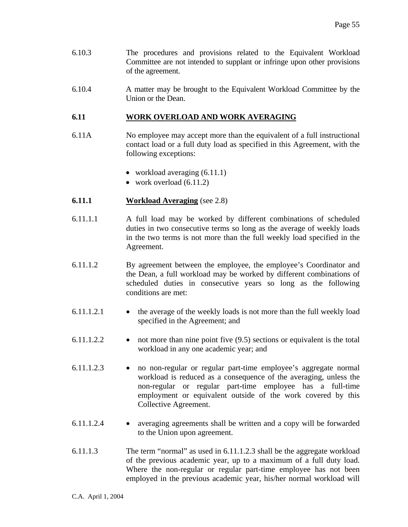- 6.10.3 The procedures and provisions related to the Equivalent Workload Committee are not intended to supplant or infringe upon other provisions of the agreement.
- 6.10.4 A matter may be brought to the Equivalent Workload Committee by the Union or the Dean.

# **6.11 WORK OVERLOAD AND WORK AVERAGING**

- 6.11A No employee may accept more than the equivalent of a full instructional contact load or a full duty load as specified in this Agreement, with the following exceptions:
	- workload averaging  $(6.11.1)$
	- work overload  $(6.11.2)$
- **6.11.1 Workload Averaging** (see 2.8)
- 6.11.1.1 A full load may be worked by different combinations of scheduled duties in two consecutive terms so long as the average of weekly loads in the two terms is not more than the full weekly load specified in the Agreement.
- 6.11.1.2 By agreement between the employee, the employee's Coordinator and the Dean, a full workload may be worked by different combinations of scheduled duties in consecutive years so long as the following conditions are met:
- $6.11.1.2.1$  the average of the weekly loads is not more than the full weekly load specified in the Agreement; and
- 6.11.1.2.2 not more than nine point five (9.5) sections or equivalent is the total workload in any one academic year; and
- 6.11.1.2.3 no non-regular or regular part-time employee's aggregate normal workload is reduced as a consequence of the averaging, unless the non-regular or regular part-time employee has a full-time employment or equivalent outside of the work covered by this Collective Agreement.
- 6.11.1.2.4 averaging agreements shall be written and a copy will be forwarded to the Union upon agreement.
- 6.11.1.3 The term "normal" as used in 6.11.1.2.3 shall be the aggregate workload of the previous academic year, up to a maximum of a full duty load. Where the non-regular or regular part-time employee has not been employed in the previous academic year, his/her normal workload will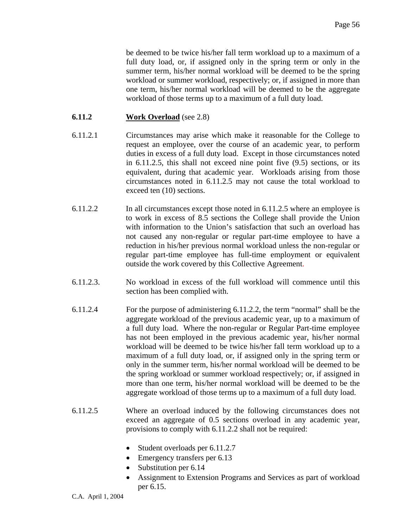be deemed to be twice his/her fall term workload up to a maximum of a full duty load, or, if assigned only in the spring term or only in the summer term, his/her normal workload will be deemed to be the spring workload or summer workload, respectively; or, if assigned in more than one term, his/her normal workload will be deemed to be the aggregate workload of those terms up to a maximum of a full duty load.

# **6.11.2 Work Overload** (see 2.8)

- 6.11.2*.*1 Circumstances may arise which make it reasonable for the College to request an employee, over the course of an academic year, to perform duties in excess of a full duty load. Except in those circumstances noted in 6.11.2.5, this shall not exceed nine point five (9.5) sections, or its equivalent, during that academic year. Workloads arising from those circumstances noted in 6.11.2.5 may not cause the total workload to exceed ten (10) sections.
- 6.11.2.2 In all circumstances except those noted in 6.11.2.5 where an employee is to work in excess of 8.5 sections the College shall provide the Union with information to the Union's satisfaction that such an overload has not caused any non-regular or regular part-time employee to have a reduction in his/her previous normal workload unless the non-regular or regular part-time employee has full-time employment or equivalent outside the work covered by this Collective Agreement.
- 6.11.2.3. No workload in excess of the full workload will commence until this section has been complied with.
- 6.11.2.4 For the purpose of administering 6.11.2.2, the term "normal" shall be the aggregate workload of the previous academic year, up to a maximum of a full duty load. Where the non-regular or Regular Part-time employee has not been employed in the previous academic year, his/her normal workload will be deemed to be twice his/her fall term workload up to a maximum of a full duty load, or, if assigned only in the spring term or only in the summer term, his/her normal workload will be deemed to be the spring workload or summer workload respectively; or, if assigned in more than one term, his/her normal workload will be deemed to be the aggregate workload of those terms up to a maximum of a full duty load.
- 6.11.2.5 Where an overload induced by the following circumstances does not exceed an aggregate of 0.5 sections overload in any academic year, provisions to comply with 6.11.2.2 shall not be required:
	- Student overloads per 6.11.2.7
	- Emergency transfers per 6.13
	- Substitution per 6.14
	- Assignment to Extension Programs and Services as part of workload per 6.15.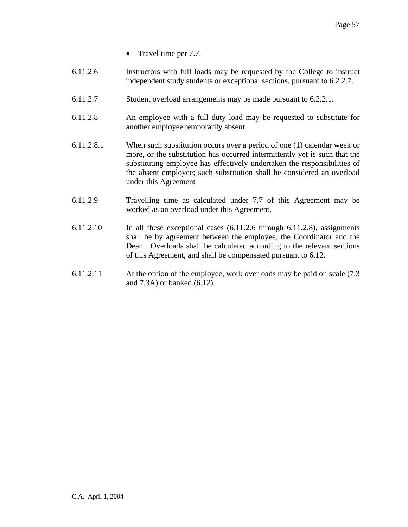- Travel time per 7.7.
- 6.11.2.6 Instructors with full loads may be requested by the College to instruct independent study students or exceptional sections, pursuant to 6.2.2.7.
- 6.11.2.7 Student overload arrangements may be made pursuant to 6.2.2.1.
- 6.11.2.8 An employee with a full duty load may be requested to substitute for another employee temporarily absent.
- 6.11.2.8.1 When such substitution occurs over a period of one (1) calendar week or more, or the substitution has occurred intermittently yet is such that the substituting employee has effectively undertaken the responsibilities of the absent employee; such substitution shall be considered an overload under this Agreement
- 6.11.2.9 Travelling time as calculated under 7.7 of this Agreement may be worked as an overload under this Agreement.
- 6.11.2.10 In all these exceptional cases (6.11.2.6 through 6.11.2.8), assignments shall be by agreement between the employee, the Coordinator and the Dean. Overloads shall be calculated according to the relevant sections of this Agreement, and shall be compensated pursuant to 6.12.
- 6.11.2.11 At the option of the employee, work overloads may be paid on scale (7.3 and 7.3A) or banked (6.12).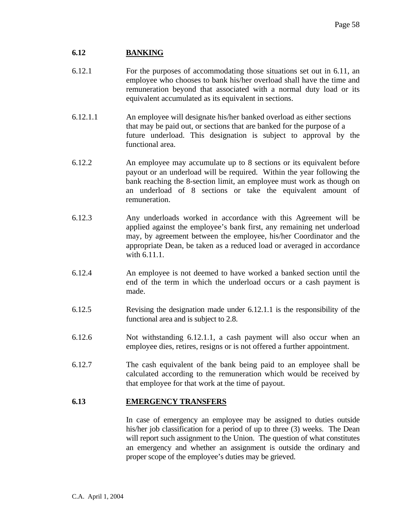# **6.12 BANKING**

- 6.12.1 For the purposes of accommodating those situations set out in 6.11, an employee who chooses to bank his/her overload shall have the time and remuneration beyond that associated with a normal duty load or its equivalent accumulated as its equivalent in sections.
- 6.12.1.1 An employee will designate his/her banked overload as either sections that may be paid out, or sections that are banked for the purpose of a future underload. This designation is subject to approval by the functional area.
- 6.12.2 An employee may accumulate up to 8 sections or its equivalent before payout or an underload will be required. Within the year following the bank reaching the 8-section limit, an employee must work as though on an underload of 8 sections or take the equivalent amount of remuneration.
- 6.12.3 Any underloads worked in accordance with this Agreement will be applied against the employee's bank first, any remaining net underload may, by agreement between the employee, his/her Coordinator and the appropriate Dean, be taken as a reduced load or averaged in accordance with 6.11.1.
- 6.12.4 An employee is not deemed to have worked a banked section until the end of the term in which the underload occurs or a cash payment is made.
- 6.12.5 Revising the designation made under 6.12.1.1 is the responsibility of the functional area and is subject to 2.8.
- 6.12.6 Not withstanding 6.12.1.1, a cash payment will also occur when an employee dies, retires, resigns or is not offered a further appointment.
- 6.12.7 The cash equivalent of the bank being paid to an employee shall be calculated according to the remuneration which would be received by that employee for that work at the time of payout.

#### **6.13 EMERGENCY TRANSFERS**

 In case of emergency an employee may be assigned to duties outside his/her job classification for a period of up to three (3) weeks. The Dean will report such assignment to the Union. The question of what constitutes an emergency and whether an assignment is outside the ordinary and proper scope of the employee's duties may be grieved.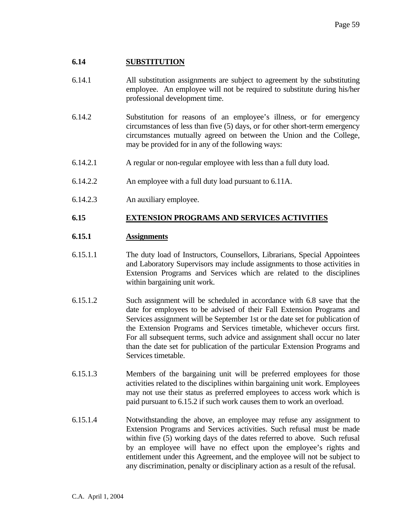#### **6.14 SUBSTITUTION**

- 6.14.1 All substitution assignments are subject to agreement by the substituting employee. An employee will not be required to substitute during his/her professional development time.
- 6.14.2 Substitution for reasons of an employee's illness, or for emergency circumstances of less than five (5) days, or for other short-term emergency circumstances mutually agreed on between the Union and the College, may be provided for in any of the following ways:
- 6.14.2.1 A regular or non-regular employee with less than a full duty load.
- 6.14.2.2 An employee with a full duty load pursuant to 6.11A.
- 6.14.2.3 An auxiliary employee.

#### **6.15 EXTENSION PROGRAMS AND SERVICES ACTIVITIES**

#### **6.15.1 Assignments**

- 6.15.1.1 The duty load of Instructors, Counsellors, Librarians, Special Appointees and Laboratory Supervisors may include assignments to those activities in Extension Programs and Services which are related to the disciplines within bargaining unit work.
- 6.15.1.2 Such assignment will be scheduled in accordance with 6.8 save that the date for employees to be advised of their Fall Extension Programs and Services assignment will be September 1st or the date set for publication of the Extension Programs and Services timetable, whichever occurs first. For all subsequent terms, such advice and assignment shall occur no later than the date set for publication of the particular Extension Programs and Services timetable.
- 6.15.1.3 Members of the bargaining unit will be preferred employees for those activities related to the disciplines within bargaining unit work. Employees may not use their status as preferred employees to access work which is paid pursuant to 6.15.2 if such work causes them to work an overload.
- 6.15.1.4 Notwithstanding the above, an employee may refuse any assignment to Extension Programs and Services activities. Such refusal must be made within five (5) working days of the dates referred to above. Such refusal by an employee will have no effect upon the employee's rights and entitlement under this Agreement, and the employee will not be subject to any discrimination, penalty or disciplinary action as a result of the refusal.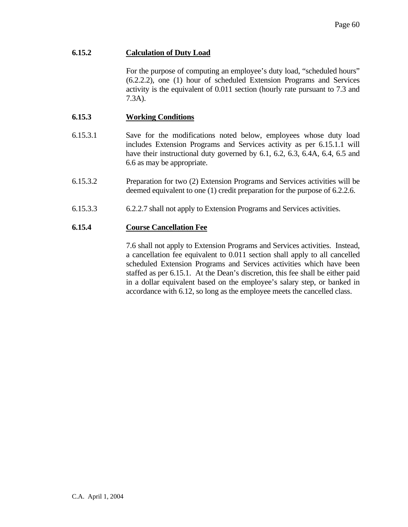# **6.15.2 Calculation of Duty Load**

 For the purpose of computing an employee's duty load, "scheduled hours" (6.2.2.2), one (1) hour of scheduled Extension Programs and Services activity is the equivalent of 0.011 section (hourly rate pursuant to 7.3 and 7.3A).

## **6.15.3 Working Conditions**

- 6.15.3.1 Save for the modifications noted below, employees whose duty load includes Extension Programs and Services activity as per 6.15.1.1 will have their instructional duty governed by 6.1, 6.2, 6.3, 6.4A, 6.4, 6.5 and 6.6 as may be appropriate.
- 6.15.3.2 Preparation for two (2) Extension Programs and Services activities will be deemed equivalent to one (1) credit preparation for the purpose of 6.2.2.6.
- 6.15.3.3 6.2.2.7 shall not apply to Extension Programs and Services activities.

#### **6.15.4 Course Cancellation Fee**

 7.6 shall not apply to Extension Programs and Services activities. Instead, a cancellation fee equivalent to 0.011 section shall apply to all cancelled scheduled Extension Programs and Services activities which have been staffed as per 6.15.1. At the Dean's discretion, this fee shall be either paid in a dollar equivalent based on the employee's salary step, or banked in accordance with 6.12, so long as the employee meets the cancelled class.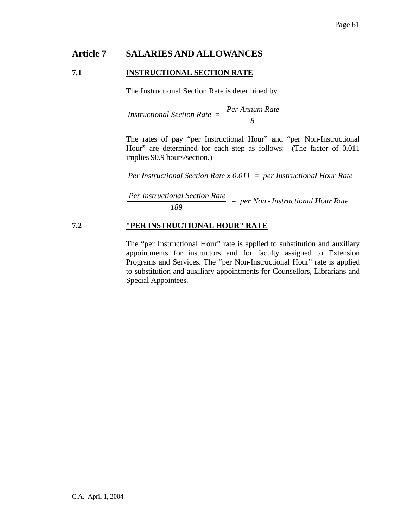# **Article 7 SALARIES AND ALLOWANCES**

#### **7.1 INSTRUCTIONAL SECTION RATE**

The Instructional Section Rate is determined by

*Instructional Section Rate = Per Annum Rate 8*

 The rates of pay "per Instructional Hour" and "per Non-Instructional Hour" are determined for each step as follows: (The factor of 0.011 implies 90.9 hours/section.)

*Per Instructional Section Rate x 0.011 = per Instructional Hour Rate*

*Per Instructional Section Rate <sup>189</sup> = per Non - Instructional Hour Rate*

#### **7.2 "PER INSTRUCTIONAL HOUR" RATE**

 The "per Instructional Hour" rate is applied to substitution and auxiliary appointments for instructors and for faculty assigned to Extension Programs and Services. The "per Non-Instructional Hour" rate is applied to substitution and auxiliary appointments for Counsellors, Librarians and Special Appointees.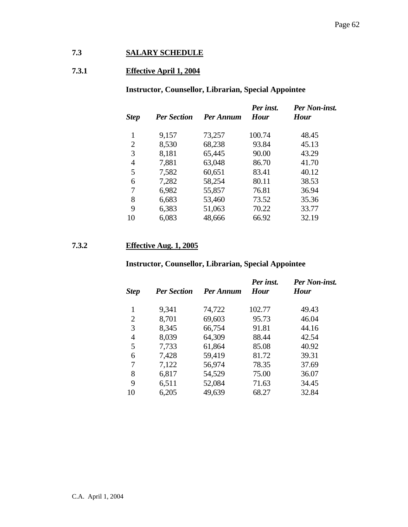# **7.3 SALARY SCHEDULE**

# **7.3.1 Effective April 1, 2004**

# **Instructor, Counsellor, Librarian, Special Appointee**

| <b>Step</b>    | <b>Per Section</b> | Per Annum | Per inst.<br><b>Hour</b> | Per Non-inst.<br><b>Hour</b> |
|----------------|--------------------|-----------|--------------------------|------------------------------|
|                | 9,157              | 73,257    | 100.74                   | 48.45                        |
| $\overline{2}$ | 8,530              | 68,238    | 93.84                    | 45.13                        |
| 3              | 8,181              | 65,445    | 90.00                    | 43.29                        |
| 4              | 7,881              | 63,048    | 86.70                    | 41.70                        |
| 5              | 7,582              | 60,651    | 83.41                    | 40.12                        |
| 6              | 7,282              | 58,254    | 80.11                    | 38.53                        |
| 7              | 6,982              | 55,857    | 76.81                    | 36.94                        |
| 8              | 6,683              | 53,460    | 73.52                    | 35.36                        |
| 9              | 6,383              | 51,063    | 70.22                    | 33.77                        |
| 10             | 6,083              | 48,666    | 66.92                    | 32.19                        |

# **7.3.2 Effective Aug. 1, 2005**

# **Instructor, Counsellor, Librarian, Special Appointee**

| <b>Step</b>    | <b>Per Section</b> | Per Annum | Per inst.<br><b>Hour</b> | Per Non-inst.<br><b>Hour</b> |
|----------------|--------------------|-----------|--------------------------|------------------------------|
| 1              | 9,341              | 74,722    | 102.77                   | 49.43                        |
| 2              | 8,701              | 69,603    | 95.73                    | 46.04                        |
| 3              | 8,345              | 66,754    | 91.81                    | 44.16                        |
| $\overline{4}$ | 8,039              | 64,309    | 88.44                    | 42.54                        |
| 5              | 7,733              | 61,864    | 85.08                    | 40.92                        |
| 6              | 7,428              | 59,419    | 81.72                    | 39.31                        |
| 7              | 7,122              | 56,974    | 78.35                    | 37.69                        |
| 8              | 6,817              | 54,529    | 75.00                    | 36.07                        |
| 9              | 6,511              | 52,084    | 71.63                    | 34.45                        |
| 10             | 6,205              | 49,639    | 68.27                    | 32.84                        |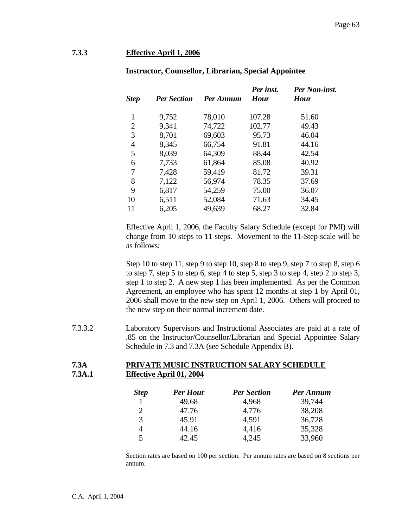#### **7.3.3 Effective April 1, 2006**

| <b>Step</b>    | <b>Per Section</b> | Per Annum | Per inst.<br><b>Hour</b> | Per Non-inst.<br><b>Hour</b> |
|----------------|--------------------|-----------|--------------------------|------------------------------|
| 1              | 9,752              | 78,010    | 107.28                   | 51.60                        |
| $\overline{2}$ | 9,341              | 74,722    | 102.77                   | 49.43                        |
| 3              | 8,701              | 69,603    | 95.73                    | 46.04                        |
| 4              | 8,345              | 66,754    | 91.81                    | 44.16                        |
| 5              | 8,039              | 64,309    | 88.44                    | 42.54                        |
| 6              | 7,733              | 61,864    | 85.08                    | 40.92                        |
| 7              | 7,428              | 59,419    | 81.72                    | 39.31                        |
| 8              | 7,122              | 56,974    | 78.35                    | 37.69                        |
| 9              | 6,817              | 54,259    | 75.00                    | 36.07                        |
| 10             | 6,511              | 52,084    | 71.63                    | 34.45                        |
| 11             | 6,205              | 49,639    | 68.27                    | 32.84                        |
|                |                    |           |                          |                              |

#### **Instructor, Counsellor, Librarian, Special Appointee**

Effective April 1, 2006, the Faculty Salary Schedule (except for PMI) will change from 10 steps to 11 steps. Movement to the 11-Step scale will be as follows:

Step 10 to step 11, step 9 to step 10, step 8 to step 9, step 7 to step 8, step 6 to step 7, step 5 to step 6, step 4 to step 5, step 3 to step 4, step 2 to step 3, step 1 to step 2. A new step 1 has been implemented. As per the Common Agreement, an employee who has spent 12 months at step 1 by April 01, 2006 shall move to the new step on April 1, 2006. Others will proceed to the new step on their normal increment date.

7.3.3.2 Laboratory Supervisors and Instructional Associates are paid at a rate of .85 on the Instructor/Counsellor/Librarian and Special Appointee Salary Schedule in 7.3 and 7.3A (see Schedule Appendix B).

#### **7.3A PRIVATE MUSIC INSTRUCTION SALARY SCHEDULE 7.3A.1 Effective April 01, 2004**

| <b>Step</b> | <b>Per Hour</b> | <b>Per Section</b> | Per Annum |
|-------------|-----------------|--------------------|-----------|
|             | 49.68           | 4,968              | 39,744    |
| 2           | 47.76           | 4,776              | 38,208    |
| 3           | 45.91           | 4,591              | 36,728    |
| 4           | 44.16           | 4,416              | 35,328    |
| 5           | 42.45           | 4,245              | 33,960    |

Section rates are based on 100 per section. Per annum rates are based on 8 sections per annum.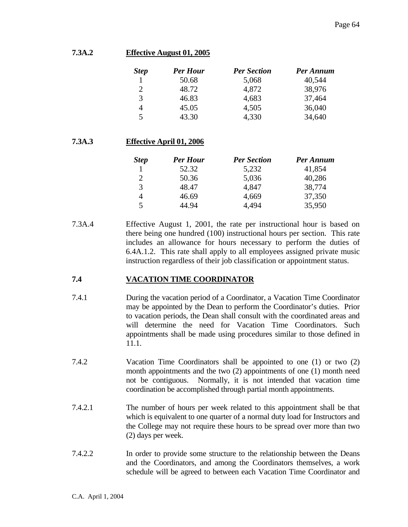#### **7.3A.2 Effective August 01, 2005**

| <b>Step</b> | <b>Per Hour</b> | <b>Per Section</b> | Per Annum |
|-------------|-----------------|--------------------|-----------|
|             | 50.68           | 5,068              | 40,544    |
| 2           | 48.72           | 4,872              | 38,976    |
| 3           | 46.83           | 4,683              | 37,464    |
| 4           | 45.05           | 4,505              | 36,040    |
| 5           | 43.30           | 4,330              | 34,640    |

# **7.3A.3 Effective April 01, 2006**

| <b>Step</b> | <b>Per Hour</b> | <b>Per Section</b> | Per Annum |
|-------------|-----------------|--------------------|-----------|
|             | 52.32           | 5,232              | 41,854    |
| 2           | 50.36           | 5,036              | 40,286    |
| 3           | 48.47           | 4,847              | 38,774    |
|             | 46.69           | 4,669              | 37,350    |
| 5           | 44.94           | 4,494              | 35,950    |

7.3A.4 Effective August 1, 2001, the rate per instructional hour is based on there being one hundred (100) instructional hours per section. This rate includes an allowance for hours necessary to perform the duties of 6.4A.1.2. This rate shall apply to all employees assigned private music instruction regardless of their job classification or appointment status.

# **7.4 VACATION TIME COORDINATOR**

- 7.4.1 During the vacation period of a Coordinator, a Vacation Time Coordinator may be appointed by the Dean to perform the Coordinator's duties. Prior to vacation periods, the Dean shall consult with the coordinated areas and will determine the need for Vacation Time Coordinators. Such appointments shall be made using procedures similar to those defined in 11.1.
- 7.4.2 Vacation Time Coordinators shall be appointed to one (1) or two (2) month appointments and the two (2) appointments of one (1) month need not be contiguous. Normally, it is not intended that vacation time coordination be accomplished through partial month appointments.
- 7.4.2.1 The number of hours per week related to this appointment shall be that which is equivalent to one quarter of a normal duty load for Instructors and the College may not require these hours to be spread over more than two (2) days per week.
- 7.4.2.2 In order to provide some structure to the relationship between the Deans and the Coordinators, and among the Coordinators themselves, a work schedule will be agreed to between each Vacation Time Coordinator and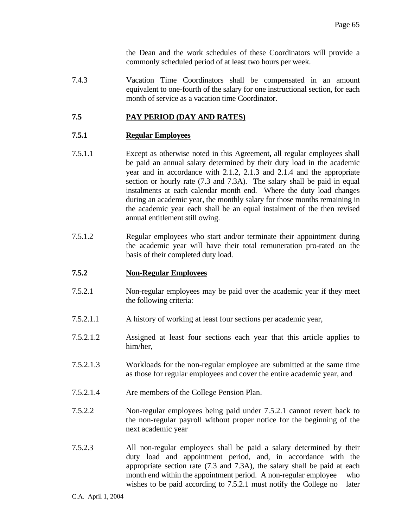the Dean and the work schedules of these Coordinators will provide a commonly scheduled period of at least two hours per week.

7.4.3 Vacation Time Coordinators shall be compensated in an amount equivalent to one-fourth of the salary for one instructional section, for each month of service as a vacation time Coordinator.

# **7.5 PAY PERIOD (DAY AND RATES)**

# **7.5.1 Regular Employees**

- 7.5.1.1 Except as otherwise noted in this Agreement**,** all regular employees shall be paid an annual salary determined by their duty load in the academic year and in accordance with 2.1.2, 2.1.3 and 2.1.4 and the appropriate section or hourly rate (7.3 and 7.3A). The salary shall be paid in equal instalments at each calendar month end. Where the duty load changes during an academic year, the monthly salary for those months remaining in the academic year each shall be an equal instalment of the then revised annual entitlement still owing.
- 7.5.1.2 Regular employees who start and/or terminate their appointment during the academic year will have their total remuneration pro-rated on the basis of their completed duty load.

# **7.5.2 Non-Regular Employees**

- 7.5.2.1 Non-regular employees may be paid over the academic year if they meet the following criteria:
- 7.5.2.1.1 A history of working at least four sections per academic year,
- 7.5.2.1.2 Assigned at least four sections each year that this article applies to him/her,
- 7.5.2.1.3 Workloads for the non-regular employee are submitted at the same time as those for regular employees and cover the entire academic year, and
- 7.5.2.1.4 Are members of the College Pension Plan.
- 7.5.2.2 Non-regular employees being paid under 7.5.2.1 cannot revert back to the non-regular payroll without proper notice for the beginning of the next academic year
- 7.5.2.3 All non-regular employees shall be paid a salary determined by their duty load and appointment period, and, in accordance with the appropriate section rate (7.3 and 7.3A), the salary shall be paid at each month end within the appointment period. A non-regular employee who wishes to be paid according to 7.5.2.1 must notify the College no later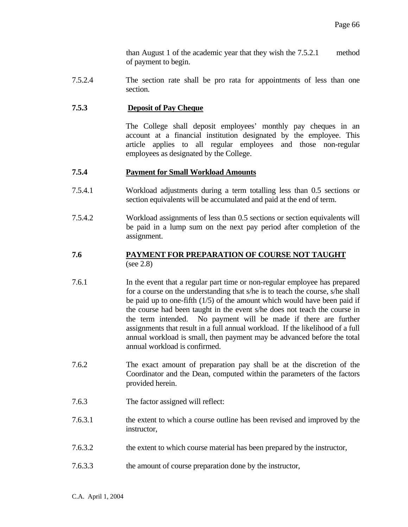than August 1 of the academic year that they wish the 7.5.2.1 method of payment to begin.

7.5.2.4 The section rate shall be pro rata for appointments of less than one section.

#### **7.5.3 Deposit of Pay Cheque**

 The College shall deposit employees' monthly pay cheques in an account at a financial institution designated by the employee. This article applies to all regular employees and those non-regular employees as designated by the College.

#### **7.5.4 Payment for Small Workload Amounts**

- 7.5.4.1 Workload adjustments during a term totalling less than 0.5 sections or section equivalents will be accumulated and paid at the end of term.
- 7.5.4.2 Workload assignments of less than 0.5 sections or section equivalents will be paid in a lump sum on the next pay period after completion of the assignment.

#### **7.6 PAYMENT FOR PREPARATION OF COURSE NOT TAUGHT**  (see 2.8)

- 7.6.1 In the event that a regular part time or non-regular employee has prepared for a course on the understanding that s/he is to teach the course, s/he shall be paid up to one-fifth (1/5) of the amount which would have been paid if the course had been taught in the event s/he does not teach the course in the term intended. No payment will be made if there are further assignments that result in a full annual workload. If the likelihood of a full annual workload is small, then payment may be advanced before the total annual workload is confirmed.
- 7.6.2 The exact amount of preparation pay shall be at the discretion of the Coordinator and the Dean, computed within the parameters of the factors provided herein.
- 7.6.3 The factor assigned will reflect:
- 7.6.3.1 the extent to which a course outline has been revised and improved by the instructor,
- 7.6.3.2 the extent to which course material has been prepared by the instructor,
- 7.6.3.3 the amount of course preparation done by the instructor,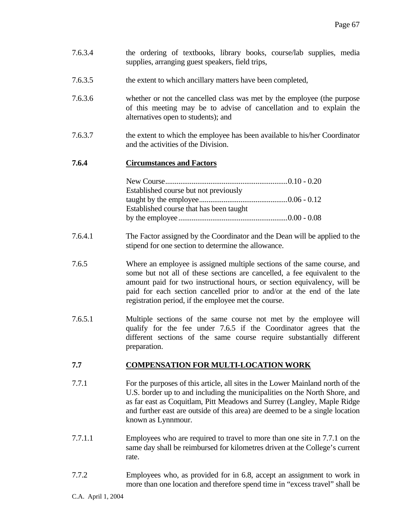- 7.6.3.4 the ordering of textbooks, library books, course/lab supplies, media supplies, arranging guest speakers, field trips,
- 7.6.3.5 the extent to which ancillary matters have been completed,
- 7.6.3.6 whether or not the cancelled class was met by the employee (the purpose of this meeting may be to advise of cancellation and to explain the alternatives open to students); and
- 7.6.3.7 the extent to which the employee has been available to his/her Coordinator and the activities of the Division.

#### **7.6.4 Circumstances and Factors**

| Established course but not previously   |  |
|-----------------------------------------|--|
|                                         |  |
| Established course that has been taught |  |
|                                         |  |

- 7.6.4.1 The Factor assigned by the Coordinator and the Dean will be applied to the stipend for one section to determine the allowance.
- 7.6.5 Where an employee is assigned multiple sections of the same course, and some but not all of these sections are cancelled, a fee equivalent to the amount paid for two instructional hours, or section equivalency, will be paid for each section cancelled prior to and/or at the end of the late registration period, if the employee met the course.
- 7.6.5.1 Multiple sections of the same course not met by the employee will qualify for the fee under 7.6.5 if the Coordinator agrees that the different sections of the same course require substantially different preparation.

# **7.7 COMPENSATION FOR MULTI-LOCATION WORK**

- 7.7.1 For the purposes of this article, all sites in the Lower Mainland north of the U.S. border up to and including the municipalities on the North Shore, and as far east as Coquitlam, Pitt Meadows and Surrey (Langley, Maple Ridge and further east are outside of this area) are deemed to be a single location known as Lynnmour.
- 7.7.1.1 Employees who are required to travel to more than one site in 7.7.1 on the same day shall be reimbursed for kilometres driven at the College's current rate.
- 7.7.2 Employees who, as provided for in 6.8, accept an assignment to work in more than one location and therefore spend time in "excess travel" shall be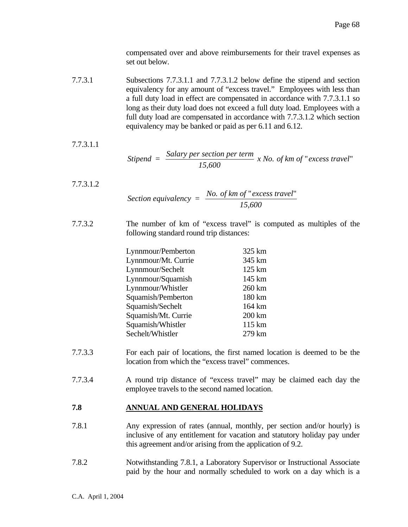compensated over and above reimbursements for their travel expenses as set out below.

7.7.3.1 Subsections 7.7.3.1.1 and 7.7.3.1.2 below define the stipend and section equivalency for any amount of "excess travel." Employees with less than a full duty load in effect are compensated in accordance with 7.7.3.1.1 so long as their duty load does not exceed a full duty load. Employees with a full duty load are compensated in accordance with 7.7.3.1.2 which section equivalency may be banked or paid as per 6.11 and 6.12.

7.7.3.1.1

$$
Stipend = \frac{Salary \, per \, section \, per \, term}{15,600} \, x \, No. \, of \, km \, of \, "excess \, travel"
$$

- 7.7.3.1.2 *Section equivalency =*  $\frac{No. \text{ of } km \text{ of } "excess \text{ travel}}{15,600}$ *15,600* " excess travel"
- 7.7.3.2 The number of km of "excess travel" is computed as multiples of the following standard round trip distances:

| Lynnmour/Pemberton  | 325 km            |
|---------------------|-------------------|
| Lynnmour/Mt. Currie | 345 km            |
| Lynnmour/Sechelt    | $125 \mathrm{km}$ |
| Lynnmour/Squamish   | 145 km            |
| Lynnmour/Whistler   | 260 km            |
| Squamish/Pemberton  | 180 km            |
| Squamish/Sechelt    | 164 km            |
| Squamish/Mt. Currie | $200 \mathrm{km}$ |
| Squamish/Whistler   | 115 km            |
| Sechelt/Whistler    | 279 km            |
|                     |                   |

- 7.7.3.3 For each pair of locations, the first named location is deemed to be the location from which the "excess travel" commences.
- 7.7.3.4 A round trip distance of "excess travel" may be claimed each day the employee travels to the second named location.

#### **7.8 ANNUAL AND GENERAL HOLIDAYS**

- 7.8.1 Any expression of rates (annual, monthly, per section and/or hourly) is inclusive of any entitlement for vacation and statutory holiday pay under this agreement and/or arising from the application of 9.2.
- 7.8.2 Notwithstanding 7.8.1, a Laboratory Supervisor or Instructional Associate paid by the hour and normally scheduled to work on a day which is a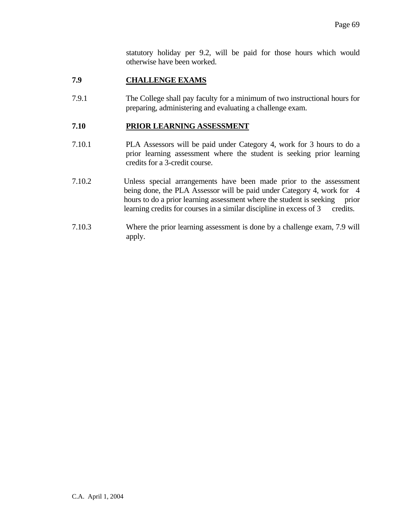statutory holiday per 9.2, will be paid for those hours which would otherwise have been worked.

# **7.9 CHALLENGE EXAMS**

7.9.1 The College shall pay faculty for a minimum of two instructional hours for preparing, administering and evaluating a challenge exam.

## **7.10 PRIOR LEARNING ASSESSMENT**

- 7.10.1 PLA Assessors will be paid under Category 4, work for 3 hours to do a prior learning assessment where the student is seeking prior learning credits for a 3-credit course.
- 7.10.2 Unless special arrangements have been made prior to the assessment being done, the PLA Assessor will be paid under Category 4, work for 4 hours to do a prior learning assessment where the student is seeking prior learning credits for courses in a similar discipline in excess of 3 credits.
- 7.10.3 Where the prior learning assessment is done by a challenge exam, 7.9 will apply.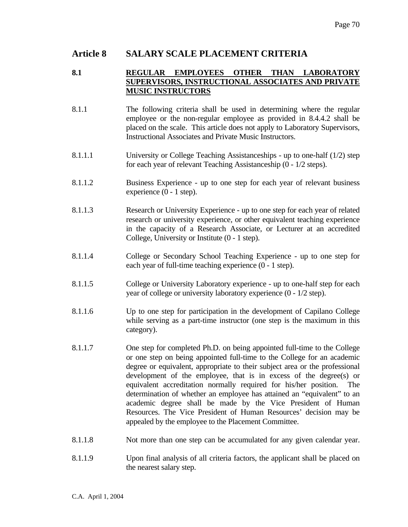# **Article 8 SALARY SCALE PLACEMENT CRITERIA**

## **8.1 REGULAR EMPLOYEES OTHER THAN LABORATORY SUPERVISORS, INSTRUCTIONAL ASSOCIATES AND PRIVATE MUSIC INSTRUCTORS**

- 8.1.1 The following criteria shall be used in determining where the regular employee or the non-regular employee as provided in 8.4.4.2 shall be placed on the scale. This article does not apply to Laboratory Supervisors, Instructional Associates and Private Music Instructors.
- 8.1.1.1 University or College Teaching Assistanceships up to one-half (1/2) step for each year of relevant Teaching Assistanceship (0 - 1/2 steps).
- 8.1.1.2 Business Experience up to one step for each year of relevant business experience (0 - 1 step).
- 8.1.1.3 Research or University Experience up to one step for each year of related research or university experience, or other equivalent teaching experience in the capacity of a Research Associate, or Lecturer at an accredited College, University or Institute (0 - 1 step).
- 8.1.1.4 College or Secondary School Teaching Experience up to one step for each year of full-time teaching experience (0 - 1 step).
- 8.1.1.5 College or University Laboratory experience up to one-half step for each year of college or university laboratory experience (0 - 1/2 step).
- 8.1.1.6 Up to one step for participation in the development of Capilano College while serving as a part-time instructor (one step is the maximum in this category).
- 8.1.1.7 One step for completed Ph.D. on being appointed full-time to the College or one step on being appointed full-time to the College for an academic degree or equivalent, appropriate to their subject area or the professional development of the employee, that is in excess of the degree(s) or equivalent accreditation normally required for his/her position. The determination of whether an employee has attained an "equivalent" to an academic degree shall be made by the Vice President of Human Resources. The Vice President of Human Resources' decision may be appealed by the employee to the Placement Committee.
- 8.1.1.8 Not more than one step can be accumulated for any given calendar year.
- 8.1.1.9 Upon final analysis of all criteria factors, the applicant shall be placed on the nearest salary step.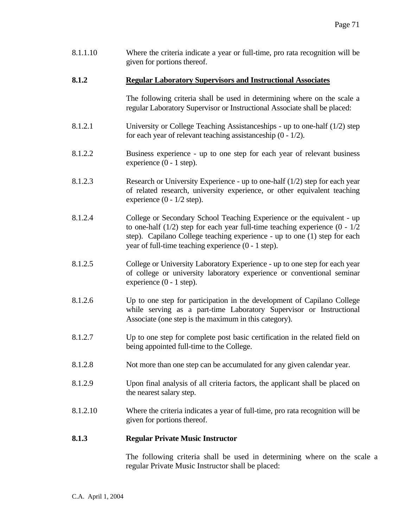8.1.1.10 Where the criteria indicate a year or full-time, pro rata recognition will be given for portions thereof.

## **8.1.2 Regular Laboratory Supervisors and Instructional Associates**

 The following criteria shall be used in determining where on the scale a regular Laboratory Supervisor or Instructional Associate shall be placed:

- 8.1.2.1 University or College Teaching Assistanceships up to one-half (1/2) step for each year of relevant teaching assistanceship (0 - 1/2).
- 8.1.2.2 Business experience up to one step for each year of relevant business experience (0 - 1 step).
- 8.1.2.3 Research or University Experience up to one-half (1/2) step for each year of related research, university experience, or other equivalent teaching experience  $(0 - 1/2 \text{ step})$ .
- 8.1.2.4 College or Secondary School Teaching Experience or the equivalent up to one-half  $(1/2)$  step for each year full-time teaching experience  $(0 - 1/2)$ step). Capilano College teaching experience - up to one (1) step for each year of full-time teaching experience (0 - 1 step).
- 8.1.2.5 College or University Laboratory Experience up to one step for each year of college or university laboratory experience or conventional seminar experience (0 - 1 step).
- 8.1.2.6 Up to one step for participation in the development of Capilano College while serving as a part-time Laboratory Supervisor or Instructional Associate (one step is the maximum in this category).
- 8.1.2.7 Up to one step for complete post basic certification in the related field on being appointed full-time to the College.
- 8.1.2.8 Not more than one step can be accumulated for any given calendar year.
- 8.1.2.9 Upon final analysis of all criteria factors, the applicant shall be placed on the nearest salary step.
- 8.1.2.10 Where the criteria indicates a year of full-time, pro rata recognition will be given for portions thereof.

#### **8.1.3 Regular Private Music Instructor**

 The following criteria shall be used in determining where on the scale a regular Private Music Instructor shall be placed: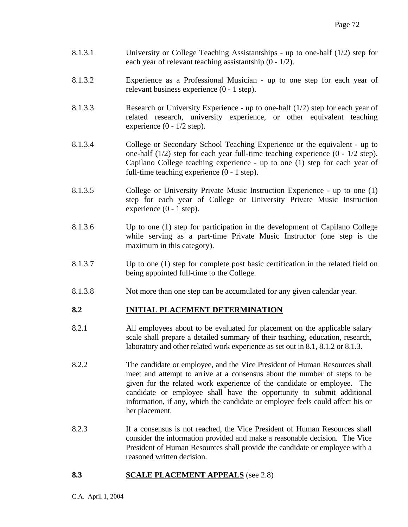- 8.1.3.1 University or College Teaching Assistantships up to one-half (1/2) step for each year of relevant teaching assistantship (0 - 1/2).
- 8.1.3.2 Experience as a Professional Musician up to one step for each year of relevant business experience (0 - 1 step).
- 8.1.3.3 Research or University Experience up to one-half (1/2) step for each year of related research, university experience, or other equivalent teaching experience  $(0 - 1/2 \text{ step})$ .
- 8.1.3.4 College or Secondary School Teaching Experience or the equivalent up to one-half (1/2) step for each year full-time teaching experience (0 - 1/2 step). Capilano College teaching experience - up to one (1) step for each year of full-time teaching experience (0 - 1 step).
- 8.1.3.5 College or University Private Music Instruction Experience up to one (1) step for each year of College or University Private Music Instruction experience (0 - 1 step).
- 8.1.3.6 Up to one (1) step for participation in the development of Capilano College while serving as a part-time Private Music Instructor (one step is the maximum in this category).
- 8.1.3.7 Up to one (1) step for complete post basic certification in the related field on being appointed full-time to the College.
- 8.1.3.8 Not more than one step can be accumulated for any given calendar year.

## **8.2 INITIAL PLACEMENT DETERMINATION**

- 8.2.1 All employees about to be evaluated for placement on the applicable salary scale shall prepare a detailed summary of their teaching, education, research, laboratory and other related work experience as set out in 8.1, 8.1.2 or 8.1.3.
- 8.2.2 The candidate or employee, and the Vice President of Human Resources shall meet and attempt to arrive at a consensus about the number of steps to be given for the related work experience of the candidate or employee. The candidate or employee shall have the opportunity to submit additional information, if any, which the candidate or employee feels could affect his or her placement.
- 8.2.3 If a consensus is not reached, the Vice President of Human Resources shall consider the information provided and make a reasonable decision. The Vice President of Human Resources shall provide the candidate or employee with a reasoned written decision.

### **8.3 SCALE PLACEMENT APPEALS** (see 2.8)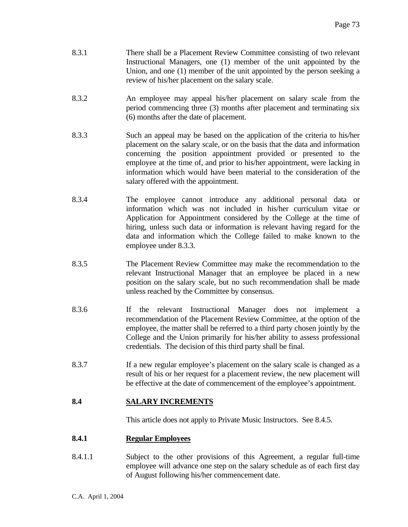- 8.3.1 There shall be a Placement Review Committee consisting of two relevant Instructional Managers, one (1) member of the unit appointed by the Union, and one (1) member of the unit appointed by the person seeking a review of his/her placement on the salary scale.
- 8.3.2 An employee may appeal his/her placement on salary scale from the period commencing three (3) months after placement and terminating six (6) months after the date of placement.
- 8.3.3 Such an appeal may be based on the application of the criteria to his/her placement on the salary scale, or on the basis that the data and information concerning the position appointment provided or presented to the employee at the time of, and prior to his/her appointment, were lacking in information which would have been material to the consideration of the salary offered with the appointment.
- 8.3.4 The employee cannot introduce any additional personal data or information which was not included in his/her curriculum vitae or Application for Appointment considered by the College at the time of hiring, unless such data or information is relevant having regard for the data and information which the College failed to make known to the employee under 8.3.3.
- 8.3.5 The Placement Review Committee may make the recommendation to the relevant Instructional Manager that an employee be placed in a new position on the salary scale, but no such recommendation shall be made unless reached by the Committee by consensus.
- 8.3.6 If the relevant Instructional Manager does not implement a recommendation of the Placement Review Committee, at the option of the employee, the matter shall be referred to a third party chosen jointly by the College and the Union primarily for his/her ability to assess professional credentials. The decision of this third party shall be final.
- 8.3.7 If a new regular employee's placement on the salary scale is changed as a result of his or her request for a placement review, the new placement will be effective at the date of commencement of the employee's appointment.

## **8.4 SALARY INCREMENTS**

This article does not apply to Private Music Instructors. See 8.4.5.

## **8.4.1 Regular Employees**

8.4.1.1 Subject to the other provisions of this Agreement, a regular full-time employee will advance one step on the salary schedule as of each first day of August following his/her commencement date.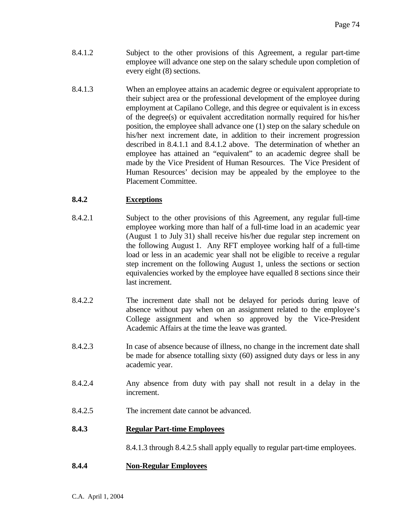- 8.4.1.2 Subject to the other provisions of this Agreement, a regular part-time employee will advance one step on the salary schedule upon completion of every eight (8) sections.
- 8.4.1.3 When an employee attains an academic degree or equivalent appropriate to their subject area or the professional development of the employee during employment at Capilano College, and this degree or equivalent is in excess of the degree(s) or equivalent accreditation normally required for his/her position, the employee shall advance one (1) step on the salary schedule on his/her next increment date, in addition to their increment progression described in 8.4.1.1 and 8.4.1.2 above. The determination of whether an employee has attained an "equivalent" to an academic degree shall be made by the Vice President of Human Resources. The Vice President of Human Resources' decision may be appealed by the employee to the Placement Committee.

## **8.4.2 Exceptions**

- 8.4.2.1 Subject to the other provisions of this Agreement, any regular full-time employee working more than half of a full-time load in an academic year (August 1 to July 31) shall receive his/her due regular step increment on the following August 1. Any RFT employee working half of a full-time load or less in an academic year shall not be eligible to receive a regular step increment on the following August 1, unless the sections or section equivalencies worked by the employee have equalled 8 sections since their last increment.
- 8.4.2.2 The increment date shall not be delayed for periods during leave of absence without pay when on an assignment related to the employee's College assignment and when so approved by the Vice-President Academic Affairs at the time the leave was granted.
- 8.4.2.3 In case of absence because of illness, no change in the increment date shall be made for absence totalling sixty (60) assigned duty days or less in any academic year.
- 8.4.2.4 Any absence from duty with pay shall not result in a delay in the increment.
- 8.4.2.5 The increment date cannot be advanced.

## **8.4.3 Regular Part-time Employees**

8.4.1.3 through 8.4.2.5 shall apply equally to regular part-time employees.

## **8.4.4 Non-Regular Employees**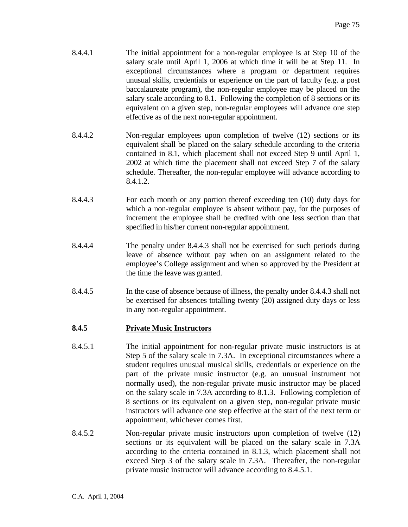- 8.4.4.1 The initial appointment for a non-regular employee is at Step 10 of the salary scale until April 1, 2006 at which time it will be at Step 11. In exceptional circumstances where a program or department requires unusual skills, credentials or experience on the part of faculty (e.g. a post baccalaureate program), the non-regular employee may be placed on the salary scale according to 8.1. Following the completion of 8 sections or its equivalent on a given step, non-regular employees will advance one step effective as of the next non-regular appointment.
- 8.4.4.2 Non-regular employees upon completion of twelve (12) sections or its equivalent shall be placed on the salary schedule according to the criteria contained in 8.1, which placement shall not exceed Step 9 until April 1, 2002 at which time the placement shall not exceed Step 7 of the salary schedule. Thereafter, the non-regular employee will advance according to 8.4.1.2.
- 8.4.4.3 For each month or any portion thereof exceeding ten (10) duty days for which a non-regular employee is absent without pay, for the purposes of increment the employee shall be credited with one less section than that specified in his/her current non-regular appointment.
- 8.4.4.4 The penalty under 8.4.4.3 shall not be exercised for such periods during leave of absence without pay when on an assignment related to the employee's College assignment and when so approved by the President at the time the leave was granted.
- 8.4.4.5 In the case of absence because of illness, the penalty under 8.4.4.3 shall not be exercised for absences totalling twenty (20) assigned duty days or less in any non-regular appointment.

## **8.4.5 Private Music Instructors**

- 8.4.5.1 The initial appointment for non-regular private music instructors is at Step 5 of the salary scale in 7.3A. In exceptional circumstances where a student requires unusual musical skills, credentials or experience on the part of the private music instructor (e.g. an unusual instrument not normally used), the non-regular private music instructor may be placed on the salary scale in 7.3A according to 8.1.3. Following completion of 8 sections or its equivalent on a given step, non-regular private music instructors will advance one step effective at the start of the next term or appointment, whichever comes first.
- 8.4.5.2 Non-regular private music instructors upon completion of twelve (12) sections or its equivalent will be placed on the salary scale in 7.3A according to the criteria contained in 8.1.3, which placement shall not exceed Step 3 of the salary scale in 7.3A. Thereafter, the non-regular private music instructor will advance according to 8.4.5.1.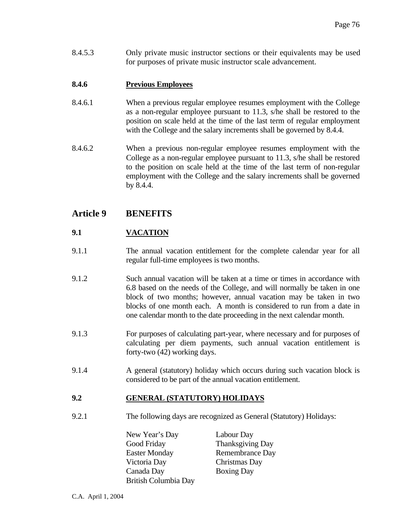8.4.5.3 Only private music instructor sections or their equivalents may be used for purposes of private music instructor scale advancement.

## **8.4.6 Previous Employees**

- 8.4.6.1 When a previous regular employee resumes employment with the College as a non-regular employee pursuant to 11.3, s/he shall be restored to the position on scale held at the time of the last term of regular employment with the College and the salary increments shall be governed by 8.4.4.
- 8.4.6.2 When a previous non-regular employee resumes employment with the College as a non-regular employee pursuant to 11.3, s/he shall be restored to the position on scale held at the time of the last term of non-regular employment with the College and the salary increments shall be governed by 8.4.4.

## **Article 9 BENEFITS**

## **9.1 VACATION**

- 9.1.1 The annual vacation entitlement for the complete calendar year for all regular full-time employees is two months.
- 9.1.2 Such annual vacation will be taken at a time or times in accordance with 6.8 based on the needs of the College, and will normally be taken in one block of two months; however, annual vacation may be taken in two blocks of one month each. A month is considered to run from a date in one calendar month to the date proceeding in the next calendar month.
- 9.1.3 For purposes of calculating part-year, where necessary and for purposes of calculating per diem payments, such annual vacation entitlement is forty-two (42) working days.
- 9.1.4 A general (statutory) holiday which occurs during such vacation block is considered to be part of the annual vacation entitlement.

## **9.2 GENERAL (STATUTORY) HOLIDAYS**

9.2.1 The following days are recognized as General (Statutory) Holidays:

 New Year's Day Labour Day Good Friday Thanksgiving Day Easter Monday Remembrance Day Victoria Day Christmas Day Canada Day Boxing Day British Columbia Day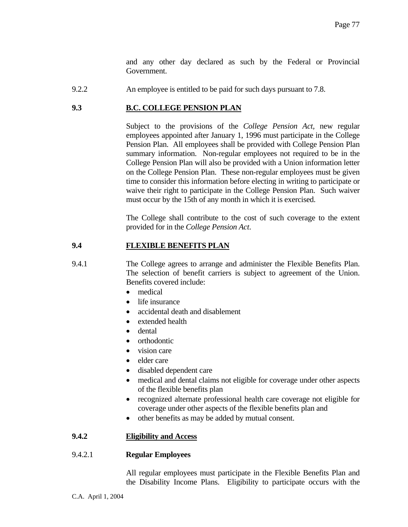and any other day declared as such by the Federal or Provincial Government.

9.2.2 An employee is entitled to be paid for such days pursuant to 7.8.

## **9.3 B.C. COLLEGE PENSION PLAN**

 Subject to the provisions of the *College Pension Act,* new regular employees appointed after January 1, 1996 must participate in the College Pension Plan. All employees shall be provided with College Pension Plan summary information. Non-regular employees not required to be in the College Pension Plan will also be provided with a Union information letter on the College Pension Plan. These non-regular employees must be given time to consider this information before electing in writing to participate or waive their right to participate in the College Pension Plan. Such waiver must occur by the 15th of any month in which it is exercised.

 The College shall contribute to the cost of such coverage to the extent provided for in the *College Pension Act*.

## **9.4 FLEXIBLE BENEFITS PLAN**

9.4.1 The College agrees to arrange and administer the Flexible Benefits Plan. The selection of benefit carriers is subject to agreement of the Union. Benefits covered include:

- medical
- life insurance
- accidental death and disablement
- extended health
- dental
- orthodontic
- vision care
- elder care
- disabled dependent care
- medical and dental claims not eligible for coverage under other aspects of the flexible benefits plan
- recognized alternate professional health care coverage not eligible for coverage under other aspects of the flexible benefits plan and
- other benefits as may be added by mutual consent.

## **9.4.2 Eligibility and Access**

### 9.4.2.1 **Regular Employees**

 All regular employees must participate in the Flexible Benefits Plan and the Disability Income Plans. Eligibility to participate occurs with the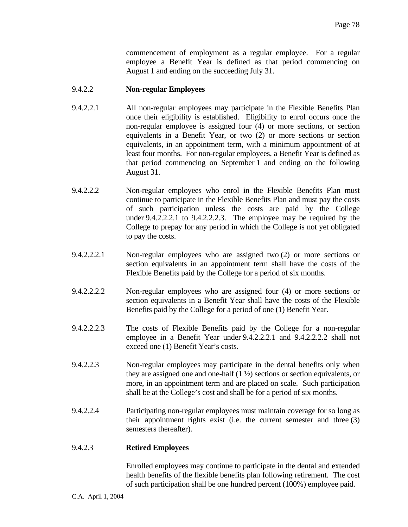commencement of employment as a regular employee. For a regular employee a Benefit Year is defined as that period commencing on August 1 and ending on the succeeding July 31.

### 9.4.2.2 **Non-regular Employees**

- 9.4.2.2.1 All non-regular employees may participate in the Flexible Benefits Plan once their eligibility is established. Eligibility to enrol occurs once the non-regular employee is assigned four (4) or more sections, or section equivalents in a Benefit Year, or two (2) or more sections or section equivalents, in an appointment term, with a minimum appointment of at least four months. For non-regular employees, a Benefit Year is defined as that period commencing on September 1 and ending on the following August 31.
- 9.4.2.2.2 Non-regular employees who enrol in the Flexible Benefits Plan must continue to participate in the Flexible Benefits Plan and must pay the costs of such participation unless the costs are paid by the College under 9.4.2.2.2.1 to 9.4.2.2.2.3. The employee may be required by the College to prepay for any period in which the College is not yet obligated to pay the costs.
- 9.4.2.2.2.1 Non-regular employees who are assigned two (2) or more sections or section equivalents in an appointment term shall have the costs of the Flexible Benefits paid by the College for a period of six months.
- 9.4.2.2.2.2 Non-regular employees who are assigned four (4) or more sections or section equivalents in a Benefit Year shall have the costs of the Flexible Benefits paid by the College for a period of one (1) Benefit Year.
- 9.4.2.2.2.3 The costs of Flexible Benefits paid by the College for a non-regular employee in a Benefit Year under 9.4.2.2.2.1 and 9.4.2.2.2.2 shall not exceed one (1) Benefit Year's costs.
- 9.4.2.2.3 Non-regular employees may participate in the dental benefits only when they are assigned one and one-half  $(1 \frac{1}{2})$  sections or section equivalents, or more, in an appointment term and are placed on scale. Such participation shall be at the College's cost and shall be for a period of six months.
- 9.4.2.2.4 Participating non-regular employees must maintain coverage for so long as their appointment rights exist (i.e. the current semester and three (3) semesters thereafter).

### 9.4.2.3 **Retired Employees**

 Enrolled employees may continue to participate in the dental and extended health benefits of the flexible benefits plan following retirement. The cost of such participation shall be one hundred percent (100%) employee paid.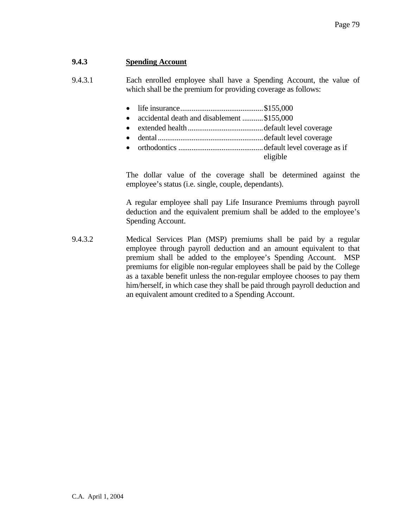## **9.4.3 Spending Account**

9.4.3.1 Each enrolled employee shall have a Spending Account, the value of which shall be the premium for providing coverage as follows:

- life insurance............................................\$155,000
- accidental death and disablement ...........\$155,000
- extended health ........................................default level coverage
- dental........................................................default level coverage
- orthodontics .............................................default level coverage as if eligible

 The dollar value of the coverage shall be determined against the employee's status (i.e. single, couple, dependants).

 A regular employee shall pay Life Insurance Premiums through payroll deduction and the equivalent premium shall be added to the employee's Spending Account.

9.4.3.2 Medical Services Plan (MSP) premiums shall be paid by a regular employee through payroll deduction and an amount equivalent to that premium shall be added to the employee's Spending Account. MSP premiums for eligible non-regular employees shall be paid by the College as a taxable benefit unless the non-regular employee chooses to pay them him/herself, in which case they shall be paid through payroll deduction and an equivalent amount credited to a Spending Account.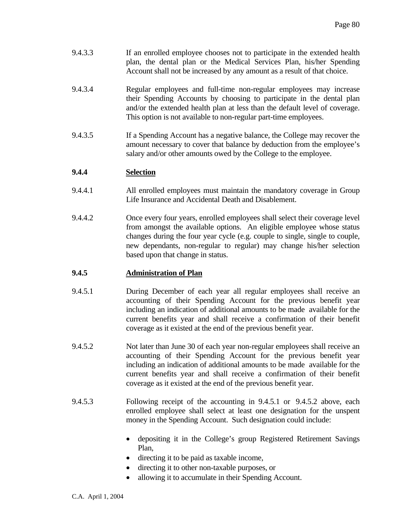- 9.4.3.3 If an enrolled employee chooses not to participate in the extended health plan, the dental plan or the Medical Services Plan, his/her Spending Account shall not be increased by any amount as a result of that choice.
- 9.4.3.4 Regular employees and full-time non-regular employees may increase their Spending Accounts by choosing to participate in the dental plan and/or the extended health plan at less than the default level of coverage. This option is not available to non-regular part-time employees.
- 9.4.3.5 If a Spending Account has a negative balance, the College may recover the amount necessary to cover that balance by deduction from the employee's salary and/or other amounts owed by the College to the employee.

## **9.4.4 Selection**

- 9.4.4.1 All enrolled employees must maintain the mandatory coverage in Group Life Insurance and Accidental Death and Disablement.
- 9.4.4.2 Once every four years, enrolled employees shall select their coverage level from amongst the available options. An eligible employee whose status changes during the four year cycle (e.g. couple to single, single to couple, new dependants, non-regular to regular) may change his/her selection based upon that change in status.

## **9.4.5 Administration of Plan**

- 9.4.5.1 During December of each year all regular employees shall receive an accounting of their Spending Account for the previous benefit year including an indication of additional amounts to be made available for the current benefits year and shall receive a confirmation of their benefit coverage as it existed at the end of the previous benefit year.
- 9.4.5.2 Not later than June 30 of each year non-regular employees shall receive an accounting of their Spending Account for the previous benefit year including an indication of additional amounts to be made available for the current benefits year and shall receive a confirmation of their benefit coverage as it existed at the end of the previous benefit year.
- 9.4.5.3 Following receipt of the accounting in 9.4.5.1 or 9.4.5.2 above, each enrolled employee shall select at least one designation for the unspent money in the Spending Account. Such designation could include:
	- depositing it in the College's group Registered Retirement Savings Plan,
	- directing it to be paid as taxable income,
	- directing it to other non-taxable purposes, or
	- allowing it to accumulate in their Spending Account.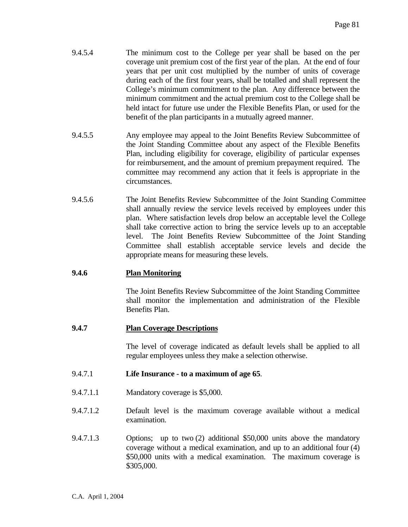- 9.4.5.4 The minimum cost to the College per year shall be based on the per coverage unit premium cost of the first year of the plan. At the end of four years that per unit cost multiplied by the number of units of coverage during each of the first four years, shall be totalled and shall represent the College's minimum commitment to the plan. Any difference between the minimum commitment and the actual premium cost to the College shall be held intact for future use under the Flexible Benefits Plan, or used for the benefit of the plan participants in a mutually agreed manner.
- 9.4.5.5 Any employee may appeal to the Joint Benefits Review Subcommittee of the Joint Standing Committee about any aspect of the Flexible Benefits Plan, including eligibility for coverage, eligibility of particular expenses for reimbursement, and the amount of premium prepayment required. The committee may recommend any action that it feels is appropriate in the circumstances.
- 9.4.5.6 The Joint Benefits Review Subcommittee of the Joint Standing Committee shall annually review the service levels received by employees under this plan. Where satisfaction levels drop below an acceptable level the College shall take corrective action to bring the service levels up to an acceptable level. The Joint Benefits Review Subcommittee of the Joint Standing Committee shall establish acceptable service levels and decide the appropriate means for measuring these levels.

## **9.4.6 Plan Monitoring**

 The Joint Benefits Review Subcommittee of the Joint Standing Committee shall monitor the implementation and administration of the Flexible Benefits Plan.

## **9.4.7 Plan Coverage Descriptions**

 The level of coverage indicated as default levels shall be applied to all regular employees unless they make a selection otherwise.

### 9.4.7.1 **Life Insurance - to a maximum of age 65**.

- 9.4.7.1.1 Mandatory coverage is \$5,000.
- 9.4.7.1.2 Default level is the maximum coverage available without a medical examination.
- 9.4.7.1.3 Options; up to two (2) additional \$50,000 units above the mandatory coverage without a medical examination, and up to an additional four (4) \$50,000 units with a medical examination. The maximum coverage is \$305,000.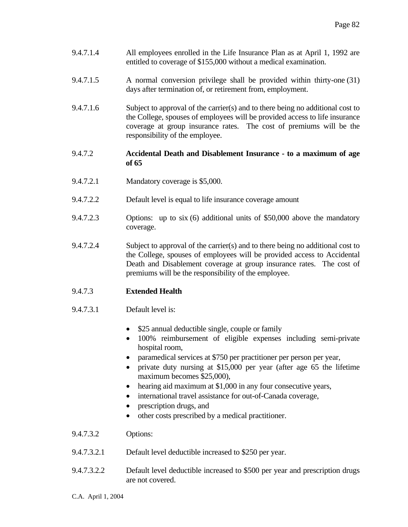- 9.4.7.1.4 All employees enrolled in the Life Insurance Plan as at April 1, 1992 are entitled to coverage of \$155,000 without a medical examination.
- 9.4.7.1.5 A normal conversion privilege shall be provided within thirty-one (31) days after termination of, or retirement from, employment.
- 9.4.7.1.6 Subject to approval of the carrier(s) and to there being no additional cost to the College, spouses of employees will be provided access to life insurance coverage at group insurance rates. The cost of premiums will be the responsibility of the employee.
- 9.4.7.2 **Accidental Death and Disablement Insurance to a maximum of age of 65**
- 9.4.7.2.1 Mandatory coverage is \$5,000.
- 9.4.7.2.2 Default level is equal to life insurance coverage amount
- 9.4.7.2.3 Options: up to six (6) additional units of \$50,000 above the mandatory coverage.
- 9.4.7.2.4 Subject to approval of the carrier(s) and to there being no additional cost to the College, spouses of employees will be provided access to Accidental Death and Disablement coverage at group insurance rates. The cost of premiums will be the responsibility of the employee.
- 9.4.7.3 **Extended Health**
- 9.4.7.3.1 Default level is:
	- \$25 annual deductible single, couple or family
	- 100% reimbursement of eligible expenses including semi-private hospital room,
	- paramedical services at \$750 per practitioner per person per year,
	- private duty nursing at \$15,000 per year (after age 65 the lifetime maximum becomes \$25,000),
	- hearing aid maximum at \$1,000 in any four consecutive years,
	- international travel assistance for out-of-Canada coverage,
	- prescription drugs, and
	- other costs prescribed by a medical practitioner.
- 9.4.7.3.2 Options:
- 9.4.7.3.2.1 Default level deductible increased to \$250 per year.
- 9.4.7.3.2.2 Default level deductible increased to \$500 per year and prescription drugs are not covered.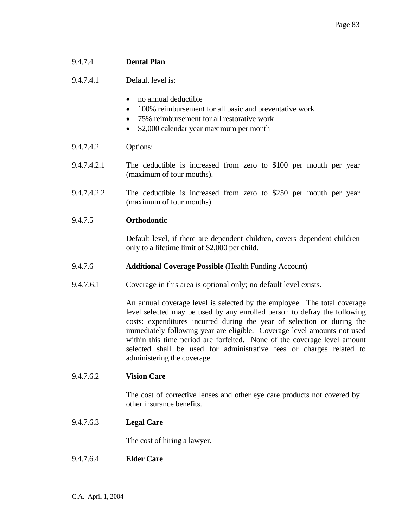### 9.4.7.4 **Dental Plan**

9.4.7.4.1 Default level is:

- no annual deductible
- 100% reimbursement for all basic and preventative work
- 75% reimbursement for all restorative work
- \$2,000 calendar year maximum per month
- 9.4.7.4.2 Options:
- 9.4.7.4.2.1 The deductible is increased from zero to \$100 per mouth per year (maximum of four mouths).
- 9.4.7.4.2.2 The deductible is increased from zero to \$250 per mouth per year (maximum of four mouths).

### 9.4.7.5 **Orthodontic**

 Default level, if there are dependent children, covers dependent children only to a lifetime limit of \$2,000 per child.

- 9.4.7.6 **Additional Coverage Possible** (Health Funding Account)
- 9.4.7.6.1 Coverage in this area is optional only; no default level exists.

 An annual coverage level is selected by the employee. The total coverage level selected may be used by any enrolled person to defray the following costs: expenditures incurred during the year of selection or during the immediately following year are eligible. Coverage level amounts not used within this time period are forfeited. None of the coverage level amount selected shall be used for administrative fees or charges related to administering the coverage.

#### 9.4.7.6.2 **Vision Care**

 The cost of corrective lenses and other eye care products not covered by other insurance benefits.

9.4.7.6.3 **Legal Care** 

The cost of hiring a lawyer.

9.4.7.6.4 **Elder Care**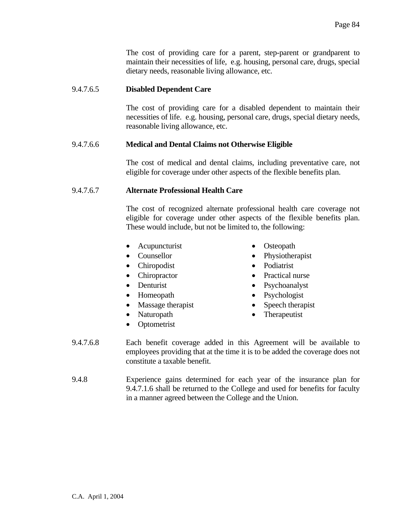The cost of providing care for a parent, step-parent or grandparent to maintain their necessities of life, e.g. housing, personal care, drugs, special dietary needs, reasonable living allowance, etc.

### 9.4.7.6.5 **Disabled Dependent Care**

 The cost of providing care for a disabled dependent to maintain their necessities of life. e.g. housing, personal care, drugs, special dietary needs, reasonable living allowance, etc.

## 9.4.7.6.6 **Medical and Dental Claims not Otherwise Eligible**

 The cost of medical and dental claims, including preventative care, not eligible for coverage under other aspects of the flexible benefits plan.

### 9.4.7.6.7 **Alternate Professional Health Care**

 The cost of recognized alternate professional health care coverage not eligible for coverage under other aspects of the flexible benefits plan. These would include, but not be limited to, the following:

- Acupuncturist Osteopath
- 
- Chiropodist Podiatrist
- 
- 
- 
- Massage therapist Speech therapist
- 
- Optometrist
- 
- Counsellor Physiotherapist
	-
- Chiropractor Practical nurse
- Denturist Psychoanalyst
- Homeopath Psychologist
	-
- Naturopath Therapeutist
- 9.4.7.6.8 Each benefit coverage added in this Agreement will be available to employees providing that at the time it is to be added the coverage does not constitute a taxable benefit.
- 9.4.8 Experience gains determined for each year of the insurance plan for 9.4.7.1.6 shall be returned to the College and used for benefits for faculty in a manner agreed between the College and the Union.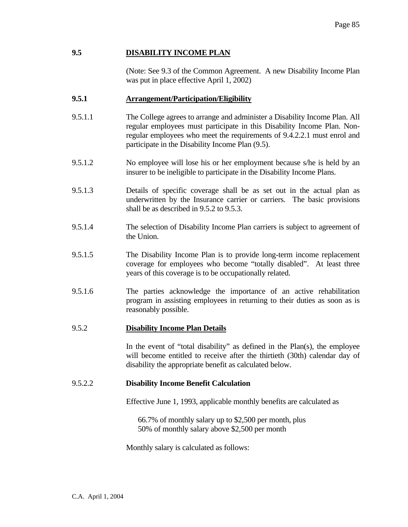## **9.5 DISABILITY INCOME PLAN**

(Note: See 9.3 of the Common Agreement. A new Disability Income Plan was put in place effective April 1, 2002)

### **9.5.1 Arrangement/Participation/Eligibility**

- 9.5.1.1 The College agrees to arrange and administer a Disability Income Plan. All regular employees must participate in this Disability Income Plan. Nonregular employees who meet the requirements of 9.4.2.2.1 must enrol and participate in the Disability Income Plan (9.5).
- 9.5.1.2 No employee will lose his or her employment because s/he is held by an insurer to be ineligible to participate in the Disability Income Plans.
- 9.5.1.3 Details of specific coverage shall be as set out in the actual plan as underwritten by the Insurance carrier or carriers. The basic provisions shall be as described in 9.5.2 to 9.5.3.
- 9.5.1.4 The selection of Disability Income Plan carriers is subject to agreement of the Union.
- 9.5.1.5 The Disability Income Plan is to provide long-term income replacement coverage for employees who become "totally disabled". At least three years of this coverage is to be occupationally related.
- 9.5.1.6 The parties acknowledge the importance of an active rehabilitation program in assisting employees in returning to their duties as soon as is reasonably possible.

### 9.5.2 **Disability Income Plan Details**

 In the event of "total disability" as defined in the Plan(s), the employee will become entitled to receive after the thirtieth (30th) calendar day of disability the appropriate benefit as calculated below.

### 9.5.2.2 **Disability Income Benefit Calculation**

Effective June 1, 1993, applicable monthly benefits are calculated as

 66.7% of monthly salary up to \$2,500 per month, plus 50% of monthly salary above \$2,500 per month

Monthly salary is calculated as follows: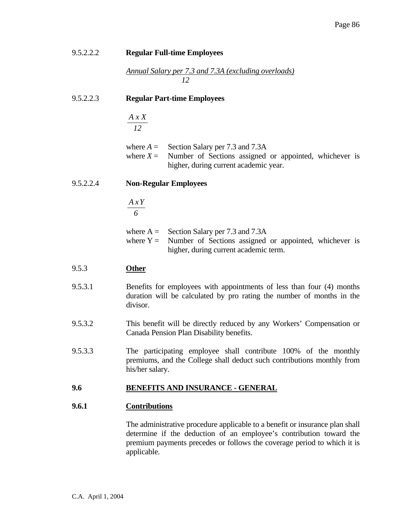| 9.5.2.2.2 | <b>Regular Full-time Employees</b>                                                                                                                                                                                             |
|-----------|--------------------------------------------------------------------------------------------------------------------------------------------------------------------------------------------------------------------------------|
|           | <u>Annual Salary per 7.3 and 7.3A (excluding overloads)</u>                                                                                                                                                                    |
| 9.5.2.2.3 | <b>Regular Part-time Employees</b>                                                                                                                                                                                             |
|           | A x X<br>12                                                                                                                                                                                                                    |
|           | where $A =$ Section Salary per 7.3 and 7.3A<br>Number of Sections assigned or appointed, whichever is<br>where $X =$<br>higher, during current academic year.                                                                  |
| 9.5.2.2.4 | <b>Non-Regular Employees</b>                                                                                                                                                                                                   |
|           | $\frac{A x Y}{6}$                                                                                                                                                                                                              |
|           | where $A =$ Section Salary per 7.3 and 7.3A<br>where $Y =$ Number of Sections assigned or appointed, whichever is<br>higher, during current academic term.                                                                     |
| 9.5.3     | <b>Other</b>                                                                                                                                                                                                                   |
| 9.5.3.1   | Benefits for employees with appointments of less than four (4) months<br>duration will be calculated by pro rating the number of months in the<br>divisor.                                                                     |
| 9.5.3.2   | This benefit will be directly reduced by any Workers' Compensation or<br>Canada Pension Plan Disability benefits.                                                                                                              |
| 9.5.3.3   | The participating employee shall contribute 100% of the monthly<br>premiums, and the College shall deduct such contributions monthly from<br>his/her salary.                                                                   |
| 9.6       | <b>BENEFITS AND INSURANCE - GENERAL</b>                                                                                                                                                                                        |
| 9.6.1     | <b>Contributions</b>                                                                                                                                                                                                           |
|           | The administrative procedure applicable to a benefit or insurance plan shall<br>determine if the deduction of an employee's contribution toward the<br>premium payments precedes or follows the coverage period to which it is |

applicable.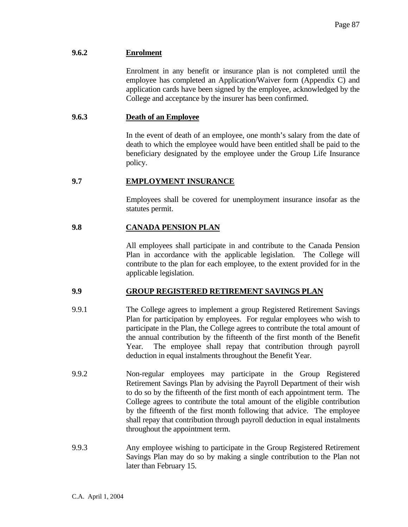## **9.6.2 Enrolment**

 Enrolment in any benefit or insurance plan is not completed until the employee has completed an Application/Waiver form (Appendix C) and application cards have been signed by the employee, acknowledged by the College and acceptance by the insurer has been confirmed.

### **9.6.3 Death of an Employee**

 In the event of death of an employee, one month's salary from the date of death to which the employee would have been entitled shall be paid to the beneficiary designated by the employee under the Group Life Insurance policy.

## **9.7 EMPLOYMENT INSURANCE**

 Employees shall be covered for unemployment insurance insofar as the statutes permit.

## **9.8 CANADA PENSION PLAN**

 All employees shall participate in and contribute to the Canada Pension Plan in accordance with the applicable legislation. The College will contribute to the plan for each employee, to the extent provided for in the applicable legislation.

### **9.9 GROUP REGISTERED RETIREMENT SAVINGS PLAN**

- 9.9.1 The College agrees to implement a group Registered Retirement Savings Plan for participation by employees. For regular employees who wish to participate in the Plan, the College agrees to contribute the total amount of the annual contribution by the fifteenth of the first month of the Benefit Year. The employee shall repay that contribution through payroll deduction in equal instalments throughout the Benefit Year.
- 9.9.2 Non-regular employees may participate in the Group Registered Retirement Savings Plan by advising the Payroll Department of their wish to do so by the fifteenth of the first month of each appointment term. The College agrees to contribute the total amount of the eligible contribution by the fifteenth of the first month following that advice. The employee shall repay that contribution through payroll deduction in equal instalments throughout the appointment term.
- 9.9.3 Any employee wishing to participate in the Group Registered Retirement Savings Plan may do so by making a single contribution to the Plan not later than February 15.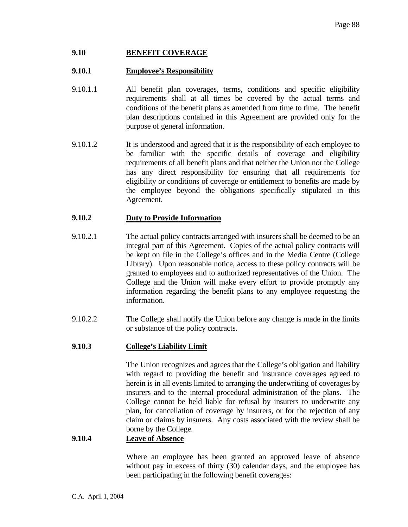## **9.10 BENEFIT COVERAGE**

### **9.10.1 Employee's Responsibility**

- 9.10.1.1 All benefit plan coverages, terms, conditions and specific eligibility requirements shall at all times be covered by the actual terms and conditions of the benefit plans as amended from time to time. The benefit plan descriptions contained in this Agreement are provided only for the purpose of general information.
- 9.10.1.2 It is understood and agreed that it is the responsibility of each employee to be familiar with the specific details of coverage and eligibility requirements of all benefit plans and that neither the Union nor the College has any direct responsibility for ensuring that all requirements for eligibility or conditions of coverage or entitlement to benefits are made by the employee beyond the obligations specifically stipulated in this Agreement.

## **9.10.2 Duty to Provide Information**

- 9.10.2.1 The actual policy contracts arranged with insurers shall be deemed to be an integral part of this Agreement. Copies of the actual policy contracts will be kept on file in the College's offices and in the Media Centre (College Library). Upon reasonable notice, access to these policy contracts will be granted to employees and to authorized representatives of the Union. The College and the Union will make every effort to provide promptly any information regarding the benefit plans to any employee requesting the information.
- 9.10.2.2 The College shall notify the Union before any change is made in the limits or substance of the policy contracts.

## **9.10.3 College's Liability Limit**

 The Union recognizes and agrees that the College's obligation and liability with regard to providing the benefit and insurance coverages agreed to herein is in all events limited to arranging the underwriting of coverages by insurers and to the internal procedural administration of the plans. The College cannot be held liable for refusal by insurers to underwrite any plan, for cancellation of coverage by insurers, or for the rejection of any claim or claims by insurers. Any costs associated with the review shall be borne by the College.

### **9.10.4 Leave of Absence**

 Where an employee has been granted an approved leave of absence without pay in excess of thirty (30) calendar days, and the employee has been participating in the following benefit coverages: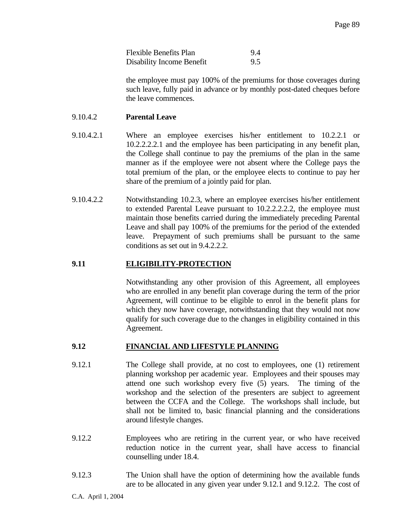| <b>Flexible Benefits Plan</b> | 9.4 |
|-------------------------------|-----|
| Disability Income Benefit     |     |

 the employee must pay 100% of the premiums for those coverages during such leave, fully paid in advance or by monthly post-dated cheques before the leave commences.

### 9.10.4.2 **Parental Leave**

- 9.10.4.2.1 Where an employee exercises his/her entitlement to 10.2.2.1 or 10.2.2.2.2.1 and the employee has been participating in any benefit plan, the College shall continue to pay the premiums of the plan in the same manner as if the employee were not absent where the College pays the total premium of the plan, or the employee elects to continue to pay her share of the premium of a jointly paid for plan.
- 9.10.4.2.2 Notwithstanding 10.2.3, where an employee exercises his/her entitlement to extended Parental Leave pursuant to 10.2.2.2.2.2, the employee must maintain those benefits carried during the immediately preceding Parental Leave and shall pay 100% of the premiums for the period of the extended leave. Prepayment of such premiums shall be pursuant to the same conditions as set out in 9.4.2.2.2.

### **9.11 ELIGIBILITY-PROTECTION**

 Notwithstanding any other provision of this Agreement, all employees who are enrolled in any benefit plan coverage during the term of the prior Agreement, will continue to be eligible to enrol in the benefit plans for which they now have coverage, notwithstanding that they would not now qualify for such coverage due to the changes in eligibility contained in this Agreement.

#### **9.12 FINANCIAL AND LIFESTYLE PLANNING**

- 9.12.1 The College shall provide, at no cost to employees, one (1) retirement planning workshop per academic year. Employees and their spouses may attend one such workshop every five (5) years. The timing of the workshop and the selection of the presenters are subject to agreement between the CCFA and the College. The workshops shall include, but shall not be limited to, basic financial planning and the considerations around lifestyle changes.
- 9.12.2 Employees who are retiring in the current year, or who have received reduction notice in the current year, shall have access to financial counselling under 18.4.
- 9.12.3 The Union shall have the option of determining how the available funds are to be allocated in any given year under 9.12.1 and 9.12.2. The cost of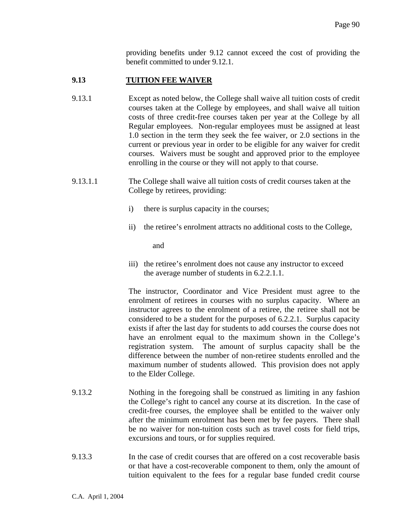providing benefits under 9.12 cannot exceed the cost of providing the benefit committed to under 9.12.1.

## **9.13 TUITION FEE WAIVER**

- 9.13.1 Except as noted below, the College shall waive all tuition costs of credit courses taken at the College by employees, and shall waive all tuition costs of three credit-free courses taken per year at the College by all Regular employees. Non-regular employees must be assigned at least 1.0 section in the term they seek the fee waiver, or 2.0 sections in the current or previous year in order to be eligible for any waiver for credit courses. Waivers must be sought and approved prior to the employee enrolling in the course or they will not apply to that course.
- 9.13.1.1 The College shall waive all tuition costs of credit courses taken at the College by retirees, providing:
	- i) there is surplus capacity in the courses;
	- ii) the retiree's enrolment attracts no additional costs to the College,

and

iii) the retiree's enrolment does not cause any instructor to exceed the average number of students in 6.2.2.1.1.

The instructor, Coordinator and Vice President must agree to the enrolment of retirees in courses with no surplus capacity. Where an instructor agrees to the enrolment of a retiree, the retiree shall not be considered to be a student for the purposes of 6.2.2.1. Surplus capacity exists if after the last day for students to add courses the course does not have an enrolment equal to the maximum shown in the College's registration system. The amount of surplus capacity shall be the difference between the number of non-retiree students enrolled and the maximum number of students allowed. This provision does not apply to the Elder College.

- 9.13.2 Nothing in the foregoing shall be construed as limiting in any fashion the College's right to cancel any course at its discretion. In the case of credit-free courses, the employee shall be entitled to the waiver only after the minimum enrolment has been met by fee payers. There shall be no waiver for non-tuition costs such as travel costs for field trips, excursions and tours, or for supplies required.
- 9.13.3 In the case of credit courses that are offered on a cost recoverable basis or that have a cost-recoverable component to them, only the amount of tuition equivalent to the fees for a regular base funded credit course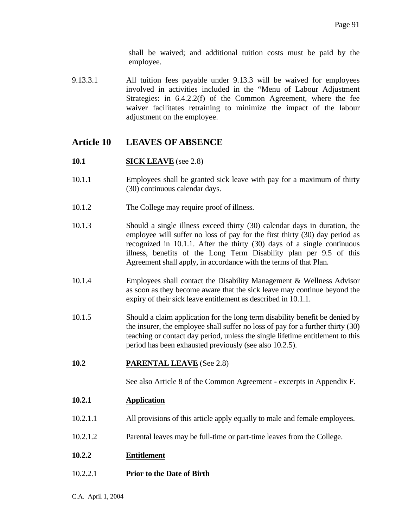shall be waived; and additional tuition costs must be paid by the employee.

9.13.3.1 All tuition fees payable under 9.13.3 will be waived for employees involved in activities included in the "Menu of Labour Adjustment Strategies: in 6.4.2.2(f) of the Common Agreement, where the fee waiver facilitates retraining to minimize the impact of the labour adjustment on the employee.

## **Article 10 LEAVES OF ABSENCE**

- **10.1 SICK LEAVE** (see 2.8)
- 10.1.1 Employees shall be granted sick leave with pay for a maximum of thirty (30) continuous calendar days.
- 10.1.2 The College may require proof of illness.
- 10.1.3 Should a single illness exceed thirty (30) calendar days in duration, the employee will suffer no loss of pay for the first thirty (30) day period as recognized in 10.1.1. After the thirty (30) days of a single continuous illness, benefits of the Long Term Disability plan per 9.5 of this Agreement shall apply, in accordance with the terms of that Plan.
- 10.1.4 Employees shall contact the Disability Management & Wellness Advisor as soon as they become aware that the sick leave may continue beyond the expiry of their sick leave entitlement as described in 10.1.1.
- 10.1.5 Should a claim application for the long term disability benefit be denied by the insurer, the employee shall suffer no loss of pay for a further thirty (30) teaching or contact day period, unless the single lifetime entitlement to this period has been exhausted previously (see also 10.2.5).
- **10.2 PARENTAL LEAVE** (See 2.8)

See also Article 8 of the Common Agreement - excerpts in Appendix F.

- **10.2.1 Application**
- 10.2.1.1 All provisions of this article apply equally to male and female employees.
- 10.2.1.2 Parental leaves may be full-time or part-time leaves from the College.
- **10.2.2 Entitlement**
- 10.2.2.1 **Prior to the Date of Birth**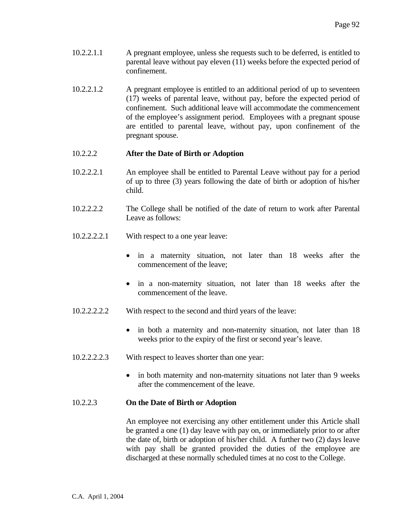- 10.2.2.1.1 A pregnant employee, unless she requests such to be deferred, is entitled to parental leave without pay eleven (11) weeks before the expected period of confinement.
- 10.2.2.1.2 A pregnant employee is entitled to an additional period of up to seventeen (17) weeks of parental leave, without pay, before the expected period of confinement. Such additional leave will accommodate the commencement of the employee's assignment period. Employees with a pregnant spouse are entitled to parental leave, without pay, upon confinement of the pregnant spouse.

## 10.2.2.2 **After the Date of Birth or Adoption**

- 10.2.2.2.1 An employee shall be entitled to Parental Leave without pay for a period of up to three (3) years following the date of birth or adoption of his/her child.
- 10.2.2.2.2 The College shall be notified of the date of return to work after Parental Leave as follows:
- 10.2.2.2.2.1 With respect to a one year leave:
	- in a maternity situation, not later than 18 weeks after the commencement of the leave;
	- in a non-maternity situation, not later than 18 weeks after the commencement of the leave.
- 10.2.2.2.2.2 With respect to the second and third years of the leave:
	- in both a maternity and non-maternity situation, not later than 18 weeks prior to the expiry of the first or second year's leave.
- 10.2.2.2.2.3 With respect to leaves shorter than one year:
	- in both maternity and non-maternity situations not later than 9 weeks after the commencement of the leave.

### 10.2.2.3 **On the Date of Birth or Adoption**

 An employee not exercising any other entitlement under this Article shall be granted a one (1) day leave with pay on, or immediately prior to or after the date of, birth or adoption of his/her child. A further two (2) days leave with pay shall be granted provided the duties of the employee are discharged at these normally scheduled times at no cost to the College.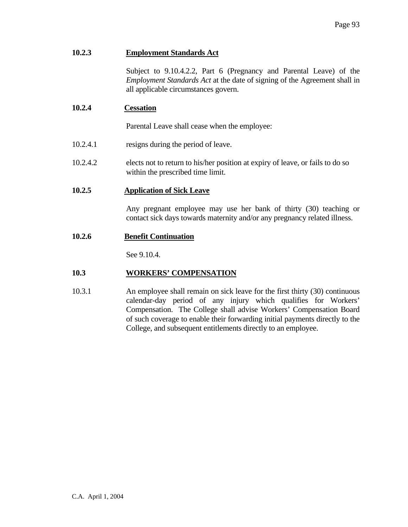## **10.2.3 Employment Standards Act**

 Subject to 9.10.4.2.2, Part 6 (Pregnancy and Parental Leave) of the *Employment Standards Act* at the date of signing of the Agreement shall in all applicable circumstances govern.

### **10.2.4 Cessation**

Parental Leave shall cease when the employee:

- 10.2.4.1 resigns during the period of leave.
- 10.2.4.2 elects not to return to his/her position at expiry of leave, or fails to do so within the prescribed time limit.

## **10.2.5 Application of Sick Leave**

 Any pregnant employee may use her bank of thirty (30) teaching or contact sick days towards maternity and/or any pregnancy related illness.

### **10.2.6 Benefit Continuation**

See 9.10.4.

## **10.3 WORKERS' COMPENSATION**

10.3.1 An employee shall remain on sick leave for the first thirty (30) continuous calendar-day period of any injury which qualifies for Workers' Compensation. The College shall advise Workers' Compensation Board of such coverage to enable their forwarding initial payments directly to the College, and subsequent entitlements directly to an employee.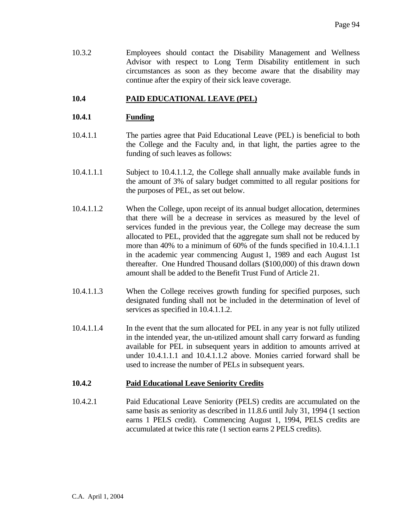10.3.2 Employees should contact the Disability Management and Wellness Advisor with respect to Long Term Disability entitlement in such circumstances as soon as they become aware that the disability may continue after the expiry of their sick leave coverage.

## **10.4 PAID EDUCATIONAL LEAVE (PEL)**

## **10.4.1 Funding**

- 10.4.1.1 The parties agree that Paid Educational Leave (PEL) is beneficial to both the College and the Faculty and, in that light, the parties agree to the funding of such leaves as follows:
- 10.4.1.1.1 Subject to 10.4.1.1.2, the College shall annually make available funds in the amount of 3% of salary budget committed to all regular positions for the purposes of PEL, as set out below.
- 10.4.1.1.2 When the College, upon receipt of its annual budget allocation, determines that there will be a decrease in services as measured by the level of services funded in the previous year, the College may decrease the sum allocated to PEL, provided that the aggregate sum shall not be reduced by more than 40% to a minimum of 60% of the funds specified in 10.4.1.1.1 in the academic year commencing August 1, 1989 and each August 1st thereafter. One Hundred Thousand dollars (\$100,000) of this drawn down amount shall be added to the Benefit Trust Fund of Article 21.
- 10.4.1.1.3 When the College receives growth funding for specified purposes, such designated funding shall not be included in the determination of level of services as specified in 10.4.1.1.2.
- 10.4.1.1.4 In the event that the sum allocated for PEL in any year is not fully utilized in the intended year, the un-utilized amount shall carry forward as funding available for PEL in subsequent years in addition to amounts arrived at under 10.4.1.1.1 and 10.4.1.1.2 above. Monies carried forward shall be used to increase the number of PELs in subsequent years.

### **10.4.2 Paid Educational Leave Seniority Credits**

10.4.2.1 Paid Educational Leave Seniority (PELS) credits are accumulated on the same basis as seniority as described in 11.8.6 until July 31, 1994 (1 section earns 1 PELS credit). Commencing August 1, 1994, PELS credits are accumulated at twice this rate (1 section earns 2 PELS credits).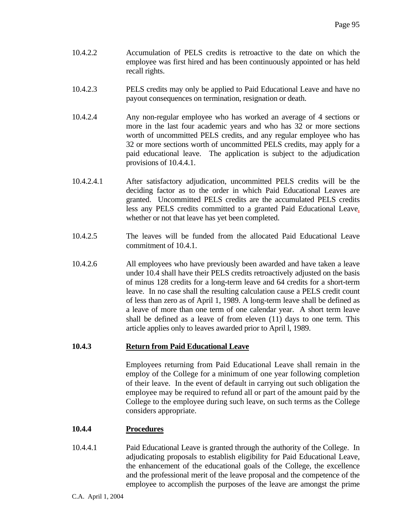- 10.4.2.2 Accumulation of PELS credits is retroactive to the date on which the employee was first hired and has been continuously appointed or has held recall rights.
- 10.4.2.3 PELS credits may only be applied to Paid Educational Leave and have no payout consequences on termination, resignation or death.
- 10.4.2.4 Any non-regular employee who has worked an average of 4 sections or more in the last four academic years and who has 32 or more sections worth of uncommitted PELS credits, and any regular employee who has 32 or more sections worth of uncommitted PELS credits, may apply for a paid educational leave. The application is subject to the adjudication provisions of 10.4.4.1.
- 10.4.2.4.1 After satisfactory adjudication, uncommitted PELS credits will be the deciding factor as to the order in which Paid Educational Leaves are granted. Uncommitted PELS credits are the accumulated PELS credits less any PELS credits committed to a granted Paid Educational Leave, whether or not that leave has yet been completed.
- 10.4.2.5 The leaves will be funded from the allocated Paid Educational Leave commitment of 10.4.1.
- 10.4.2.6 All employees who have previously been awarded and have taken a leave under 10.4 shall have their PELS credits retroactively adjusted on the basis of minus 128 credits for a long-term leave and 64 credits for a short-term leave. In no case shall the resulting calculation cause a PELS credit count of less than zero as of April 1, 1989. A long-term leave shall be defined as a leave of more than one term of one calendar year. A short term leave shall be defined as a leave of from eleven (11) days to one term. This article applies only to leaves awarded prior to April l, 1989.

## **10.4.3 Return from Paid Educational Leave**

Employees returning from Paid Educational Leave shall remain in the employ of the College for a minimum of one year following completion of their leave. In the event of default in carrying out such obligation the employee may be required to refund all or part of the amount paid by the College to the employee during such leave, on such terms as the College considers appropriate.

### **10.4.4 Procedures**

10.4.4.1 Paid Educational Leave is granted through the authority of the College. In adjudicating proposals to establish eligibility for Paid Educational Leave, the enhancement of the educational goals of the College, the excellence and the professional merit of the leave proposal and the competence of the employee to accomplish the purposes of the leave are amongst the prime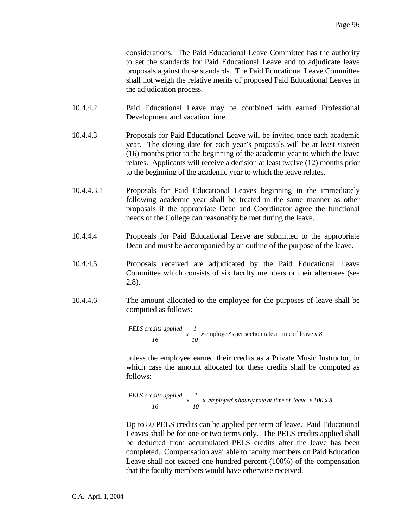considerations. The Paid Educational Leave Committee has the authority to set the standards for Paid Educational Leave and to adjudicate leave proposals against those standards. The Paid Educational Leave Committee shall not weigh the relative merits of proposed Paid Educational Leaves in the adjudication process.

- 10.4.4.2 Paid Educational Leave may be combined with earned Professional Development and vacation time.
- 10.4.4.3 Proposals for Paid Educational Leave will be invited once each academic year. The closing date for each year's proposals will be at least sixteen (16) months prior to the beginning of the academic year to which the leave relates. Applicants will receive a decision at least twelve (12) months prior to the beginning of the academic year to which the leave relates.
- 10.4.4.3.1 Proposals for Paid Educational Leaves beginning in the immediately following academic year shall be treated in the same manner as other proposals if the appropriate Dean and Coordinator agree the functional needs of the College can reasonably be met during the leave.
- 10.4.4.4 Proposals for Paid Educational Leave are submitted to the appropriate Dean and must be accompanied by an outline of the purpose of the leave.
- 10.4.4.5 Proposals received are adjudicated by the Paid Educational Leave Committee which consists of six faculty members or their alternates (see 2.8).
- 10.4.4.6 The amount allocated to the employee for the purposes of leave shall be computed as follows:

 $\frac{PELS \, credits \, applied}{16} \, x \, \frac{1}{10}$  $x$  employee's per section rate at time of leave  $x \, 8$ 

 unless the employee earned their credits as a Private Music Instructor, in which case the amount allocated for these credits shall be computed as follows:

PELS credits applied 
$$
x \frac{1}{10} x
$$
 employee's hourly rate at time of leave  $x 100 x 8$ 

 Up to 80 PELS credits can be applied per term of leave. Paid Educational Leaves shall be for one or two terms only. The PELS credits applied shall be deducted from accumulated PELS credits after the leave has been completed. Compensation available to faculty members on Paid Education Leave shall not exceed one hundred percent (100%) of the compensation that the faculty members would have otherwise received.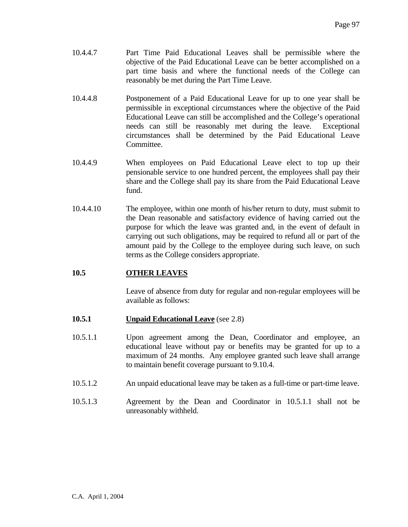- 10.4.4.7 Part Time Paid Educational Leaves shall be permissible where the objective of the Paid Educational Leave can be better accomplished on a part time basis and where the functional needs of the College can reasonably be met during the Part Time Leave.
- 10.4.4.8 Postponement of a Paid Educational Leave for up to one year shall be permissible in exceptional circumstances where the objective of the Paid Educational Leave can still be accomplished and the College's operational needs can still be reasonably met during the leave. Exceptional circumstances shall be determined by the Paid Educational Leave Committee.
- 10.4.4.9 When employees on Paid Educational Leave elect to top up their pensionable service to one hundred percent, the employees shall pay their share and the College shall pay its share from the Paid Educational Leave fund.
- 10.4.4.10 The employee, within one month of his/her return to duty, must submit to the Dean reasonable and satisfactory evidence of having carried out the purpose for which the leave was granted and, in the event of default in carrying out such obligations, may be required to refund all or part of the amount paid by the College to the employee during such leave, on such terms as the College considers appropriate.

### **10.5 OTHER LEAVES**

 Leave of absence from duty for regular and non-regular employees will be available as follows:

- **10.5.1 Unpaid Educational Leave** (see 2.8)
- 10.5.1.1 Upon agreement among the Dean, Coordinator and employee, an educational leave without pay or benefits may be granted for up to a maximum of 24 months. Any employee granted such leave shall arrange to maintain benefit coverage pursuant to 9.10.4.
- 10.5.1.2 An unpaid educational leave may be taken as a full-time or part-time leave.
- 10.5.1.3 Agreement by the Dean and Coordinator in 10.5.1.1 shall not be unreasonably withheld.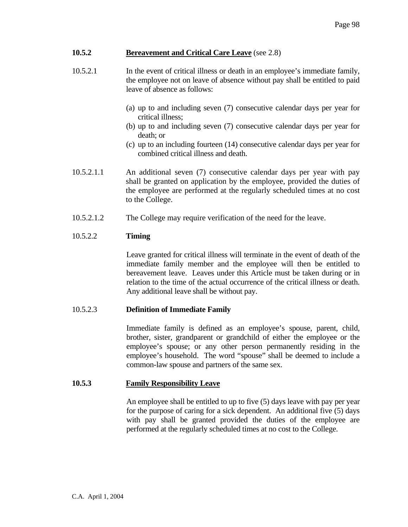## **10.5.2 Bereavement and Critical Care Leave** (see 2.8)

- 10.5.2.1 In the event of critical illness or death in an employee's immediate family, the employee not on leave of absence without pay shall be entitled to paid leave of absence as follows:
	- (a) up to and including seven (7) consecutive calendar days per year for critical illness;
	- (b) up to and including seven (7) consecutive calendar days per year for death; or
	- (c) up to an including fourteen (14) consecutive calendar days per year for combined critical illness and death.
- 10.5.2.1.1 An additional seven (7) consecutive calendar days per year with pay shall be granted on application by the employee, provided the duties of the employee are performed at the regularly scheduled times at no cost to the College.
- 10.5.2.1.2 The College may require verification of the need for the leave.

## 10.5.2.2 **Timing**

Leave granted for critical illness will terminate in the event of death of the immediate family member and the employee will then be entitled to bereavement leave. Leaves under this Article must be taken during or in relation to the time of the actual occurrence of the critical illness or death. Any additional leave shall be without pay.

### 10.5.2.3 **Definition of Immediate Family**

Immediate family is defined as an employee's spouse, parent, child, brother, sister, grandparent or grandchild of either the employee or the employee's spouse; or any other person permanently residing in the employee's household. The word "spouse" shall be deemed to include a common-law spouse and partners of the same sex.

### **10.5.3 Family Responsibility Leave**

An employee shall be entitled to up to five (5) days leave with pay per year for the purpose of caring for a sick dependent. An additional five (5) days with pay shall be granted provided the duties of the employee are performed at the regularly scheduled times at no cost to the College.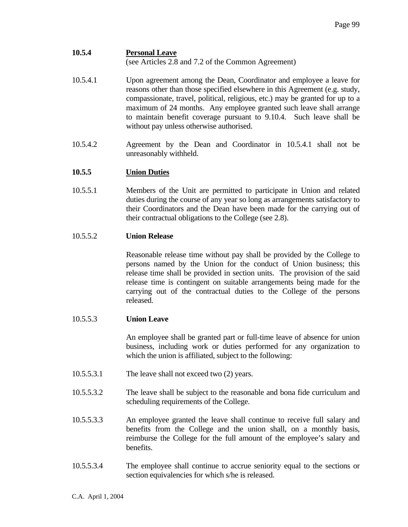# **10.5.4 Personal Leave**

(see Articles 2.8 and 7.2 of the Common Agreement)

- 10.5.4.1 Upon agreement among the Dean, Coordinator and employee a leave for reasons other than those specified elsewhere in this Agreement (e.g. study, compassionate, travel, political, religious, etc.) may be granted for up to a maximum of 24 months. Any employee granted such leave shall arrange to maintain benefit coverage pursuant to 9.10.4. Such leave shall be without pay unless otherwise authorised.
- 10.5.4.2 Agreement by the Dean and Coordinator in 10.5.4.1 shall not be unreasonably withheld.

## **10.5.5 Union Duties**

10.5.5.1 Members of the Unit are permitted to participate in Union and related duties during the course of any year so long as arrangements satisfactory to their Coordinators and the Dean have been made for the carrying out of their contractual obligations to the College (see 2.8).

## 10.5.5.2 **Union Release**

 Reasonable release time without pay shall be provided by the College to persons named by the Union for the conduct of Union business; this release time shall be provided in section units. The provision of the said release time is contingent on suitable arrangements being made for the carrying out of the contractual duties to the College of the persons released.

## 10.5.5.3 **Union Leave**

 An employee shall be granted part or full-time leave of absence for union business, including work or duties performed for any organization to which the union is affiliated, subject to the following:

- 10.5.5.3.1 The leave shall not exceed two (2) years.
- 10.5.5.3.2 The leave shall be subject to the reasonable and bona fide curriculum and scheduling requirements of the College.
- 10.5.5.3.3 An employee granted the leave shall continue to receive full salary and benefits from the College and the union shall, on a monthly basis, reimburse the College for the full amount of the employee's salary and benefits.
- 10.5.5.3.4 The employee shall continue to accrue seniority equal to the sections or section equivalencies for which s/he is released.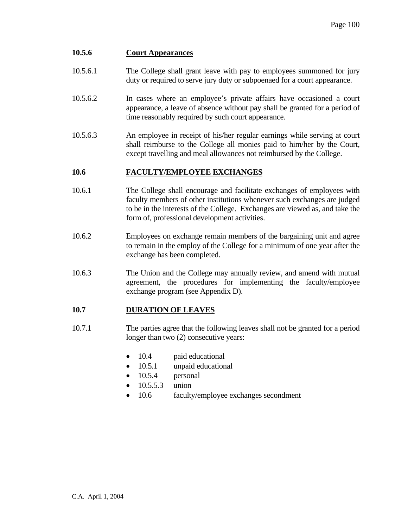## **10.5.6 Court Appearances**

- 10.5.6.1 The College shall grant leave with pay to employees summoned for jury duty or required to serve jury duty or subpoenaed for a court appearance.
- 10.5.6.2 In cases where an employee's private affairs have occasioned a court appearance, a leave of absence without pay shall be granted for a period of time reasonably required by such court appearance.
- 10.5.6.3 An employee in receipt of his/her regular earnings while serving at court shall reimburse to the College all monies paid to him/her by the Court, except travelling and meal allowances not reimbursed by the College.

## **10.6 FACULTY/EMPLOYEE EXCHANGES**

- 10.6.1 The College shall encourage and facilitate exchanges of employees with faculty members of other institutions whenever such exchanges are judged to be in the interests of the College. Exchanges are viewed as, and take the form of, professional development activities.
- 10.6.2 Employees on exchange remain members of the bargaining unit and agree to remain in the employ of the College for a minimum of one year after the exchange has been completed.
- 10.6.3 The Union and the College may annually review, and amend with mutual agreement, the procedures for implementing the faculty/employee exchange program (see Appendix D).

## **10.7 DURATION OF LEAVES**

- 10.7.1 The parties agree that the following leaves shall not be granted for a period longer than two (2) consecutive years:
	- 10.4 paid educational
	- 10.5.1 unpaid educational
	- 10.5.4 personal
	- 10.5.5.3 union
	- 10.6 faculty/employee exchanges secondment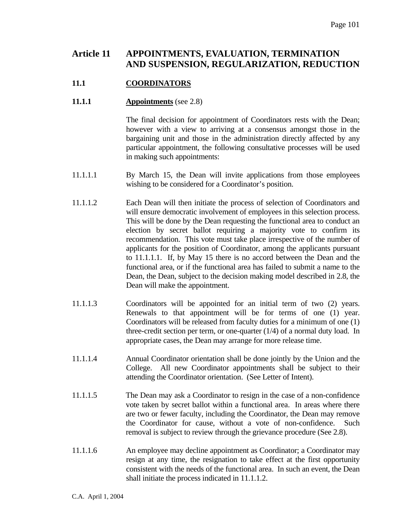# **Article 11 APPOINTMENTS, EVALUATION, TERMINATION AND SUSPENSION, REGULARIZATION, REDUCTION**

## **11.1 COORDINATORS**

### **11.1.1 Appointments** (see 2.8)

 The final decision for appointment of Coordinators rests with the Dean; however with a view to arriving at a consensus amongst those in the bargaining unit and those in the administration directly affected by any particular appointment, the following consultative processes will be used in making such appointments:

- 11.1.1.1 By March 15, the Dean will invite applications from those employees wishing to be considered for a Coordinator's position.
- 11.1.1.2 Each Dean will then initiate the process of selection of Coordinators and will ensure democratic involvement of employees in this selection process. This will be done by the Dean requesting the functional area to conduct an election by secret ballot requiring a majority vote to confirm its recommendation. This vote must take place irrespective of the number of applicants for the position of Coordinator, among the applicants pursuant to 11.1.1.1. If, by May 15 there is no accord between the Dean and the functional area, or if the functional area has failed to submit a name to the Dean, the Dean, subject to the decision making model described in 2.8, the Dean will make the appointment.
- 11.1.1.3 Coordinators will be appointed for an initial term of two (2) years. Renewals to that appointment will be for terms of one (1) year. Coordinators will be released from faculty duties for a minimum of one (1) three-credit section per term, or one-quarter (1/4) of a normal duty load. In appropriate cases, the Dean may arrange for more release time.
- 11.1.1.4 Annual Coordinator orientation shall be done jointly by the Union and the College. All new Coordinator appointments shall be subject to their attending the Coordinator orientation. (See Letter of Intent).
- 11.1.1.5 The Dean may ask a Coordinator to resign in the case of a non-confidence vote taken by secret ballot within a functional area. In areas where there are two or fewer faculty, including the Coordinator, the Dean may remove the Coordinator for cause, without a vote of non-confidence. Such removal is subject to review through the grievance procedure (See 2.8).
- 11.1.1.6 An employee may decline appointment as Coordinator; a Coordinator may resign at any time, the resignation to take effect at the first opportunity consistent with the needs of the functional area. In such an event, the Dean shall initiate the process indicated in 11.1.1.2.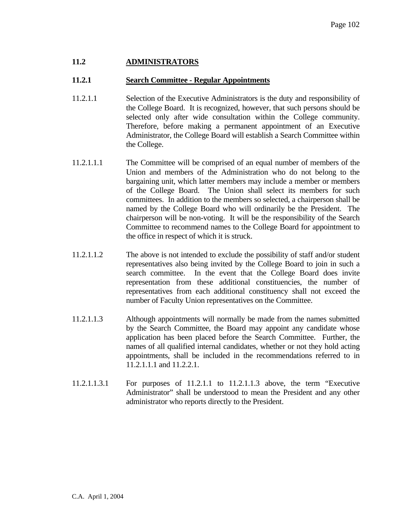## **11.2 ADMINISTRATORS**

### **11.2.1 Search Committee - Regular Appointments**

- 11.2.1.1 Selection of the Executive Administrators is the duty and responsibility of the College Board. It is recognized, however, that such persons should be selected only after wide consultation within the College community. Therefore, before making a permanent appointment of an Executive Administrator, the College Board will establish a Search Committee within the College.
- 11.2.1.1.1 The Committee will be comprised of an equal number of members of the Union and members of the Administration who do not belong to the bargaining unit, which latter members may include a member or members of the College Board. The Union shall select its members for such committees. In addition to the members so selected, a chairperson shall be named by the College Board who will ordinarily be the President. The chairperson will be non-voting. It will be the responsibility of the Search Committee to recommend names to the College Board for appointment to the office in respect of which it is struck.
- 11.2.1.1.2 The above is not intended to exclude the possibility of staff and/or student representatives also being invited by the College Board to join in such a search committee. In the event that the College Board does invite representation from these additional constituencies, the number of representatives from each additional constituency shall not exceed the number of Faculty Union representatives on the Committee.
- 11.2.1.1.3 Although appointments will normally be made from the names submitted by the Search Committee, the Board may appoint any candidate whose application has been placed before the Search Committee. Further, the names of all qualified internal candidates, whether or not they hold acting appointments, shall be included in the recommendations referred to in 11.2.1.1.1 and 11.2.2.1.
- 11.2.1.1.3.1 For purposes of 11.2.1.1 to 11.2.1.1.3 above, the term "Executive Administrator" shall be understood to mean the President and any other administrator who reports directly to the President.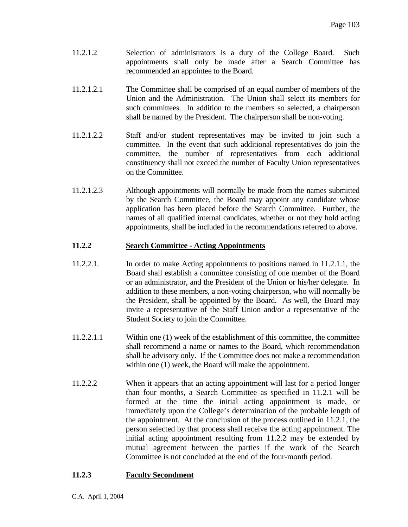- 11.2.1.2 Selection of administrators is a duty of the College Board. Such appointments shall only be made after a Search Committee has recommended an appointee to the Board.
- 11.2.1.2.1 The Committee shall be comprised of an equal number of members of the Union and the Administration. The Union shall select its members for such committees. In addition to the members so selected, a chairperson shall be named by the President. The chairperson shall be non-voting.
- 11.2.1.2.2 Staff and/or student representatives may be invited to join such a committee. In the event that such additional representatives do join the committee, the number of representatives from each additional constituency shall not exceed the number of Faculty Union representatives on the Committee.
- 11.2.1.2.3 Although appointments will normally be made from the names submitted by the Search Committee, the Board may appoint any candidate whose application has been placed before the Search Committee. Further, the names of all qualified internal candidates, whether or not they hold acting appointments, shall be included in the recommendations referred to above.

## **11.2.2 Search Committee - Acting Appointments**

- 11.2.2.1. In order to make Acting appointments to positions named in 11.2.1.1, the Board shall establish a committee consisting of one member of the Board or an administrator, and the President of the Union or his/her delegate. In addition to these members, a non-voting chairperson, who will normally be the President, shall be appointed by the Board. As well, the Board may invite a representative of the Staff Union and/or a representative of the Student Society to join the Committee.
- 11.2.2.1.1 Within one (1) week of the establishment of this committee, the committee shall recommend a name or names to the Board, which recommendation shall be advisory only. If the Committee does not make a recommendation within one (1) week, the Board will make the appointment.
- 11.2.2.2 When it appears that an acting appointment will last for a period longer than four months, a Search Committee as specified in 11.2.1 will be formed at the time the initial acting appointment is made, or immediately upon the College's determination of the probable length of the appointment. At the conclusion of the process outlined in 11.2.1, the person selected by that process shall receive the acting appointment. The initial acting appointment resulting from 11.2.2 may be extended by mutual agreement between the parties if the work of the Search Committee is not concluded at the end of the four-month period.

## **11.2.3 Faculty Secondment**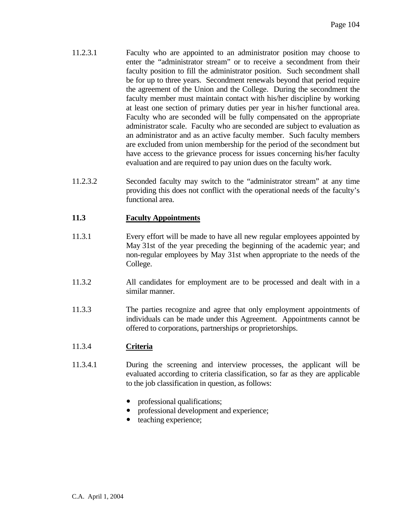- 11.2.3.1 Faculty who are appointed to an administrator position may choose to enter the "administrator stream" or to receive a secondment from their faculty position to fill the administrator position. Such secondment shall be for up to three years. Secondment renewals beyond that period require the agreement of the Union and the College. During the secondment the faculty member must maintain contact with his/her discipline by working at least one section of primary duties per year in his/her functional area. Faculty who are seconded will be fully compensated on the appropriate administrator scale. Faculty who are seconded are subject to evaluation as an administrator and as an active faculty member. Such faculty members are excluded from union membership for the period of the secondment but have access to the grievance process for issues concerning his/her faculty evaluation and are required to pay union dues on the faculty work.
- 11.2.3.2 Seconded faculty may switch to the "administrator stream" at any time providing this does not conflict with the operational needs of the faculty's functional area.

## **11.3 Faculty Appointments**

- 11.3.1 Every effort will be made to have all new regular employees appointed by May 31st of the year preceding the beginning of the academic year; and non-regular employees by May 31st when appropriate to the needs of the College.
- 11.3.2 All candidates for employment are to be processed and dealt with in a similar manner.
- 11.3.3 The parties recognize and agree that only employment appointments of individuals can be made under this Agreement. Appointments cannot be offered to corporations, partnerships or proprietorships.

## 11.3.4 **Criteria**

- 11.3.4.1 During the screening and interview processes, the applicant will be evaluated according to criteria classification, so far as they are applicable to the job classification in question, as follows:
	- y professional qualifications;
	- professional development and experience;
	- teaching experience;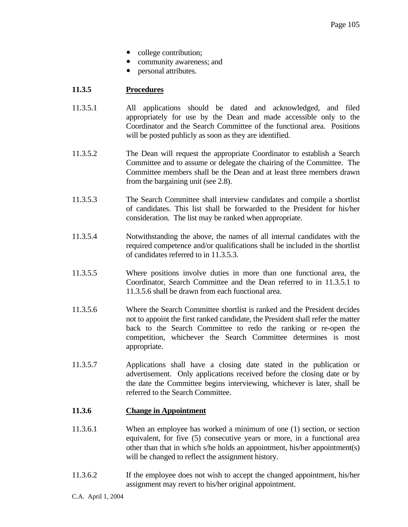- college contribution;
- community awareness; and
- personal attributes.

## **11.3.5 Procedures**

- 11.3.5.1 All applications should be dated and acknowledged, and filed appropriately for use by the Dean and made accessible only to the Coordinator and the Search Committee of the functional area. Positions will be posted publicly as soon as they are identified.
- 11.3.5.2 The Dean will request the appropriate Coordinator to establish a Search Committee and to assume or delegate the chairing of the Committee. The Committee members shall be the Dean and at least three members drawn from the bargaining unit (see 2.8).
- 11.3.5.3 The Search Committee shall interview candidates and compile a shortlist of candidates. This list shall be forwarded to the President for his/her consideration. The list may be ranked when appropriate.
- 11.3.5.4 Notwithstanding the above, the names of all internal candidates with the required competence and/or qualifications shall be included in the shortlist of candidates referred to in 11.3.5.3.
- 11.3.5.5 Where positions involve duties in more than one functional area, the Coordinator, Search Committee and the Dean referred to in 11.3.5.1 to 11.3.5.6 shall be drawn from each functional area.
- 11.3.5.6 Where the Search Committee shortlist is ranked and the President decides not to appoint the first ranked candidate, the President shall refer the matter back to the Search Committee to redo the ranking or re-open the competition, whichever the Search Committee determines is most appropriate.
- 11.3.5.7 Applications shall have a closing date stated in the publication or advertisement. Only applications received before the closing date or by the date the Committee begins interviewing, whichever is later, shall be referred to the Search Committee.

### **11.3.6 Change in Appointment**

- 11.3.6.1 When an employee has worked a minimum of one (1) section, or section equivalent, for five (5) consecutive years or more, in a functional area other than that in which s/he holds an appointment, his/her appointment(s) will be changed to reflect the assignment history.
- 11.3.6.2 If the employee does not wish to accept the changed appointment, his/her assignment may revert to his/her original appointment.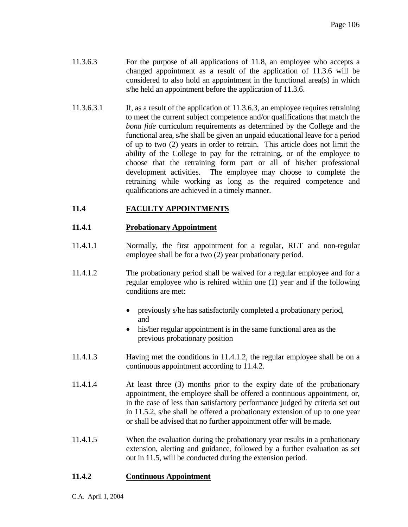- 11.3.6.3 For the purpose of all applications of 11.8, an employee who accepts a changed appointment as a result of the application of 11.3.6 will be considered to also hold an appointment in the functional area(s) in which s/he held an appointment before the application of 11.3.6.
- 11.3.6.3.1 If, as a result of the application of 11.3.6.3, an employee requires retraining to meet the current subject competence and/or qualifications that match the *bona fide* curriculum requirements as determined by the College and the functional area, s/he shall be given an unpaid educational leave for a period of up to two (2) years in order to retrain. This article does not limit the ability of the College to pay for the retraining, or of the employee to choose that the retraining form part or all of his/her professional development activities. The employee may choose to complete the retraining while working as long as the required competence and qualifications are achieved in a timely manner.

## **11.4 FACULTY APPOINTMENTS**

## **11.4.1 Probationary Appointment**

- 11.4.1.1 Normally, the first appointment for a regular, RLT and non-regular employee shall be for a two (2) year probationary period.
- 11.4.1.2 The probationary period shall be waived for a regular employee and for a regular employee who is rehired within one (1) year and if the following conditions are met:
	- previously s/he has satisfactorily completed a probationary period, and
	- his/her regular appointment is in the same functional area as the previous probationary position
- 11.4.1.3 Having met the conditions in 11.4.1.2, the regular employee shall be on a continuous appointment according to 11.4.2.
- 11.4.1.4 At least three (3) months prior to the expiry date of the probationary appointment, the employee shall be offered a continuous appointment, or, in the case of less than satisfactory performance judged by criteria set out in 11.5.2, s/he shall be offered a probationary extension of up to one year or shall be advised that no further appointment offer will be made.
- 11.4.1.5 When the evaluation during the probationary year results in a probationary extension, alerting and guidance, followed by a further evaluation as set out in 11.5, will be conducted during the extension period.

## **11.4.2 Continuous Appointment**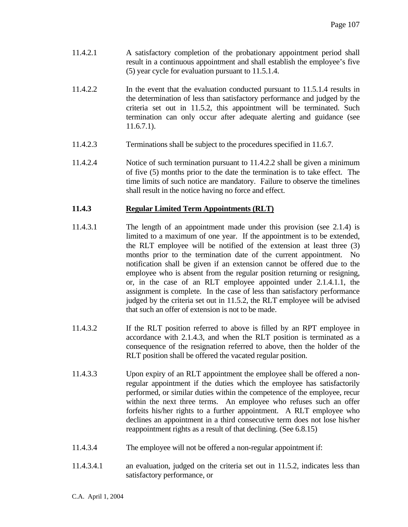- 11.4.2.1 A satisfactory completion of the probationary appointment period shall result in a continuous appointment and shall establish the employee's five (5) year cycle for evaluation pursuant to 11.5.1.4.
- 11.4.2.2 In the event that the evaluation conducted pursuant to 11.5.1.4 results in the determination of less than satisfactory performance and judged by the criteria set out in 11.5.2, this appointment will be terminated. Such termination can only occur after adequate alerting and guidance (see 11.6.7.1).
- 11.4.2.3 Terminations shall be subject to the procedures specified in 11.6.7.
- 11.4.2.4 Notice of such termination pursuant to 11.4.2.2 shall be given a minimum of five (5) months prior to the date the termination is to take effect. The time limits of such notice are mandatory. Failure to observe the timelines shall result in the notice having no force and effect.

## **11.4.3 Regular Limited Term Appointments (RLT)**

- 11.4.3.1 The length of an appointment made under this provision (see 2.1.4) is limited to a maximum of one year. If the appointment is to be extended, the RLT employee will be notified of the extension at least three (3) months prior to the termination date of the current appointment. No notification shall be given if an extension cannot be offered due to the employee who is absent from the regular position returning or resigning, or, in the case of an RLT employee appointed under 2.1.4.1.1, the assignment is complete. In the case of less than satisfactory performance judged by the criteria set out in 11.5.2, the RLT employee will be advised that such an offer of extension is not to be made.
- 11.4.3.2 If the RLT position referred to above is filled by an RPT employee in accordance with 2.1.4.3, and when the RLT position is terminated as a consequence of the resignation referred to above, then the holder of the RLT position shall be offered the vacated regular position.
- 11.4.3.3 Upon expiry of an RLT appointment the employee shall be offered a nonregular appointment if the duties which the employee has satisfactorily performed, or similar duties within the competence of the employee, recur within the next three terms. An employee who refuses such an offer forfeits his/her rights to a further appointment. A RLT employee who declines an appointment in a third consecutive term does not lose his/her reappointment rights as a result of that declining. (See 6.8.15)
- 11.4.3.4 The employee will not be offered a non-regular appointment if:
- 11.4.3.4.1 an evaluation, judged on the criteria set out in 11.5.2, indicates less than satisfactory performance, or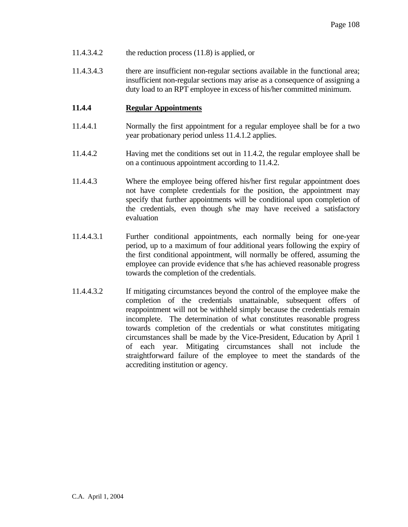- 11.4.3.4.2 the reduction process (11.8) is applied, or
- 11.4.3.4.3 there are insufficient non-regular sections available in the functional area; insufficient non-regular sections may arise as a consequence of assigning a duty load to an RPT employee in excess of his/her committed minimum.

## **11.4.4 Regular Appointments**

- 11.4.4.1 Normally the first appointment for a regular employee shall be for a two year probationary period unless 11.4.1.2 applies.
- 11.4.4.2 Having met the conditions set out in 11.4.2, the regular employee shall be on a continuous appointment according to 11.4.2.
- 11.4.4.3 Where the employee being offered his/her first regular appointment does not have complete credentials for the position, the appointment may specify that further appointments will be conditional upon completion of the credentials, even though s/he may have received a satisfactory evaluation
- 11.4.4.3.1 Further conditional appointments, each normally being for one-year period, up to a maximum of four additional years following the expiry of the first conditional appointment, will normally be offered, assuming the employee can provide evidence that s/he has achieved reasonable progress towards the completion of the credentials.
- 11.4.4.3.2 If mitigating circumstances beyond the control of the employee make the completion of the credentials unattainable, subsequent offers of reappointment will not be withheld simply because the credentials remain incomplete. The determination of what constitutes reasonable progress towards completion of the credentials or what constitutes mitigating circumstances shall be made by the Vice-President, Education by April 1 of each year. Mitigating circumstances shall not include the straightforward failure of the employee to meet the standards of the accrediting institution or agency.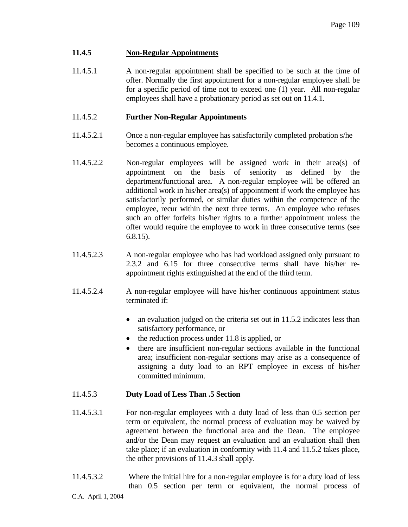# **11.4.5 Non-Regular Appointments**

11.4.5.1 A non-regular appointment shall be specified to be such at the time of offer. Normally the first appointment for a non-regular employee shall be for a specific period of time not to exceed one (1) year. All non-regular employees shall have a probationary period as set out on 11.4.1.

## 11.4.5.2 **Further Non-Regular Appointments**

- 11.4.5.2.1 Once a non-regular employee has satisfactorily completed probation s/he becomes a continuous employee.
- 11.4.5.2.2 Non-regular employees will be assigned work in their area(s) of appointment on the basis of seniority as defined by the department/functional area. A non-regular employee will be offered an additional work in his/her area(s) of appointment if work the employee has satisfactorily performed, or similar duties within the competence of the employee, recur within the next three terms. An employee who refuses such an offer forfeits his/her rights to a further appointment unless the offer would require the employee to work in three consecutive terms (see 6.8.15).
- 11.4.5.2.3 A non-regular employee who has had workload assigned only pursuant to 2.3.2 and 6.15 for three consecutive terms shall have his/her reappointment rights extinguished at the end of the third term.
- 11.4.5.2.4 A non-regular employee will have his/her continuous appointment status terminated if:
	- an evaluation judged on the criteria set out in 11.5.2 indicates less than satisfactory performance, or
	- the reduction process under 11.8 is applied, or
	- there are insufficient non-regular sections available in the functional area; insufficient non-regular sections may arise as a consequence of assigning a duty load to an RPT employee in excess of his/her committed minimum.

#### 11.4.5.3 **Duty Load of Less Than .5 Section**

- 11.4.5.3.1 For non-regular employees with a duty load of less than 0.5 section per term or equivalent, the normal process of evaluation may be waived by agreement between the functional area and the Dean. The employee and/or the Dean may request an evaluation and an evaluation shall then take place; if an evaluation in conformity with 11.4 and 11.5.2 takes place, the other provisions of 11.4.3 shall apply.
- 11.4.5.3.2 Where the initial hire for a non-regular employee is for a duty load of less than 0.5 section per term or equivalent, the normal process of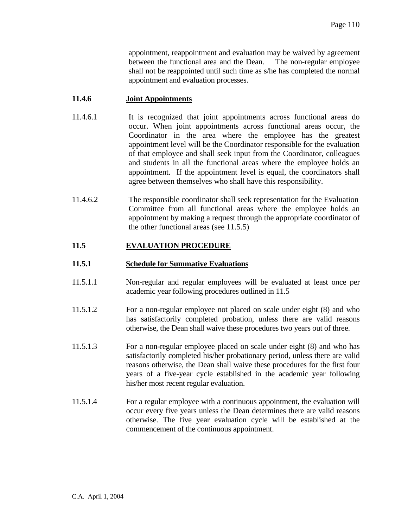appointment, reappointment and evaluation may be waived by agreement between the functional area and the Dean. The non-regular employee shall not be reappointed until such time as s/he has completed the normal appointment and evaluation processes.

## **11.4.6 Joint Appointments**

- 11.4.6.1 It is recognized that joint appointments across functional areas do occur. When joint appointments across functional areas occur, the Coordinator in the area where the employee has the greatest appointment level will be the Coordinator responsible for the evaluation of that employee and shall seek input from the Coordinator, colleagues and students in all the functional areas where the employee holds an appointment. If the appointment level is equal, the coordinators shall agree between themselves who shall have this responsibility.
- 11.4.6.2 The responsible coordinator shall seek representation for the Evaluation Committee from all functional areas where the employee holds an appointment by making a request through the appropriate coordinator of the other functional areas (see 11.5.5)

# **11.5 EVALUATION PROCEDURE**

## **11.5.1 Schedule for Summative Evaluations**

- 11.5.1.1 Non-regular and regular employees will be evaluated at least once per academic year following procedures outlined in 11.5
- 11.5.1.2 For a non-regular employee not placed on scale under eight (8) and who has satisfactorily completed probation, unless there are valid reasons otherwise, the Dean shall waive these procedures two years out of three.
- 11.5.1.3 For a non-regular employee placed on scale under eight (8) and who has satisfactorily completed his/her probationary period, unless there are valid reasons otherwise, the Dean shall waive these procedures for the first four years of a five-year cycle established in the academic year following his/her most recent regular evaluation.
- 11.5.1.4 For a regular employee with a continuous appointment, the evaluation will occur every five years unless the Dean determines there are valid reasons otherwise. The five year evaluation cycle will be established at the commencement of the continuous appointment.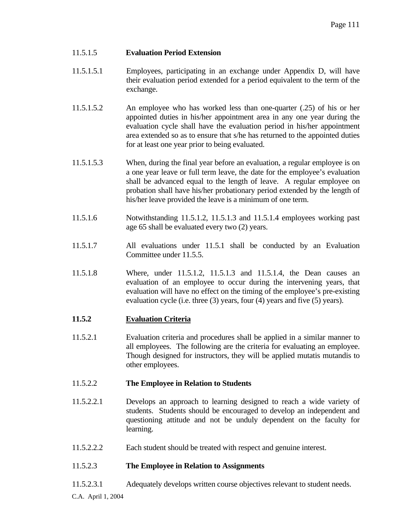# 11.5.1.5 **Evaluation Period Extension**

- 11.5.1.5.1 Employees, participating in an exchange under Appendix D, will have their evaluation period extended for a period equivalent to the term of the exchange.
- 11.5.1.5.2 An employee who has worked less than one-quarter (.25) of his or her appointed duties in his/her appointment area in any one year during the evaluation cycle shall have the evaluation period in his/her appointment area extended so as to ensure that s/he has returned to the appointed duties for at least one year prior to being evaluated.
- 11.5.1.5.3 When, during the final year before an evaluation, a regular employee is on a one year leave or full term leave, the date for the employee's evaluation shall be advanced equal to the length of leave. A regular employee on probation shall have his/her probationary period extended by the length of his/her leave provided the leave is a minimum of one term.
- 11.5.1.6 Notwithstanding 11.5.1.2, 11.5.1.3 and 11.5.1.4 employees working past age 65 shall be evaluated every two (2) years.
- 11.5.1.7 All evaluations under 11.5.1 shall be conducted by an Evaluation Committee under 11.5.5.
- 11.5.1.8 Where, under 11.5.1.2, 11.5.1.3 and 11.5.1.4, the Dean causes an evaluation of an employee to occur during the intervening years, that evaluation will have no effect on the timing of the employee's pre-existing evaluation cycle (i.e. three (3) years, four (4) years and five (5) years).

# **11.5.2 Evaluation Criteria**

11.5.2.1 Evaluation criteria and procedures shall be applied in a similar manner to all employees. The following are the criteria for evaluating an employee. Though designed for instructors, they will be applied mutatis mutandis to other employees.

# 11.5.2.2 **The Employee in Relation to Students**

- 11.5.2.2.1 Develops an approach to learning designed to reach a wide variety of students. Students should be encouraged to develop an independent and questioning attitude and not be unduly dependent on the faculty for learning.
- 11.5.2.2.2 Each student should be treated with respect and genuine interest.

# 11.5.2.3 **The Employee in Relation to Assignments**

11.5.2.3.1 Adequately develops written course objectives relevant to student needs.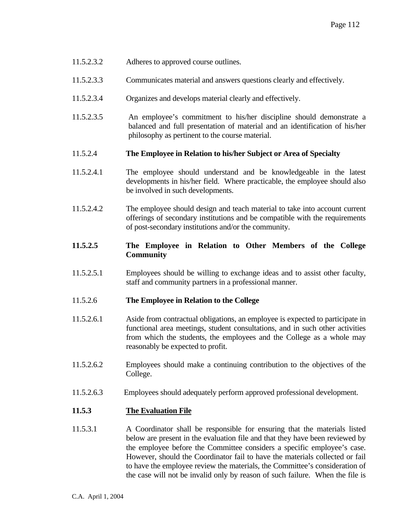- 11.5.2.3.2 Adheres to approved course outlines.
- 11.5.2.3.3 Communicates material and answers questions clearly and effectively.
- 11.5.2.3.4 Organizes and develops material clearly and effectively.
- 11.5.2.3.5 An employee's commitment to his/her discipline should demonstrate a balanced and full presentation of material and an identification of his/her philosophy as pertinent to the course material.

#### 11.5.2.4 **The Employee in Relation to his/her Subject or Area of Specialty**

- 11.5.2.4.1 The employee should understand and be knowledgeable in the latest developments in his/her field. Where practicable, the employee should also be involved in such developments.
- 11.5.2.4.2 The employee should design and teach material to take into account current offerings of secondary institutions and be compatible with the requirements of post-secondary institutions and/or the community.

# **11.5.2.5 The Employee in Relation to Other Members of the College Community**

11.5.2.5.1 Employees should be willing to exchange ideas and to assist other faculty, staff and community partners in a professional manner.

#### 11.5.2.6 **The Employee in Relation to the College**

- 11.5.2.6.1 Aside from contractual obligations, an employee is expected to participate in functional area meetings, student consultations, and in such other activities from which the students, the employees and the College as a whole may reasonably be expected to profit.
- 11.5.2.6.2 Employees should make a continuing contribution to the objectives of the College.
- 11.5.2.6.3 Employees should adequately perform approved professional development.

#### **11.5.3 The Evaluation File**

11.5.3.1 A Coordinator shall be responsible for ensuring that the materials listed below are present in the evaluation file and that they have been reviewed by the employee before the Committee considers a specific employee's case. However, should the Coordinator fail to have the materials collected or fail to have the employee review the materials, the Committee's consideration of the case will not be invalid only by reason of such failure. When the file is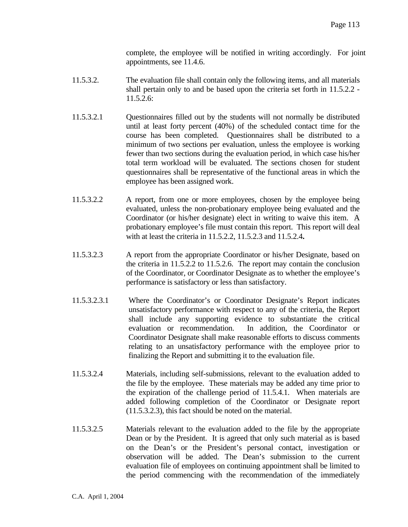complete, the employee will be notified in writing accordingly. For joint appointments, see 11.4.6.

- 11.5.3.2. The evaluation file shall contain only the following items, and all materials shall pertain only to and be based upon the criteria set forth in 11.5.2.2 - 11.5.2.6:
- 11.5.3.2.1 Questionnaires filled out by the students will not normally be distributed until at least forty percent (40%) of the scheduled contact time for the course has been completed. Questionnaires shall be distributed to a minimum of two sections per evaluation, unless the employee is working fewer than two sections during the evaluation period, in which case his/her total term workload will be evaluated. The sections chosen for student questionnaires shall be representative of the functional areas in which the employee has been assigned work.
- 11.5.3.2.2 A report, from one or more employees, chosen by the employee being evaluated, unless the non-probationary employee being evaluated and the Coordinator (or his/her designate) elect in writing to waive this item. A probationary employee's file must contain this report. This report will deal with at least the criteria in 11.5.2.2, 11.5.2.3 and 11.5.2.4**.**
- 11.5.3.2.3 A report from the appropriate Coordinator or his/her Designate, based on the criteria in 11.5.2.2 to 11.5.2.6. The report may contain the conclusion of the Coordinator, or Coordinator Designate as to whether the employee's performance is satisfactory or less than satisfactory.
- 11.5.3.2.3.1 Where the Coordinator's or Coordinator Designate's Report indicates unsatisfactory performance with respect to any of the criteria, the Report shall include any supporting evidence to substantiate the critical evaluation or recommendation. In addition, the Coordinator or Coordinator Designate shall make reasonable efforts to discuss comments relating to an unsatisfactory performance with the employee prior to finalizing the Report and submitting it to the evaluation file.
- 11.5.3.2.4 Materials, including self-submissions, relevant to the evaluation added to the file by the employee. These materials may be added any time prior to the expiration of the challenge period of 11.5.4.1. When materials are added following completion of the Coordinator or Designate report (11.5.3.2.3), this fact should be noted on the material.
- 11.5.3.2.5 Materials relevant to the evaluation added to the file by the appropriate Dean or by the President. It is agreed that only such material as is based on the Dean's or the President's personal contact, investigation or observation will be added. The Dean's submission to the current evaluation file of employees on continuing appointment shall be limited to the period commencing with the recommendation of the immediately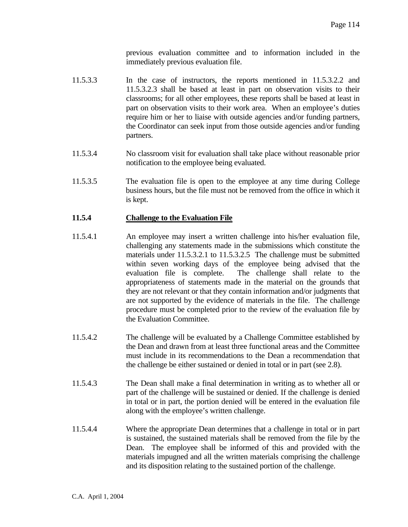previous evaluation committee and to information included in the immediately previous evaluation file.

- 11.5.3.3 In the case of instructors, the reports mentioned in 11.5.3.2.2 and 11.5.3.2.3 shall be based at least in part on observation visits to their classrooms; for all other employees, these reports shall be based at least in part on observation visits to their work area. When an employee's duties require him or her to liaise with outside agencies and/or funding partners, the Coordinator can seek input from those outside agencies and/or funding partners.
- 11.5.3.4 No classroom visit for evaluation shall take place without reasonable prior notification to the employee being evaluated.
- 11.5.3.5 The evaluation file is open to the employee at any time during College business hours, but the file must not be removed from the office in which it is kept.

#### **11.5.4 Challenge to the Evaluation File**

- 11.5.4.1 An employee may insert a written challenge into his/her evaluation file, challenging any statements made in the submissions which constitute the materials under 11.5.3.2.1 to 11.5.3.2.5 The challenge must be submitted within seven working days of the employee being advised that the evaluation file is complete. The challenge shall relate to the appropriateness of statements made in the material on the grounds that they are not relevant or that they contain information and/or judgments that are not supported by the evidence of materials in the file. The challenge procedure must be completed prior to the review of the evaluation file by the Evaluation Committee.
- 11.5.4.2 The challenge will be evaluated by a Challenge Committee established by the Dean and drawn from at least three functional areas and the Committee must include in its recommendations to the Dean a recommendation that the challenge be either sustained or denied in total or in part (see 2.8).
- 11.5.4.3 The Dean shall make a final determination in writing as to whether all or part of the challenge will be sustained or denied. If the challenge is denied in total or in part, the portion denied will be entered in the evaluation file along with the employee's written challenge.
- 11.5.4.4 Where the appropriate Dean determines that a challenge in total or in part is sustained, the sustained materials shall be removed from the file by the Dean. The employee shall be informed of this and provided with the materials impugned and all the written materials comprising the challenge and its disposition relating to the sustained portion of the challenge.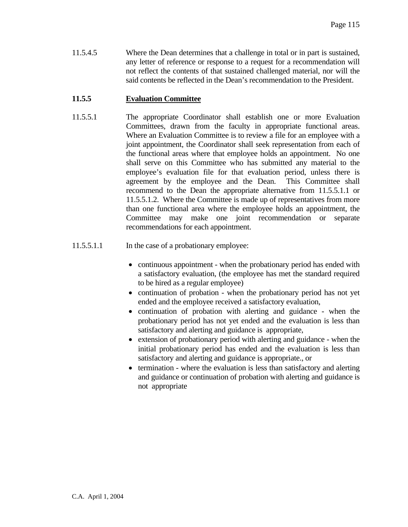11.5.4.5 Where the Dean determines that a challenge in total or in part is sustained, any letter of reference or response to a request for a recommendation will not reflect the contents of that sustained challenged material, nor will the said contents be reflected in the Dean's recommendation to the President.

# **11.5.5 Evaluation Committee**

- 11.5.5.1 The appropriate Coordinator shall establish one or more Evaluation Committees, drawn from the faculty in appropriate functional areas. Where an Evaluation Committee is to review a file for an employee with a joint appointment, the Coordinator shall seek representation from each of the functional areas where that employee holds an appointment. No one shall serve on this Committee who has submitted any material to the employee's evaluation file for that evaluation period, unless there is agreement by the employee and the Dean. This Committee shall recommend to the Dean the appropriate alternative from 11.5.5.1.1 or 11.5.5.1.2. Where the Committee is made up of representatives from more than one functional area where the employee holds an appointment, the Committee may make one joint recommendation or separate recommendations for each appointment.
- 11.5.5.1.1 In the case of a probationary employee:
	- continuous appointment when the probationary period has ended with a satisfactory evaluation, (the employee has met the standard required to be hired as a regular employee)
	- continuation of probation when the probationary period has not yet ended and the employee received a satisfactory evaluation,
	- continuation of probation with alerting and guidance when the probationary period has not yet ended and the evaluation is less than satisfactory and alerting and guidance is appropriate,
	- extension of probationary period with alerting and guidance when the initial probationary period has ended and the evaluation is less than satisfactory and alerting and guidance is appropriate., or
	- termination where the evaluation is less than satisfactory and alerting and guidance or continuation of probation with alerting and guidance is not appropriate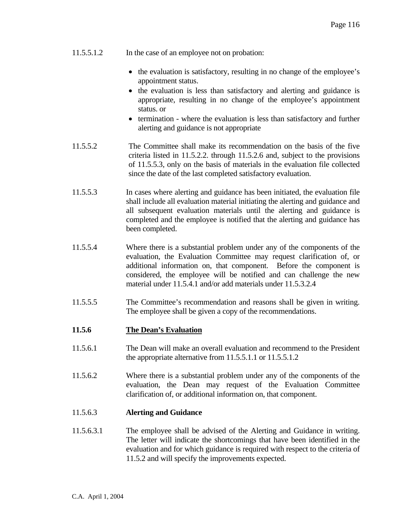- 11.5.5.1.2 In the case of an employee not on probation:
	- the evaluation is satisfactory, resulting in no change of the employee's appointment status.
	- the evaluation is less than satisfactory and alerting and guidance is appropriate, resulting in no change of the employee's appointment status. or
	- termination where the evaluation is less than satisfactory and further alerting and guidance is not appropriate
- 11.5.5.2 The Committee shall make its recommendation on the basis of the five criteria listed in 11.5.2.2. through 11.5.2.6 and, subject to the provisions of 11.5.5.3, only on the basis of materials in the evaluation file collected since the date of the last completed satisfactory evaluation.
- 11.5.5.3 In cases where alerting and guidance has been initiated, the evaluation file shall include all evaluation material initiating the alerting and guidance and all subsequent evaluation materials until the alerting and guidance is completed and the employee is notified that the alerting and guidance has been completed.
- 11.5.5.4 Where there is a substantial problem under any of the components of the evaluation, the Evaluation Committee may request clarification of, or additional information on, that component. Before the component is considered, the employee will be notified and can challenge the new material under 11.5.4.1 and/or add materials under 11.5.3.2.4
- 11.5.5.5 The Committee's recommendation and reasons shall be given in writing. The employee shall be given a copy of the recommendations.

#### **11.5.6 The Dean's Evaluation**

- 11.5.6.1 The Dean will make an overall evaluation and recommend to the President the appropriate alternative from 11.5.5.1.1 or 11.5.5.1.2
- 11.5.6.2 Where there is a substantial problem under any of the components of the evaluation, the Dean may request of the Evaluation Committee clarification of, or additional information on, that component.

#### 11.5.6.3 **Alerting and Guidance**

11.5.6.3.1 The employee shall be advised of the Alerting and Guidance in writing. The letter will indicate the shortcomings that have been identified in the evaluation and for which guidance is required with respect to the criteria of 11.5.2 and will specify the improvements expected.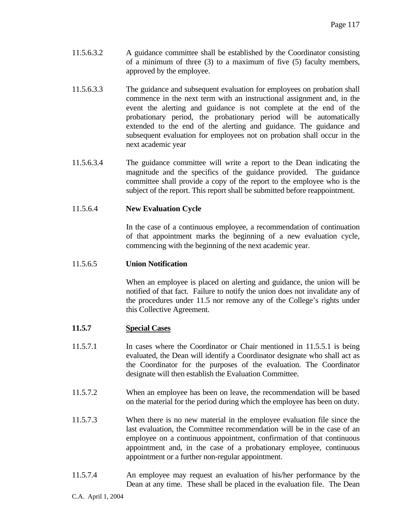- 11.5.6.3.2 A guidance committee shall be established by the Coordinator consisting of a minimum of three (3) to a maximum of five (5) faculty members, approved by the employee.
- 11.5.6.3.3 The guidance and subsequent evaluation for employees on probation shall commence in the next term with an instructional assignment and, in the event the alerting and guidance is not complete at the end of the probationary period, the probationary period will be automatically extended to the end of the alerting and guidance. The guidance and subsequent evaluation for employees not on probation shall occur in the next academic year
- 11.5.6.3.4 The guidance committee will write a report to the Dean indicating the magnitude and the specifics of the guidance provided. The guidance committee shall provide a copy of the report to the employee who is the subject of the report. This report shall be submitted before reappointment.

# 11.5.6.4 **New Evaluation Cycle**

 In the case of a continuous employee, a recommendation of continuation of that appointment marks the beginning of a new evaluation cycle, commencing with the beginning of the next academic year.

## 11.5.6.5 **Union Notification**

 When an employee is placed on alerting and guidance, the union will be notified of that fact. Failure to notify the union does not invalidate any of the procedures under 11.5 nor remove any of the College's rights under this Collective Agreement.

#### **11.5.7 Special Cases**

- 11.5.7.1 In cases where the Coordinator or Chair mentioned in 11.5.5.1 is being evaluated, the Dean will identify a Coordinator designate who shall act as the Coordinator for the purposes of the evaluation. The Coordinator designate will then establish the Evaluation Committee.
- 11.5.7.2 When an employee has been on leave, the recommendation will be based on the material for the period during which the employee has been on duty.
- 11.5.7.3 When there is no new material in the employee evaluation file since the last evaluation, the Committee recommendation will be in the case of an employee on a continuous appointment, confirmation of that continuous appointment and, in the case of a probationary employee, continuous appointment or a further non-regular appointment.
- 11.5.7.4 An employee may request an evaluation of his/her performance by the Dean at any time. These shall be placed in the evaluation file. The Dean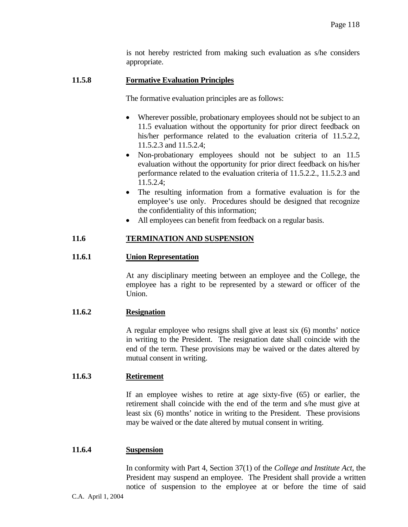is not hereby restricted from making such evaluation as s/he considers appropriate.

## **11.5.8 Formative Evaluation Principles**

The formative evaluation principles are as follows:

- Wherever possible, probationary employees should not be subject to an 11.5 evaluation without the opportunity for prior direct feedback on his/her performance related to the evaluation criteria of 11.5.2.2, 11.5.2.3 and 11.5.2.4;
- Non-probationary employees should not be subject to an 11.5 evaluation without the opportunity for prior direct feedback on his/her performance related to the evaluation criteria of 11.5.2.2., 11.5.2.3 and 11.5.2.4;
- The resulting information from a formative evaluation is for the employee's use only. Procedures should be designed that recognize the confidentiality of this information;
- All employees can benefit from feedback on a regular basis.

# **11.6 TERMINATION AND SUSPENSION**

#### **11.6.1 Union Representation**

 At any disciplinary meeting between an employee and the College, the employee has a right to be represented by a steward or officer of the Union.

## **11.6.2 Resignation**

 A regular employee who resigns shall give at least six (6) months' notice in writing to the President. The resignation date shall coincide with the end of the term. These provisions may be waived or the dates altered by mutual consent in writing.

#### **11.6.3 Retirement**

 If an employee wishes to retire at age sixty-five (65) or earlier, the retirement shall coincide with the end of the term and s/he must give at least six (6) months' notice in writing to the President. These provisions may be waived or the date altered by mutual consent in writing.

#### **11.6.4 Suspension**

 In conformity with Part 4, Section 37(1) of the *College and Institute Act*, the President may suspend an employee. The President shall provide a written notice of suspension to the employee at or before the time of said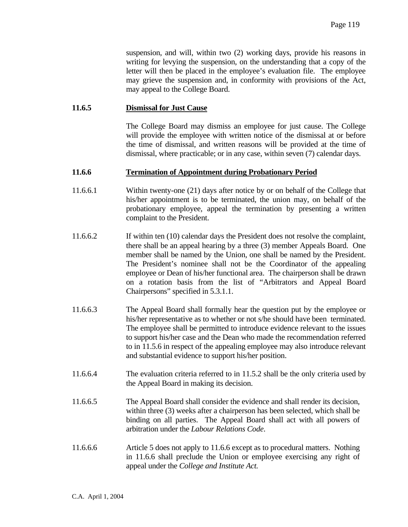suspension, and will, within two (2) working days, provide his reasons in writing for levying the suspension, on the understanding that a copy of the letter will then be placed in the employee's evaluation file. The employee may grieve the suspension and, in conformity with provisions of the Act, may appeal to the College Board.

#### **11.6.5 Dismissal for Just Cause**

 The College Board may dismiss an employee for just cause. The College will provide the employee with written notice of the dismissal at or before the time of dismissal, and written reasons will be provided at the time of dismissal, where practicable; or in any case, within seven (7) calendar days.

#### **11.6.6 Termination of Appointment during Probationary Period**

- 11.6.6.1 Within twenty-one (21) days after notice by or on behalf of the College that his/her appointment is to be terminated, the union may, on behalf of the probationary employee, appeal the termination by presenting a written complaint to the President.
- 11.6.6.2 If within ten (10) calendar days the President does not resolve the complaint, there shall be an appeal hearing by a three (3) member Appeals Board. One member shall be named by the Union, one shall be named by the President. The President's nominee shall not be the Coordinator of the appealing employee or Dean of his/her functional area. The chairperson shall be drawn on a rotation basis from the list of "Arbitrators and Appeal Board Chairpersons" specified in 5.3.1.1.
- 11.6.6.3 The Appeal Board shall formally hear the question put by the employee or his/her representative as to whether or not s/he should have been terminated. The employee shall be permitted to introduce evidence relevant to the issues to support his/her case and the Dean who made the recommendation referred to in 11.5.6 in respect of the appealing employee may also introduce relevant and substantial evidence to support his/her position.
- 11.6.6.4 The evaluation criteria referred to in 11.5.2 shall be the only criteria used by the Appeal Board in making its decision.
- 11.6.6.5 The Appeal Board shall consider the evidence and shall render its decision, within three (3) weeks after a chairperson has been selected, which shall be binding on all parties. The Appeal Board shall act with all powers of arbitration under the *Labour Relations Code*.
- 11.6.6.6 Article 5 does not apply to 11.6.6 except as to procedural matters. Nothing in 11.6.6 shall preclude the Union or employee exercising any right of appeal under the *College and Institute Act.*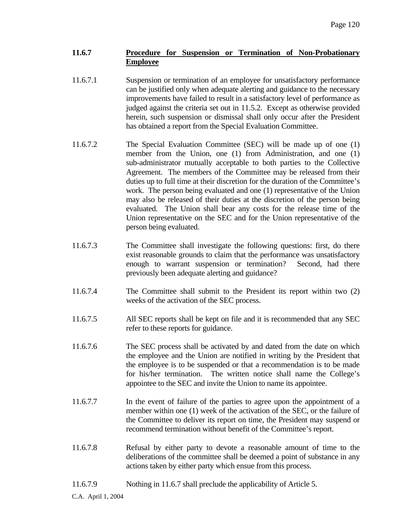# **11.6.7 Procedure for Suspension or Termination of Non-Probationary Employee**

- 11.6.7.1 Suspension or termination of an employee for unsatisfactory performance can be justified only when adequate alerting and guidance to the necessary improvements have failed to result in a satisfactory level of performance as judged against the criteria set out in 11.5.2. Except as otherwise provided herein, such suspension or dismissal shall only occur after the President has obtained a report from the Special Evaluation Committee.
- 11.6.7.2 The Special Evaluation Committee (SEC) will be made up of one (1) member from the Union, one (1) from Administration, and one (1) sub-administrator mutually acceptable to both parties to the Collective Agreement. The members of the Committee may be released from their duties up to full time at their discretion for the duration of the Committee's work. The person being evaluated and one (1) representative of the Union may also be released of their duties at the discretion of the person being evaluated. The Union shall bear any costs for the release time of the Union representative on the SEC and for the Union representative of the person being evaluated.
- 11.6.7.3 The Committee shall investigate the following questions: first, do there exist reasonable grounds to claim that the performance was unsatisfactory enough to warrant suspension or termination? Second, had there previously been adequate alerting and guidance?
- 11.6.7.4 The Committee shall submit to the President its report within two (2) weeks of the activation of the SEC process.
- 11.6.7.5 All SEC reports shall be kept on file and it is recommended that any SEC refer to these reports for guidance.
- 11.6.7.6 The SEC process shall be activated by and dated from the date on which the employee and the Union are notified in writing by the President that the employee is to be suspended or that a recommendation is to be made for his/her termination. The written notice shall name the College's appointee to the SEC and invite the Union to name its appointee.
- 11.6.7.7 In the event of failure of the parties to agree upon the appointment of a member within one (1) week of the activation of the SEC, or the failure of the Committee to deliver its report on time, the President may suspend or recommend termination without benefit of the Committee's report.
- 11.6.7.8 Refusal by either party to devote a reasonable amount of time to the deliberations of the committee shall be deemed a point of substance in any actions taken by either party which ensue from this process.
- 11.6.7.9 Nothing in 11.6.7 shall preclude the applicability of Article 5.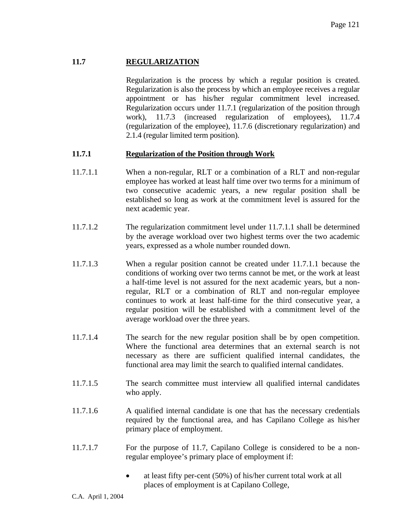# **11.7 REGULARIZATION**

 Regularization is the process by which a regular position is created. Regularization is also the process by which an employee receives a regular appointment or has his/her regular commitment level increased. Regularization occurs under 11.7.1 (regularization of the position through work), 11.7.3 (increased regularization of employees), 11.7.4 (regularization of the employee), 11.7.6 (discretionary regularization) and 2.1.4 (regular limited term position).

# **11.7.1 Regularization of the Position through Work**

- 11.7.1.1 When a non-regular, RLT or a combination of a RLT and non-regular employee has worked at least half time over two terms for a minimum of two consecutive academic years, a new regular position shall be established so long as work at the commitment level is assured for the next academic year.
- 11.7.1.2 The regularization commitment level under 11.7.1.1 shall be determined by the average workload over two highest terms over the two academic years, expressed as a whole number rounded down.
- 11.7.1.3 When a regular position cannot be created under 11.7.1.1 because the conditions of working over two terms cannot be met, or the work at least a half-time level is not assured for the next academic years, but a nonregular, RLT or a combination of RLT and non-regular employee continues to work at least half-time for the third consecutive year, a regular position will be established with a commitment level of the average workload over the three years.
- 11.7.1.4 The search for the new regular position shall be by open competition. Where the functional area determines that an external search is not necessary as there are sufficient qualified internal candidates, the functional area may limit the search to qualified internal candidates.
- 11.7.1.5 The search committee must interview all qualified internal candidates who apply.
- 11.7.1.6 A qualified internal candidate is one that has the necessary credentials required by the functional area, and has Capilano College as his/her primary place of employment.
- 11.7.1.7 For the purpose of 11.7, Capilano College is considered to be a nonregular employee's primary place of employment if:
	- at least fifty per-cent (50%) of his/her current total work at all places of employment is at Capilano College,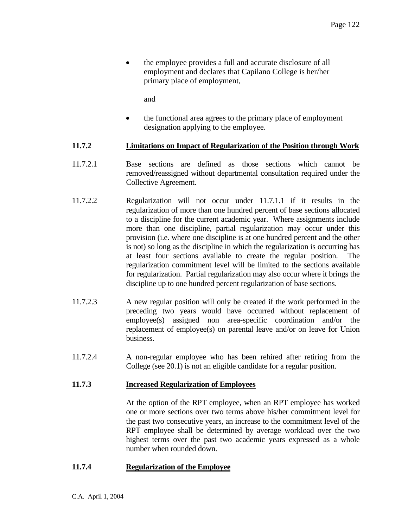• the employee provides a full and accurate disclosure of all employment and declares that Capilano College is her/her primary place of employment,

and

• the functional area agrees to the primary place of employment designation applying to the employee.

#### **11.7.2 Limitations on Impact of Regularization of the Position through Work**

- 11.7.2.1 Base sections are defined as those sections which cannot be removed/reassigned without departmental consultation required under the Collective Agreement.
- 11.7.2.2 Regularization will not occur under 11.7.1.1 if it results in the regularization of more than one hundred percent of base sections allocated to a discipline for the current academic year. Where assignments include more than one discipline, partial regularization may occur under this provision (i.e. where one discipline is at one hundred percent and the other is not) so long as the discipline in which the regularization is occurring has at least four sections available to create the regular position. The regularization commitment level will be limited to the sections available for regularization. Partial regularization may also occur where it brings the discipline up to one hundred percent regularization of base sections.
- 11.7.2.3 A new regular position will only be created if the work performed in the preceding two years would have occurred without replacement of employee(s) assigned non area-specific coordination and/or the replacement of employee(s) on parental leave and/or on leave for Union business.
- 11.7.2.4 A non-regular employee who has been rehired after retiring from the College (see 20.1) is not an eligible candidate for a regular position.

#### **11.7.3 Increased Regularization of Employees**

 At the option of the RPT employee, when an RPT employee has worked one or more sections over two terms above his/her commitment level for the past two consecutive years, an increase to the commitment level of the RPT employee shall be determined by average workload over the two highest terms over the past two academic years expressed as a whole number when rounded down.

# **11.7.4 Regularization of the Employee**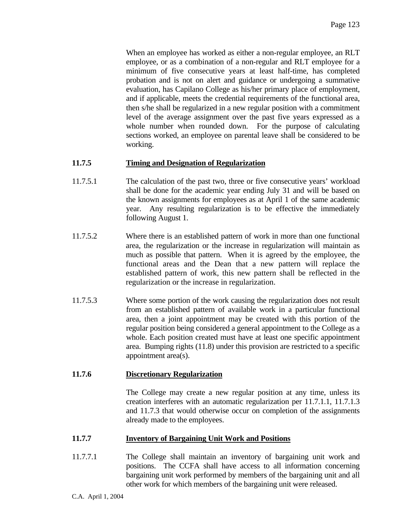When an employee has worked as either a non-regular employee, an RLT employee, or as a combination of a non-regular and RLT employee for a minimum of five consecutive years at least half-time, has completed probation and is not on alert and guidance or undergoing a summative evaluation, has Capilano College as his/her primary place of employment, and if applicable, meets the credential requirements of the functional area, then s/he shall be regularized in a new regular position with a commitment level of the average assignment over the past five years expressed as a whole number when rounded down. For the purpose of calculating sections worked, an employee on parental leave shall be considered to be working.

## **11.7.5 Timing and Designation of Regularization**

- 11.7.5.1 The calculation of the past two, three or five consecutive years' workload shall be done for the academic year ending July 31 and will be based on the known assignments for employees as at April 1 of the same academic year. Any resulting regularization is to be effective the immediately following August 1.
- 11.7.5.2 Where there is an established pattern of work in more than one functional area, the regularization or the increase in regularization will maintain as much as possible that pattern. When it is agreed by the employee, the functional areas and the Dean that a new pattern will replace the established pattern of work, this new pattern shall be reflected in the regularization or the increase in regularization.
- 11.7.5.3 Where some portion of the work causing the regularization does not result from an established pattern of available work in a particular functional area, then a joint appointment may be created with this portion of the regular position being considered a general appointment to the College as a whole. Each position created must have at least one specific appointment area. Bumping rights (11.8) under this provision are restricted to a specific appointment area(s).

#### **11.7.6 Discretionary Regularization**

The College may create a new regular position at any time, unless its creation interferes with an automatic regularization per 11.7.1.1, 11.7.1.3 and 11.7.3 that would otherwise occur on completion of the assignments already made to the employees.

#### **11.7.7 Inventory of Bargaining Unit Work and Positions**

11.7.7.1 The College shall maintain an inventory of bargaining unit work and positions. The CCFA shall have access to all information concerning bargaining unit work performed by members of the bargaining unit and all other work for which members of the bargaining unit were released.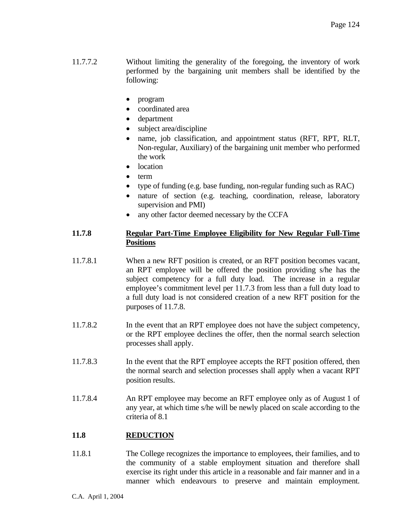- 11.7.7.2 Without limiting the generality of the foregoing, the inventory of work performed by the bargaining unit members shall be identified by the following:
	- program
	- coordinated area
	- department
	- subject area/discipline
	- name, job classification, and appointment status (RFT, RPT, RLT, Non-regular, Auxiliary) of the bargaining unit member who performed the work
	- location
	- term
	- type of funding (e.g. base funding, non-regular funding such as RAC)
	- nature of section (e.g. teaching, coordination, release, laboratory supervision and PMI)
	- any other factor deemed necessary by the CCFA

## **11.7.8 Regular Part-Time Employee Eligibility for New Regular Full-Time Positions**

- 11.7.8.1 When a new RFT position is created, or an RFT position becomes vacant, an RPT employee will be offered the position providing s/he has the subject competency for a full duty load. The increase in a regular employee's commitment level per 11.7.3 from less than a full duty load to a full duty load is not considered creation of a new RFT position for the purposes of 11.7.8.
- 11.7.8.2 In the event that an RPT employee does not have the subject competency, or the RPT employee declines the offer, then the normal search selection processes shall apply.
- 11.7.8.3 In the event that the RPT employee accepts the RFT position offered, then the normal search and selection processes shall apply when a vacant RPT position results.
- 11.7.8.4 An RPT employee may become an RFT employee only as of August 1 of any year, at which time s/he will be newly placed on scale according to the criteria of 8.1

# **11.8 REDUCTION**

11.8.1 The College recognizes the importance to employees, their families, and to the community of a stable employment situation and therefore shall exercise its right under this article in a reasonable and fair manner and in a manner which endeavours to preserve and maintain employment.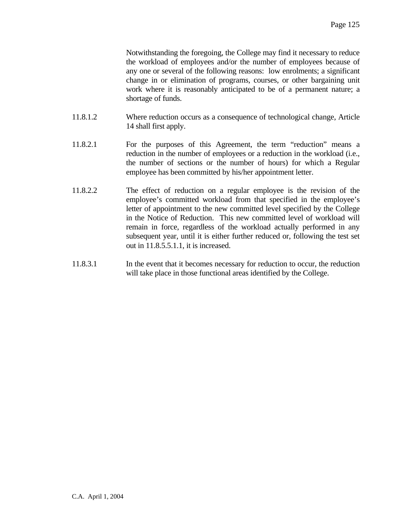Notwithstanding the foregoing, the College may find it necessary to reduce the workload of employees and/or the number of employees because of any one or several of the following reasons: low enrolments; a significant change in or elimination of programs, courses, or other bargaining unit work where it is reasonably anticipated to be of a permanent nature; a shortage of funds.

- 11.8.1.2 Where reduction occurs as a consequence of technological change, Article 14 shall first apply.
- 11.8.2.1 For the purposes of this Agreement, the term "reduction" means a reduction in the number of employees or a reduction in the workload (i.e., the number of sections or the number of hours) for which a Regular employee has been committed by his/her appointment letter.
- 11.8.2.2 The effect of reduction on a regular employee is the revision of the employee's committed workload from that specified in the employee's letter of appointment to the new committed level specified by the College in the Notice of Reduction. This new committed level of workload will remain in force, regardless of the workload actually performed in any subsequent year, until it is either further reduced or, following the test set out in 11.8.5.5.1.1, it is increased.
- 11.8.3.1 In the event that it becomes necessary for reduction to occur, the reduction will take place in those functional areas identified by the College.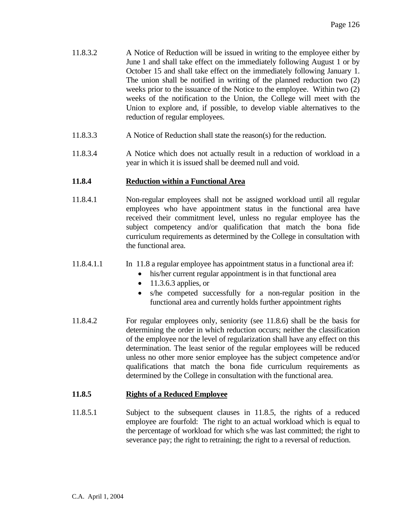- 11.8.3.2 A Notice of Reduction will be issued in writing to the employee either by June 1 and shall take effect on the immediately following August 1 or by October 15 and shall take effect on the immediately following January 1. The union shall be notified in writing of the planned reduction two (2) weeks prior to the issuance of the Notice to the employee. Within two  $(2)$ weeks of the notification to the Union, the College will meet with the Union to explore and, if possible, to develop viable alternatives to the reduction of regular employees.
- 11.8.3.3 A Notice of Reduction shall state the reason(s) for the reduction.
- 11.8.3.4 A Notice which does not actually result in a reduction of workload in a year in which it is issued shall be deemed null and void.

# **11.8.4 Reduction within a Functional Area**

- 11.8.4.1 Non-regular employees shall not be assigned workload until all regular employees who have appointment status in the functional area have received their commitment level, unless no regular employee has the subject competency and/or qualification that match the bona fide curriculum requirements as determined by the College in consultation with the functional area.
- 11.8.4.1.1 In 11.8 a regular employee has appointment status in a functional area if:
	- his/her current regular appointment is in that functional area
	- $\bullet$  11.3.6.3 applies, or
	- s/he competed successfully for a non-regular position in the functional area and currently holds further appointment rights
- 11.8.4.2 For regular employees only, seniority (see 11.8.6) shall be the basis for determining the order in which reduction occurs; neither the classification of the employee nor the level of regularization shall have any effect on this determination. The least senior of the regular employees will be reduced unless no other more senior employee has the subject competence and/or qualifications that match the bona fide curriculum requirements as determined by the College in consultation with the functional area.

#### **11.8.5 Rights of a Reduced Employee**

11.8.5.1 Subject to the subsequent clauses in 11.8.5, the rights of a reduced employee are fourfold: The right to an actual workload which is equal to the percentage of workload for which s/he was last committed; the right to severance pay; the right to retraining; the right to a reversal of reduction.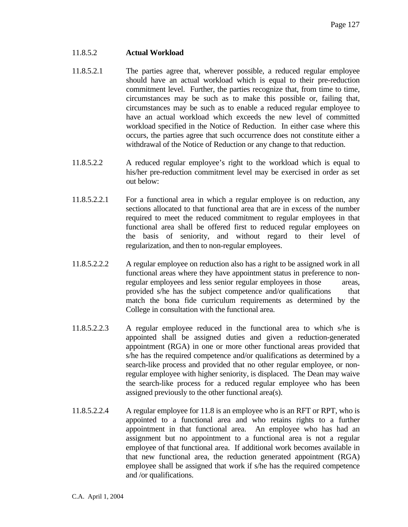#### 11.8.5.2 **Actual Workload**

- 11.8.5.2.1 The parties agree that, wherever possible, a reduced regular employee should have an actual workload which is equal to their pre-reduction commitment level. Further, the parties recognize that, from time to time, circumstances may be such as to make this possible or, failing that, circumstances may be such as to enable a reduced regular employee to have an actual workload which exceeds the new level of committed workload specified in the Notice of Reduction. In either case where this occurs, the parties agree that such occurrence does not constitute either a withdrawal of the Notice of Reduction or any change to that reduction.
- 11.8.5.2.2 A reduced regular employee's right to the workload which is equal to his/her pre-reduction commitment level may be exercised in order as set out below:
- 11.8.5.2.2.1 For a functional area in which a regular employee is on reduction, any sections allocated to that functional area that are in excess of the number required to meet the reduced commitment to regular employees in that functional area shall be offered first to reduced regular employees on the basis of seniority, and without regard to their level of regularization, and then to non-regular employees.
- 11.8.5.2.2.2 A regular employee on reduction also has a right to be assigned work in all functional areas where they have appointment status in preference to nonregular employees and less senior regular employees in those areas, provided s/he has the subject competence and/or qualifications that match the bona fide curriculum requirements as determined by the College in consultation with the functional area.
- 11.8.5.2.2.3 A regular employee reduced in the functional area to which s/he is appointed shall be assigned duties and given a reduction-generated appointment (RGA) in one or more other functional areas provided that s/he has the required competence and/or qualifications as determined by a search-like process and provided that no other regular employee, or nonregular employee with higher seniority, is displaced. The Dean may waive the search-like process for a reduced regular employee who has been assigned previously to the other functional area(s).
- 11.8.5.2.2.4 A regular employee for 11.8 is an employee who is an RFT or RPT, who is appointed to a functional area and who retains rights to a further appointment in that functional area. An employee who has had an assignment but no appointment to a functional area is not a regular employee of that functional area. If additional work becomes available in that new functional area, the reduction generated appointment (RGA) employee shall be assigned that work if s/he has the required competence and /or qualifications.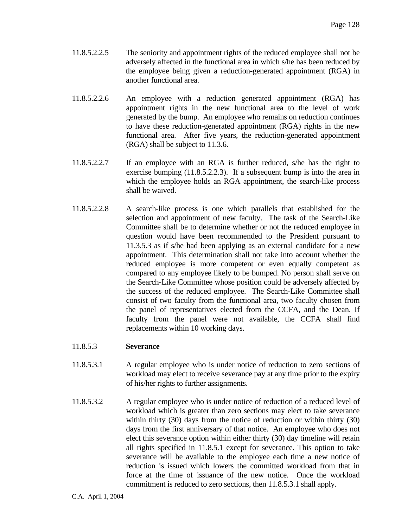- 11.8.5.2.2.5 The seniority and appointment rights of the reduced employee shall not be adversely affected in the functional area in which s/he has been reduced by the employee being given a reduction-generated appointment (RGA) in another functional area.
- 11.8.5.2.2.6 An employee with a reduction generated appointment (RGA) has appointment rights in the new functional area to the level of work generated by the bump. An employee who remains on reduction continues to have these reduction-generated appointment (RGA) rights in the new functional area. After five years, the reduction-generated appointment (RGA) shall be subject to 11.3.6.
- 11.8.5.2.2.7 If an employee with an RGA is further reduced, s/he has the right to exercise bumping (11.8.5.2.2.3). If a subsequent bump is into the area in which the employee holds an RGA appointment, the search-like process shall be waived.
- 11.8.5.2.2.8 A search-like process is one which parallels that established for the selection and appointment of new faculty. The task of the Search-Like Committee shall be to determine whether or not the reduced employee in question would have been recommended to the President pursuant to 11.3.5.3 as if s/he had been applying as an external candidate for a new appointment. This determination shall not take into account whether the reduced employee is more competent or even equally competent as compared to any employee likely to be bumped. No person shall serve on the Search-Like Committee whose position could be adversely affected by the success of the reduced employee. The Search-Like Committee shall consist of two faculty from the functional area, two faculty chosen from the panel of representatives elected from the CCFA, and the Dean. If faculty from the panel were not available, the CCFA shall find replacements within 10 working days.

# 11.8.5.3 **Severance**

- 11.8.5.3.1 A regular employee who is under notice of reduction to zero sections of workload may elect to receive severance pay at any time prior to the expiry of his/her rights to further assignments.
- 11.8.5.3.2 A regular employee who is under notice of reduction of a reduced level of workload which is greater than zero sections may elect to take severance within thirty (30) days from the notice of reduction or within thirty (30) days from the first anniversary of that notice. An employee who does not elect this severance option within either thirty (30) day timeline will retain all rights specified in 11.8.5.1 except for severance. This option to take severance will be available to the employee each time a new notice of reduction is issued which lowers the committed workload from that in force at the time of issuance of the new notice. Once the workload commitment is reduced to zero sections, then 11.8.5.3.1 shall apply.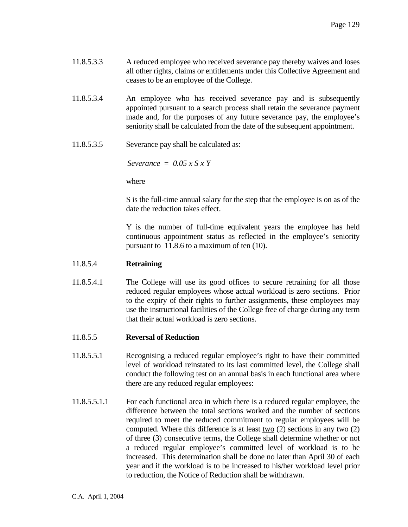| 11.8.5.3.3 | A reduced employee who received severance pay thereby waives and loses       |
|------------|------------------------------------------------------------------------------|
|            | all other rights, claims or entitlements under this Collective Agreement and |
|            | ceases to be an employee of the College.                                     |

- 11.8.5.3.4 An employee who has received severance pay and is subsequently appointed pursuant to a search process shall retain the severance payment made and, for the purposes of any future severance pay, the employee's seniority shall be calculated from the date of the subsequent appointment.
- 11.8.5.3.5 Severance pay shall be calculated as:

*Severance = 0.05 x S x Y*

where

 S is the full-time annual salary for the step that the employee is on as of the date the reduction takes effect.

 Y is the number of full-time equivalent years the employee has held continuous appointment status as reflected in the employee's seniority pursuant to 11.8.6 to a maximum of ten (10).

#### 11.8.5.4 **Retraining**

11.8.5.4.1 The College will use its good offices to secure retraining for all those reduced regular employees whose actual workload is zero sections. Prior to the expiry of their rights to further assignments, these employees may use the instructional facilities of the College free of charge during any term that their actual workload is zero sections.

#### 11.8.5.5 **Reversal of Reduction**

- 11.8.5.5.1 Recognising a reduced regular employee's right to have their committed level of workload reinstated to its last committed level, the College shall conduct the following test on an annual basis in each functional area where there are any reduced regular employees:
- 11.8.5.5.1.1 For each functional area in which there is a reduced regular employee, the difference between the total sections worked and the number of sections required to meet the reduced commitment to regular employees will be computed. Where this difference is at least two (2) sections in any two (2) of three (3) consecutive terms, the College shall determine whether or not a reduced regular employee's committed level of workload is to be increased. This determination shall be done no later than April 30 of each year and if the workload is to be increased to his/her workload level prior to reduction, the Notice of Reduction shall be withdrawn.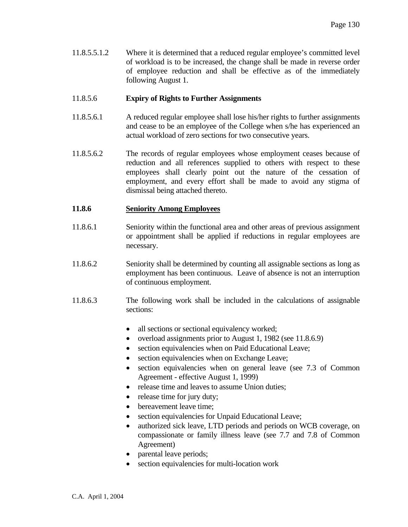11.8.5.5.1.2 Where it is determined that a reduced regular employee's committed level of workload is to be increased, the change shall be made in reverse order of employee reduction and shall be effective as of the immediately following August 1.

## 11.8.5.6 **Expiry of Rights to Further Assignments**

- 11.8.5.6.1 A reduced regular employee shall lose his/her rights to further assignments and cease to be an employee of the College when s/he has experienced an actual workload of zero sections for two consecutive years.
- 11.8.5.6.2 The records of regular employees whose employment ceases because of reduction and all references supplied to others with respect to these employees shall clearly point out the nature of the cessation of employment, and every effort shall be made to avoid any stigma of dismissal being attached thereto.

## **11.8.6 Seniority Among Employees**

- 11.8.6.1 Seniority within the functional area and other areas of previous assignment or appointment shall be applied if reductions in regular employees are necessary.
- 11.8.6.2 Seniority shall be determined by counting all assignable sections as long as employment has been continuous. Leave of absence is not an interruption of continuous employment.
- 11.8.6.3 The following work shall be included in the calculations of assignable sections:
	- all sections or sectional equivalency worked;
	- overload assignments prior to August 1, 1982 (see 11.8.6.9)
	- section equivalencies when on Paid Educational Leave;
	- section equivalencies when on Exchange Leave;
	- section equivalencies when on general leave (see 7.3 of Common Agreement - effective August 1, 1999)
	- release time and leaves to assume Union duties;
	- release time for jury duty;
	- bereavement leave time;
	- section equivalencies for Unpaid Educational Leave;
	- authorized sick leave, LTD periods and periods on WCB coverage, on compassionate or family illness leave (see 7.7 and 7.8 of Common Agreement)
	- parental leave periods;
	- section equivalencies for multi-location work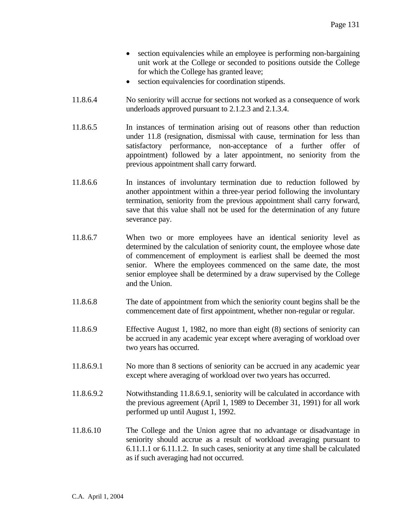- section equivalencies while an employee is performing non-bargaining unit work at the College or seconded to positions outside the College for which the College has granted leave;
- section equivalencies for coordination stipends.
- 11.8.6.4 No seniority will accrue for sections not worked as a consequence of work underloads approved pursuant to 2.1.2.3 and 2.1.3.4.
- 11.8.6.5 In instances of termination arising out of reasons other than reduction under 11.8 (resignation, dismissal with cause, termination for less than satisfactory performance, non-acceptance of a further offer of appointment) followed by a later appointment, no seniority from the previous appointment shall carry forward.
- 11.8.6.6 In instances of involuntary termination due to reduction followed by another appointment within a three-year period following the involuntary termination, seniority from the previous appointment shall carry forward, save that this value shall not be used for the determination of any future severance pay.
- 11.8.6.7 When two or more employees have an identical seniority level as determined by the calculation of seniority count, the employee whose date of commencement of employment is earliest shall be deemed the most senior. Where the employees commenced on the same date, the most senior employee shall be determined by a draw supervised by the College and the Union.
- 11.8.6.8 The date of appointment from which the seniority count begins shall be the commencement date of first appointment, whether non-regular or regular.
- 11.8.6.9 Effective August 1, 1982, no more than eight (8) sections of seniority can be accrued in any academic year except where averaging of workload over two years has occurred.
- 11.8.6.9.1 No more than 8 sections of seniority can be accrued in any academic year except where averaging of workload over two years has occurred.
- 11.8.6.9.2 Notwithstanding 11.8.6.9.1, seniority will be calculated in accordance with the previous agreement (April 1, 1989 to December 31, 1991) for all work performed up until August 1, 1992.
- 11.8.6.10 The College and the Union agree that no advantage or disadvantage in seniority should accrue as a result of workload averaging pursuant to 6.11.1.1 or 6.11.1.2. In such cases, seniority at any time shall be calculated as if such averaging had not occurred.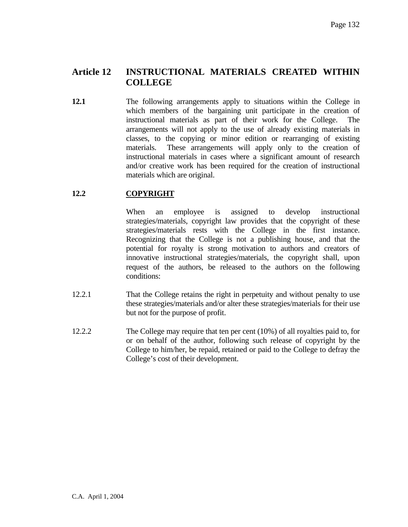# **Article 12 INSTRUCTIONAL MATERIALS CREATED WITHIN COLLEGE**

**12.1** The following arrangements apply to situations within the College in which members of the bargaining unit participate in the creation of instructional materials as part of their work for the College. The arrangements will not apply to the use of already existing materials in classes, to the copying or minor edition or rearranging of existing materials. These arrangements will apply only to the creation of instructional materials in cases where a significant amount of research and/or creative work has been required for the creation of instructional materials which are original.

# **12.2 COPYRIGHT**

When an employee is assigned to develop instructional strategies/materials, copyright law provides that the copyright of these strategies/materials rests with the College in the first instance. Recognizing that the College is not a publishing house, and that the potential for royalty is strong motivation to authors and creators of innovative instructional strategies/materials, the copyright shall, upon request of the authors, be released to the authors on the following conditions:

- 12.2.1 That the College retains the right in perpetuity and without penalty to use these strategies/materials and/or alter these strategies/materials for their use but not for the purpose of profit.
- 12.2.2 The College may require that ten per cent (10%) of all royalties paid to, for or on behalf of the author, following such release of copyright by the College to him/her, be repaid, retained or paid to the College to defray the College's cost of their development.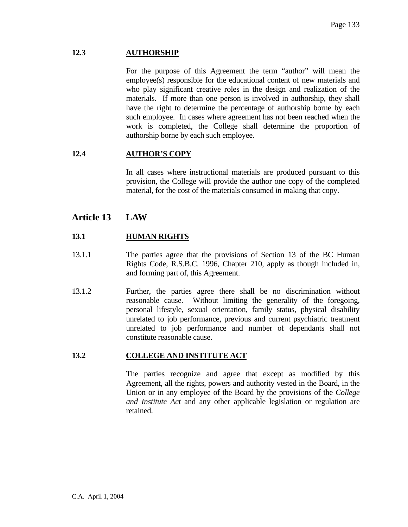## **12.3 AUTHORSHIP**

 For the purpose of this Agreement the term "author" will mean the employee(s) responsible for the educational content of new materials and who play significant creative roles in the design and realization of the materials. If more than one person is involved in authorship, they shall have the right to determine the percentage of authorship borne by each such employee. In cases where agreement has not been reached when the work is completed, the College shall determine the proportion of authorship borne by each such employee.

# **12.4 AUTHOR'S COPY**

 In all cases where instructional materials are produced pursuant to this provision, the College will provide the author one copy of the completed material, for the cost of the materials consumed in making that copy.

# **Article 13 LAW**

# **13.1 HUMAN RIGHTS**

- 13.1.1 The parties agree that the provisions of Section 13 of the BC Human Rights Code, R.S.B.C. 1996, Chapter 210, apply as though included in, and forming part of, this Agreement.
- 13.1.2 Further, the parties agree there shall be no discrimination without reasonable cause. Without limiting the generality of the foregoing, personal lifestyle, sexual orientation, family status, physical disability unrelated to job performance, previous and current psychiatric treatment unrelated to job performance and number of dependants shall not constitute reasonable cause.

### **13.2 COLLEGE AND INSTITUTE ACT**

 The parties recognize and agree that except as modified by this Agreement, all the rights, powers and authority vested in the Board, in the Union or in any employee of the Board by the provisions of the *College and Institute Act* and any other applicable legislation or regulation are retained.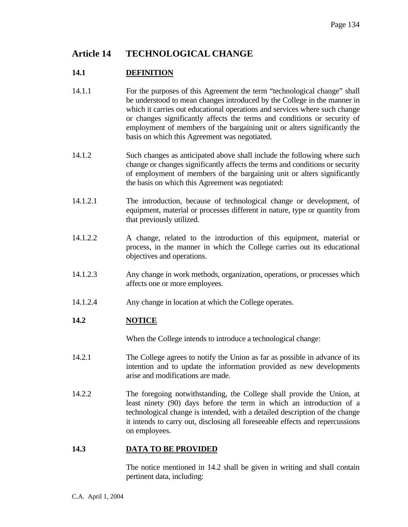# **Article 14 TECHNOLOGICAL CHANGE**

# **14.1 DEFINITION**

- 14.1.1 For the purposes of this Agreement the term "technological change" shall be understood to mean changes introduced by the College in the manner in which it carries out educational operations and services where such change or changes significantly affects the terms and conditions or security of employment of members of the bargaining unit or alters significantly the basis on which this Agreement was negotiated.
- 14.1.2 Such changes as anticipated above shall include the following where such change or changes significantly affects the terms and conditions or security of employment of members of the bargaining unit or alters significantly the basis on which this Agreement was negotiated:
- 14.1.2.1 The introduction, because of technological change or development, of equipment, material or processes different in nature, type or quantity from that previously utilized.
- 14.1.2.2 A change, related to the introduction of this equipment, material or process, in the manner in which the College carries out its educational objectives and operations.
- 14.1.2.3 Any change in work methods, organization, operations, or processes which affects one or more employees.
- 14.1.2.4 Any change in location at which the College operates.

# **14.2 NOTICE**

When the College intends to introduce a technological change:

- 14.2.1 The College agrees to notify the Union as far as possible in advance of its intention and to update the information provided as new developments arise and modifications are made.
- 14.2.2 The foregoing notwithstanding, the College shall provide the Union, at least ninety (90) days before the term in which an introduction of a technological change is intended, with a detailed description of the change it intends to carry out, disclosing all foreseeable effects and repercussions on employees.

#### **14.3 DATA TO BE PROVIDED**

 The notice mentioned in 14.2 shall be given in writing and shall contain pertinent data, including: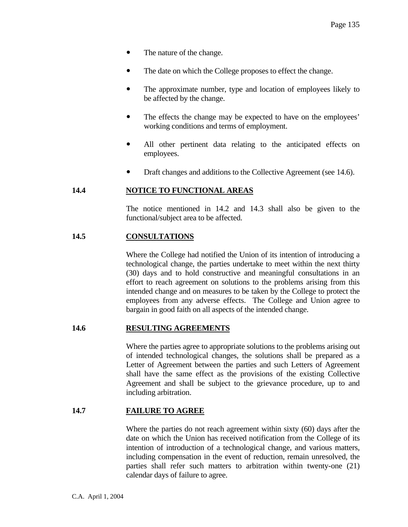- The nature of the change.
- The date on which the College proposes to effect the change.
- The approximate number, type and location of employees likely to be affected by the change.
- The effects the change may be expected to have on the employees' working conditions and terms of employment.
- All other pertinent data relating to the anticipated effects on employees.
- Draft changes and additions to the Collective Agreement (see 14.6).

## **14.4 NOTICE TO FUNCTIONAL AREAS**

 The notice mentioned in 14.2 and 14.3 shall also be given to the functional/subject area to be affected.

## **14.5 CONSULTATIONS**

 Where the College had notified the Union of its intention of introducing a technological change, the parties undertake to meet within the next thirty (30) days and to hold constructive and meaningful consultations in an effort to reach agreement on solutions to the problems arising from this intended change and on measures to be taken by the College to protect the employees from any adverse effects. The College and Union agree to bargain in good faith on all aspects of the intended change.

#### **14.6 RESULTING AGREEMENTS**

 Where the parties agree to appropriate solutions to the problems arising out of intended technological changes, the solutions shall be prepared as a Letter of Agreement between the parties and such Letters of Agreement shall have the same effect as the provisions of the existing Collective Agreement and shall be subject to the grievance procedure, up to and including arbitration.

## **14.7 FAILURE TO AGREE**

 Where the parties do not reach agreement within sixty (60) days after the date on which the Union has received notification from the College of its intention of introduction of a technological change, and various matters, including compensation in the event of reduction, remain unresolved, the parties shall refer such matters to arbitration within twenty-one (21) calendar days of failure to agree.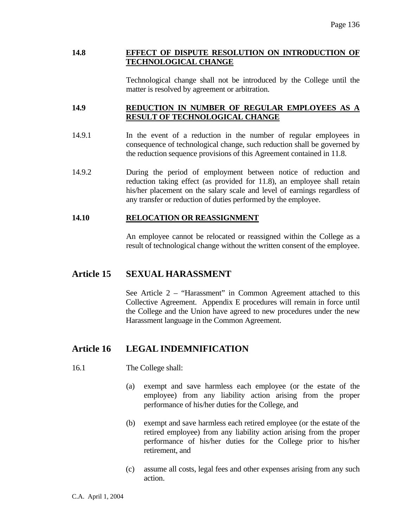## **14.8 EFFECT OF DISPUTE RESOLUTION ON INTRODUCTION OF TECHNOLOGICAL CHANGE**

 Technological change shall not be introduced by the College until the matter is resolved by agreement or arbitration.

## **14.9 REDUCTION IN NUMBER OF REGULAR EMPLOYEES AS A RESULT OF TECHNOLOGICAL CHANGE**

- 14.9.1 In the event of a reduction in the number of regular employees in consequence of technological change, such reduction shall be governed by the reduction sequence provisions of this Agreement contained in 11.8.
- 14.9.2 During the period of employment between notice of reduction and reduction taking effect (as provided for 11.8), an employee shall retain his/her placement on the salary scale and level of earnings regardless of any transfer or reduction of duties performed by the employee.

## **14.10 RELOCATION OR REASSIGNMENT**

 An employee cannot be relocated or reassigned within the College as a result of technological change without the written consent of the employee.

# **Article 15 SEXUAL HARASSMENT**

 See Article 2 – "Harassment" in Common Agreement attached to this Collective Agreement. Appendix E procedures will remain in force until the College and the Union have agreed to new procedures under the new Harassment language in the Common Agreement.

# **Article 16 LEGAL INDEMNIFICATION**

- 16.1 The College shall:
	- (a) exempt and save harmless each employee (or the estate of the employee) from any liability action arising from the proper performance of his/her duties for the College, and
	- (b) exempt and save harmless each retired employee (or the estate of the retired employee) from any liability action arising from the proper performance of his/her duties for the College prior to his/her retirement, and
	- (c) assume all costs, legal fees and other expenses arising from any such action.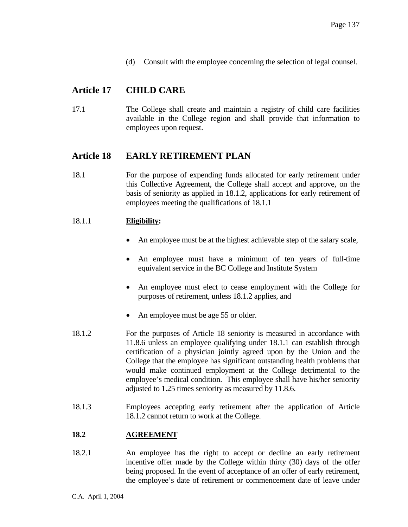(d) Consult with the employee concerning the selection of legal counsel.

# **Article 17 CHILD CARE**

17.1 The College shall create and maintain a registry of child care facilities available in the College region and shall provide that information to employees upon request.

# **Article 18 EARLY RETIREMENT PLAN**

18.1 For the purpose of expending funds allocated for early retirement under this Collective Agreement, the College shall accept and approve, on the basis of seniority as applied in 18.1.2, applications for early retirement of employees meeting the qualifications of 18.1.1

## 18.1.1 **Eligibility:**

- An employee must be at the highest achievable step of the salary scale,
- An employee must have a minimum of ten years of full-time equivalent service in the BC College and Institute System
- An employee must elect to cease employment with the College for purposes of retirement, unless 18.1.2 applies, and
- An employee must be age 55 or older.
- 18.1.2 For the purposes of Article 18 seniority is measured in accordance with 11.8.6 unless an employee qualifying under 18.1.1 can establish through certification of a physician jointly agreed upon by the Union and the College that the employee has significant outstanding health problems that would make continued employment at the College detrimental to the employee's medical condition. This employee shall have his/her seniority adjusted to 1.25 times seniority as measured by 11.8.6.
- 18.1.3 Employees accepting early retirement after the application of Article 18.1.2 cannot return to work at the College.

# **18.2 AGREEMENT**

18.2.1 An employee has the right to accept or decline an early retirement incentive offer made by the College within thirty (30) days of the offer being proposed. In the event of acceptance of an offer of early retirement, the employee's date of retirement or commencement date of leave under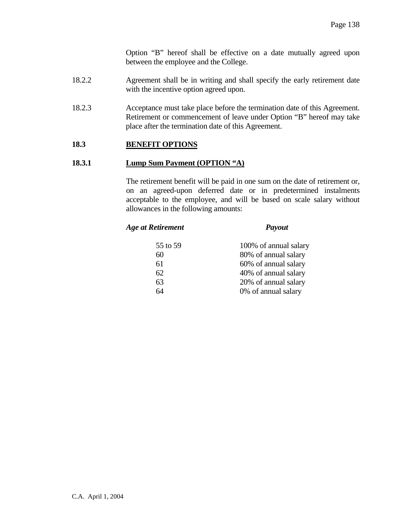Option "B" hereof shall be effective on a date mutually agreed upon between the employee and the College.

- 18.2.2 Agreement shall be in writing and shall specify the early retirement date with the incentive option agreed upon.
- 18.2.3 Acceptance must take place before the termination date of this Agreement. Retirement or commencement of leave under Option "B" hereof may take place after the termination date of this Agreement.

#### **18.3 BENEFIT OPTIONS**

#### **18.3.1 Lump Sum Payment (OPTION "A)**

 The retirement benefit will be paid in one sum on the date of retirement or, on an agreed-upon deferred date or in predetermined instalments acceptable to the employee, and will be based on scale salary without allowances in the following amounts:

#### *Age at Retirement Payout*

| 55 to 59 | 100% of annual salary                        |
|----------|----------------------------------------------|
| 60       | 80% of annual salary                         |
| 61<br>62 | 60% of annual salary<br>40% of annual salary |
| 63       | 20% of annual salary                         |
| 64       | 0% of annual salary                          |
|          |                                              |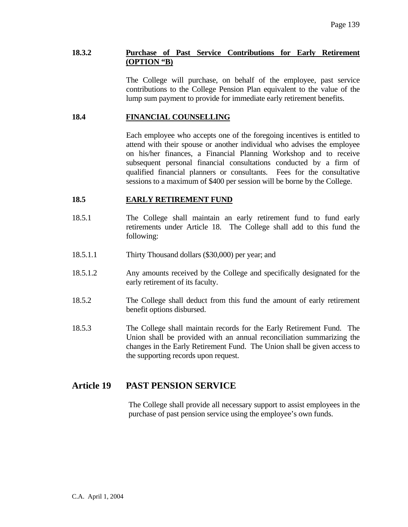#### **18.3.2 Purchase of Past Service Contributions for Early Retirement (OPTION "B)**

 The College will purchase, on behalf of the employee, past service contributions to the College Pension Plan equivalent to the value of the lump sum payment to provide for immediate early retirement benefits.

#### **18.4 FINANCIAL COUNSELLING**

 Each employee who accepts one of the foregoing incentives is entitled to attend with their spouse or another individual who advises the employee on his/her finances, a Financial Planning Workshop and to receive subsequent personal financial consultations conducted by a firm of qualified financial planners or consultants. Fees for the consultative sessions to a maximum of \$400 per session will be borne by the College.

#### **18.5 EARLY RETIREMENT FUND**

- 18.5.1 The College shall maintain an early retirement fund to fund early retirements under Article 18. The College shall add to this fund the following:
- 18.5.1.1 Thirty Thousand dollars (\$30,000) per year; and
- 18.5.1.2 Any amounts received by the College and specifically designated for the early retirement of its faculty.
- 18.5.2 The College shall deduct from this fund the amount of early retirement benefit options disbursed.
- 18.5.3 The College shall maintain records for the Early Retirement Fund. The Union shall be provided with an annual reconciliation summarizing the changes in the Early Retirement Fund. The Union shall be given access to the supporting records upon request.

# **Article 19 PAST PENSION SERVICE**

The College shall provide all necessary support to assist employees in the purchase of past pension service using the employee's own funds.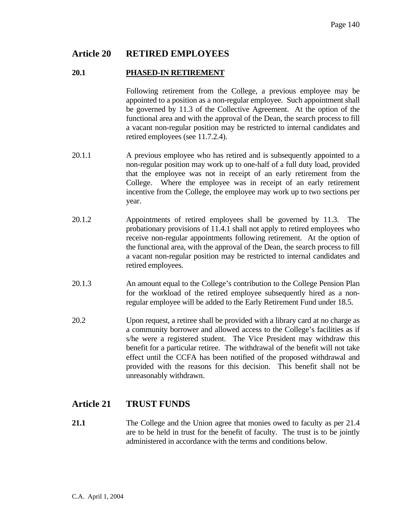# **Article 20 RETIRED EMPLOYEES**

#### **20.1 PHASED-IN RETIREMENT**

 Following retirement from the College, a previous employee may be appointed to a position as a non-regular employee. Such appointment shall be governed by 11.3 of the Collective Agreement. At the option of the functional area and with the approval of the Dean, the search process to fill a vacant non-regular position may be restricted to internal candidates and retired employees (see 11.7.2.4).

- 20.1.1 A previous employee who has retired and is subsequently appointed to a non-regular position may work up to one-half of a full duty load, provided that the employee was not in receipt of an early retirement from the College. Where the employee was in receipt of an early retirement incentive from the College, the employee may work up to two sections per year.
- 20.1.2 Appointments of retired employees shall be governed by 11.3. The probationary provisions of 11.4.1 shall not apply to retired employees who receive non-regular appointments following retirement. At the option of the functional area, with the approval of the Dean, the search process to fill a vacant non-regular position may be restricted to internal candidates and retired employees.
- 20.1.3 An amount equal to the College's contribution to the College Pension Plan for the workload of the retired employee subsequently hired as a nonregular employee will be added to the Early Retirement Fund under 18.5.
- 20.2 Upon request, a retiree shall be provided with a library card at no charge as a community borrower and allowed access to the College's facilities as if s/he were a registered student. The Vice President may withdraw this benefit for a particular retiree. The withdrawal of the benefit will not take effect until the CCFA has been notified of the proposed withdrawal and provided with the reasons for this decision. This benefit shall not be unreasonably withdrawn.

# **Article 21 TRUST FUNDS**

**21.1** The College and the Union agree that monies owed to faculty as per 21.4 are to be held in trust for the benefit of faculty. The trust is to be jointly administered in accordance with the terms and conditions below.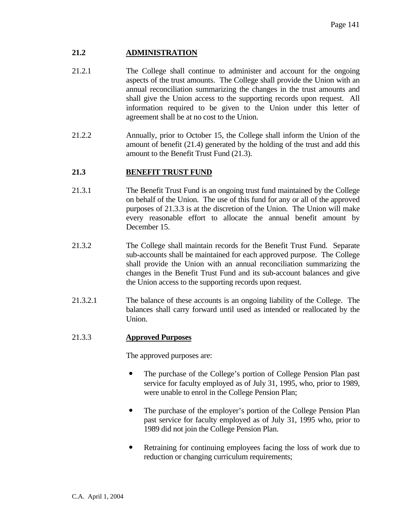# **21.2 ADMINISTRATION**

- 21.2.1 The College shall continue to administer and account for the ongoing aspects of the trust amounts. The College shall provide the Union with an annual reconciliation summarizing the changes in the trust amounts and shall give the Union access to the supporting records upon request. All information required to be given to the Union under this letter of agreement shall be at no cost to the Union.
- 21.2.2 Annually, prior to October 15, the College shall inform the Union of the amount of benefit (21.4) generated by the holding of the trust and add this amount to the Benefit Trust Fund (21.3).

# **21.3 BENEFIT TRUST FUND**

- 21.3.1 The Benefit Trust Fund is an ongoing trust fund maintained by the College on behalf of the Union. The use of this fund for any or all of the approved purposes of 21.3.3 is at the discretion of the Union. The Union will make every reasonable effort to allocate the annual benefit amount by December 15.
- 21.3.2 The College shall maintain records for the Benefit Trust Fund. Separate sub-accounts shall be maintained for each approved purpose. The College shall provide the Union with an annual reconciliation summarizing the changes in the Benefit Trust Fund and its sub-account balances and give the Union access to the supporting records upon request.
- 21.3.2.1 The balance of these accounts is an ongoing liability of the College. The balances shall carry forward until used as intended or reallocated by the Union.

# 21.3.3 **Approved Purposes**

The approved purposes are:

- The purchase of the College's portion of College Pension Plan past service for faculty employed as of July 31, 1995, who, prior to 1989, were unable to enrol in the College Pension Plan;
- The purchase of the employer's portion of the College Pension Plan past service for faculty employed as of July 31, 1995 who, prior to 1989 did not join the College Pension Plan.
- Retraining for continuing employees facing the loss of work due to reduction or changing curriculum requirements;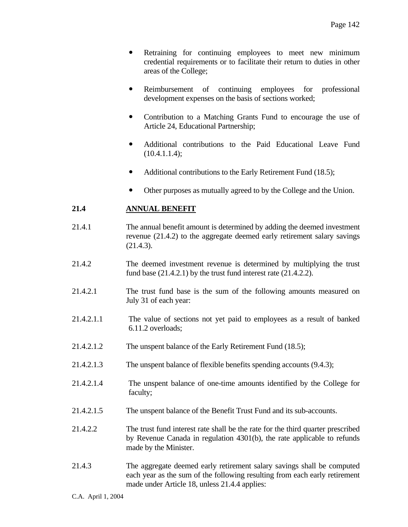- Retraining for continuing employees to meet new minimum credential requirements or to facilitate their return to duties in other areas of the College;
- Reimbursement of continuing employees for professional development expenses on the basis of sections worked;
- Contribution to a Matching Grants Fund to encourage the use of Article 24, Educational Partnership;
- Additional contributions to the Paid Educational Leave Fund  $(10.4.1.1.4);$
- Additional contributions to the Early Retirement Fund (18.5);
- Other purposes as mutually agreed to by the College and the Union.

# **21.4 ANNUAL BENEFIT**

- 21.4.1 The annual benefit amount is determined by adding the deemed investment revenue (21.4.2) to the aggregate deemed early retirement salary savings (21.4.3).
- 21.4.2 The deemed investment revenue is determined by multiplying the trust fund base (21.4.2.1) by the trust fund interest rate (21.4.2.2).
- 21.4.2.1 The trust fund base is the sum of the following amounts measured on July 31 of each year:
- 21.4.2.1.1 The value of sections not yet paid to employees as a result of banked 6.11.2 overloads;
- 21.4.2.1.2 The unspent balance of the Early Retirement Fund (18.5);
- 21.4.2.1.3 The unspent balance of flexible benefits spending accounts (9.4.3);
- 21.4.2.1.4 The unspent balance of one-time amounts identified by the College for faculty;
- 21.4.2.1.5 The unspent balance of the Benefit Trust Fund and its sub-accounts.
- 21.4.2.2 The trust fund interest rate shall be the rate for the third quarter prescribed by Revenue Canada in regulation 4301(b), the rate applicable to refunds made by the Minister.
- 21.4.3 The aggregate deemed early retirement salary savings shall be computed each year as the sum of the following resulting from each early retirement made under Article 18, unless 21.4.4 applies: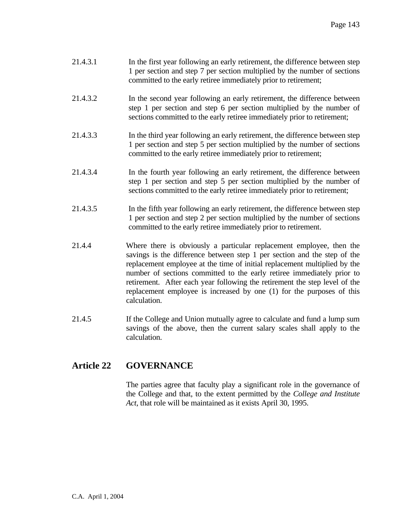- 21.4.3.1 In the first year following an early retirement, the difference between step 1 per section and step 7 per section multiplied by the number of sections committed to the early retiree immediately prior to retirement;
- 21.4.3.2 In the second year following an early retirement, the difference between step 1 per section and step 6 per section multiplied by the number of sections committed to the early retiree immediately prior to retirement;
- 21.4.3.3 In the third year following an early retirement, the difference between step 1 per section and step 5 per section multiplied by the number of sections committed to the early retiree immediately prior to retirement;
- 21.4.3.4 In the fourth year following an early retirement, the difference between step 1 per section and step 5 per section multiplied by the number of sections committed to the early retiree immediately prior to retirement;
- 21.4.3.5 In the fifth year following an early retirement, the difference between step 1 per section and step 2 per section multiplied by the number of sections committed to the early retiree immediately prior to retirement.
- 21.4.4 Where there is obviously a particular replacement employee, then the savings is the difference between step 1 per section and the step of the replacement employee at the time of initial replacement multiplied by the number of sections committed to the early retiree immediately prior to retirement. After each year following the retirement the step level of the replacement employee is increased by one (1) for the purposes of this calculation.
- 21.4.5 If the College and Union mutually agree to calculate and fund a lump sum savings of the above, then the current salary scales shall apply to the calculation.

# **Article 22 GOVERNANCE**

 The parties agree that faculty play a significant role in the governance of the College and that, to the extent permitted by the *College and Institute Act*, that role will be maintained as it exists April 30, 1995.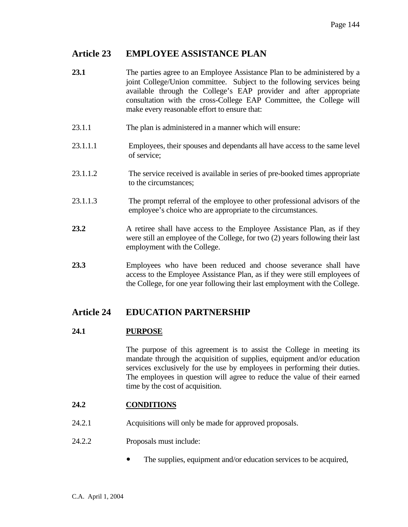# **Article 23 EMPLOYEE ASSISTANCE PLAN**

- **23.1** The parties agree to an Employee Assistance Plan to be administered by a joint College/Union committee. Subject to the following services being available through the College's EAP provider and after appropriate consultation with the cross-College EAP Committee, the College will make every reasonable effort to ensure that:
- 23.1.1 The plan is administered in a manner which will ensure:
- 23.1.1.1 Employees, their spouses and dependants all have access to the same level of service;
- 23.1.1.2 The service received is available in series of pre-booked times appropriate to the circumstances;
- 23.1.1.3 The prompt referral of the employee to other professional advisors of the employee's choice who are appropriate to the circumstances.
- 23.2 A retiree shall have access to the Employee Assistance Plan, as if they were still an employee of the College, for two (2) years following their last employment with the College.
- **23.3** Employees who have been reduced and choose severance shall have access to the Employee Assistance Plan, as if they were still employees of the College, for one year following their last employment with the College.

# **Article 24 EDUCATION PARTNERSHIP**

# **24.1 PURPOSE**

 The purpose of this agreement is to assist the College in meeting its mandate through the acquisition of supplies, equipment and/or education services exclusively for the use by employees in performing their duties. The employees in question will agree to reduce the value of their earned time by the cost of acquisition.

### **24.2 CONDITIONS**

- 24.2.1 Acquisitions will only be made for approved proposals.
- 24.2.2 Proposals must include:
	- The supplies, equipment and/or education services to be acquired,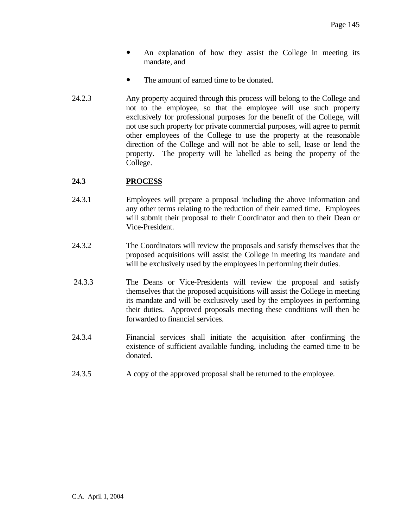- An explanation of how they assist the College in meeting its mandate, and
- The amount of earned time to be donated.
- 24.2.3 Any property acquired through this process will belong to the College and not to the employee, so that the employee will use such property exclusively for professional purposes for the benefit of the College, will not use such property for private commercial purposes, will agree to permit other employees of the College to use the property at the reasonable direction of the College and will not be able to sell, lease or lend the property. The property will be labelled as being the property of the College.

# **24.3 PROCESS**

- 24.3.1 Employees will prepare a proposal including the above information and any other terms relating to the reduction of their earned time. Employees will submit their proposal to their Coordinator and then to their Dean or Vice-President.
- 24.3.2 The Coordinators will review the proposals and satisfy themselves that the proposed acquisitions will assist the College in meeting its mandate and will be exclusively used by the employees in performing their duties.
- 24.3.3 The Deans or Vice-Presidents will review the proposal and satisfy themselves that the proposed acquisitions will assist the College in meeting its mandate and will be exclusively used by the employees in performing their duties. Approved proposals meeting these conditions will then be forwarded to financial services.
- 24.3.4 Financial services shall initiate the acquisition after confirming the existence of sufficient available funding, including the earned time to be donated.
- 24.3.5 A copy of the approved proposal shall be returned to the employee.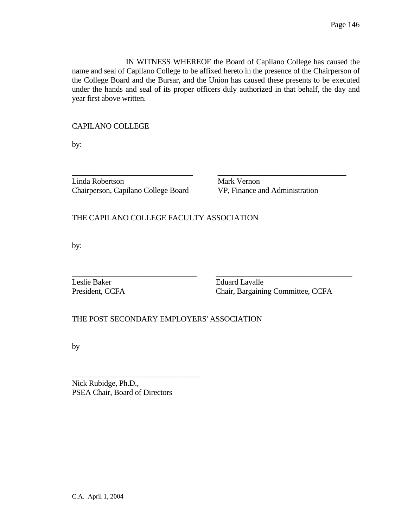IN WITNESS WHEREOF the Board of Capilano College has caused the name and seal of Capilano College to be affixed hereto in the presence of the Chairperson of the College Board and the Bursar, and the Union has caused these presents to be executed under the hands and seal of its proper officers duly authorized in that behalf, the day and year first above written.

 $\overline{\phantom{a}}$  , and the set of the set of the set of the set of the set of the set of the set of the set of the set of the set of the set of the set of the set of the set of the set of the set of the set of the set of the s

CAPILANO COLLEGE

by:

Linda Robertson Mark Vernon Chairperson, Capilano College Board VP, Finance and Administration

THE CAPILANO COLLEGE FACULTY ASSOCIATION

by:

\_\_\_\_\_\_\_\_\_\_\_\_\_\_\_\_\_\_\_\_\_\_\_\_\_\_\_\_\_\_\_\_ \_\_\_\_\_\_\_\_\_\_\_\_\_\_\_\_\_\_\_\_\_\_\_\_\_\_\_\_\_\_\_\_\_\_\_ Leslie Baker **Eduard Lavalle** 

President, CCFA Chair, Bargaining Committee, CCFA

THE POST SECONDARY EMPLOYERS' ASSOCIATION

by

Nick Rubidge, Ph.D., PSEA Chair, Board of Directors

\_\_\_\_\_\_\_\_\_\_\_\_\_\_\_\_\_\_\_\_\_\_\_\_\_\_\_\_\_\_\_\_\_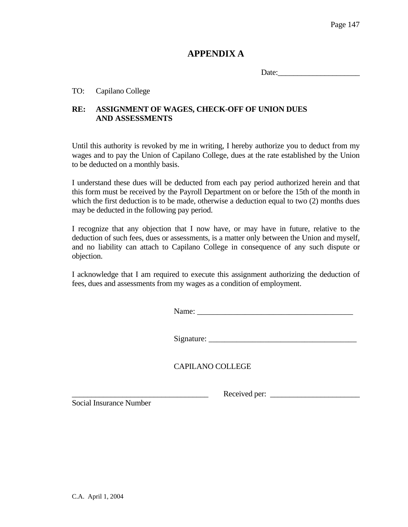# **APPENDIX A**

Date:\_\_\_\_\_\_\_\_\_\_\_\_\_\_\_\_\_\_\_\_\_

# TO: Capilano College

# **RE: ASSIGNMENT OF WAGES, CHECK-OFF OF UNION DUES AND ASSESSMENTS**

Until this authority is revoked by me in writing, I hereby authorize you to deduct from my wages and to pay the Union of Capilano College, dues at the rate established by the Union to be deducted on a monthly basis.

I understand these dues will be deducted from each pay period authorized herein and that this form must be received by the Payroll Department on or before the 15th of the month in which the first deduction is to be made, otherwise a deduction equal to two (2) months dues may be deducted in the following pay period.

I recognize that any objection that I now have, or may have in future, relative to the deduction of such fees, dues or assessments, is a matter only between the Union and myself, and no liability can attach to Capilano College in consequence of any such dispute or objection.

I acknowledge that I am required to execute this assignment authorizing the deduction of fees, dues and assessments from my wages as a condition of employment.

Name:

 $Sigma:$   $\qquad \qquad$   $\qquad \qquad$   $\qquad \qquad$   $\qquad \qquad$   $\qquad \qquad$   $\qquad \qquad$   $\qquad \qquad$   $\qquad \qquad$   $\qquad \qquad$   $\qquad \qquad$   $\qquad \qquad$   $\qquad \qquad$   $\qquad \qquad$   $\qquad \qquad$   $\qquad \qquad$   $\qquad \qquad$   $\qquad \qquad$   $\qquad \qquad$   $\qquad \qquad$   $\qquad \qquad$   $\qquad \qquad$   $\qquad \qquad$   $\qquad \qquad$   $\qquad \qquad$ 

\_\_\_\_\_\_\_\_\_\_\_\_\_\_\_\_\_\_\_\_\_\_\_\_\_\_\_\_\_\_\_\_\_\_\_ Received per: \_\_\_\_\_\_\_\_\_\_\_\_\_\_\_\_\_\_\_\_\_\_\_

CAPILANO COLLEGE

Social Insurance Number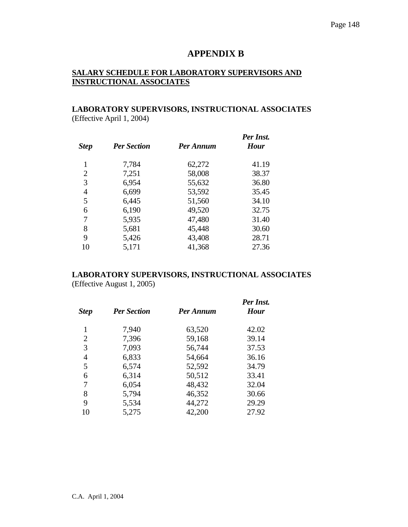# **APPENDIX B**

# **SALARY SCHEDULE FOR LABORATORY SUPERVISORS AND INSTRUCTIONAL ASSOCIATES**

# **LABORATORY SUPERVISORS, INSTRUCTIONAL ASSOCIATES**  (Effective April 1, 2004)

| <b>Step</b>    | <b>Per Section</b> | Per Annum | Per Inst.<br><b>Hour</b> |  |
|----------------|--------------------|-----------|--------------------------|--|
| 1              | 7,784              | 62,272    | 41.19                    |  |
| $\overline{2}$ | 7,251              | 58,008    | 38.37                    |  |
| 3              | 6,954              | 55,632    | 36.80                    |  |
| $\overline{4}$ | 6,699              | 53,592    | 35.45                    |  |
| 5              | 6,445              | 51,560    | 34.10                    |  |
| 6              | 6,190              | 49,520    | 32.75                    |  |
| 7              | 5,935              | 47,480    | 31.40                    |  |
| 8              | 5,681              | 45,448    | 30.60                    |  |
| 9              | 5,426              | 43,408    | 28.71                    |  |
| 10             | 5,171              | 41,368    | 27.36                    |  |

# **LABORATORY SUPERVISORS, INSTRUCTIONAL ASSOCIATES**

(Effective August 1, 2005)

| <b>Step</b> | <b>Per Section</b> | Per Annum | Per Inst.<br><b>Hour</b> |  |
|-------------|--------------------|-----------|--------------------------|--|
| 1           | 7,940              | 63,520    | 42.02                    |  |
| 2           | 7,396              | 59,168    | 39.14                    |  |
| 3           | 7,093              | 56,744    | 37.53                    |  |
| 4           | 6,833              | 54,664    | 36.16                    |  |
| 5           | 6,574              | 52,592    | 34.79                    |  |
| 6           | 6,314              | 50,512    | 33.41                    |  |
| 7           | 6,054              | 48,432    | 32.04                    |  |
| 8           | 5,794              | 46,352    | 30.66                    |  |
| 9           | 5,534              | 44,272    | 29.29                    |  |
| 10          | 5,275              | 42,200    | 27.92                    |  |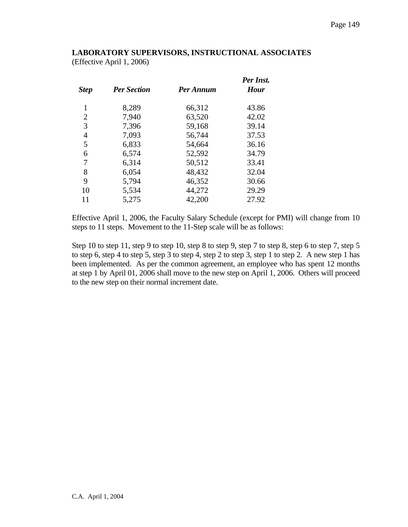# **LABORATORY SUPERVISORS, INSTRUCTIONAL ASSOCIATES**

(Effective April 1, 2006)

| <b>Per Section</b> | Per Annum | Per Inst.<br><b>Hour</b> |  |
|--------------------|-----------|--------------------------|--|
| 8,289              | 66,312    | 43.86                    |  |
| 7,940              | 63,520    | 42.02                    |  |
| 7,396              | 59,168    | 39.14                    |  |
| 7,093              | 56,744    | 37.53                    |  |
| 6,833              | 54,664    | 36.16                    |  |
| 6,574              | 52,592    | 34.79                    |  |
| 6.314              | 50,512    | 33.41                    |  |
| 6,054              | 48,432    | 32.04                    |  |
| 5,794              | 46,352    | 30.66                    |  |
| 5,534              | 44,272    | 29.29                    |  |
| 5,275              | 42,200    | 27.92                    |  |
|                    |           |                          |  |

Effective April 1, 2006, the Faculty Salary Schedule (except for PMI) will change from 10 steps to 11 steps. Movement to the 11-Step scale will be as follows:

Step 10 to step 11, step 9 to step 10, step 8 to step 9, step 7 to step 8, step 6 to step 7, step 5 to step 6, step 4 to step 5, step 3 to step 4, step 2 to step 3, step 1 to step 2. A new step 1 has been implemented. As per the common agreement, an employee who has spent 12 months at step 1 by April 01, 2006 shall move to the new step on April 1, 2006. Others will proceed to the new step on their normal increment date.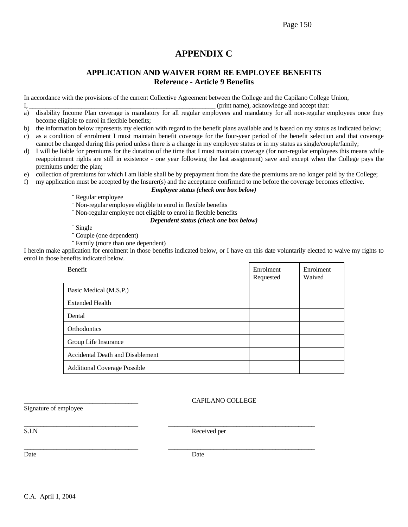#### Page 150

# **APPENDIX C**

# **APPLICATION AND WAIVER FORM RE EMPLOYEE BENEFITS Reference - Article 9 Benefits**

In accordance with the provisions of the current Collective Agreement between the College and the Capilano College Union,

#### I, \_\_\_\_\_\_\_\_\_\_\_\_\_\_\_\_\_\_\_\_\_\_\_\_\_\_\_\_\_\_\_\_\_\_\_\_\_\_\_\_\_\_\_\_\_\_\_\_\_\_\_\_\_\_\_\_\_ (print name), acknowledge and accept that:

- a) disability Income Plan coverage is mandatory for all regular employees and mandatory for all non-regular employees once they become eligible to enrol in flexible benefits;
- b) the information below represents my election with regard to the benefit plans available and is based on my status as indicated below;
- c) as a condition of enrolment I must maintain benefit coverage for the four-year period of the benefit selection and that coverage cannot be changed during this period unless there is a change in my employee status or in my status as single/couple/family;
- d) I will be liable for premiums for the duration of the time that I must maintain coverage (for non-regular employees this means while reappointment rights are still in existence - one year following the last assignment) save and except when the College pays the premiums under the plan;
- e) collection of premiums for which I am liable shall be by prepayment from the date the premiums are no longer paid by the College;
- f) my application must be accepted by the Insurer(s) and the acceptance confirmed to me before the coverage becomes effective.

#### *Employee status (check one box below)*

- ¨ Regular employee
- ¨ Non-regular employee eligible to enrol in flexible benefits
- ¨ Non-regular employee not eligible to enrol in flexible benefits

### *Dependent status (check one box below)*

- ¨ Single
- ¨ Couple (one dependent)
- ¨ Family (more than one dependent)

I herein make application for enrolment in those benefits indicated below, or I have on this date voluntarily elected to waive my rights to enrol in those benefits indicated below.

| <b>Benefit</b>                      | Enrolment<br>Requested | Enrolment<br>Waived |
|-------------------------------------|------------------------|---------------------|
| Basic Medical (M.S.P.)              |                        |                     |
| <b>Extended Health</b>              |                        |                     |
| Dental                              |                        |                     |
| Orthodontics                        |                        |                     |
| Group Life Insurance                |                        |                     |
| Accidental Death and Disablement    |                        |                     |
| <b>Additional Coverage Possible</b> |                        |                     |

#### \_\_\_\_\_\_\_\_\_\_\_\_\_\_\_\_\_\_\_\_\_\_\_\_\_\_\_\_\_\_\_\_\_\_\_ CAPILANO COLLEGE

Signature of employee

S.I.N Received per

\_\_\_\_\_\_\_\_\_\_\_\_\_\_\_\_\_\_\_\_\_\_\_\_\_\_\_\_\_\_\_\_\_\_\_ \_\_\_\_\_\_\_\_\_\_\_\_\_\_\_\_\_\_\_\_\_\_\_\_\_\_\_\_\_\_\_\_\_\_\_\_\_\_\_\_\_\_\_\_\_

\_\_\_\_\_\_\_\_\_\_\_\_\_\_\_\_\_\_\_\_\_\_\_\_\_\_\_\_\_\_\_\_\_\_\_ \_\_\_\_\_\_\_\_\_\_\_\_\_\_\_\_\_\_\_\_\_\_\_\_\_\_\_\_\_\_\_\_\_\_\_\_\_\_\_\_\_\_\_\_\_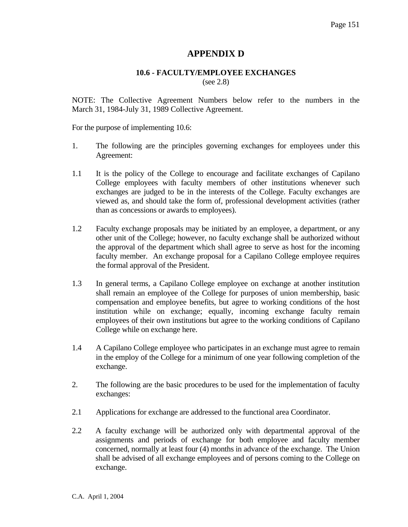# **APPENDIX D**

# **10.6 - FACULTY/EMPLOYEE EXCHANGES**

(see 2.8)

NOTE: The Collective Agreement Numbers below refer to the numbers in the March 31, 1984-July 31, 1989 Collective Agreement.

For the purpose of implementing 10.6:

- 1. The following are the principles governing exchanges for employees under this Agreement:
- 1.1 It is the policy of the College to encourage and facilitate exchanges of Capilano College employees with faculty members of other institutions whenever such exchanges are judged to be in the interests of the College. Faculty exchanges are viewed as, and should take the form of, professional development activities (rather than as concessions or awards to employees).
- 1.2 Faculty exchange proposals may be initiated by an employee, a department, or any other unit of the College; however, no faculty exchange shall be authorized without the approval of the department which shall agree to serve as host for the incoming faculty member. An exchange proposal for a Capilano College employee requires the formal approval of the President.
- 1.3 In general terms, a Capilano College employee on exchange at another institution shall remain an employee of the College for purposes of union membership, basic compensation and employee benefits, but agree to working conditions of the host institution while on exchange; equally, incoming exchange faculty remain employees of their own institutions but agree to the working conditions of Capilano College while on exchange here.
- 1.4 A Capilano College employee who participates in an exchange must agree to remain in the employ of the College for a minimum of one year following completion of the exchange.
- 2. The following are the basic procedures to be used for the implementation of faculty exchanges:
- 2.1 Applications for exchange are addressed to the functional area Coordinator.
- 2.2 A faculty exchange will be authorized only with departmental approval of the assignments and periods of exchange for both employee and faculty member concerned, normally at least four (4) months in advance of the exchange. The Union shall be advised of all exchange employees and of persons coming to the College on exchange.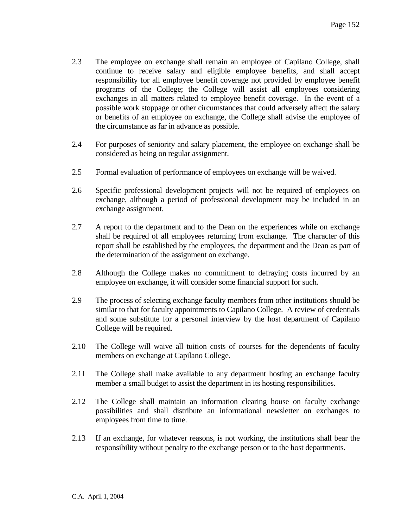- 2.3 The employee on exchange shall remain an employee of Capilano College, shall continue to receive salary and eligible employee benefits, and shall accept responsibility for all employee benefit coverage not provided by employee benefit programs of the College; the College will assist all employees considering exchanges in all matters related to employee benefit coverage. In the event of a possible work stoppage or other circumstances that could adversely affect the salary or benefits of an employee on exchange, the College shall advise the employee of the circumstance as far in advance as possible.
- 2.4 For purposes of seniority and salary placement, the employee on exchange shall be considered as being on regular assignment.
- 2.5 Formal evaluation of performance of employees on exchange will be waived.
- 2.6 Specific professional development projects will not be required of employees on exchange, although a period of professional development may be included in an exchange assignment.
- 2.7 A report to the department and to the Dean on the experiences while on exchange shall be required of all employees returning from exchange. The character of this report shall be established by the employees, the department and the Dean as part of the determination of the assignment on exchange.
- 2.8 Although the College makes no commitment to defraying costs incurred by an employee on exchange, it will consider some financial support for such.
- 2.9 The process of selecting exchange faculty members from other institutions should be similar to that for faculty appointments to Capilano College. A review of credentials and some substitute for a personal interview by the host department of Capilano College will be required.
- 2.10 The College will waive all tuition costs of courses for the dependents of faculty members on exchange at Capilano College.
- 2.11 The College shall make available to any department hosting an exchange faculty member a small budget to assist the department in its hosting responsibilities.
- 2.12 The College shall maintain an information clearing house on faculty exchange possibilities and shall distribute an informational newsletter on exchanges to employees from time to time.
- 2.13 If an exchange, for whatever reasons, is not working, the institutions shall bear the responsibility without penalty to the exchange person or to the host departments.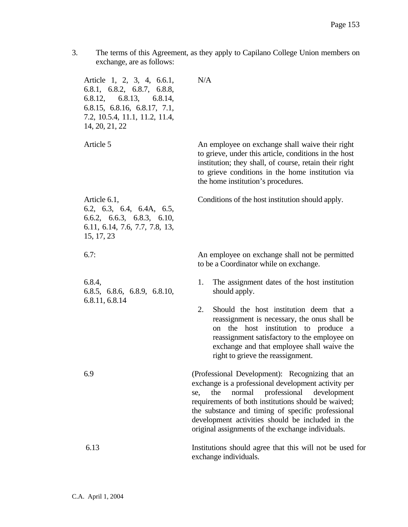3. The terms of this Agreement, as they apply to Capilano College Union members on exchange, are as follows:

Article 1, 2, 3, 4, 6.6.1, 6.8.1, 6.8.2, 6.8.7, 6.8.8, 6.8.12, 6.8.13, 6.8.14, 6.8.15, 6.8.16, 6.8.17, 7.1, 7.2, 10.5.4, 11.1, 11.2, 11.4, 14, 20, 21, 22 N/A Article 5 An employee on exchange shall waive their right to grieve, under this article, conditions in the host institution; they shall, of course, retain their right to grieve conditions in the home institution via the home institution's procedures. Article 6.1, 6.2, 6.3, 6.4, 6.4A, 6.5, 6.6.2, 6.6.3, 6.8.3, 6.10, 6.11, 6.14, 7.6, 7.7, 7.8, 13, 15, 17, 23 Conditions of the host institution should apply. 6.7: An employee on exchange shall not be permitted to be a Coordinator while on exchange. 6.8.4, 6.8.5, 6.8.6, 6.8.9, 6.8.10, 6.8.11, 6.8.14 1. The assignment dates of the host institution should apply. 2. Should the host institution deem that a reassignment is necessary, the onus shall be on the host institution to produce a reassignment satisfactory to the employee on exchange and that employee shall waive the right to grieve the reassignment. 6.9 (Professional Development): Recognizing that an exchange is a professional development activity per se, the normal professional development requirements of both institutions should be waived; the substance and timing of specific professional development activities should be included in the original assignments of the exchange individuals. 6.13 Institutions should agree that this will not be used for

exchange individuals.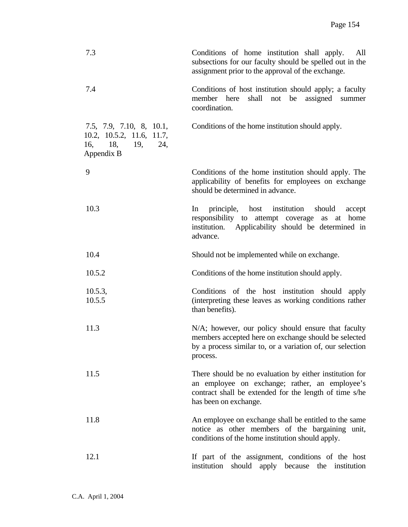| 7.3                                                                                       | Conditions of home institution shall apply.<br>All<br>subsections for our faculty should be spelled out in the<br>assignment prior to the approval of the exchange.                          |
|-------------------------------------------------------------------------------------------|----------------------------------------------------------------------------------------------------------------------------------------------------------------------------------------------|
| 7.4                                                                                       | Conditions of host institution should apply; a faculty<br>member here<br>shall not be assigned summer<br>coordination.                                                                       |
| 7.5, 7.9, 7.10, 8, 10.1,<br>10.2, 10.5.2, 11.6, 11.7,<br>16, 18, 19,<br>24,<br>Appendix B | Conditions of the home institution should apply.                                                                                                                                             |
| 9                                                                                         | Conditions of the home institution should apply. The<br>applicability of benefits for employees on exchange<br>should be determined in advance.                                              |
| 10.3                                                                                      | host institution<br>principle,<br>should<br>In<br>accept<br>responsibility to attempt coverage as at home<br>Applicability should be determined in<br>institution.<br>advance.               |
| 10.4                                                                                      | Should not be implemented while on exchange.                                                                                                                                                 |
| 10.5.2                                                                                    | Conditions of the home institution should apply.                                                                                                                                             |
| 10.5.3,<br>10.5.5                                                                         | Conditions of the host institution should apply<br>(interpreting these leaves as working conditions rather<br>than benefits).                                                                |
| 11.3                                                                                      | N/A; however, our policy should ensure that faculty<br>members accepted here on exchange should be selected<br>by a process similar to, or a variation of, our selection<br>process.         |
| 11.5                                                                                      | There should be no evaluation by either institution for<br>an employee on exchange; rather, an employee's<br>contract shall be extended for the length of time s/he<br>has been on exchange. |
| 11.8                                                                                      | An employee on exchange shall be entitled to the same<br>notice as other members of the bargaining unit,<br>conditions of the home institution should apply.                                 |
| 12.1                                                                                      | If part of the assignment, conditions of the host<br>should apply because the institution<br>institution                                                                                     |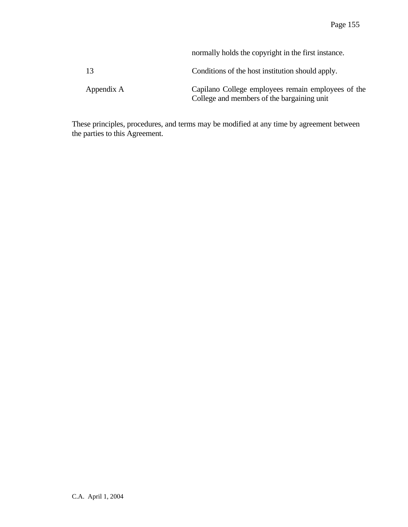|            | normally holds the copyright in the first instance.                                              |
|------------|--------------------------------------------------------------------------------------------------|
| -13        | Conditions of the host institution should apply.                                                 |
| Appendix A | Capilano College employees remain employees of the<br>College and members of the bargaining unit |

These principles, procedures, and terms may be modified at any time by agreement between the parties to this Agreement.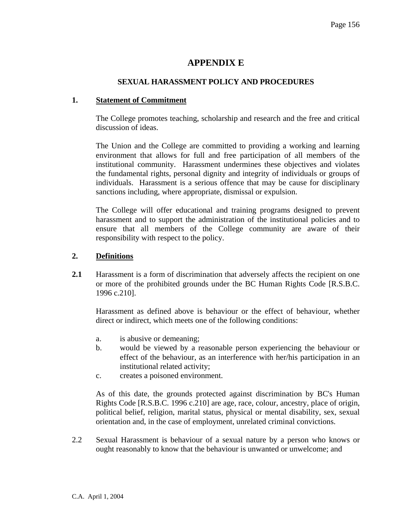# **APPENDIX E**

# **SEXUAL HARASSMENT POLICY AND PROCEDURES**

### **1. Statement of Commitment**

The College promotes teaching, scholarship and research and the free and critical discussion of ideas.

The Union and the College are committed to providing a working and learning environment that allows for full and free participation of all members of the institutional community. Harassment undermines these objectives and violates the fundamental rights, personal dignity and integrity of individuals or groups of individuals. Harassment is a serious offence that may be cause for disciplinary sanctions including, where appropriate, dismissal or expulsion.

The College will offer educational and training programs designed to prevent harassment and to support the administration of the institutional policies and to ensure that all members of the College community are aware of their responsibility with respect to the policy.

# **2. Definitions**

**2.1** Harassment is a form of discrimination that adversely affects the recipient on one or more of the prohibited grounds under the BC Human Rights Code [R.S.B.C. 1996 c.210].

 Harassment as defined above is behaviour or the effect of behaviour, whether direct or indirect, which meets one of the following conditions:

- a. is abusive or demeaning;
- b. would be viewed by a reasonable person experiencing the behaviour or effect of the behaviour, as an interference with her/his participation in an institutional related activity;
- c. creates a poisoned environment.

 As of this date, the grounds protected against discrimination by BC's Human Rights Code [R.S.B.C. 1996 c.210] are age, race, colour, ancestry, place of origin, political belief, religion, marital status, physical or mental disability, sex, sexual orientation and, in the case of employment, unrelated criminal convictions.

2.2 Sexual Harassment is behaviour of a sexual nature by a person who knows or ought reasonably to know that the behaviour is unwanted or unwelcome; and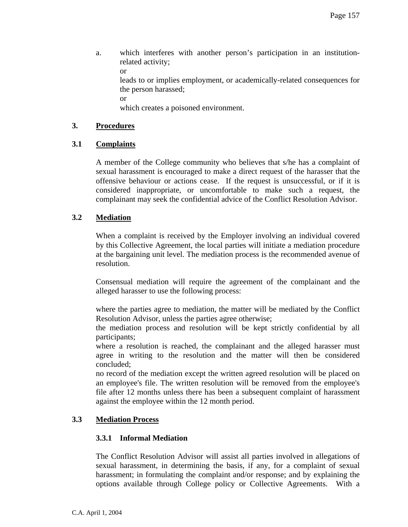a. which interferes with another person's participation in an institutionrelated activity; or leads to or implies employment, or academically-related consequences for

the person harassed;

or

which creates a poisoned environment.

# **3. Procedures**

# **3.1 Complaints**

 A member of the College community who believes that s/he has a complaint of sexual harassment is encouraged to make a direct request of the harasser that the offensive behaviour or actions cease. If the request is unsuccessful, or if it is considered inappropriate, or uncomfortable to make such a request, the complainant may seek the confidential advice of the Conflict Resolution Advisor.

# **3.2 Mediation**

 When a complaint is received by the Employer involving an individual covered by this Collective Agreement, the local parties will initiate a mediation procedure at the bargaining unit level. The mediation process is the recommended avenue of resolution.

 Consensual mediation will require the agreement of the complainant and the alleged harasser to use the following process:

 where the parties agree to mediation, the matter will be mediated by the Conflict Resolution Advisor, unless the parties agree otherwise;

 the mediation process and resolution will be kept strictly confidential by all participants;

 where a resolution is reached, the complainant and the alleged harasser must agree in writing to the resolution and the matter will then be considered concluded;

 no record of the mediation except the written agreed resolution will be placed on an employee's file. The written resolution will be removed from the employee's file after 12 months unless there has been a subsequent complaint of harassment against the employee within the 12 month period.

# **3.3 Mediation Process**

### **3.3.1 Informal Mediation**

 The Conflict Resolution Advisor will assist all parties involved in allegations of sexual harassment, in determining the basis, if any, for a complaint of sexual harassment; in formulating the complaint and/or response; and by explaining the options available through College policy or Collective Agreements. With a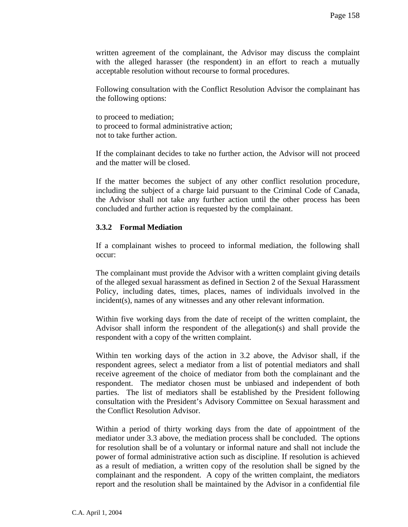written agreement of the complainant, the Advisor may discuss the complaint with the alleged harasser (the respondent) in an effort to reach a mutually acceptable resolution without recourse to formal procedures.

 Following consultation with the Conflict Resolution Advisor the complainant has the following options:

 to proceed to mediation; to proceed to formal administrative action; not to take further action.

 If the complainant decides to take no further action, the Advisor will not proceed and the matter will be closed.

 If the matter becomes the subject of any other conflict resolution procedure, including the subject of a charge laid pursuant to the Criminal Code of Canada, the Advisor shall not take any further action until the other process has been concluded and further action is requested by the complainant.

### **3.3.2 Formal Mediation**

 If a complainant wishes to proceed to informal mediation, the following shall occur:

 The complainant must provide the Advisor with a written complaint giving details of the alleged sexual harassment as defined in Section 2 of the Sexual Harassment Policy, including dates, times, places, names of individuals involved in the incident(s), names of any witnesses and any other relevant information.

 Within five working days from the date of receipt of the written complaint, the Advisor shall inform the respondent of the allegation(s) and shall provide the respondent with a copy of the written complaint.

 Within ten working days of the action in 3.2 above, the Advisor shall, if the respondent agrees, select a mediator from a list of potential mediators and shall receive agreement of the choice of mediator from both the complainant and the respondent. The mediator chosen must be unbiased and independent of both parties. The list of mediators shall be established by the President following consultation with the President's Advisory Committee on Sexual harassment and the Conflict Resolution Advisor.

 Within a period of thirty working days from the date of appointment of the mediator under 3.3 above, the mediation process shall be concluded. The options for resolution shall be of a voluntary or informal nature and shall not include the power of formal administrative action such as discipline. If resolution is achieved as a result of mediation, a written copy of the resolution shall be signed by the complainant and the respondent. A copy of the written complaint, the mediators report and the resolution shall be maintained by the Advisor in a confidential file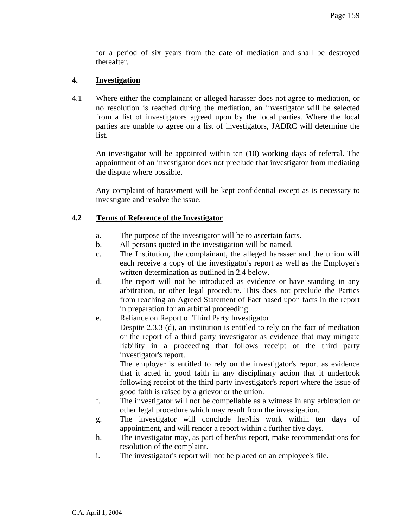for a period of six years from the date of mediation and shall be destroyed thereafter.

# **4. Investigation**

4.1 Where either the complainant or alleged harasser does not agree to mediation, or no resolution is reached during the mediation, an investigator will be selected from a list of investigators agreed upon by the local parties. Where the local parties are unable to agree on a list of investigators, JADRC will determine the list.

 An investigator will be appointed within ten (10) working days of referral. The appointment of an investigator does not preclude that investigator from mediating the dispute where possible.

 Any complaint of harassment will be kept confidential except as is necessary to investigate and resolve the issue.

### **4.2 Terms of Reference of the Investigator**

- a. The purpose of the investigator will be to ascertain facts.
- b. All persons quoted in the investigation will be named.
- c. The Institution, the complainant, the alleged harasser and the union will each receive a copy of the investigator's report as well as the Employer's written determination as outlined in 2.4 below.
- d. The report will not be introduced as evidence or have standing in any arbitration, or other legal procedure. This does not preclude the Parties from reaching an Agreed Statement of Fact based upon facts in the report in preparation for an arbitral proceeding.
- e. Reliance on Report of Third Party Investigator

 Despite 2.3.3 (d), an institution is entitled to rely on the fact of mediation or the report of a third party investigator as evidence that may mitigate liability in a proceeding that follows receipt of the third party investigator's report.

 The employer is entitled to rely on the investigator's report as evidence that it acted in good faith in any disciplinary action that it undertook following receipt of the third party investigator's report where the issue of good faith is raised by a grievor or the union.

- f. The investigator will not be compellable as a witness in any arbitration or other legal procedure which may result from the investigation.
- g. The investigator will conclude her/his work within ten days of appointment, and will render a report within a further five days.
- h. The investigator may, as part of her/his report, make recommendations for resolution of the complaint.
- i. The investigator's report will not be placed on an employee's file.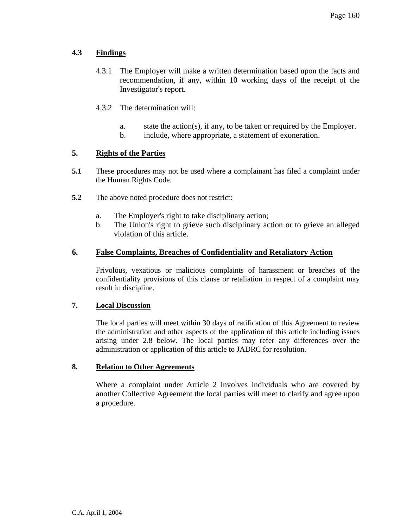# **4.3 Findings**

- 4.3.1 The Employer will make a written determination based upon the facts and recommendation, if any, within 10 working days of the receipt of the Investigator's report.
- 4.3.2 The determination will:
	- a. state the action(s), if any, to be taken or required by the Employer.
	- b. include, where appropriate, a statement of exoneration.

# **5. Rights of the Parties**

- **5.1** These procedures may not be used where a complainant has filed a complaint under the Human Rights Code.
- **5.2** The above noted procedure does not restrict:
	- a. The Employer's right to take disciplinary action;
	- b. The Union's right to grieve such disciplinary action or to grieve an alleged violation of this article.

# **6. False Complaints, Breaches of Confidentiality and Retaliatory Action**

Frivolous, vexatious or malicious complaints of harassment or breaches of the confidentiality provisions of this clause or retaliation in respect of a complaint may result in discipline.

# **7. Local Discussion**

The local parties will meet within 30 days of ratification of this Agreement to review the administration and other aspects of the application of this article including issues arising under 2.8 below. The local parties may refer any differences over the administration or application of this article to JADRC for resolution.

### **8. Relation to Other Agreements**

Where a complaint under Article 2 involves individuals who are covered by another Collective Agreement the local parties will meet to clarify and agree upon a procedure.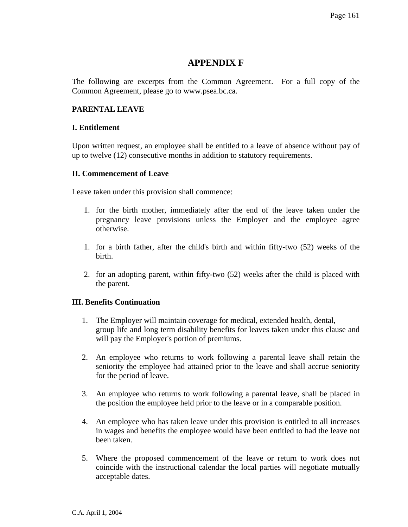# **APPENDIX F**

The following are excerpts from the Common Agreement. For a full copy of the Common Agreement, please go to www.psea.bc.ca.

# **PARENTAL LEAVE**

### **I. Entitlement**

Upon written request, an employee shall be entitled to a leave of absence without pay of up to twelve (12) consecutive months in addition to statutory requirements.

### **II. Commencement of Leave**

Leave taken under this provision shall commence:

- 1. for the birth mother, immediately after the end of the leave taken under the pregnancy leave provisions unless the Employer and the employee agree otherwise.
- 1. for a birth father, after the child's birth and within fifty-two (52) weeks of the birth.
- 2. for an adopting parent, within fifty-two (52) weeks after the child is placed with the parent.

### **III. Benefits Continuation**

- 1. The Employer will maintain coverage for medical, extended health, dental, group life and long term disability benefits for leaves taken under this clause and will pay the Employer's portion of premiums.
- 2. An employee who returns to work following a parental leave shall retain the seniority the employee had attained prior to the leave and shall accrue seniority for the period of leave.
- 3. An employee who returns to work following a parental leave, shall be placed in the position the employee held prior to the leave or in a comparable position.
- 4. An employee who has taken leave under this provision is entitled to all increases in wages and benefits the employee would have been entitled to had the leave not been taken.
- 5. Where the proposed commencement of the leave or return to work does not coincide with the instructional calendar the local parties will negotiate mutually acceptable dates.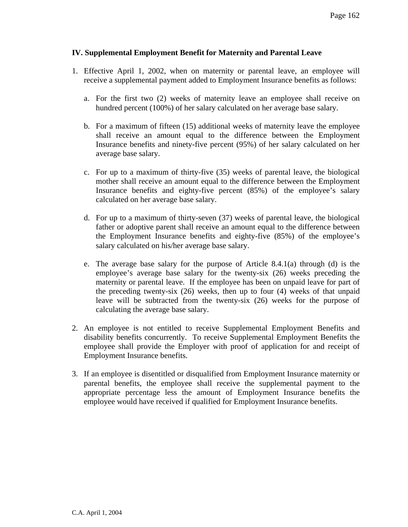# **IV. Supplemental Employment Benefit for Maternity and Parental Leave**

- 1. Effective April 1, 2002, when on maternity or parental leave, an employee will receive a supplemental payment added to Employment Insurance benefits as follows:
	- a. For the first two (2) weeks of maternity leave an employee shall receive on hundred percent (100%) of her salary calculated on her average base salary.
	- b. For a maximum of fifteen (15) additional weeks of maternity leave the employee shall receive an amount equal to the difference between the Employment Insurance benefits and ninety-five percent (95%) of her salary calculated on her average base salary.
	- c. For up to a maximum of thirty-five (35) weeks of parental leave, the biological mother shall receive an amount equal to the difference between the Employment Insurance benefits and eighty-five percent (85%) of the employee's salary calculated on her average base salary.
	- d. For up to a maximum of thirty-seven (37) weeks of parental leave, the biological father or adoptive parent shall receive an amount equal to the difference between the Employment Insurance benefits and eighty-five (85%) of the employee's salary calculated on his/her average base salary.
	- e. The average base salary for the purpose of Article 8.4.1(a) through (d) is the employee's average base salary for the twenty-six (26) weeks preceding the maternity or parental leave. If the employee has been on unpaid leave for part of the preceding twenty-six (26) weeks, then up to four (4) weeks of that unpaid leave will be subtracted from the twenty-six (26) weeks for the purpose of calculating the average base salary.
- 2. An employee is not entitled to receive Supplemental Employment Benefits and disability benefits concurrently. To receive Supplemental Employment Benefits the employee shall provide the Employer with proof of application for and receipt of Employment Insurance benefits.
- 3. If an employee is disentitled or disqualified from Employment Insurance maternity or parental benefits, the employee shall receive the supplemental payment to the appropriate percentage less the amount of Employment Insurance benefits the employee would have received if qualified for Employment Insurance benefits.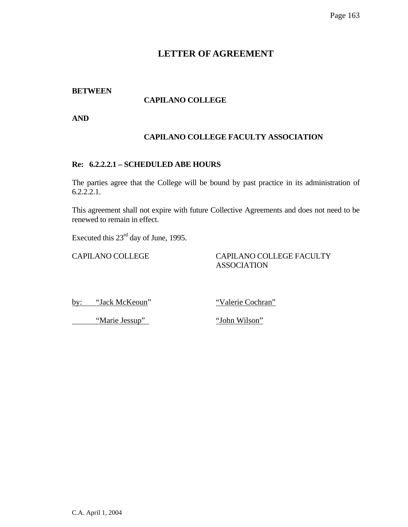# **BETWEEN**

# **CAPILANO COLLEGE**

**AND** 

# **CAPILANO COLLEGE FACULTY ASSOCIATION**

# **Re: 6.2.2.2.1 – SCHEDULED ABE HOURS**

The parties agree that the College will be bound by past practice in its administration of 6.2.2.2.1.

This agreement shall not expire with future Collective Agreements and does not need to be renewed to remain in effect.

Executed this  $23^{\text{rd}}$  day of June, 1995.

# CAPILANO COLLEGE CAPILANO COLLEGE FACULTY ASSOCIATION

by: "Jack McKeoun" "Valerie Cochran"

"Marie Jessup" "John Wilson"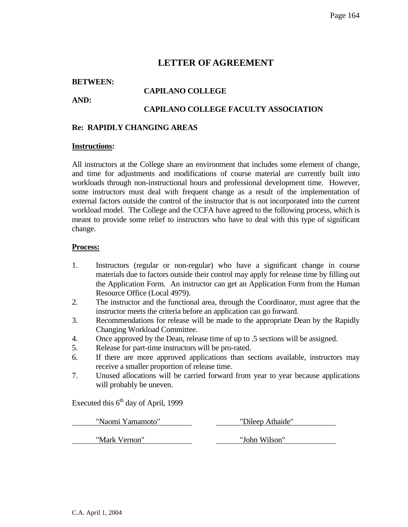### **BETWEEN:**

**AND:** 

# **CAPILANO COLLEGE**

# **CAPILANO COLLEGE FACULTY ASSOCIATION**

#### **Re: RAPIDLY CHANGING AREAS**

#### **Instructions:**

All instructors at the College share an environment that includes some element of change, and time for adjustments and modifications of course material are currently built into workloads through non-instructional hours and professional development time. However, some instructors must deal with frequent change as a result of the implementation of external factors outside the control of the instructor that is not incorporated into the current workload model. The College and the CCFA have agreed to the following process, which is meant to provide some relief to instructors who have to deal with this type of significant change.

#### **Process:**

- 1. Instructors (regular or non-regular) who have a significant change in course materials due to factors outside their control may apply for release time by filling out the Application Form. An instructor can get an Application Form from the Human Resource Office (Local 4979).
- 2. The instructor and the functional area, through the Coordinator, must agree that the instructor meets the criteria before an application can go forward.
- 3. Recommendations for release will be made to the appropriate Dean by the Rapidly Changing Workload Committee.
- 4. Once approved by the Dean, release time of up to .5 sections will be assigned.
- 5. Release for part-time instructors will be pro-rated.
- 6. If there are more approved applications than sections available, instructors may receive a smaller proportion of release time.
- 7. Unused allocations will be carried forward from year to year because applications will probably be uneven.

Executed this  $6<sup>th</sup>$  day of April, 1999

| "Naomi Yamamoto" | "Dileep Athaide" |  |  |
|------------------|------------------|--|--|
| "Mark Vernon"    | "John Wilson"    |  |  |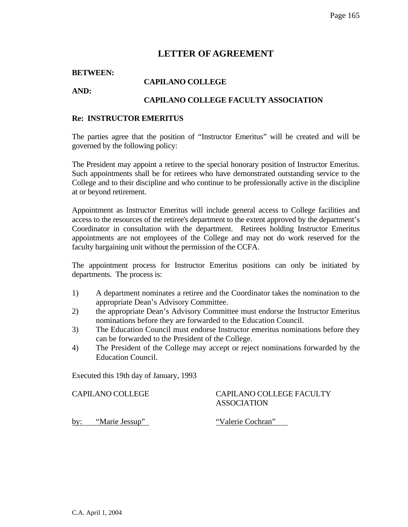#### **BETWEEN:**

#### **CAPILANO COLLEGE**

**AND:** 

# **CAPILANO COLLEGE FACULTY ASSOCIATION**

#### **Re: INSTRUCTOR EMERITUS**

The parties agree that the position of "Instructor Emeritus" will be created and will be governed by the following policy:

The President may appoint a retiree to the special honorary position of Instructor Emeritus. Such appointments shall be for retirees who have demonstrated outstanding service to the College and to their discipline and who continue to be professionally active in the discipline at or beyond retirement.

Appointment as Instructor Emeritus will include general access to College facilities and access to the resources of the retiree's department to the extent approved by the department's Coordinator in consultation with the department. Retirees holding Instructor Emeritus appointments are not employees of the College and may not do work reserved for the faculty bargaining unit without the permission of the CCFA.

The appointment process for Instructor Emeritus positions can only be initiated by departments. The process is:

- 1) A department nominates a retiree and the Coordinator takes the nomination to the appropriate Dean's Advisory Committee.
- 2) the appropriate Dean's Advisory Committee must endorse the Instructor Emeritus nominations before they are forwarded to the Education Council.
- 3) The Education Council must endorse Instructor emeritus nominations before they can be forwarded to the President of the College.
- 4) The President of the College may accept or reject nominations forwarded by the Education Council.

Executed this 19th day of January, 1993

#### CAPILANO COLLEGE CAPILANO COLLEGE FACULTY ASSOCIATION

by: "Marie Jessup" "Valerie Cochran"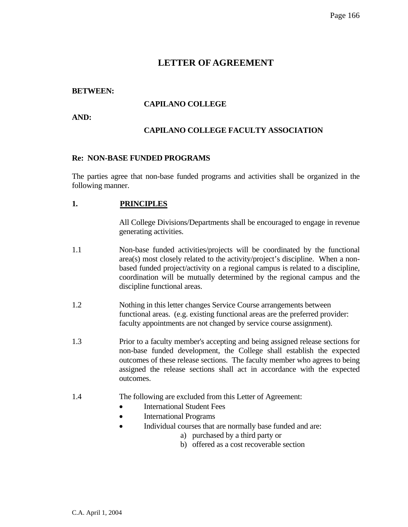### **BETWEEN:**

# **CAPILANO COLLEGE**

**AND:** 

# **CAPILANO COLLEGE FACULTY ASSOCIATION**

#### **Re: NON-BASE FUNDED PROGRAMS**

The parties agree that non-base funded programs and activities shall be organized in the following manner.

### **1. PRINCIPLES**

All College Divisions/Departments shall be encouraged to engage in revenue generating activities.

- 1.1 Non-base funded activities/projects will be coordinated by the functional area(s) most closely related to the activity/project's discipline. When a nonbased funded project/activity on a regional campus is related to a discipline, coordination will be mutually determined by the regional campus and the discipline functional areas.
- 1.2 Nothing in this letter changes Service Course arrangements between functional areas. (e.g. existing functional areas are the preferred provider: faculty appointments are not changed by service course assignment).
- 1.3 Prior to a faculty member's accepting and being assigned release sections for non-base funded development, the College shall establish the expected outcomes of these release sections. The faculty member who agrees to being assigned the release sections shall act in accordance with the expected outcomes.
- 1.4 The following are excluded from this Letter of Agreement:
	- International Student Fees
	- International Programs
	- Individual courses that are normally base funded and are:
		- a) purchased by a third party or
		- b) offered as a cost recoverable section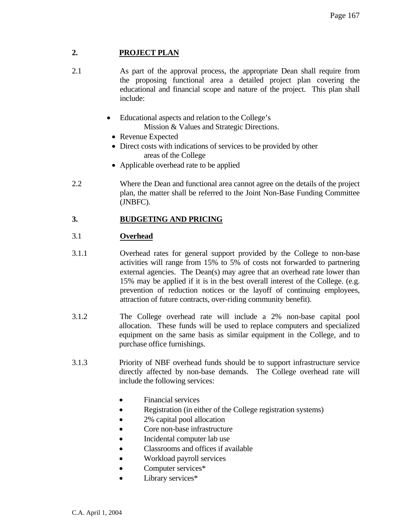# **2. PROJECT PLAN**

- 2.1 As part of the approval process, the appropriate Dean shall require from the proposing functional area a detailed project plan covering the educational and financial scope and nature of the project. This plan shall include:
	- Educational aspects and relation to the College's Mission & Values and Strategic Directions.
		- Revenue Expected
		- Direct costs with indications of services to be provided by other areas of the College
		- Applicable overhead rate to be applied
- 2.2 Where the Dean and functional area cannot agree on the details of the project plan, the matter shall be referred to the Joint Non-Base Funding Committee (JNBFC).

# **3. BUDGETING AND PRICING**

# 3.1 **Overhead**

- 3.1.1 Overhead rates for general support provided by the College to non-base activities will range from 15% to 5% of costs not forwarded to partnering external agencies. The Dean(s) may agree that an overhead rate lower than 15% may be applied if it is in the best overall interest of the College. (e.g. prevention of reduction notices or the layoff of continuing employees, attraction of future contracts, over-riding community benefit).
- 3.1.2 The College overhead rate will include a 2% non-base capital pool allocation. These funds will be used to replace computers and specialized equipment on the same basis as similar equipment in the College, and to purchase office furnishings.
- 3.1.3 Priority of NBF overhead funds should be to support infrastructure service directly affected by non-base demands. The College overhead rate will include the following services:
	- Financial services
	- Registration (in either of the College registration systems)
	- 2% capital pool allocation
	- Core non-base infrastructure
	- Incidental computer lab use
	- Classrooms and offices if available
	- Workload payroll services
	- Computer services\*
	- Library services\*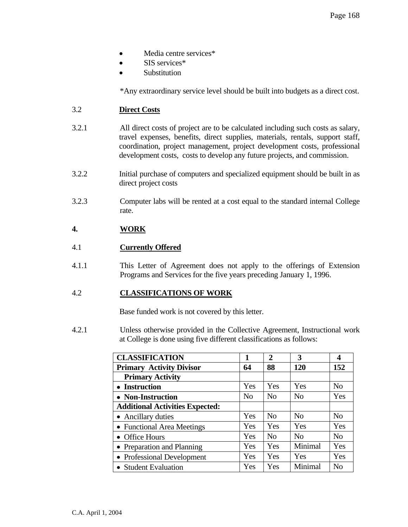- Media centre services\*
- SIS services\*
- Substitution

\*Any extraordinary service level should be built into budgets as a direct cost.

# 3.2 **Direct Costs**

- 3.2.1 All direct costs of project are to be calculated including such costs as salary, travel expenses, benefits, direct supplies, materials, rentals, support staff, coordination, project management, project development costs, professional development costs, costs to develop any future projects, and commission.
- 3.2.2 Initial purchase of computers and specialized equipment should be built in as direct project costs
- 3.2.3 Computer labs will be rented at a cost equal to the standard internal College rate.

# **4. WORK**

# 4.1 **Currently Offered**

4.1.1 This Letter of Agreement does not apply to the offerings of Extension Programs and Services for the five years preceding January 1, 1996.

### 4.2 **CLASSIFICATIONS OF WORK**

Base funded work is not covered by this letter.

4.2.1 Unless otherwise provided in the Collective Agreement, Instructional work at College is done using five different classifications as follows:

| <b>CLASSIFICATION</b>                  | 1              | $\mathbf{2}$   | 3              | 4              |
|----------------------------------------|----------------|----------------|----------------|----------------|
| <b>Primary Activity Divisor</b>        | 64             | 88             | <b>120</b>     | 152            |
| <b>Primary Activity</b>                |                |                |                |                |
| • Instruction                          | Yes            | Yes            | Yes            | N <sub>0</sub> |
| • Non-Instruction                      | N <sub>o</sub> | N <sub>0</sub> | N <sub>0</sub> | Yes            |
| <b>Additional Activities Expected:</b> |                |                |                |                |
| • Ancillary duties                     | Yes            | N <sub>o</sub> | N <sub>0</sub> | N <sub>0</sub> |
| • Functional Area Meetings             | Yes            | Yes            | Yes            | Yes            |
| • Office Hours                         | Yes            | N <sub>o</sub> | No             | N <sub>0</sub> |
| • Preparation and Planning             | Yes            | Yes            | Minimal        | Yes            |
| • Professional Development             | Yes            | Yes            | Yes            | Yes            |
| • Student Evaluation                   | Yes            | Yes            | Minimal        | No             |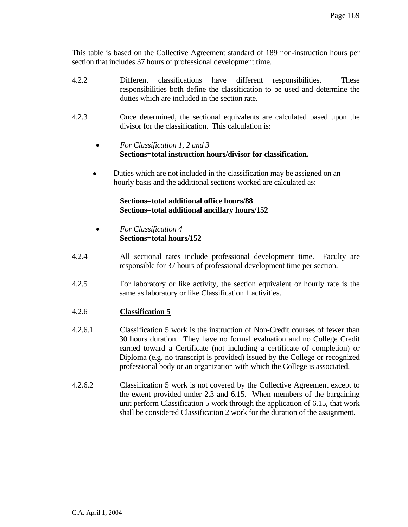This table is based on the Collective Agreement standard of 189 non-instruction hours per section that includes 37 hours of professional development time.

- 4.2.2 Different classifications have different responsibilities. These responsibilities both define the classification to be used and determine the duties which are included in the section rate.
- 4.2.3 Once determined, the sectional equivalents are calculated based upon the divisor for the classification. This calculation is:
	- *For Classification 1, 2 and 3*  **Sections=total instruction hours/divisor for classification.**
	- •Duties which are not included in the classification may be assigned on an hourly basis and the additional sections worked are calculated as:

# **Sections=total additional office hours/88 Sections=total additional ancillary hours/152**

- *For Classification 4*  **Sections=total hours/152**
- 4.2.4All sectional rates include professional development time. Faculty are responsible for 37 hours of professional development time per section.
- 4.2.5 For laboratory or like activity, the section equivalent or hourly rate is the same as laboratory or like Classification 1 activities.

# 4.2.6 **Classification 5**

- 4.2.6.1 Classification 5 work is the instruction of Non-Credit courses of fewer than 30 hours duration. They have no formal evaluation and no College Credit earned toward a Certificate (not including a certificate of completion) or Diploma (e.g. no transcript is provided) issued by the College or recognized professional body or an organization with which the College is associated.
- 4.2.6.2 Classification 5 work is not covered by the Collective Agreement except to the extent provided under 2.3 and 6.15. When members of the bargaining unit perform Classification 5 work through the application of 6.15, that work shall be considered Classification 2 work for the duration of the assignment.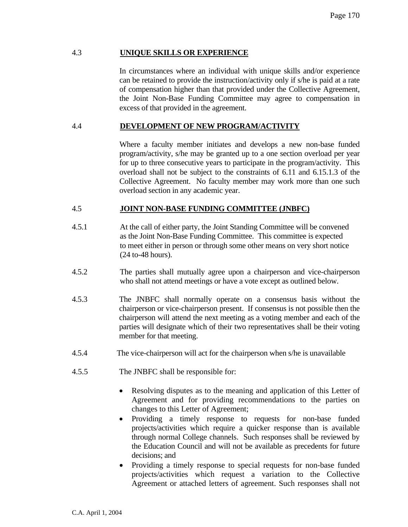# 4.3 **UNIQUE SKILLS OR EXPERIENCE**

In circumstances where an individual with unique skills and/or experience can be retained to provide the instruction/activity only if s/he is paid at a rate of compensation higher than that provided under the Collective Agreement, the Joint Non-Base Funding Committee may agree to compensation in excess of that provided in the agreement.

# 4.4 **DEVELOPMENT OF NEW PROGRAM/ACTIVITY**

Where a faculty member initiates and develops a new non-base funded program/activity, s/he may be granted up to a one section overload per year for up to three consecutive years to participate in the program/activity. This overload shall not be subject to the constraints of 6.11 and 6.15.1.3 of the Collective Agreement. No faculty member may work more than one such overload section in any academic year.

### 4.5 **JOINT NON-BASE FUNDING COMMITTEE (JNBFC)**

- 4.5.1 At the call of either party, the Joint Standing Committee will be convened as the Joint Non-Base Funding Committee. This committee is expected to meet either in person or through some other means on very short notice (24 to-48 hours).
- 4.5.2 The parties shall mutually agree upon a chairperson and vice-chairperson who shall not attend meetings or have a vote except as outlined below.
- 4.5.3 The JNBFC shall normally operate on a consensus basis without the chairperson or vice-chairperson present. If consensus is not possible then the chairperson will attend the next meeting as a voting member and each of the parties will designate which of their two representatives shall be their voting member for that meeting.
- 4.5.4 The vice-chairperson will act for the chairperson when s/he is unavailable
- 4.5.5 The JNBFC shall be responsible for:
	- Resolving disputes as to the meaning and application of this Letter of Agreement and for providing recommendations to the parties on changes to this Letter of Agreement;
	- Providing a timely response to requests for non-base funded projects/activities which require a quicker response than is available through normal College channels. Such responses shall be reviewed by the Education Council and will not be available as precedents for future decisions; and
	- Providing a timely response to special requests for non-base funded projects/activities which request a variation to the Collective Agreement or attached letters of agreement. Such responses shall not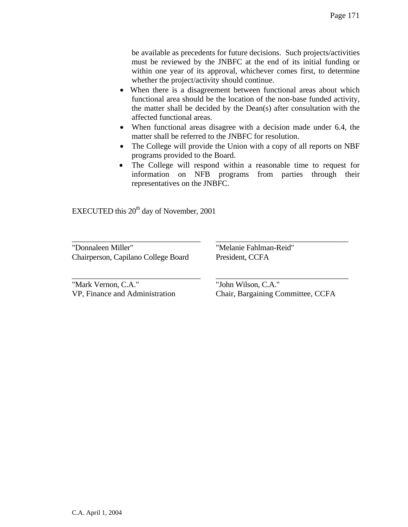be available as precedents for future decisions. Such projects/activities must be reviewed by the JNBFC at the end of its initial funding or within one year of its approval, whichever comes first, to determine whether the project/activity should continue.

- When there is a disagreement between functional areas about which functional area should be the location of the non-base funded activity, the matter shall be decided by the Dean(s) after consultation with the affected functional areas.
- When functional areas disagree with a decision made under 6.4, the matter shall be referred to the JNBFC for resolution.
- The College will provide the Union with a copy of all reports on NBF programs provided to the Board.
- The College will respond within a reasonable time to request for information on NFB programs from parties through their representatives on the JNBFC.

\_\_\_\_\_\_\_\_\_\_\_\_\_\_\_\_\_\_\_\_\_\_\_\_\_\_\_\_\_\_\_\_\_ \_\_\_\_\_\_\_\_\_\_\_\_\_\_\_\_\_\_\_\_\_\_\_\_\_\_\_\_\_\_\_\_\_\_

\_\_\_\_\_\_\_\_\_\_\_\_\_\_\_\_\_\_\_\_\_\_\_\_\_\_\_\_\_\_\_\_\_ \_\_\_\_\_\_\_\_\_\_\_\_\_\_\_\_\_\_\_\_\_\_\_\_\_\_\_\_\_\_\_\_\_\_

EXECUTED this  $20<sup>th</sup>$  day of November, 2001

"Donnaleen Miller" "Melanie Fahlman-Reid" Chairperson, Capilano College Board President, CCFA

"Mark Vernon, C.A." "John Wilson, C.A."

VP, Finance and Administration Chair, Bargaining Committee, CCFA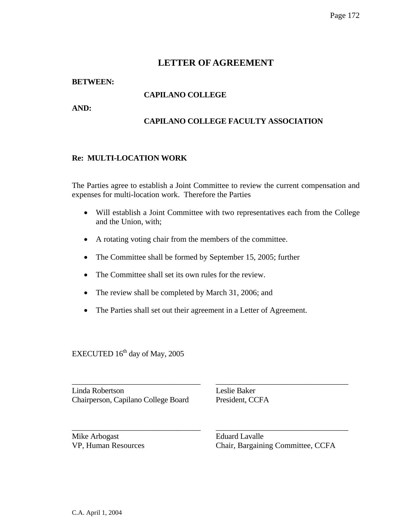# **BETWEEN:**

# **CAPILANO COLLEGE**

**AND:** 

# **CAPILANO COLLEGE FACULTY ASSOCIATION**

# **Re: MULTI-LOCATION WORK**

The Parties agree to establish a Joint Committee to review the current compensation and expenses for multi-location work. Therefore the Parties

- Will establish a Joint Committee with two representatives each from the College and the Union, with;
- A rotating voting chair from the members of the committee.
- The Committee shall be formed by September 15, 2005; further
- The Committee shall set its own rules for the review.
- The review shall be completed by March 31, 2006; and
- The Parties shall set out their agreement in a Letter of Agreement.

\_\_\_\_\_\_\_\_\_\_\_\_\_\_\_\_\_\_\_\_\_\_\_\_\_\_\_\_\_\_\_\_\_ \_\_\_\_\_\_\_\_\_\_\_\_\_\_\_\_\_\_\_\_\_\_\_\_\_\_\_\_\_\_\_\_\_\_

\_\_\_\_\_\_\_\_\_\_\_\_\_\_\_\_\_\_\_\_\_\_\_\_\_\_\_\_\_\_\_\_\_ \_\_\_\_\_\_\_\_\_\_\_\_\_\_\_\_\_\_\_\_\_\_\_\_\_\_\_\_\_\_\_\_\_\_

EXECUTED  $16<sup>th</sup>$  day of May, 2005

Linda Robertson Leslie Baker Chairperson, Capilano College Board President, CCFA

Mike Arbogast **Eduard Lavalle**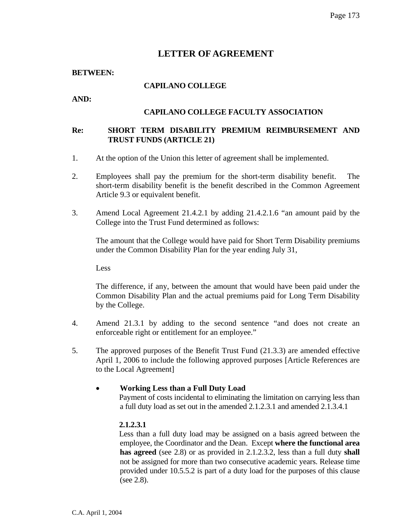#### **BETWEEN:**

# **CAPILANO COLLEGE**

**AND:** 

# **CAPILANO COLLEGE FACULTY ASSOCIATION**

# **Re: SHORT TERM DISABILITY PREMIUM REIMBURSEMENT AND TRUST FUNDS (ARTICLE 21)**

- 1. At the option of the Union this letter of agreement shall be implemented.
- 2. Employees shall pay the premium for the short-term disability benefit. The short-term disability benefit is the benefit described in the Common Agreement Article 9.3 or equivalent benefit.
- 3. Amend Local Agreement 21.4.2.1 by adding 21.4.2.1.6 "an amount paid by the College into the Trust Fund determined as follows:

 The amount that the College would have paid for Short Term Disability premiums under the Common Disability Plan for the year ending July 31,

Less

 The difference, if any, between the amount that would have been paid under the Common Disability Plan and the actual premiums paid for Long Term Disability by the College.

- 4. Amend 21.3.1 by adding to the second sentence "and does not create an enforceable right or entitlement for an employee."
- 5. The approved purposes of the Benefit Trust Fund (21.3.3) are amended effective April 1, 2006 to include the following approved purposes [Article References are to the Local Agreement]

### • **Working Less than a Full Duty Load**

 Payment of costs incidental to eliminating the limitation on carrying less than a full duty load as set out in the amended 2.1.2.3.1 and amended 2.1.3.4.1

### **2.1.2.3.1**

 Less than a full duty load may be assigned on a basis agreed between the employee, the Coordinator and the Dean. Except **where the functional area has agreed** (see 2.8) or as provided in 2.1.2.3.2, less than a full duty **shall**  not be assigned for more than two consecutive academic years. Release time provided under 10.5.5.2 is part of a duty load for the purposes of this clause (see 2.8).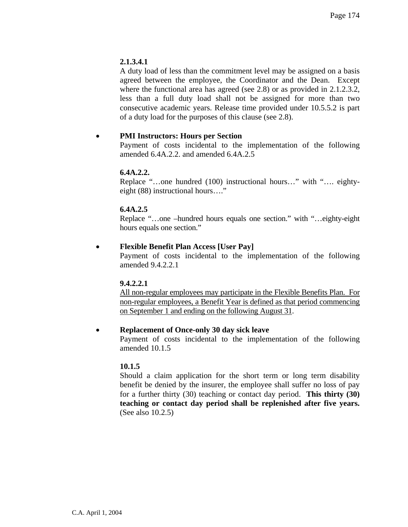# **2.1.3.4.1**

A duty load of less than the commitment level may be assigned on a basis agreed between the employee, the Coordinator and the Dean. Except where the functional area has agreed (see 2.8) or as provided in 2.1.2.3.2, less than a full duty load shall not be assigned for more than two consecutive academic years. Release time provided under 10.5.5.2 is part of a duty load for the purposes of this clause (see 2.8).

# • **PMI Instructors: Hours per Section**

 Payment of costs incidental to the implementation of the following amended 6.4A.2.2. and amended 6.4A.2.5

# **6.4A.2.2.**

 Replace "…one hundred (100) instructional hours…" with "…. eightyeight (88) instructional hours…."

# **6.4A.2.5**

 Replace "…one –hundred hours equals one section." with "…eighty-eight hours equals one section."

# • **Flexible Benefit Plan Access [User Pay]**

 Payment of costs incidental to the implementation of the following amended 9.4.2.2.1

### **9.4.2.2.1**

All non-regular employees may participate in the Flexible Benefits Plan. For non-regular employees, a Benefit Year is defined as that period commencing on September 1 and ending on the following August 31.

### • **Replacement of Once-only 30 day sick leave**

 Payment of costs incidental to the implementation of the following amended 10.1.5

### **10.1.5**

Should a claim application for the short term or long term disability benefit be denied by the insurer, the employee shall suffer no loss of pay for a further thirty (30) teaching or contact day period. **This thirty (30) teaching or contact day period shall be replenished after five years.**  (See also 10.2.5)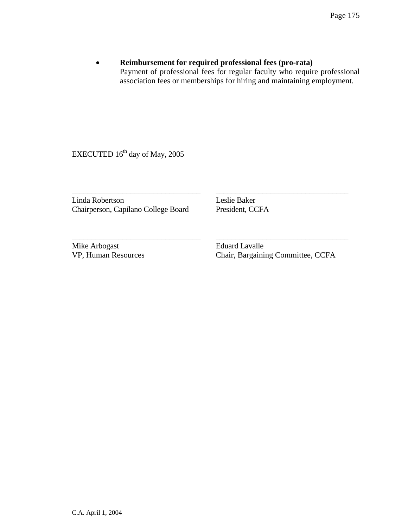# • **Reimbursement for required professional fees (pro-rata)**  Payment of professional fees for regular faculty who require professional association fees or memberships for hiring and maintaining employment.

EXECUTED 16<sup>th</sup> day of May, 2005

Linda Robertson Leslie Baker<br>Chairperson, Capilano College Board President, CCFA Chairperson, Capilano College Board

\_\_\_\_\_\_\_\_\_\_\_\_\_\_\_\_\_\_\_\_\_\_\_\_\_\_\_\_\_\_\_\_\_ \_\_\_\_\_\_\_\_\_\_\_\_\_\_\_\_\_\_\_\_\_\_\_\_\_\_\_\_\_\_\_\_\_\_

\_\_\_\_\_\_\_\_\_\_\_\_\_\_\_\_\_\_\_\_\_\_\_\_\_\_\_\_\_\_\_\_\_ \_\_\_\_\_\_\_\_\_\_\_\_\_\_\_\_\_\_\_\_\_\_\_\_\_\_\_\_\_\_\_\_\_\_

Mike Arbogast **Eduard Lavalle**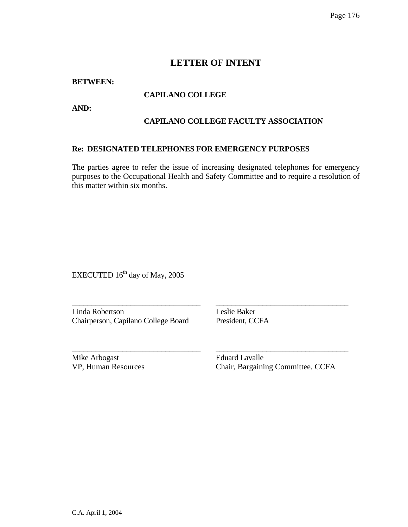# **LETTER OF INTENT**

**BETWEEN:** 

# **CAPILANO COLLEGE**

**AND:** 

# **CAPILANO COLLEGE FACULTY ASSOCIATION**

### **Re: DESIGNATED TELEPHONES FOR EMERGENCY PURPOSES**

The parties agree to refer the issue of increasing designated telephones for emergency purposes to the Occupational Health and Safety Committee and to require a resolution of this matter within six months.

\_\_\_\_\_\_\_\_\_\_\_\_\_\_\_\_\_\_\_\_\_\_\_\_\_\_\_\_\_\_\_\_\_ \_\_\_\_\_\_\_\_\_\_\_\_\_\_\_\_\_\_\_\_\_\_\_\_\_\_\_\_\_\_\_\_\_\_

\_\_\_\_\_\_\_\_\_\_\_\_\_\_\_\_\_\_\_\_\_\_\_\_\_\_\_\_\_\_\_\_\_ \_\_\_\_\_\_\_\_\_\_\_\_\_\_\_\_\_\_\_\_\_\_\_\_\_\_\_\_\_\_\_\_\_\_

EXECUTED 16<sup>th</sup> day of May, 2005

Linda Robertson Leslie Baker Chairperson, Capilano College Board President, CCFA

Mike Arbogast **Eduard Lavalle**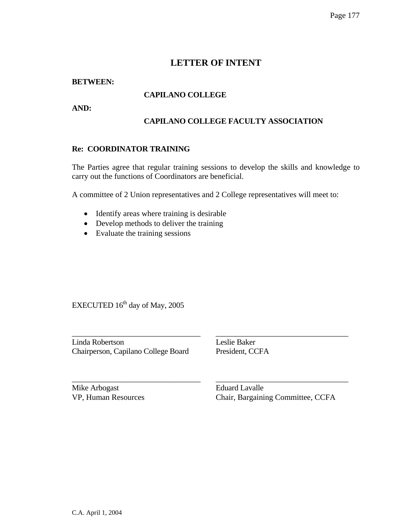# **LETTER OF INTENT**

# **BETWEEN:**

# **CAPILANO COLLEGE**

**AND:** 

# **CAPILANO COLLEGE FACULTY ASSOCIATION**

# **Re: COORDINATOR TRAINING**

The Parties agree that regular training sessions to develop the skills and knowledge to carry out the functions of Coordinators are beneficial.

A committee of 2 Union representatives and 2 College representatives will meet to:

- Identify areas where training is desirable
- Develop methods to deliver the training
- Evaluate the training sessions

EXECUTED  $16<sup>th</sup>$  day of May, 2005

\_\_\_\_\_\_\_\_\_\_\_\_\_\_\_\_\_\_\_\_\_\_\_\_\_\_\_\_\_\_\_\_\_ \_\_\_\_\_\_\_\_\_\_\_\_\_\_\_\_\_\_\_\_\_\_\_\_\_\_\_\_\_\_\_\_\_\_ Linda Robertson Leslie Baker Chairperson, Capilano College Board President, CCFA

\_\_\_\_\_\_\_\_\_\_\_\_\_\_\_\_\_\_\_\_\_\_\_\_\_\_\_\_\_\_\_\_\_ \_\_\_\_\_\_\_\_\_\_\_\_\_\_\_\_\_\_\_\_\_\_\_\_\_\_\_\_\_\_\_\_\_\_

Mike Arbogast Eduard Lavalle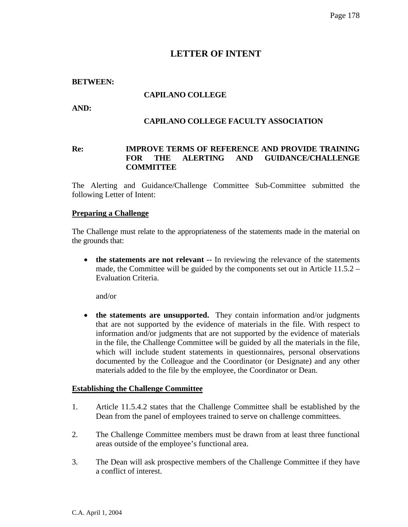# **LETTER OF INTENT**

### **BETWEEN:**

# **CAPILANO COLLEGE**

**AND:** 

### **CAPILANO COLLEGE FACULTY ASSOCIATION**

# **Re: IMPROVE TERMS OF REFERENCE AND PROVIDE TRAINING FOR THE ALERTING AND GUIDANCE/CHALLENGE COMMITTEE**

The Alerting and Guidance/Challenge Committee Sub-Committee submitted the following Letter of Intent:

#### **Preparing a Challenge**

The Challenge must relate to the appropriateness of the statements made in the material on the grounds that:

• **the statements are not relevant** -- In reviewing the relevance of the statements made, the Committee will be guided by the components set out in Article 11.5.2 – Evaluation Criteria.

and/or

• **the statements are unsupported.** They contain information and/or judgments that are not supported by the evidence of materials in the file. With respect to information and/or judgments that are not supported by the evidence of materials in the file, the Challenge Committee will be guided by all the materials in the file, which will include student statements in questionnaires, personal observations documented by the Colleague and the Coordinator (or Designate) and any other materials added to the file by the employee, the Coordinator or Dean.

### **Establishing the Challenge Committee**

- 1. Article 11.5.4.2 states that the Challenge Committee shall be established by the Dean from the panel of employees trained to serve on challenge committees.
- 2. The Challenge Committee members must be drawn from at least three functional areas outside of the employee's functional area.
- 3. The Dean will ask prospective members of the Challenge Committee if they have a conflict of interest.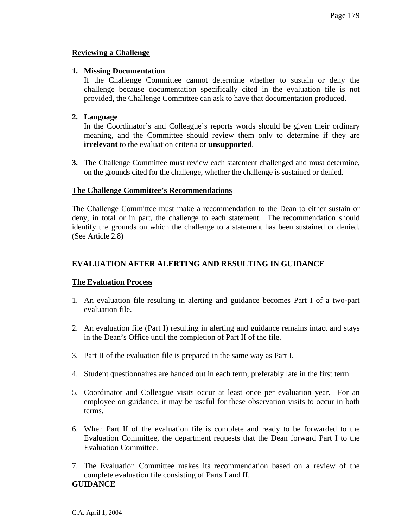# **Reviewing a Challenge**

### **1. Missing Documentation**

If the Challenge Committee cannot determine whether to sustain or deny the challenge because documentation specifically cited in the evaluation file is not provided, the Challenge Committee can ask to have that documentation produced.

# **2. Language**

In the Coordinator's and Colleague's reports words should be given their ordinary meaning, and the Committee should review them only to determine if they are **irrelevant** to the evaluation criteria or **unsupported**.

**3.** The Challenge Committee must review each statement challenged and must determine, on the grounds cited for the challenge, whether the challenge is sustained or denied.

# **The Challenge Committee's Recommendations**

The Challenge Committee must make a recommendation to the Dean to either sustain or deny, in total or in part, the challenge to each statement. The recommendation should identify the grounds on which the challenge to a statement has been sustained or denied. (See Article 2.8)

# **EVALUATION AFTER ALERTING AND RESULTING IN GUIDANCE**

### **The Evaluation Process**

- 1. An evaluation file resulting in alerting and guidance becomes Part I of a two-part evaluation file.
- 2. An evaluation file (Part I) resulting in alerting and guidance remains intact and stays in the Dean's Office until the completion of Part II of the file.
- 3. Part II of the evaluation file is prepared in the same way as Part I.
- 4. Student questionnaires are handed out in each term, preferably late in the first term.
- 5. Coordinator and Colleague visits occur at least once per evaluation year. For an employee on guidance, it may be useful for these observation visits to occur in both terms.
- 6. When Part II of the evaluation file is complete and ready to be forwarded to the Evaluation Committee, the department requests that the Dean forward Part I to the Evaluation Committee.
- 7. The Evaluation Committee makes its recommendation based on a review of the complete evaluation file consisting of Parts I and II. **GUIDANCE**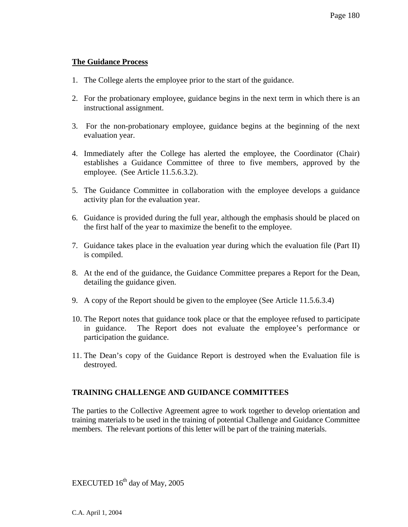### **The Guidance Process**

- 1. The College alerts the employee prior to the start of the guidance.
- 2. For the probationary employee, guidance begins in the next term in which there is an instructional assignment.
- 3. For the non-probationary employee, guidance begins at the beginning of the next evaluation year.
- 4. Immediately after the College has alerted the employee, the Coordinator (Chair) establishes a Guidance Committee of three to five members, approved by the employee. (See Article 11.5.6.3.2).
- 5. The Guidance Committee in collaboration with the employee develops a guidance activity plan for the evaluation year.
- 6. Guidance is provided during the full year, although the emphasis should be placed on the first half of the year to maximize the benefit to the employee.
- 7. Guidance takes place in the evaluation year during which the evaluation file (Part II) is compiled.
- 8. At the end of the guidance, the Guidance Committee prepares a Report for the Dean, detailing the guidance given.
- 9. A copy of the Report should be given to the employee (See Article 11.5.6.3.4)
- 10. The Report notes that guidance took place or that the employee refused to participate in guidance. The Report does not evaluate the employee's performance or participation the guidance.
- 11. The Dean's copy of the Guidance Report is destroyed when the Evaluation file is destroyed.

### **TRAINING CHALLENGE AND GUIDANCE COMMITTEES**

The parties to the Collective Agreement agree to work together to develop orientation and training materials to be used in the training of potential Challenge and Guidance Committee members. The relevant portions of this letter will be part of the training materials.

EXECUTED  $16<sup>th</sup>$  day of May, 2005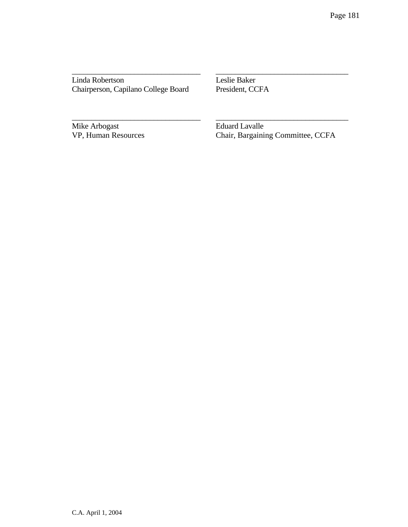Linda Robertson Leslie Baker<br>Chairperson, Capilano College Board President, CCFA Chairperson, Capilano College Board

\_\_\_\_\_\_\_\_\_\_\_\_\_\_\_\_\_\_\_\_\_\_\_\_\_\_\_\_\_\_\_\_\_ \_\_\_\_\_\_\_\_\_\_\_\_\_\_\_\_\_\_\_\_\_\_\_\_\_\_\_\_\_\_\_\_\_\_

\_\_\_\_\_\_\_\_\_\_\_\_\_\_\_\_\_\_\_\_\_\_\_\_\_\_\_\_\_\_\_\_\_ \_\_\_\_\_\_\_\_\_\_\_\_\_\_\_\_\_\_\_\_\_\_\_\_\_\_\_\_\_\_\_\_\_\_

Mike Arbogast<br>
VP, Human Resources<br>
Chair, Bargainii

Chair, Bargaining Committee, CCFA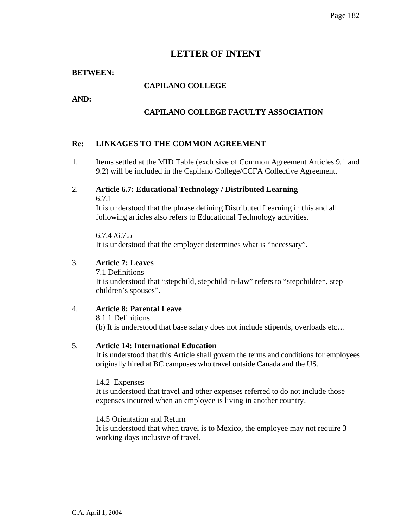# **LETTER OF INTENT**

### **BETWEEN:**

### **CAPILANO COLLEGE**

**AND:** 

### **CAPILANO COLLEGE FACULTY ASSOCIATION**

### **Re: LINKAGES TO THE COMMON AGREEMENT**

- 1. Items settled at the MID Table (exclusive of Common Agreement Articles 9.1 and 9.2) will be included in the Capilano College/CCFA Collective Agreement.
- 2. **Article 6.7: Educational Technology / Distributed Learning**  6.7.1

It is understood that the phrase defining Distributed Learning in this and all following articles also refers to Educational Technology activities.

6.7.4 /6.7.5 It is understood that the employer determines what is "necessary".

#### 3. **Article 7: Leaves**

7.1 Definitions It is understood that "stepchild, stepchild in-law" refers to "stepchildren, step children's spouses".

## 4. **Article 8: Parental Leave**

8.1.1 Definitions (b) It is understood that base salary does not include stipends, overloads etc…

#### 5. **Article 14: International Education**

It is understood that this Article shall govern the terms and conditions for employees originally hired at BC campuses who travel outside Canada and the US.

14.2 Expenses

It is understood that travel and other expenses referred to do not include those expenses incurred when an employee is living in another country.

14.5 Orientation and Return

It is understood that when travel is to Mexico, the employee may not require 3 working days inclusive of travel.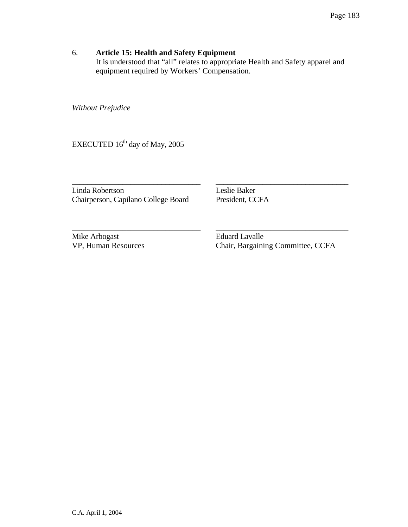# 6. **Article 15: Health and Safety Equipment**

It is understood that "all" relates to appropriate Health and Safety apparel and equipment required by Workers' Compensation.

\_\_\_\_\_\_\_\_\_\_\_\_\_\_\_\_\_\_\_\_\_\_\_\_\_\_\_\_\_\_\_\_\_ \_\_\_\_\_\_\_\_\_\_\_\_\_\_\_\_\_\_\_\_\_\_\_\_\_\_\_\_\_\_\_\_\_\_

\_\_\_\_\_\_\_\_\_\_\_\_\_\_\_\_\_\_\_\_\_\_\_\_\_\_\_\_\_\_\_\_\_ \_\_\_\_\_\_\_\_\_\_\_\_\_\_\_\_\_\_\_\_\_\_\_\_\_\_\_\_\_\_\_\_\_\_

*Without Prejudice* 

EXECUTED  $16^{th}$  day of May, 2005

Linda Robertson Leslie Baker Chairperson, Capilano College Board President, CCFA

Mike Arbogast **Eduard Lavalle** 

VP, Human Resources Chair, Bargaining Committee, CCFA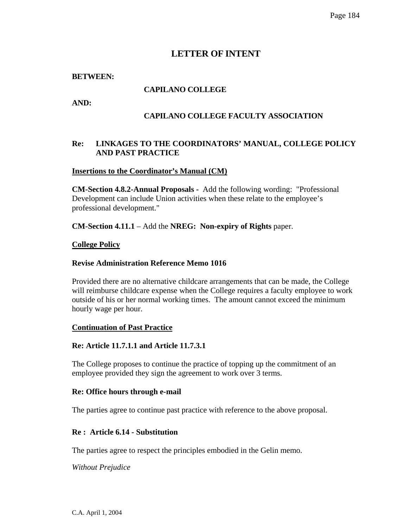# **LETTER OF INTENT**

### **BETWEEN:**

# **CAPILANO COLLEGE**

**AND:** 

## **CAPILANO COLLEGE FACULTY ASSOCIATION**

### **Re: LINKAGES TO THE COORDINATORS' MANUAL, COLLEGE POLICY AND PAST PRACTICE**

### **Insertions to the Coordinator's Manual (CM)**

**CM-Section 4.8.2-Annual Proposals -** Add the following wording: "Professional Development can include Union activities when these relate to the employee's professional development."

**CM-Section 4.11.1** – Add the **NREG: Non-expiry of Rights** paper.

#### **College Policy**

#### **Revise Administration Reference Memo 1016**

Provided there are no alternative childcare arrangements that can be made, the College will reimburse childcare expense when the College requires a faculty employee to work outside of his or her normal working times. The amount cannot exceed the minimum hourly wage per hour.

### **Continuation of Past Practice**

### **Re: Article 11.7.1.1 and Article 11.7.3.1**

The College proposes to continue the practice of topping up the commitment of an employee provided they sign the agreement to work over 3 terms.

#### **Re: Office hours through e-mail**

The parties agree to continue past practice with reference to the above proposal.

### **Re : Article 6.14 - Substitution**

The parties agree to respect the principles embodied in the Gelin memo.

*Without Prejudice*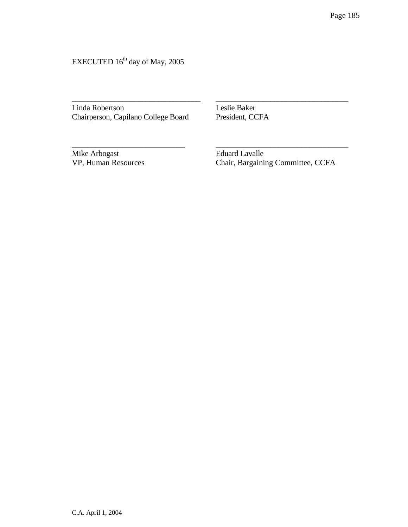EXECUTED  $16^{\text{th}}$  day of May, 2005

Linda Robertson Leslie Baker Chairperson, Capilano College Board President, CCFA

\_\_\_\_\_\_\_\_\_\_\_\_\_\_\_\_\_\_\_\_\_\_\_\_\_\_\_\_\_\_\_\_\_ \_\_\_\_\_\_\_\_\_\_\_\_\_\_\_\_\_\_\_\_\_\_\_\_\_\_\_\_\_\_\_\_\_\_

\_\_\_\_\_\_\_\_\_\_\_\_\_\_\_\_\_\_\_\_\_\_\_\_\_\_\_\_\_ \_\_\_\_\_\_\_\_\_\_\_\_\_\_\_\_\_\_\_\_\_\_\_\_\_\_\_\_\_\_\_\_\_\_

Mike Arbogast Eduard Lavalle<br>
VP, Human Resources Chair, Bargainii

**Chair, Bargaining Committee, CCFA**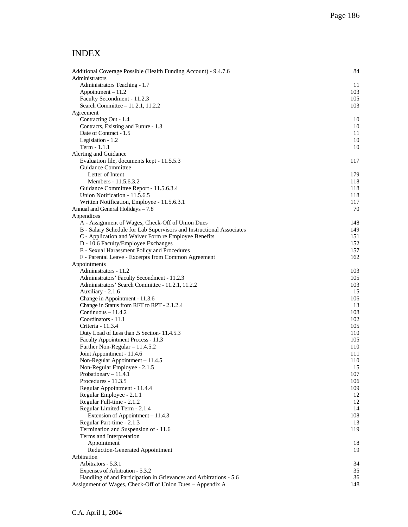# INDEX

| Additional Coverage Possible (Health Funding Account) - 9.4.7.6      | 84         |
|----------------------------------------------------------------------|------------|
| Administrators                                                       |            |
| Administrators Teaching - 1.7                                        | 11         |
| Appointment - 11.2                                                   | 103        |
| Faculty Secondment - 11.2.3                                          | 105        |
| Search Committee - 11.2.1, 11.2.2                                    | 103        |
| Agreement                                                            |            |
| Contracting Out - 1.4                                                | 10         |
| Contracts, Existing and Future - 1.3                                 | 10         |
| Date of Contract - 1.5                                               | 11         |
| Legislation - 1.2                                                    | 10         |
| Term - 1.1.1                                                         | 10         |
| Alerting and Guidance<br>Evaluation file, documents kept - 11.5.5.3  | 117        |
| Guidance Committee                                                   |            |
| Letter of Intent                                                     | 179        |
| Members - 11.5.6.3.2                                                 | 118        |
| Guidance Committee Report - 11.5.6.3.4                               | 118        |
| Union Notification - 11.5.6.5                                        | 118        |
| Written Notification, Employee - 11.5.6.3.1                          | 117        |
| Annual and General Holidays – 7.8                                    | 70         |
| Appendices                                                           |            |
| A - Assignment of Wages, Check-Off of Union Dues                     | 148        |
| B - Salary Schedule for Lab Supervisors and Instructional Associates | 149        |
| C - Application and Waiver Form re Employee Benefits                 | 151        |
| D - 10.6 Faculty/Employee Exchanges                                  | 152        |
| E - Sexual Harassment Policy and Procedures                          | 157        |
| F - Parental Leave - Excerpts from Common Agreement                  | 162        |
| Appointments                                                         |            |
| Administrators - 11.2                                                | 103        |
| Administrators' Faculty Secondment - 11.2.3                          | 105        |
| Administrators' Search Committee - 11.2.1, 11.2.2                    | 103        |
| Auxiliary - 2.1.6                                                    | 15         |
| Change in Appointment - 11.3.6                                       | 106        |
| Change in Status from RFT to RPT - 2.1.2.4                           | 13         |
| Continuous $-11.4.2$                                                 | 108        |
| Coordinators - 11.1                                                  | 102        |
| Criteria - 11.3.4                                                    | 105        |
| Duty Load of Less than .5 Section- 11.4.5.3                          | 110<br>105 |
| Faculty Appointment Process - 11.3<br>Further Non-Regular - 11.4.5.2 | 110        |
| Joint Appointment - 11.4.6                                           | 111        |
| Non-Regular Appointment - 11.4.5                                     | 110        |
| Non-Regular Employee - 2.1.5                                         | 15         |
| Probationary - 11.4.1                                                | 107        |
| Procedures - 11.3.5                                                  | 106        |
| Regular Appointment - 11.4.4                                         | 109        |
| Regular Employee - 2.1.1                                             | 12         |
| Regular Full-time - 2.1.2                                            | 12         |
| Regular Limited Term - 2.1.4                                         | 14         |
| Extension of Appointment - 11.4.3                                    | 108        |
| Regular Part-time - 2.1.3                                            | 13         |
| Termination and Suspension of - 11.6                                 | 119        |
| Terms and Interpretation                                             |            |
| Appointment                                                          | 18         |
| <b>Reduction-Generated Appointment</b>                               | 19         |
| Arbitration                                                          |            |
| Arbitrators - 5.3.1                                                  | 34         |
| Expenses of Arbitration - 5.3.2                                      | 35         |
| Handling of and Participation in Grievances and Arbitrations - 5.6   | 36         |
| Assignment of Wages, Check-Off of Union Dues – Appendix A            | 148        |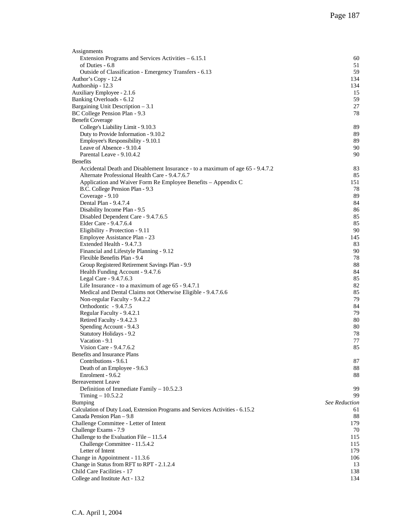| Assignments                                                                   |                      |
|-------------------------------------------------------------------------------|----------------------|
| Extension Programs and Services Activities – 6.15.1                           | 60                   |
| of Duties - 6.8                                                               | 51                   |
| Outside of Classification - Emergency Transfers - 6.13                        | 59                   |
| Author's Copy - 12.4                                                          | 134                  |
| Authorship - 12.3                                                             | 134                  |
| Auxiliary Employee - 2.1.6                                                    | 15                   |
| Banking Overloads - 6.12                                                      | 59                   |
| Bargaining Unit Description $-3.1$                                            | 27                   |
| BC College Pension Plan - 9.3                                                 | 78                   |
| <b>Benefit Coverage</b>                                                       |                      |
| College's Liability Limit - 9.10.3                                            | 89                   |
| Duty to Provide Information - 9.10.2                                          | 89                   |
| Employee's Responsibility - 9.10.1                                            | 89                   |
| Leave of Absence - 9.10.4                                                     | 90                   |
| Parental Leave - 9.10.4.2                                                     | 90                   |
| <b>Benefits</b>                                                               |                      |
| Accidental Death and Disablement Insurance - to a maximum of age 65 - 9.4.7.2 | 83                   |
| Alternate Professional Health Care - 9.4.7.6.7                                | 85                   |
| Application and Waiver Form Re Employee Benefits - Appendix C                 | 151                  |
| B.C. College Pension Plan - 9.3                                               | 78                   |
| Coverage - 9.10                                                               | 89                   |
| Dental Plan - 9.4.7.4                                                         | 84                   |
| Disability Income Plan - 9.5                                                  | 86                   |
| Disabled Dependent Care - 9.4.7.6.5                                           | 85                   |
| Elder Care - 9.4.7.6.4                                                        | 85<br>90             |
| Eligibility - Protection - 9.11<br>Employee Assistance Plan - 23              | 145                  |
|                                                                               | 83                   |
| Extended Health - 9.4.7.3<br>Financial and Lifestyle Planning - 9.12          | 90                   |
| Flexible Benefits Plan - 9.4                                                  | 78                   |
| Group Registered Retirement Savings Plan - 9.9                                | 88                   |
| Health Funding Account - 9.4.7.6                                              | 84                   |
| Legal Care - 9.4.7.6.3                                                        | 85                   |
| Life Insurance - to a maximum of age $65 - 9.4.7.1$                           | 82                   |
| Medical and Dental Claims not Otherwise Eligible - 9.4.7.6.6                  | 85                   |
| Non-regular Faculty - 9.4.2.2                                                 | 79                   |
| Orthodontic - 9.4.7.5                                                         | 84                   |
| Regular Faculty - 9.4.2.1                                                     | 79                   |
| Retired Faculty - 9.4.2.3                                                     | 80                   |
| Spending Account - 9.4.3                                                      | 80                   |
| Statutory Holidays - 9.2                                                      | 78                   |
| Vacation - 9.1                                                                | 77                   |
| Vision Care - 9.4.7.6.2                                                       | 85                   |
| Benefits and Insurance Plans                                                  |                      |
| Contributions - 9.6.1                                                         | 87                   |
| Death of an Employee - 9.6.3                                                  | 88                   |
| Enrolment - 9.6.2                                                             | 88                   |
| <b>Bereavement Leave</b>                                                      |                      |
| Definition of Immediate Family - 10.5.2.3                                     | 99                   |
| Timing $-10.5.2.2$                                                            | 99                   |
| <b>Bumping</b>                                                                | <b>See Reduction</b> |
| Calculation of Duty Load, Extension Programs and Services Activities - 6.15.2 | 61                   |
| Canada Pension Plan - 9.8                                                     | 88                   |
| Challenge Committee - Letter of Intent                                        | 179.                 |
| Challenge Exams - 7.9                                                         | 70                   |
| Challenge to the Evaluation File $-11.5.4$                                    | 115                  |
| Challenge Committee - 11.5.4.2                                                | 115                  |
| Letter of Intent                                                              | 179                  |
| Change in Appointment - 11.3.6                                                | 106                  |
| Change in Status from RFT to RPT - 2.1.2.4                                    | 13                   |
| Child Care Facilities - 17                                                    | 138                  |
| College and Institute Act - 13.2                                              | 134                  |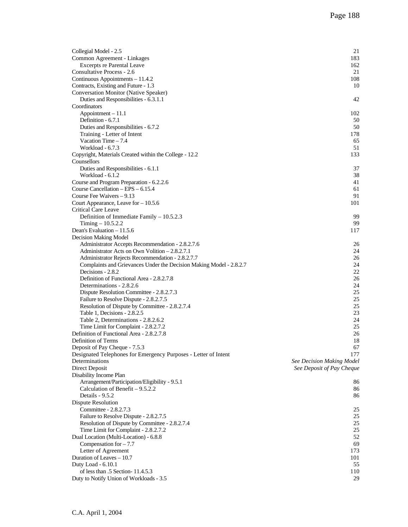| Collegial Model - 2.5<br>Common Agreement - Linkages                | 21<br>183                        |
|---------------------------------------------------------------------|----------------------------------|
| <b>Excerpts re Parental Leave</b>                                   | 162                              |
| Consultative Process - 2.6                                          | 21                               |
| Continuous Appointments - 11.4.2                                    | 108                              |
| Contracts, Existing and Future - 1.3                                | 10                               |
| Conversation Monitor (Native Speaker)                               |                                  |
| Duties and Responsibilities - 6.3.1.1                               | 42                               |
| Coordinators<br>$Appointment - 11.1$                                | 102                              |
| Definition - 6.7.1                                                  | 50                               |
| Duties and Responsibilities - 6.7.2                                 | 50                               |
| Training - Letter of Intent                                         | 178                              |
| Vacation Time $-7.4$                                                | 65                               |
| Workload - 6.7.3                                                    | 51                               |
| Copyright, Materials Created within the College - 12.2              | 133                              |
| Counsellors                                                         |                                  |
| Duties and Responsibilities - 6.1.1                                 | 37                               |
| Workload - 6.1.2                                                    | 38                               |
| Course and Program Preparation - 6.2.2.6                            | 41                               |
| Course Cancellation $-$ EPS $-$ 6.15.4                              | 61                               |
| Course Fee Waivers $-9.13$                                          | 91                               |
| Court Appearance, Leave for $-10.5.6$                               | 101                              |
| Critical Care Leave                                                 |                                  |
| Definition of Immediate Family - 10.5.2.3                           | 99                               |
| Timing $-10.5.2.2$                                                  | 99                               |
| Dean's Evaluation – 11.5.6                                          | 117                              |
| Decision Making Model                                               |                                  |
| Administrator Accepts Recommendation - 2.8.2.7.6                    | 26                               |
| Administrator Acts on Own Volition - 2.8.2.7.1                      | 24                               |
| Administrator Rejects Recommendation - 2.8.2.7.7                    | 26                               |
| Complaints and Grievances Under the Decision Making Model - 2.8.2.7 | 24                               |
| Decisions - 2.8.2                                                   | 22                               |
| Definition of Functional Area - 2.8.2.7.8                           | 26                               |
| Determinations - 2.8.2.6                                            | 24                               |
| Dispute Resolution Committee - 2.8.2.7.3                            | 25                               |
| Failure to Resolve Dispute - 2.8.2.7.5                              | 25                               |
| Resolution of Dispute by Committee - 2.8.2.7.4                      | 25                               |
| Table 1, Decisions - 2.8.2.5                                        | 23                               |
| Table 2, Determinations - 2.8.2.6.2                                 | 24                               |
| Time Limit for Complaint - 2.8.2.7.2                                | 25                               |
| Definition of Functional Area - 2.8.2.7.8                           | 26                               |
| Definition of Terms                                                 | 18                               |
| Deposit of Pay Cheque - 7.5.3                                       | 67                               |
| Designated Telephones for Emergency Purposes - Letter of Intent     | 177                              |
| Determinations                                                      | <b>See Decision Making Model</b> |
| Direct Deposit                                                      | See Deposit of Pay Cheque        |
| Disability Income Plan                                              |                                  |
| Arrangement/Participation/Eligibility - 9.5.1                       | 86                               |
| Calculation of Benefit $-9.5.2.2$                                   | 86                               |
| Details - 9.5.2                                                     | 86                               |
| Dispute Resolution                                                  |                                  |
| Committee - 2.8.2.7.3                                               | 25                               |
| Failure to Resolve Dispute - 2.8.2.7.5                              | 25                               |
| Resolution of Dispute by Committee - 2.8.2.7.4                      | 25                               |
| Time Limit for Complaint - 2.8.2.7.2                                | 25                               |
| Dual Location (Multi-Location) - 6.8.8                              | 52                               |
| Compensation for $-7.7$                                             | 69<br>173                        |
| Letter of Agreement<br>Duration of Leaves - 10.7                    |                                  |
| Duty Load - 6.10.1                                                  | 101<br>55                        |
| of less than .5 Section-11.4.5.3                                    | 110                              |
| Duty to Notify Union of Workloads - 3.5                             | 29                               |
|                                                                     |                                  |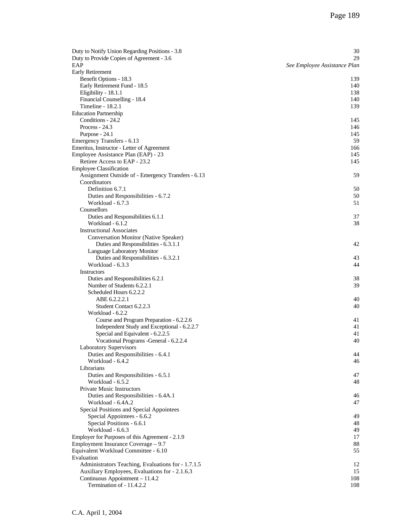| Duty to Notify Union Regarding Positions - 3.8          | 30                           |
|---------------------------------------------------------|------------------------------|
| Duty to Provide Copies of Agreement - 3.6               | 29                           |
| EAP                                                     | See Employee Assistance Plan |
| Early Retirement<br>Benefit Options - 18.3              | 139                          |
| Early Retirement Fund - 18.5                            | 140                          |
| Eligibility - 18.1.1                                    | 138                          |
| Financial Counselling - 18.4                            | 140                          |
| Timeline - 18.2.1                                       | 139                          |
| <b>Education Partnership</b>                            |                              |
| Conditions - 24.2                                       | 145                          |
| Process - $24.3$                                        | 146                          |
| Purpose - 24.1                                          | 145                          |
| Emergency Transfers - 6.13                              | 59                           |
| Emeritus, Instructor - Letter of Agreement              | 166                          |
| Employee Assistance Plan (EAP) - 23                     | 145                          |
| Retiree Access to EAP - 23.2                            | 145                          |
| <b>Employee Classification</b>                          |                              |
| Assignment Outside of - Emergency Transfers - 6.13      | 59                           |
| Coordinators<br>Definition 6.7.1                        |                              |
| Duties and Responsibilities - 6.7.2                     | 50<br>50                     |
| Workload - 6.7.3                                        | 51                           |
| Counsellors                                             |                              |
| Duties and Responsibilities 6.1.1                       | 37                           |
| Workload - 6.1.2                                        | 38                           |
| <b>Instructional Associates</b>                         |                              |
| Conversation Monitor (Native Speaker)                   |                              |
| Duties and Responsibilities - 6.3.1.1                   | 42                           |
| Language Laboratory Monitor                             |                              |
| Duties and Responsibilities - 6.3.2.1                   | 43                           |
| Workload - 6.3.3                                        | 44                           |
| Instructors<br>Duties and Responsibilities 6.2.1        | 38                           |
| Number of Students 6.2.2.1                              | 39                           |
| Scheduled Hours 6.2.2.2                                 |                              |
| ABE 6.2.2.2.1                                           | 40                           |
| Student Contact 6.2.2.3                                 | 40                           |
| Workload - 6.2.2                                        |                              |
| Course and Program Preparation - 6.2.2.6                | 41                           |
| Independent Study and Exceptional - 6.2.2.7             | 41                           |
| Special and Equivalent - 6.2.2.5                        | 41                           |
| Vocational Programs - General - 6.2.2.4                 | 40                           |
| <b>Laboratory Supervisors</b>                           | 44                           |
| Duties and Responsibilities - 6.4.1<br>Workload - 6.4.2 | 46                           |
| Librarians                                              |                              |
| Duties and Responsibilities - 6.5.1                     | 47                           |
| Workload - 6.5.2                                        | 48                           |
| <b>Private Music Instructors</b>                        |                              |
| Duties and Responsibilities - 6.4A.1                    | 46                           |
| Workload - 6.4A.2                                       | 47                           |
| Special Positions and Special Appointees                |                              |
| Special Appointees - 6.6.2                              | 49                           |
| Special Positions - 6.6.1<br>Workload - 6.6.3           | 48                           |
| Employer for Purposes of this Agreement - 2.1.9         | 49<br>17                     |
| Employment Insurance Coverage - 9.7                     | 88                           |
| Equivalent Workload Committee - 6.10                    | 55                           |
| Evaluation                                              |                              |
| Administrators Teaching, Evaluations for - 1.7.1.5      | 12                           |
| Auxiliary Employees, Evaluations for - 2.1.6.3          | 15                           |
| Continuous Appointment - 11.4.2                         | 108                          |
| Termination of - 11.4.2.2                               | 108                          |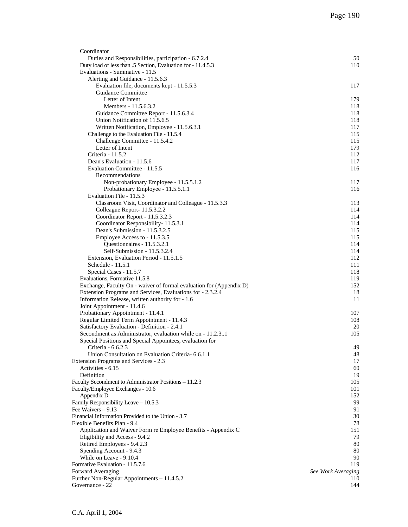| Coordinator                                                           |                    |
|-----------------------------------------------------------------------|--------------------|
| Duties and Responsibilities, participation - 6.7.2.4                  | 50                 |
| Duty load of less than .5 Section, Evaluation for - 11.4.5.3          | 110                |
| Evaluations - Summative - 11.5                                        |                    |
| Alerting and Guidance - 11.5.6.3                                      |                    |
| Evaluation file, documents kept - 11.5.5.3                            | 117                |
| Guidance Committee                                                    |                    |
| Letter of Intent                                                      | 179                |
| Members - 11.5.6.3.2                                                  | 118                |
| Guidance Committee Report - 11.5.6.3.4                                | 118                |
| Union Notification of 11.5.6.5                                        | 118                |
| Written Notification, Employee - 11.5.6.3.1                           | 117                |
| Challenge to the Evaluation File - 11.5.4                             | 115                |
| Challenge Committee - 11.5.4.2                                        | 115                |
| Letter of Intent                                                      | 179                |
| Criteria - 11.5.2                                                     | 112                |
| Dean's Evaluation - 11.5.6                                            | 117                |
| Evaluation Committee - 11.5.5                                         | 116                |
| Recommendations                                                       |                    |
| Non-probationary Employee - 11.5.5.1.2                                | 117                |
| Probationary Employee - 11.5.5.1.1                                    | 116                |
| Evaluation File - 11.5.3                                              |                    |
| Classroom Visit, Coordinator and Colleague - 11.5.3.3                 | 113                |
| Colleague Report- 11.5.3.2.2                                          | 114                |
| Coordinator Report - 11.5.3.2.3                                       | 114                |
| Coordinator Responsibility-11.5.3.1<br>Dean's Submission - 11.5.3.2.5 | 114                |
|                                                                       | 115                |
| Employee Access to - 11.5.3.5                                         | 115<br>114         |
| Questionnaires - 11.5.3.2.1<br>Self-Submission - 11.5.3.2.4           | 114                |
| Extension, Evaluation Period - 11.5.1.5                               | 112                |
| Schedule - 11.5.1                                                     | 111                |
| Special Cases - 11.5.7                                                | 118                |
| Evaluations, Formative 11.5.8                                         | 119                |
| Exchange, Faculty On - waiver of formal evaluation for (Appendix D)   | 152                |
| Extension Programs and Services, Evaluations for - 2.3.2.4            | 18                 |
| Information Release, written authority for - 1.6                      | 11                 |
| Joint Appointment - 11.4.6                                            |                    |
| Probationary Appointment - 11.4.1                                     | 107                |
| Regular Limited Term Appointment - 11.4.3                             | 108                |
| Satisfactory Evaluation - Definition - 2.4.1                          | 20                 |
| Secondment as Administrator, evaluation while on - 11.2.31            | 105                |
| Special Positions and Special Appointees, evaluation for              |                    |
| Criteria - 6.6.2.3                                                    | 49                 |
| Union Consultation on Evaluation Criteria- 6.6.1.1                    | 48                 |
| <b>Extension Programs and Services - 2.3</b>                          | 17                 |
| Activities - 6.15                                                     | 60                 |
| Definition                                                            | 19                 |
| Faculty Secondment to Administrator Positions - 11.2.3                | 105                |
| Faculty/Employee Exchanges - 10.6                                     | 101                |
| Appendix D                                                            | 152                |
| Family Responsibility Leave - 10.5.3                                  | 99                 |
| Fee Waivers - 9.13                                                    | 91                 |
| Financial Information Provided to the Union - 3.7                     | 30                 |
| Flexible Benefits Plan - 9.4                                          | 78                 |
| Application and Waiver Form re Employee Benefits - Appendix C         | 151                |
| Eligibility and Access - 9.4.2                                        | 79                 |
| Retired Employees - 9.4.2.3                                           | 80                 |
| Spending Account - 9.4.3                                              | 80                 |
| While on Leave - 9.10.4                                               | 90                 |
| Formative Evaluation - 11.5.7.6                                       | 119                |
| Forward Averaging                                                     | See Work Averaging |
| Further Non-Regular Appointments - 11.4.5.2                           | 110                |
| Governance - 22                                                       | 144                |
|                                                                       |                    |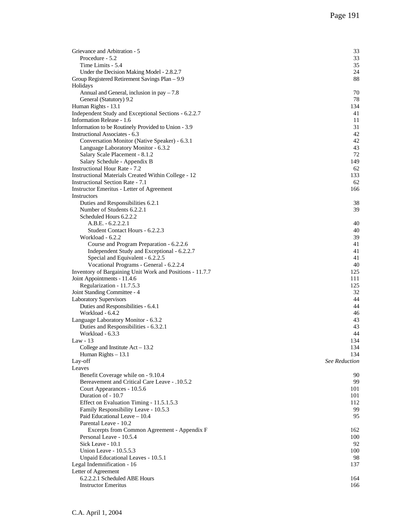| Grievance and Arbitration - 5                                                         | 33                          |
|---------------------------------------------------------------------------------------|-----------------------------|
| Procedure - 5.2<br>Time Limits - 5.4                                                  | 33<br>35                    |
| Under the Decision Making Model - 2.8.2.7                                             | 24                          |
| Group Registered Retirement Savings Plan - 9.9                                        | 88                          |
| Holidays                                                                              |                             |
| Annual and General, inclusion in $pay - 7.8$                                          | 70                          |
| General (Statutory) 9.2                                                               | 78                          |
| Human Rights - 13.1                                                                   | 134                         |
| Independent Study and Exceptional Sections - 6.2.2.7                                  | 41                          |
| Information Release - 1.6                                                             | 11                          |
| Information to be Routinely Provided to Union - 3.9<br>Instructional Associates - 6.3 | 31<br>42                    |
| Conversation Monitor (Native Speaker) - 6.3.1                                         | 42                          |
| Language Laboratory Monitor - 6.3.2                                                   | 43                          |
| Salary Scale Placement - 8.1.2                                                        | 72                          |
| Salary Schedule - Appendix B                                                          | 149                         |
| <b>Instructional Hour Rate - 7.2</b>                                                  | 62                          |
| Instructional Materials Created Within College - 12                                   | 133                         |
| <b>Instructional Section Rate - 7.1</b>                                               | 62                          |
| Instructor Emeritus - Letter of Agreement                                             | 166                         |
| Instructors                                                                           |                             |
| Duties and Responsibilities 6.2.1<br>Number of Students 6.2.2.1                       | 38<br>39                    |
| Scheduled Hours 6.2.2.2                                                               |                             |
| $A.B.E. - 6.2.2.2.1$                                                                  | 40                          |
| Student Contact Hours - 6.2.2.3                                                       | 40                          |
| Workload - 6.2.2                                                                      | 39                          |
| Course and Program Preparation - 6.2.2.6                                              | 41                          |
| Independent Study and Exceptional - 6.2.2.7                                           | 41                          |
| Special and Equivalent - 6.2.2.5                                                      | 41                          |
| Vocational Programs - General - 6.2.2.4                                               | 40                          |
| Inventory of Bargaining Unit Work and Positions - 11.7.7                              | 125                         |
| Joint Appointments - 11.4.6                                                           | 111<br>125                  |
| Regularization - 11.7.5.3<br>Joint Standing Committee - 4                             | 32                          |
| <b>Laboratory Supervisors</b>                                                         | 44                          |
| Duties and Responsibilities - 6.4.1                                                   | 44                          |
| Workload - 6.4.2                                                                      | 46                          |
| Language Laboratory Monitor - 6.3.2                                                   | 43                          |
| Duties and Responsibilities - 6.3.2.1                                                 | 43                          |
| Workload - 6.3.3                                                                      | 44                          |
| Law - 13                                                                              | 134                         |
| College and Institute $Act - 13.2$                                                    | 134                         |
| Human Rights $-13.1$<br>Lay-off                                                       | 134<br><b>See Reduction</b> |
| Leaves                                                                                |                             |
| Benefit Coverage while on - 9.10.4                                                    | 90                          |
| <b>Bereavement and Critical Care Leave - .10.5.2</b>                                  | 99                          |
| Court Appearances - 10.5.6                                                            | 101                         |
| Duration of - 10.7                                                                    | 101                         |
| Effect on Evaluation Timing - 11.5.1.5.3                                              | 112                         |
| Family Responsibility Leave - 10.5.3                                                  | 99                          |
| Paid Educational Leave - 10.4<br>Parental Leave - 10.2                                | 95                          |
| Excerpts from Common Agreement - Appendix F                                           | 162                         |
| Personal Leave - 10.5.4                                                               | 100                         |
| Sick Leave - 10.1                                                                     | 92                          |
| Union Leave - 10.5.5.3                                                                | 100                         |
| Unpaid Educational Leaves - 10.5.1                                                    | 98                          |
| Legal Indemnification - 16                                                            | 137                         |
| Letter of Agreement                                                                   |                             |
| 6.2.2.2.1 Scheduled ABE Hours                                                         | 164                         |
| <b>Instructor Emeritus</b>                                                            | 166                         |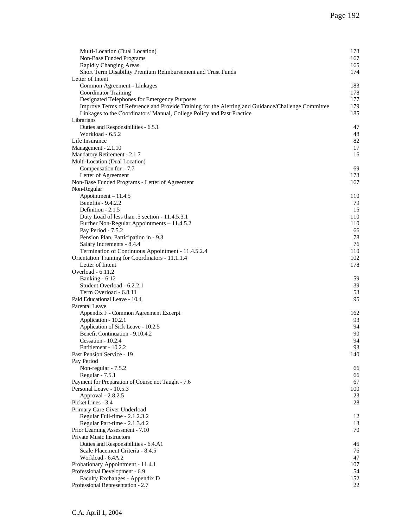| Multi-Location (Dual Location)                                                                    | 173      |
|---------------------------------------------------------------------------------------------------|----------|
| Non-Base Funded Programs                                                                          | 167      |
| Rapidly Changing Areas                                                                            | 165      |
| Short Term Disability Premium Reimbursement and Trust Funds                                       | 174      |
| Letter of Intent                                                                                  |          |
| Common Agreement - Linkages                                                                       | 183      |
| Coordinator Training                                                                              | 178      |
| Designated Telephones for Emergency Purposes                                                      | 177      |
| Improve Terms of Reference and Provide Training for the Alerting and Guidance/Challenge Committee | 179      |
| Linkages to the Coordinators' Manual, College Policy and Past Practice<br>Librarians              | 185      |
| Duties and Responsibilities - 6.5.1                                                               | 47       |
| Workload - 6.5.2                                                                                  | 48       |
| Life Insurance                                                                                    | 82       |
| Management - 2.1.10                                                                               | 17       |
| Mandatory Retirement - 2.1.7                                                                      | 16       |
| Multi-Location (Dual Location)                                                                    |          |
| Compensation for $-7.7$                                                                           | 69       |
| Letter of Agreement                                                                               | 173      |
| Non-Base Funded Programs - Letter of Agreement                                                    | 167      |
| Non-Regular                                                                                       |          |
| Appointment - 11.4.5                                                                              | 110      |
| Benefits - 9.4.2.2                                                                                | 79       |
| Definition - 2.1.5                                                                                | 15       |
| Duty Load of less than .5 section - 11.4.5.3.1                                                    | 110      |
| Further Non-Regular Appointments - 11.4.5.2                                                       | 110      |
| Pay Period - 7.5.2                                                                                | 66       |
| Pension Plan, Participation in - 9.3                                                              | 78       |
| Salary Increments - 8.4.4                                                                         | 76       |
| Termination of Continuous Appointment - 11.4.5.2.4                                                | 110      |
| Orientation Training for Coordinators - 11.1.1.4                                                  | 102      |
| Letter of Intent                                                                                  | 178      |
| Overload - 6.11.2                                                                                 |          |
| Banking - 6.12<br>Student Overload - 6.2.2.1                                                      | 59<br>39 |
| Term Overload - 6.8.11                                                                            | 53       |
| Paid Educational Leave - 10.4                                                                     | 95       |
| <b>Parental Leave</b>                                                                             |          |
| Appendix F - Common Agreement Excerpt                                                             | 162      |
| Application - 10.2.1                                                                              | 93       |
| Application of Sick Leave - 10.2.5                                                                | 94       |
| Benefit Continuation - 9.10.4.2                                                                   | 90       |
| Cessation - 10.2.4                                                                                | 94       |
| Entitlement - 10.2.2                                                                              | 93       |
| Past Pension Service - 19                                                                         | 140      |
| Pay Period                                                                                        |          |
| Non-regular - 7.5.2                                                                               | 66       |
| Regular - 7.5.1                                                                                   | 66       |
| Payment for Preparation of Course not Taught - 7.6                                                | 67       |
| Personal Leave - 10.5.3                                                                           | 100      |
| Approval - 2.8.2.5                                                                                | 23       |
| Picket Lines - 3.4                                                                                | 28       |
| Primary Care Giver Underload                                                                      |          |
| Regular Full-time - 2.1.2.3.2<br>Regular Part-time - 2.1.3.4.2                                    | 12<br>13 |
| Prior Learning Assessment - 7.10                                                                  | 70       |
| Private Music Instructors                                                                         |          |
| Duties and Responsibilities - 6.4.A1                                                              | 46       |
| Scale Placement Criteria - 8.4.5                                                                  | 76       |
| Workload - 6.4A.2                                                                                 | 47       |
| Probationary Appointment - 11.4.1                                                                 | 107      |
| Professional Development - 6.9                                                                    | 54       |
| Faculty Exchanges - Appendix D                                                                    | 152      |
| Professional Representation - 2.7                                                                 | 22       |
|                                                                                                   |          |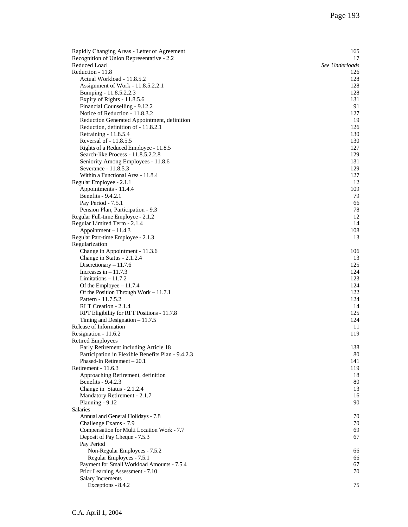| Rapidly Changing Areas - Letter of Agreement          | 165            |
|-------------------------------------------------------|----------------|
| Recognition of Union Representative - 2.2             | 17             |
| Reduced Load                                          | See Underloads |
| Reduction - 11.8                                      | 126            |
| Actual Workload - 11.8.5.2                            | 128            |
| Assignment of Work - 11.8.5.2.2.1                     | 128<br>128     |
| Bumping - 11.8.5.2.2.3<br>Expiry of Rights - 11.8.5.6 | 131            |
| Financial Counselling - 9.12.2                        | 91             |
| Notice of Reduction - 11.8.3.2                        | 127            |
| Reduction Generated Appointment, definition           | 19             |
| Reduction, definition of - 11.8.2.1                   | 126            |
| Retraining - 11.8.5.4                                 | 130            |
| Reversal of - 11.8.5.5                                | 130            |
| Rights of a Reduced Employee - 11.8.5                 | 127            |
| Search-like Process - 11.8.5.2.2.8                    | 129            |
| Seniority Among Employees - 11.8.6                    | 131            |
| Severance - 11.8.5.3                                  | 129            |
| Within a Functional Area - 11.8.4                     | 127            |
| Regular Employee - 2.1.1                              | 12             |
| Appointments - 11.4.4                                 | 109            |
| Benefits - 9.4.2.1                                    | 79             |
| Pay Period - 7.5.1                                    | 66             |
| Pension Plan, Participation - 9.3                     | 78             |
| Regular Full-time Employee - 2.1.2                    | 12             |
| Regular Limited Term - 2.1.4                          | 14             |
| $Appointment - 11.4.3$                                | 108            |
| Regular Part-time Employee - 2.1.3                    | 13             |
| Regularization<br>Change in Appointment - 11.3.6      | 106            |
| Change in Status - 2.1.2.4                            | 13             |
| Discretionary $-11.7.6$                               | 125            |
| Increases in $-11.7.3$                                | 124            |
| Limitations $-11.7.2$                                 | 123            |
| Of the Employee $-11.7.4$                             | 124            |
| Of the Position Through Work $-11.7.1$                | 122            |
| Pattern - 11.7.5.2                                    | 124            |
| RLT Creation - 2.1.4                                  | 14             |
| RPT Eligibility for RFT Positions - 11.7.8            | 125            |
| Timing and Designation $-11.7.5$                      | 124            |
| Release of Information                                | 11             |
| Resignation - 11.6.2                                  | 119            |
| <b>Retired Employees</b>                              |                |
| Early Retirement including Article 18                 | 138            |
| Participation in Flexible Benefits Plan - 9.4.2.3     | 80             |
| Phased-In Retirement - 20.1<br>Retirement - 11.6.3    | 141<br>119     |
| Approaching Retirement, definition                    | 18             |
| Benefits - 9.4.2.3                                    | 80             |
| Change in Status - 2.1.2.4                            | 13             |
| Mandatory Retirement - 2.1.7                          | 16             |
| Planning - 9.12                                       | 90             |
| <b>Salaries</b>                                       |                |
| Annual and General Holidays - 7.8                     | 70             |
| Challenge Exams - 7.9                                 | 70             |
| Compensation for Multi Location Work - 7.7            | 69             |
| Deposit of Pay Cheque - 7.5.3                         | 67             |
| Pay Period                                            |                |
| Non-Regular Employees - 7.5.2                         | 66             |
| Regular Employees - 7.5.1                             | 66             |
| Payment for Small Workload Amounts - 7.5.4            | 67             |
| Prior Learning Assessment - 7.10                      | 70             |
| Salary Increments                                     |                |
| Exceptions - 8.4.2                                    | 75             |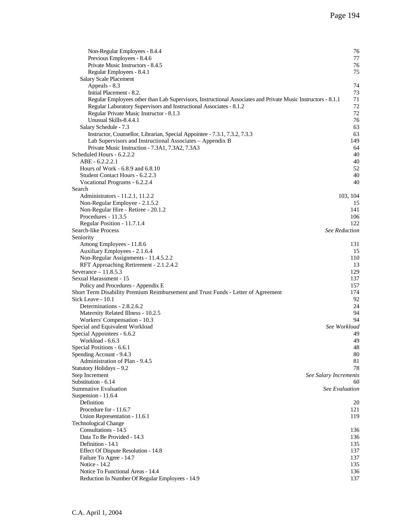| Non-Regular Employees - 8.4.4<br>Previous Employees - 8.4.6                                                  | 76<br>77              |
|--------------------------------------------------------------------------------------------------------------|-----------------------|
| Private Music Instructors - 8.4.5                                                                            | 76                    |
| Regular Employees - 8.4.1                                                                                    | 75                    |
| Salary Scale Placement                                                                                       |                       |
| Appeals - 8.3                                                                                                | 74                    |
| Initial Placement - 8.2.                                                                                     | 73                    |
| Regular Employees other than Lab Supervisors, Instructional Associates and Private Music Instructors - 8.1.1 | 71                    |
| Regular Laboratory Supervisors and Instructional Associates - 8.1.2                                          | 72                    |
| Regular Private Music Instructor - 8.1.3                                                                     | 72                    |
| Unusual Skills-8.4.4.1                                                                                       | 76                    |
| Salary Schedule - 7.3                                                                                        | 63                    |
| Instructor, Counsellor, Librarian, Special Appointee - 7.3.1, 7.3.2, 7.3.3                                   | 63                    |
| Lab Supervisors and Instructional Associates - Appendix B                                                    | 149                   |
| Private Music Instruction - 7.3A1, 7.3A2, 7.3A3                                                              | 64                    |
| Scheduled Hours - 6.2.2.2                                                                                    | 40                    |
| $ABE - 6.2.2.2.1$                                                                                            | 40                    |
| Hours of Work - 6.8.9 and 6.8.10                                                                             | 52                    |
| Student Contact Hours - 6.2.2.3                                                                              | 40                    |
| Vocational Programs - 6.2.2.4                                                                                | 40                    |
| Search                                                                                                       |                       |
| Administrators - 11.2.1, 11.2.2                                                                              | 103, 104              |
| Non-Regular Employee - 2.1.5.2                                                                               | 15                    |
| Non-Regular Hire - Retiree - 20.1.2                                                                          | 141                   |
| Procedures - 11.3.5                                                                                          | 106                   |
| Regular Position - 11.7.1.4                                                                                  | 122                   |
| Search-like Process                                                                                          | <b>See Reduction</b>  |
| Seniority                                                                                                    |                       |
| Among Employees - 11.8.6                                                                                     | 131                   |
| Auxiliary Employees - 2.1.6.4                                                                                | 15<br>110             |
| Non-Regular Assignments - 11.4.5.2.2<br>RFT Approaching Retirement - 2.1.2.4.2                               | 13                    |
| Severance $-11.8.5.3$                                                                                        | 129                   |
| Sexual Harassment - 15                                                                                       | 137                   |
| Policy and Procedures - Appendix E                                                                           | 157                   |
| Short Term Disability Premium Reimbursement and Trust Funds - Letter of Agreement                            | 174                   |
| Sick Leave - 10.1                                                                                            | 92                    |
| Determinations - 2.8.2.6.2                                                                                   | 24                    |
| Maternity Related Illness - 10.2.5                                                                           | 94                    |
| Workers' Compensation - 10.3                                                                                 | 94                    |
| Special and Equivalent Workload                                                                              | See Workload          |
| Special Appointees - 6.6.2                                                                                   | 49                    |
| Workload - 6.6.3                                                                                             | 49                    |
| Special Positions - 6.6.1                                                                                    | 48                    |
| Spending Account - 9.4.3                                                                                     | 80                    |
| Administration of Plan - 9.4.5                                                                               | 81                    |
| Statutory Holidays - 9.2                                                                                     | 78                    |
| Step Increment                                                                                               | See Salary Increments |
| Substitution - 6.14                                                                                          | 60                    |
| Summative Evaluation                                                                                         | See Evaluation        |
| Suspension - 11.6.4                                                                                          |                       |
| Definition                                                                                                   | 20                    |
| Procedure for - 11.6.7                                                                                       | 121                   |
| Union Representation - 11.6.1                                                                                | 119                   |
| <b>Technological Change</b><br>Consultations - 14.5                                                          |                       |
|                                                                                                              | 136                   |
| Data To Be Provided - 14.3<br>Definition - 14.1                                                              | 136<br>135            |
| Effect Of Dispute Resolution - 14.8                                                                          | 137                   |
| Failure To Agree - 14.7                                                                                      | 137                   |
| Notice - 14.2                                                                                                | 135                   |
| Notice To Functional Areas - 14.4                                                                            | 136                   |
| Reduction In Number Of Regular Employees - 14.9                                                              | 137                   |
|                                                                                                              |                       |